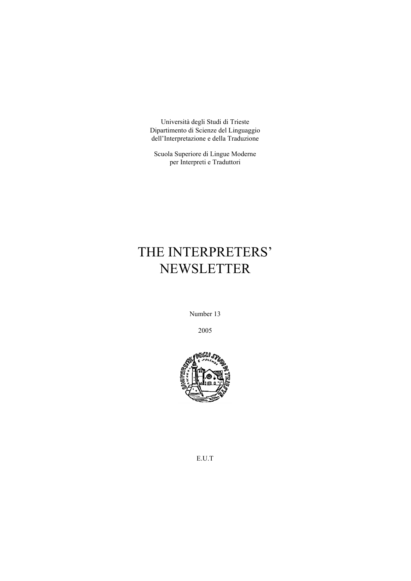Università degli Studi di Trieste Dipartimento di Scienze del Linguaggio dell'Interpretazione e della Traduzione

Scuola Superiore di Lingue Moderne per Interpreti e Traduttori

# THE INTERPRETERS' NEWSLETTER

Number 13

2005



E.U.T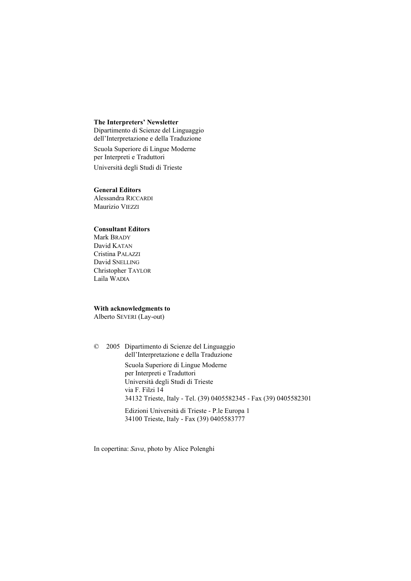## **The Interpreters' Newsletter**

Dipartimento di Scienze del Linguaggio dell'Interpretazione e della Traduzione Scuola Superiore di Lingue Moderne per Interpreti e Traduttori Università degli Studi di Trieste

## **General Editors**

Alessandra RICCARDI Maurizio VIEZZI

## **Consultant Editors**

Mark BRADY David KATAN Cristina PALAZZI David SNELLING Christopher TAYLOR Laila WADIA

## **With acknowledgments to**

Alberto SEVERI (Lay-out)

© 2005 Dipartimento di Scienze del Linguaggio dell'Interpretazione e della Traduzione Scuola Superiore di Lingue Moderne per Interpreti e Traduttori Università degli Studi di Trieste via F. Filzi 14 34132 Trieste, Italy - Tel. (39) 0405582345 - Fax (39) 0405582301 Edizioni Università di Trieste - P.le Europa 1

34100 Trieste, Italy - Fax (39) 0405583777

In copertina: *Sava*, photo by Alice Polenghi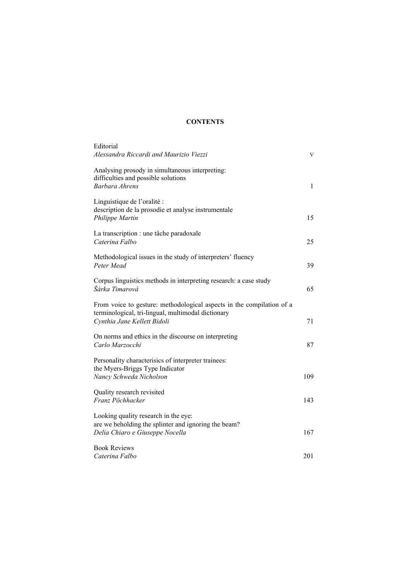# **CONTENTS**

| Editorial<br>Alessandra Riccardi and Maurizio Viezzi                                                                                                       | V   |
|------------------------------------------------------------------------------------------------------------------------------------------------------------|-----|
| Analysing prosody in simultaneous interpreting:<br>difficulties and possible solutions<br>Barbara Ahrens                                                   | 1   |
| Linguistique de l'oralité :<br>description de la prosodie et analyse instrumentale<br>Philippe Martin                                                      | 15  |
| La transcription : une tâche paradoxale<br>Caterina Falbo                                                                                                  | 25  |
| Methodological issues in the study of interpreters' fluency<br>Peter Mead                                                                                  | 39  |
| Corpus linguistics methods in interpreting research: a case study<br>Šárka Timarová                                                                        | 65  |
| From voice to gesture: methodological aspects in the compilation of a<br>terminological, tri-lingual, multimodal dictionary<br>Cynthia Jane Kellett Bidoli | 71  |
| On norms and ethics in the discourse on interpreting<br>Carlo Marzocchi                                                                                    | 87  |
| Personality characterisics of interpreter trainees:<br>the Myers-Briggs Type Indicator<br>Nancy Schweda Nicholson                                          | 109 |
| Quality research revisited<br>Franz Pöchhacker                                                                                                             | 143 |
| Looking quality research in the eye:<br>are we beholding the splinter and ignoring the beam?<br>Delia Chiaro e Giuseppe Nocella                            | 167 |
| <b>Book Reviews</b><br>Caterina Falbo                                                                                                                      | 201 |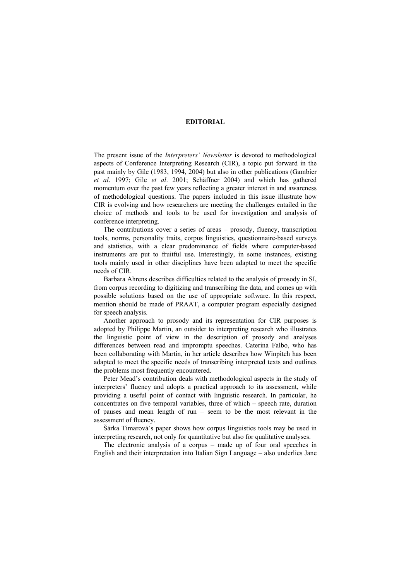#### **EDITORIAL**

The present issue of the *Interpreters' Newsletter* is devoted to methodological aspects of Conference Interpreting Research (CIR), a topic put forward in the past mainly by Gile (1983, 1994, 2004) but also in other publications (Gambier *et al*. 1997; Gile *et al*. 2001; Schäffner 2004) and which has gathered momentum over the past few years reflecting a greater interest in and awareness of methodological questions. The papers included in this issue illustrate how CIR is evolving and how researchers are meeting the challenges entailed in the choice of methods and tools to be used for investigation and analysis of conference interpreting.

The contributions cover a series of areas – prosody, fluency, transcription tools, norms, personality traits, corpus linguistics, questionnaire-based surveys and statistics, with a clear predominance of fields where computer-based instruments are put to fruitful use. Interestingly, in some instances, existing tools mainly used in other disciplines have been adapted to meet the specific needs of CIR.

Barbara Ahrens describes difficulties related to the analysis of prosody in SI, from corpus recording to digitizing and transcribing the data, and comes up with possible solutions based on the use of appropriate software. In this respect, mention should be made of PRAAT, a computer program especially designed for speech analysis.

Another approach to prosody and its representation for CIR purposes is adopted by Philippe Martin, an outsider to interpreting research who illustrates the linguistic point of view in the description of prosody and analyses differences between read and impromptu speeches. Caterina Falbo, who has been collaborating with Martin, in her article describes how Winpitch has been adapted to meet the specific needs of transcribing interpreted texts and outlines the problems most frequently encountered.

Peter Mead's contribution deals with methodological aspects in the study of interpreters' fluency and adopts a practical approach to its assessment, while providing a useful point of contact with linguistic research. In particular, he concentrates on five temporal variables, three of which – speech rate, duration of pauses and mean length of run – seem to be the most relevant in the assessment of fluency.

Šárka Timarová's paper shows how corpus linguistics tools may be used in interpreting research, not only for quantitative but also for qualitative analyses.

The electronic analysis of a corpus – made up of four oral speeches in English and their interpretation into Italian Sign Language – also underlies Jane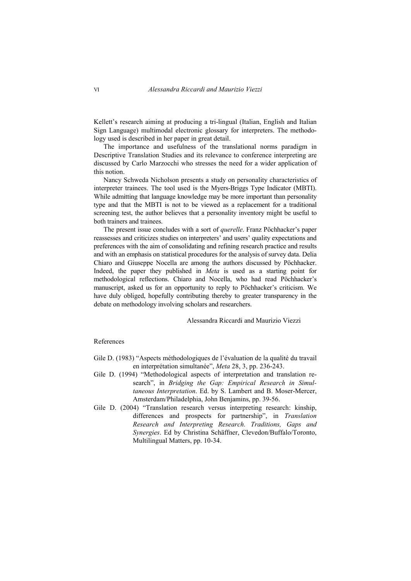Kellett's research aiming at producing a tri-lingual (Italian, English and Italian Sign Language) multimodal electronic glossary for interpreters. The methodology used is described in her paper in great detail.

The importance and usefulness of the translational norms paradigm in Descriptive Translation Studies and its relevance to conference interpreting are discussed by Carlo Marzocchi who stresses the need for a wider application of this notion.

Nancy Schweda Nicholson presents a study on personality characteristics of interpreter trainees. The tool used is the Myers-Briggs Type Indicator (MBTI). While admitting that language knowledge may be more important than personality type and that the MBTI is not to be viewed as a replacement for a traditional screening test, the author believes that a personality inventory might be useful to both trainers and trainees.

The present issue concludes with a sort of *querelle*. Franz Pöchhacker's paper reassesses and criticizes studies on interpreters' and users' quality expectations and preferences with the aim of consolidating and refining research practice and results and with an emphasis on statistical procedures for the analysis of survey data. Delia Chiaro and Giuseppe Nocella are among the authors discussed by Pöchhacker. Indeed, the paper they published in *Meta* is used as a starting point for methodological reflections. Chiaro and Nocella, who had read Pöchhacker's manuscript, asked us for an opportunity to reply to Pöchhacker's criticism. We have duly obliged, hopefully contributing thereby to greater transparency in the debate on methodology involving scholars and researchers.

## Alessandra Riccardi and Maurizio Viezzi

#### References

- Gile D. (1983) "Aspects méthodologiques de l'évaluation de la qualité du travail en interprétation simultanée", *Meta* 28, 3, pp. 236-243.
- Gile D. (1994) "Methodological aspects of interpretation and translation research", in *Bridging the Gap: Empirical Research in Simultaneous Interpretation*. Ed. by S. Lambert and B. Moser-Mercer, Amsterdam/Philadelphia, John Benjamins, pp. 39-56.
- Gile D. (2004) "Translation research versus interpreting research: kinship, differences and prospects for partnership", in *Translation Research and Interpreting Research. Traditions, Gaps and Synergies*. Ed by Christina Schäffner, Clevedon/Buffalo/Toronto, Multilingual Matters, pp. 10-34.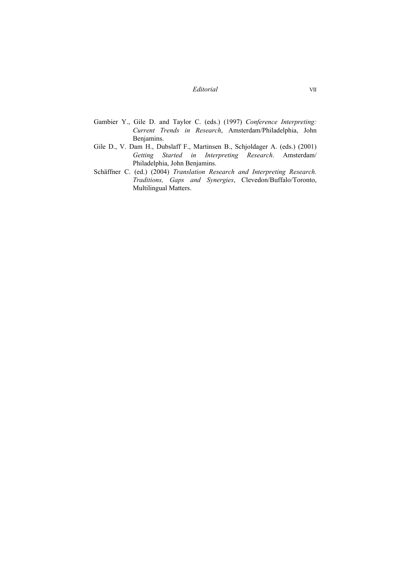# *Editorial* VII

- Gambier Y., Gile D. and Taylor C. (eds.) (1997) *Conference Interpreting: Current Trends in Research*, Amsterdam/Philadelphia, John Benjamins.
- Gile D., V. Dam H., Dubslaff F., Martinsen B., Schjoldager A. (eds.) (2001) *Getting Started in Interpreting Research*. Amsterdam/ Philadelphia, John Benjamins.
- Schäffner C. (ed.) (2004) *Translation Research and Interpreting Research. Traditions, Gaps and Synergies*, Clevedon/Buffalo/Toronto, Multilingual Matters.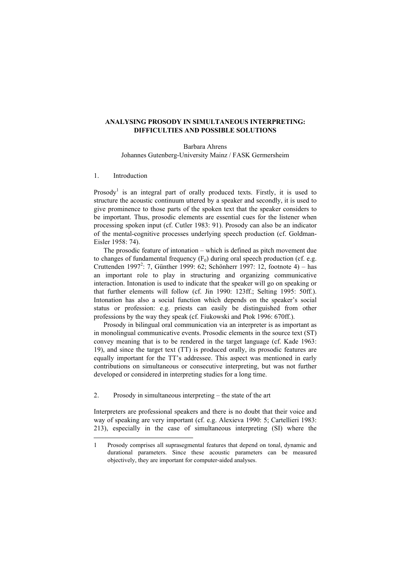## **ANALYSING PROSODY IN SIMULTANEOUS INTERPRETING: DIFFICULTIES AND POSSIBLE SOLUTIONS**

Barbara Ahrens Johannes Gutenberg-University Mainz / FASK Germersheim

#### 1. Introduction

 $\overline{a}$ 

Prosody<sup>1</sup> is an integral part of orally produced texts. Firstly, it is used to structure the acoustic continuum uttered by a speaker and secondly, it is used to give prominence to those parts of the spoken text that the speaker considers to be important. Thus, prosodic elements are essential cues for the listener when processing spoken input (cf. Cutler 1983: 91). Prosody can also be an indicator of the mental-cognitive processes underlying speech production (cf. Goldman-Eisler 1958: 74).

The prosodic feature of intonation – which is defined as pitch movement due to changes of fundamental frequency  $(F_0)$  during oral speech production (cf. e.g. Cruttenden 1997<sup>2</sup>: 7, Günther 1999: 62; Schönherr 1997: 12, footnote 4) – has an important role to play in structuring and organizing communicative interaction. Intonation is used to indicate that the speaker will go on speaking or that further elements will follow (cf. Jin 1990: 123ff.; Selting 1995: 50ff.). Intonation has also a social function which depends on the speaker's social status or profession: e.g. priests can easily be distinguished from other professions by the way they speak (cf. Fiukowski and Ptok 1996: 670ff.).

Prosody in bilingual oral communication via an interpreter is as important as in monolingual communicative events. Prosodic elements in the source text (ST) convey meaning that is to be rendered in the target language (cf. Kade 1963: 19), and since the target text (TT) is produced orally, its prosodic features are equally important for the TT's addressee. This aspect was mentioned in early contributions on simultaneous or consecutive interpreting, but was not further developed or considered in interpreting studies for a long time.

2. Prosody in simultaneous interpreting – the state of the art

Interpreters are professional speakers and there is no doubt that their voice and way of speaking are very important (cf. e.g. Alexieva 1990: 5; Cartellieri 1983: 213), especially in the case of simultaneous interpreting (SI) where the

<sup>1</sup> Prosody comprises all suprasegmental features that depend on tonal, dynamic and durational parameters. Since these acoustic parameters can be measured objectively, they are important for computer-aided analyses.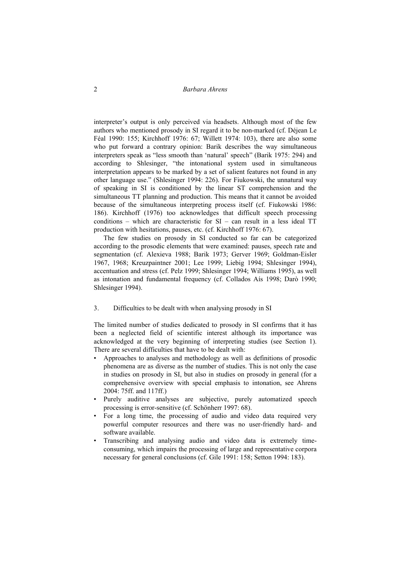2 *Barbara Ahrens* 

interpreter's output is only perceived via headsets. Although most of the few authors who mentioned prosody in SI regard it to be non-marked (cf. Déjean Le Féal 1990: 155; Kirchhoff 1976: 67; Willett 1974: 103), there are also some who put forward a contrary opinion: Barik describes the way simultaneous interpreters speak as "less smooth than 'natural' speech" (Barik 1975: 294) and according to Shlesinger, "the intonational system used in simultaneous interpretation appears to be marked by a set of salient features not found in any other language use." (Shlesinger 1994: 226). For Fiukowski, the unnatural way of speaking in SI is conditioned by the linear ST comprehension and the simultaneous TT planning and production. This means that it cannot be avoided because of the simultaneous interpreting process itself (cf. Fiukowski 1986: 186). Kirchhoff (1976) too acknowledges that difficult speech processing conditions – which are characteristic for SI – can result in a less ideal TT production with hesitations, pauses, etc. (cf. Kirchhoff 1976: 67).

The few studies on prosody in SI conducted so far can be categorized according to the prosodic elements that were examined: pauses, speech rate and segmentation (cf. Alexieva 1988; Barik 1973; Gerver 1969; Goldman-Eisler 1967, 1968; Kreuzpaintner 2001; Lee 1999; Liebig 1994; Shlesinger 1994), accentuation and stress (cf. Pelz 1999; Shlesinger 1994; Williams 1995), as well as intonation and fundamental frequency (cf. Collados Aís 1998; Darò 1990; Shlesinger 1994).

3. Difficulties to be dealt with when analysing prosody in SI

The limited number of studies dedicated to prosody in SI confirms that it has been a neglected field of scientific interest although its importance was acknowledged at the very beginning of interpreting studies (see Section 1). There are several difficulties that have to be dealt with:

- Approaches to analyses and methodology as well as definitions of prosodic phenomena are as diverse as the number of studies. This is not only the case in studies on prosody in SI, but also in studies on prosody in general (for a comprehensive overview with special emphasis to intonation, see Ahrens 2004: 75ff. and 117ff.)
- Purely auditive analyses are subjective, purely automatized speech processing is error-sensitive (cf. Schönherr 1997: 68).
- For a long time, the processing of audio and video data required very powerful computer resources and there was no user-friendly hard- and software available.
- Transcribing and analysing audio and video data is extremely timeconsuming, which impairs the processing of large and representative corpora necessary for general conclusions (cf. Gile 1991: 158; Setton 1994: 183).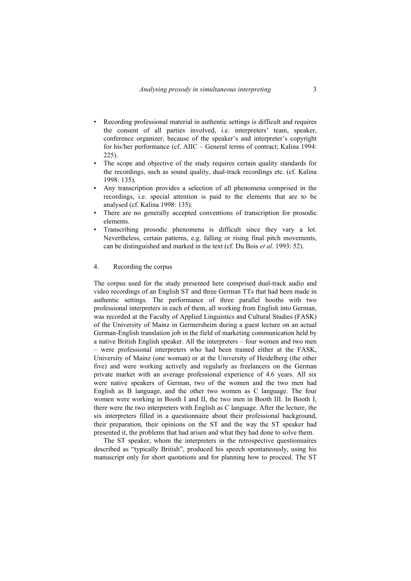- Recording professional material in authentic settings is difficult and requires the consent of all parties involved, i.e. interpreters' team, speaker, conference organizer, because of the speaker's and interpreter's copyright for his/her performance (cf. AIIC – General terms of contract; Kalina 1994: 225).
- The scope and objective of the study requires certain quality standards for the recordings, such as sound quality, dual-track recordings etc. (cf. Kalina 1998: 135).
- Any transcription provides a selection of all phenomena comprised in the recordings, i.e. special attention is paid to the elements that are to be analysed (cf. Kalina 1998: 135).
- There are no generally accepted conventions of transcription for prosodic elements.
- Transcribing prosodic phenomena is difficult since they vary a lot. Nevertheless, certain patterns, e.g. falling or rising final pitch movements, can be distinguished and marked in the text (cf. Du Bois *et al*. 1993: 52).

### 4. Recording the corpus

The corpus used for the study presented here comprised dual-track audio and video recordings of an English ST and three German TTs that had been made in authentic settings. The performance of three parallel booths with two professional interpreters in each of them, all working from English into German, was recorded at the Faculty of Applied Linguistics and Cultural Studies (FASK) of the University of Mainz in Germersheim during a guest lecture on an actual German-English translation job in the field of marketing communication held by a native British English speaker. All the interpreters – four women and two men – were professional interpreters who had been trained either at the FASK, University of Mainz (one woman) or at the University of Heidelberg (the other five) and were working actively and regularly as freelancers on the German private market with an average professional experience of 4.6 years. All six were native speakers of German, two of the women and the two men had English as B language, and the other two women as C language. The four women were working in Booth I and II, the two men in Booth III. In Booth I, there were the two interpreters with English as C language. After the lecture, the six interpreters filled in a questionnaire about their professional background, their preparation, their opinions on the ST and the way the ST speaker had presented it, the problems that had arisen and what they had done to solve them.

The ST speaker, whom the interpreters in the retrospective questionnaires described as "typically British", produced his speech spontaneously, using his manuscript only for short quotations and for planning how to proceed. The ST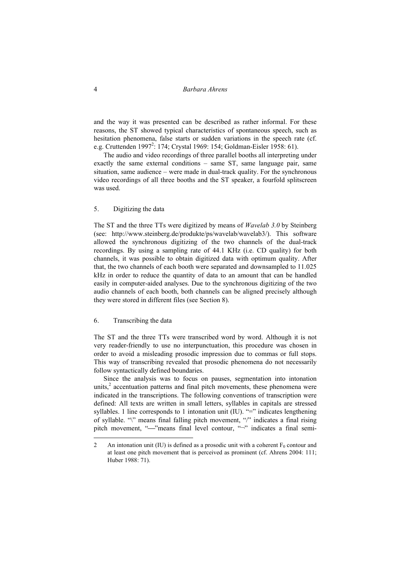## 4 *Barbara Ahrens*

and the way it was presented can be described as rather informal. For these reasons, the ST showed typical characteristics of spontaneous speech, such as hesitation phenomena, false starts or sudden variations in the speech rate (cf. e.g. Cruttenden 1997<sup>2</sup>: 174; Crystal 1969: 154; Goldman-Eisler 1958: 61).

The audio and video recordings of three parallel booths all interpreting under exactly the same external conditions – same ST, same language pair, same situation, same audience – were made in dual-track quality. For the synchronous video recordings of all three booths and the ST speaker, a fourfold splitscreen was used.

## 5. Digitizing the data

The ST and the three TTs were digitized by means of *Wavelab 3.0* by Steinberg (see: http://www.steinberg.de/produkte/ps/wavelab/wavelab3/). This software allowed the synchronous digitizing of the two channels of the dual-track recordings. By using a sampling rate of 44.1 KHz (i.e. CD quality) for both channels, it was possible to obtain digitized data with optimum quality. After that, the two channels of each booth were separated and downsampled to 11.025 kHz in order to reduce the quantity of data to an amount that can be handled easily in computer-aided analyses. Due to the synchronous digitizing of the two audio channels of each booth, both channels can be aligned precisely although they were stored in different files (see Section 8).

## 6. Transcribing the data

 $\overline{a}$ 

The ST and the three TTs were transcribed word by word. Although it is not very reader-friendly to use no interpunctuation, this procedure was chosen in order to avoid a misleading prosodic impression due to commas or full stops. This way of transcribing revealed that prosodic phenomena do not necessarily follow syntactically defined boundaries.

Since the analysis was to focus on pauses, segmentation into intonation units, $\lambda^2$  accentuation patterns and final pitch movements, these phenomena were indicated in the transcriptions. The following conventions of transcription were defined: All texts are written in small letters, syllables in capitals are stressed syllables. 1 line corresponds to 1 intonation unit  $(IU)$ . "=" indicates lengthening of syllable. "\" means final falling pitch movement, "/" indicates a final rising pitch movement, " $\rightarrow$ "means final level contour, " $\rightarrow$ " indicates a final semi-

<sup>2</sup> An intonation unit (IU) is defined as a prosodic unit with a coherent  $F_0$  contour and at least one pitch movement that is perceived as prominent (cf. Ahrens 2004: 111; Huber 1988: 71).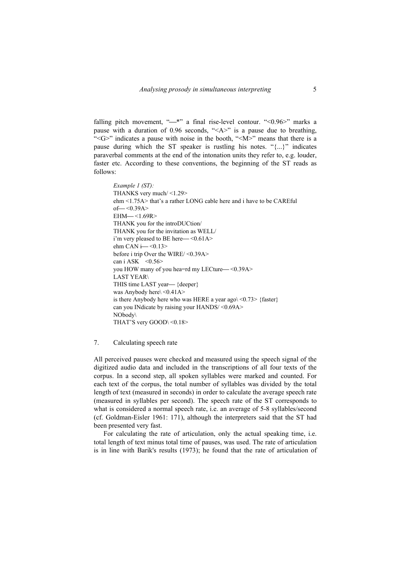falling pitch movement, " $*$ " a final rise-level contour. "< $0.96$ " marks a pause with a duration of 0.96 seconds, " $\langle A \rangle$ " is a pause due to breathing, "<G>" indicates a pause with noise in the booth, "<M>" means that there is a pause during which the ST speaker is rustling his notes. "{...}" indicates paraverbal comments at the end of the intonation units they refer to, e.g. louder, faster etc. According to these conventions, the beginning of the ST reads as follows:

```
Example 1 (ST): 
THANKS very much/ <1.29> 
ehm <1.75A> that's a rather LONG cable here and i have to be CAREful 
of - <0.39AEHM—<1.69R>THANK you for the introDUCtion/ 
THANK you for the invitation as WELL/ 
i'm very pleased to BE here \sim <0.61A>
ehm CAN i- <0.13>
before i trip Over the WIRE/ <0.39A> 
can i ASK \leq 0.56you HOW many of you hea=rd my LECture \leq 0.39ALAST YEAR\ 
THIS time LAST year— {deeper}
was Anybody here\leq 0.41A>is there Anybody here who was HERE a year ago\langle 0.73 \rangle {faster}
can you INdicate by raising your HANDS/ <0.69A> 
NObody\ 
THAT'S very GOOD\ <0.18>
```
## 7. Calculating speech rate

All perceived pauses were checked and measured using the speech signal of the digitized audio data and included in the transcriptions of all four texts of the corpus. In a second step, all spoken syllables were marked and counted. For each text of the corpus, the total number of syllables was divided by the total length of text (measured in seconds) in order to calculate the average speech rate (measured in syllables per second). The speech rate of the ST corresponds to what is considered a normal speech rate, i.e. an average of 5-8 syllables/second (cf. Goldman-Eisler 1961: 171), although the interpreters said that the ST had been presented very fast.

For calculating the rate of articulation, only the actual speaking time, i.e. total length of text minus total time of pauses, was used. The rate of articulation is in line with Barik's results (1973); he found that the rate of articulation of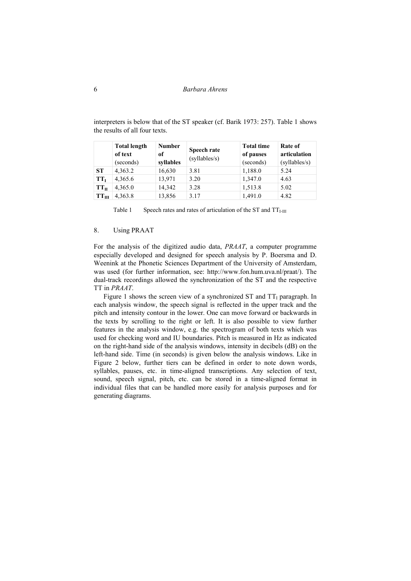|                 | <b>Total length</b><br><b>Number</b><br>of text<br>of |           | Speech rate<br>(syllables/s) | <b>Total time</b><br>of pauses | Rate of<br>articulation |
|-----------------|-------------------------------------------------------|-----------|------------------------------|--------------------------------|-------------------------|
|                 | (seconds)                                             | syllables |                              | (seconds)                      | (syllables/s)           |
| <b>ST</b>       | 4,363.2                                               | 16,630    | 3.81                         | 1,188.0                        | 5.24                    |
| TT <sub>I</sub> | 4,365.6                                               | 13,971    | 3.20                         | 1,347.0                        | 4.63                    |
| $TT_{II}$       | 4,365.0                                               | 14,342    | 3.28                         | 1,513.8                        | 5.02                    |
| $TT_{III}$      | 4,363.8                                               | 13,856    | 3.17                         | 1,491.0                        | 4.82                    |

interpreters is below that of the ST speaker (cf. Barik 1973: 257). Table 1 shows the results of all four texts.

Table 1 Speech rates and rates of articulation of the ST and  $TT<sub>LIII</sub>$ 

## 8. Using PRAAT

For the analysis of the digitized audio data, *PRAAT*, a computer programme especially developed and designed for speech analysis by P. Boersma and D. Weenink at the Phonetic Sciences Department of the University of Amsterdam, was used (for further information, see: http://www.fon.hum.uva.nl/praat/). The dual-track recordings allowed the synchronization of the ST and the respective TT in *PRAAT*.

Figure 1 shows the screen view of a synchronized ST and  $TT_I$  paragraph. In each analysis window, the speech signal is reflected in the upper track and the pitch and intensity contour in the lower. One can move forward or backwards in the texts by scrolling to the right or left. It is also possible to view further features in the analysis window, e.g. the spectrogram of both texts which was used for checking word and IU boundaries. Pitch is measured in Hz as indicated on the right-hand side of the analysis windows, intensity in decibels (dB) on the left-hand side. Time (in seconds) is given below the analysis windows. Like in Figure 2 below, further tiers can be defined in order to note down words, syllables, pauses, etc. in time-aligned transcriptions. Any selection of text, sound, speech signal, pitch, etc. can be stored in a time-aligned format in individual files that can be handled more easily for analysis purposes and for generating diagrams.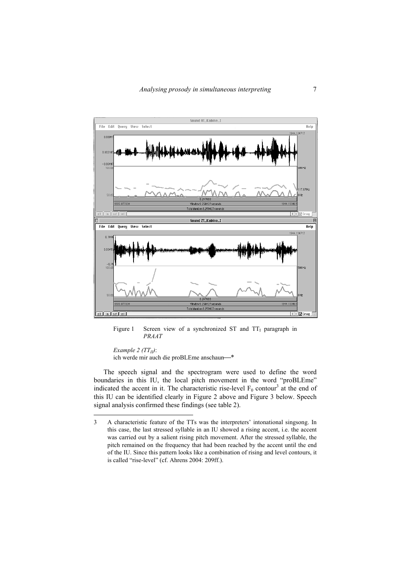

Figure 1 Screen view of a synchronized ST and  $TT<sub>I</sub>$  paragraph in *PRAAT* 

*Example 2 (TT<sub>II</sub>)*:

 $\overline{a}$ 

ich werde mir auch die proBLEme anschaun-\*

The speech signal and the spectrogram were used to define the word boundaries in this IU, the local pitch movement in the word "proBLEme" indicated the accent in it. The characteristic rise-level  $F_0$  contour<sup>3</sup> at the end of this IU can be identified clearly in Figure 2 above and Figure 3 below. Speech signal analysis confirmed these findings (see table 2).

<sup>3</sup> A characteristic feature of the TTs was the interpreters' intonational singsong. In this case, the last stressed syllable in an IU showed a rising accent, i.e. the accent was carried out by a salient rising pitch movement. After the stressed syllable, the pitch remained on the frequency that had been reached by the accent until the end of the IU. Since this pattern looks like a combination of rising and level contours, it is called "rise-level" (cf. Ahrens 2004: 209ff.).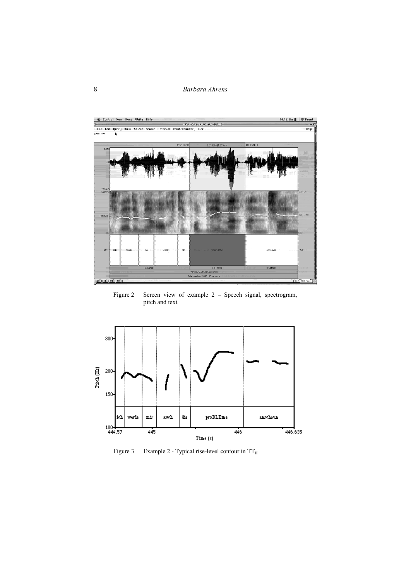8 *Barbara Ahrens* 



Figure 2 Screen view of example 2 - Speech signal, spectrogram, pitch and text



Figure 3 Example 2 - Typical rise-level contour in  $TT_{II}$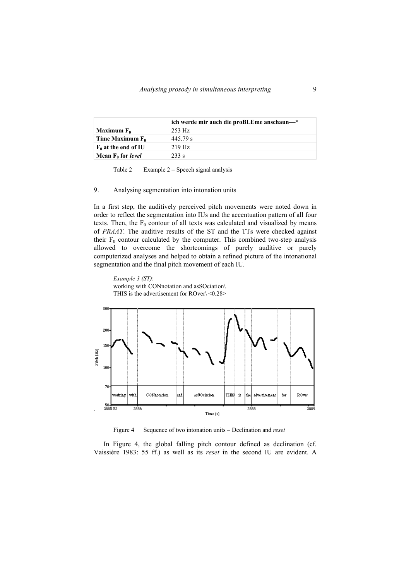|                                        | ich werde mir auch die proBLEme anschaun—* |  |  |
|----------------------------------------|--------------------------------------------|--|--|
| Maximum F <sub>0</sub>                 | $253$ Hz                                   |  |  |
| Time Maximum F <sub>0</sub>            | 445 79 s                                   |  |  |
| $\mid$ F <sub>0</sub> at the end of IU | $219$ Hz                                   |  |  |
| Mean F <sub>0</sub> for <i>level</i>   | 233 s                                      |  |  |

Table 2 Example 2 – Speech signal analysis

## 9. Analysing segmentation into intonation units

In a first step, the auditively perceived pitch movements were noted down in order to reflect the segmentation into IUs and the accentuation pattern of all four texts. Then, the  $F_0$  contour of all texts was calculated and visualized by means of *PRAAT*. The auditive results of the ST and the TTs were checked against their  $F_0$  contour calculated by the computer. This combined two-step analysis allowed to overcome the shortcomings of purely auditive or purely computerized analyses and helped to obtain a refined picture of the intonational segmentation and the final pitch movement of each IU.

*Example 3 (ST)*: working with CONnotation and asSOciation\ THIS is the advertisement for ROver\ <0.28>



Figure 4 Sequence of two intonation units – Declination and *reset* 

In Figure 4, the global falling pitch contour defined as declination (cf. Vaissière 1983: 55 ff.) as well as its *reset* in the second IU are evident. A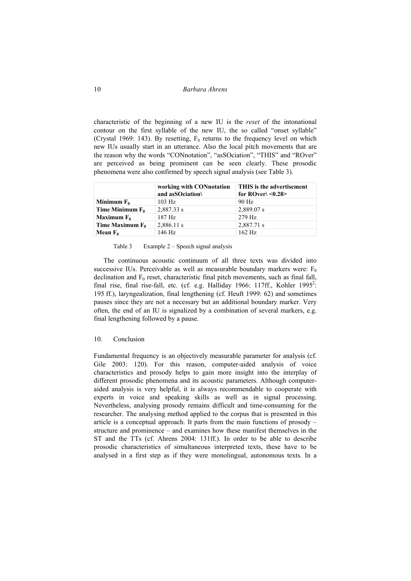## 10 *Barbara Ahrens*

characteristic of the beginning of a new IU is the *reset* of the intonational contour on the first syllable of the new IU, the so called "onset syllable" (Crystal 1969: 143). By resetting,  $F_0$  returns to the frequency level on which new IUs usually start in an utterance. Also the local pitch movements that are the reason why the words "CONnotation", "asSOciation", "THIS" and "ROver" are perceived as being prominent can be seen clearly. These prosodic phenomena were also confirmed by speech signal analysis (see Table 3).

|                    | working with CONnotation<br>and asSOciation\ | THIS is the advertisement<br>for ROver $\leq 0.28$ |
|--------------------|----------------------------------------------|----------------------------------------------------|
| Minimum $F_0$      | $103$ Hz                                     | 90 Hz                                              |
| Time Minimum $F_0$ | 2,887.33 s                                   | 2,889.07 s                                         |
| Maximum $F_0$      | 187 Hz                                       | $279$ Hz                                           |
| Time Maximum $F_0$ | 2,886.11 s                                   | 2,887.71 s                                         |
| Mean $F_0$         | 146 Hz                                       | $162$ Hz                                           |

Table 3 Example 2 – Speech signal analysis

The continuous acoustic continuum of all three texts was divided into successive IUs. Perceivable as well as measurable boundary markers were:  $F_0$ declination and  $F_0$  reset, characteristic final pitch movements, such as final fall, final rise, final rise-fall, etc. (cf. e.g. Halliday 1966: 117ff., Kohler 1995<sup>2</sup>: 195 ff.), laryngealization, final lengthening (cf. Heuft 1999: 62) and sometimes pauses since they are not a necessary but an additional boundary marker. Very often, the end of an IU is signalized by a combination of several markers, e.g. final lengthening followed by a pause.

#### 10. Conclusion

Fundamental frequency is an objectively measurable parameter for analysis (cf. Gile 2003: 120). For this reason, computer-aided analysis of voice characteristics and prosody helps to gain more insight into the interplay of different prosodic phenomena and its acoustic parameters. Although computeraided analysis is very helpful, it is always recommendable to cooperate with experts in voice and speaking skills as well as in signal processing. Nevertheless, analysing prosody remains difficult and time-consuming for the researcher. The analysing method applied to the corpus that is presented in this article is a conceptual approach. It parts from the main functions of prosody – structure and prominence – and examines how these manifest themselves in the ST and the TTs (cf. Ahrens 2004: 131ff.). In order to be able to describe prosodic characteristics of simultaneous interpreted texts, these have to be analysed in a first step as if they were monolingual, autonomous texts. In a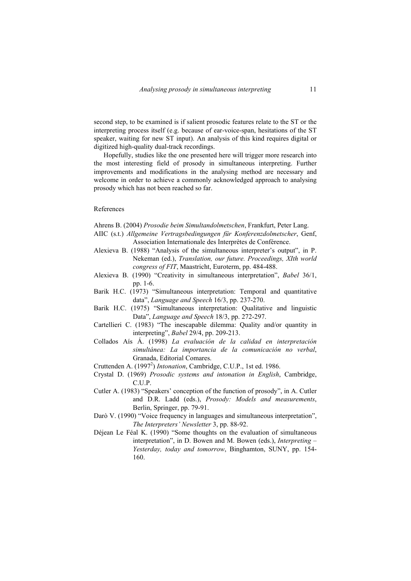second step, to be examined is if salient prosodic features relate to the ST or the interpreting process itself (e.g. because of ear-voice-span, hesitations of the ST speaker, waiting for new ST input). An analysis of this kind requires digital or digitized high-quality dual-track recordings.

Hopefully, studies like the one presented here will trigger more research into the most interesting field of prosody in simultaneous interpreting. Further improvements and modifications in the analysing method are necessary and welcome in order to achieve a commonly acknowledged approach to analysing prosody which has not been reached so far.

#### References

Ahrens B. (2004) *Prosodie beim Simultandolmetschen*, Frankfurt, Peter Lang.

- AIIC (s.t.) *Allgemeine Vertragsbedingungen für Konferenzdolmetscher*, Genf, Association Internationale des Interprètes de Conférence.
- Alexieva B. (1988) "Analysis of the simultaneous interpreter's output", in P. Nekeman (ed.), *Translation, our future. Proceedings, XIth world congress of FIT*, Maastricht, Euroterm, pp. 484-488.
- Alexieva B. (1990) "Creativity in simultaneous interpretation", *Babel* 36/1, pp. 1-6.
- Barik H.C. (1973) "Simultaneous interpretation: Temporal and quantitative data", *Language and Speech* 16/3, pp. 237-270.
- Barik H.C. (1975) "Simultaneous interpretation: Qualitative and linguistic Data", *Language and Speech* 18/3, pp. 272-297.
- Cartellieri C. (1983) "The inescapable dilemma: Quality and/or quantity in interpreting", *Babel* 29/4, pp. 209-213.
- Collados Aís Á. (1998) *La evaluación de la calidad en interpretación simultánea: La importancia de la comunicación no verbal*, Granada, Editorial Comares.
- Cruttenden A. (1997<sup>2</sup>) *Intonation*, Cambridge, C.U.P., 1st ed. 1986.
- Crystal D. (1969) *Prosodic systems and intonation in English*, Cambridge, C.U.P.
- Cutler A. (1983) "Speakers' conception of the function of prosody", in A. Cutler and D.R. Ladd (eds.), *Prosody: Models and measurements*, Berlin, Springer, pp. 79-91.
- Darò V. (1990) "Voice frequency in languages and simultaneous interpretation", *The Interpreters' Newsletter* 3, pp. 88-92.
- Déjean Le Féal K. (1990) "Some thoughts on the evaluation of simultaneous interpretation", in D. Bowen and M. Bowen (eds.), *Interpreting – Yesterday, today and tomorrow*, Binghamton, SUNY, pp. 154- 160.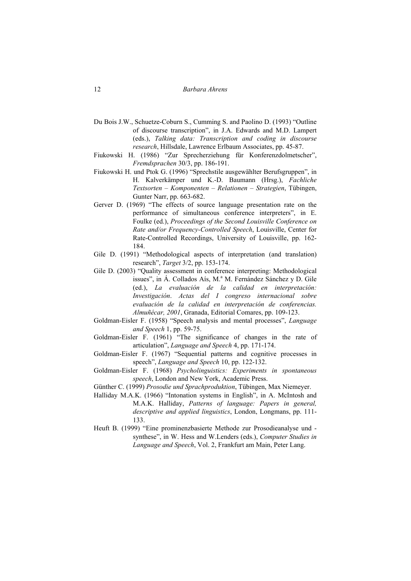- Du Bois J.W., Schuetze-Coburn S., Cumming S. and Paolino D. (1993) "Outline of discourse transcription", in J.A. Edwards and M.D. Lampert (eds.), *Talking data: Transcription and coding in discourse research*, Hillsdale, Lawrence Erlbaum Associates, pp. 45-87.
- Fiukowski H. (1986) "Zur Sprecherziehung für Konferenzdolmetscher", *Fremdsprachen* 30/3, pp. 186-191.
- Fiukowski H. und Ptok G. (1996) "Sprechstile ausgewählter Berufsgruppen", in H. Kalverkämper und K.-D. Baumann (Hrsg.), *Fachliche Textsorten – Komponenten – Relationen – Strategien*, Tübingen, Gunter Narr, pp. 663-682.
- Gerver D. (1969) "The effects of source language presentation rate on the performance of simultaneous conference interpreters", in E. Foulke (ed.), *Proceedings of the Second Louisville Conference on Rate and/or Frequency-Controlled Speech*, Louisville, Center for Rate-Controlled Recordings, University of Louisville, pp. 162- 184.
- Gile D. (1991) "Methodological aspects of interpretation (and translation) research", *Target* 3/2, pp. 153-174.
- Gile D. (2003) "Quality assessment in conference interpreting: Methodological issues", in Á. Collados Aís, M.ª M. Fernández Sánchez y D. Gile (ed.), *La evaluación de la calidad en interpretación: Investigación*. *Actas del I congreso internacional sobre evaluación de la calidad en interpretación de conferencias. Almuñécar, 2001*, Granada, Editorial Comares, pp. 109-123.
- Goldman-Eisler F. (1958) "Speech analysis and mental processes", *Language and Speech* 1, pp. 59-75.
- Goldman-Eisler F. (1961) "The significance of changes in the rate of articulation", *Language and Speech* 4, pp. 171-174.
- Goldman-Eisler F. (1967) "Sequential patterns and cognitive processes in speech", *Language and Speech* 10, pp. 122-132.
- Goldman-Eisler F. (1968) *Psycholinguistics: Experiments in spontaneous speech*, London and New York, Academic Press.
- Günther C. (1999) *Prosodie und Sprachproduktion*, Tübingen, Max Niemeyer.
- Halliday M.A.K. (1966) "Intonation systems in English", in A. McIntosh and M.A.K. Halliday, *Patterns of language: Papers in general, descriptive and applied linguistics*, London, Longmans, pp. 111- 133.
- Heuft B. (1999) "Eine prominenzbasierte Methode zur Prosodieanalyse und synthese", in W. Hess and W.Lenders (eds.), *Computer Studies in Language and Speech*, Vol. 2, Frankfurt am Main, Peter Lang.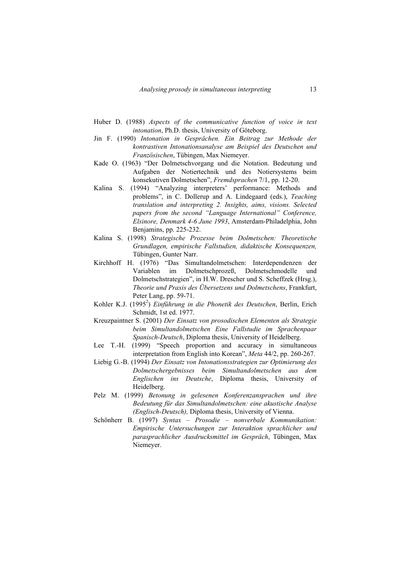- Huber D. (1988) *Aspects of the communicative function of voice in text intonation*, Ph.D. thesis, University of Göteborg.
- Jin F. (1990) *Intonation in Gesprächen. Ein Beitrag zur Methode der kontrastiven Intonationsanalyse am Beispiel des Deutschen und Französischen*, Tübingen, Max Niemeyer.
- Kade O. (1963) "Der Dolmetschvorgang und die Notation. Bedeutung und Aufgaben der Notiertechnik und des Notiersystems beim konsekutiven Dolmetschen", *Fremdsprachen* 7/1, pp. 12-20.
- Kalina S. (1994) "Analyzing interpreters' performance: Methods and problems", in C. Dollerup and A. Lindegaard (eds.), *Teaching translation and interpreting 2. Insights, aims, visions. Selected papers from the second "Language International" Conference, Elsinore, Denmark 4-6 June 1993*, Amsterdam-Philadelphia, John Benjamins, pp. 225-232.
- Kalina S. (1998) *Strategische Prozesse beim Dolmetschen: Theoretische Grundlagen, empirische Fallstudien, didaktische Konsequenzen,*  Tübingen, Gunter Narr.
- Kirchhoff H. (1976) "Das Simultandolmetschen: Interdependenzen der Variablen im Dolmetschprozeß, Dolmetschmodelle und Variablen im Dolmetschprozeß, Dolmetschmodelle und Dolmetschstrategien", in H.W. Drescher und S. Scheffzek (Hrsg.), *Theorie und Praxis des Übersetzens und Dolmetschens*, Frankfurt, Peter Lang, pp. 59-71.
- Kohler K.J. (1995<sup>2</sup>) *Einführung in die Phonetik des Deutschen*, Berlin, Erich Schmidt, 1st ed. 1977.
- Kreuzpaintner S. (2001) *Der Einsatz von prosodischen Elementen als Strategie beim Simultandolmetschen Eine Fallstudie im Sprachenpaar Spanisch-Deutsch*, Diploma thesis, University of Heidelberg.
- Lee T.-H. (1999) "Speech proportion and accuracy in simultaneous interpretation from English into Korean", *Meta* 44/2, pp. 260-267.
- Liebig G.-B. (1994) *Der Einsatz von Intonationsstrategien zur Optimierung des Dolmetschergebnisses beim Simultandolmetschen aus dem Englischen ins Deutsche*, Diploma thesis, University of Heidelberg.
- Pelz M. (1999) *Betonung in gelesenen Konferenzansprachen und ihre Bedeutung für das Simultandolmetschen: eine akustische Analyse (Englisch-Deutsch),* Diploma thesis, University of Vienna.
- Schönherr B. (1997) *Syntax Prosodie nonverbale Kommunikation: Empirische Untersuchungen zur Interaktion sprachlicher und parasprachlicher Ausdrucksmittel im Gespräch*, Tübingen, Max Niemeyer.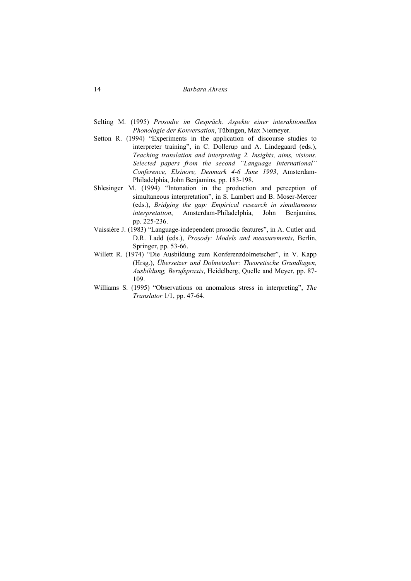- Selting M. (1995) *Prosodie im Gespräch. Aspekte einer interaktionellen Phonologie der Konversation*, Tübingen, Max Niemeyer.
- Setton R. (1994) "Experiments in the application of discourse studies to interpreter training", in C. Dollerup and A. Lindegaard (eds.), *Teaching translation and interpreting 2. Insights, aims, visions. Selected papers from the second "Language International" Conference, Elsinore, Denmark 4-6 June 1993*, Amsterdam-Philadelphia, John Benjamins, pp. 183-198.
- Shlesinger M. (1994) "Intonation in the production and perception of simultaneous interpretation", in S. Lambert and B. Moser-Mercer (eds.), *Bridging the gap: Empirical research in simultaneous interpretation*, Amsterdam-Philadelphia, John Benjamins, pp. 225-236.
- Vaissière J. (1983) "Language-independent prosodic features", in A. Cutler and. D.R. Ladd (eds.), *Prosody: Models and measurements*, Berlin, Springer, pp. 53-66.
- Willett R. (1974) "Die Ausbildung zum Konferenzdolmetscher", in V. Kapp (Hrsg.), *Übersetzer und Dolmetscher: Theoretische Grundlagen, Ausbildung, Berufspraxis*, Heidelberg, Quelle and Meyer, pp. 87- 109.
- Williams S. (1995) "Observations on anomalous stress in interpreting", *The Translator* 1/1, pp. 47-64.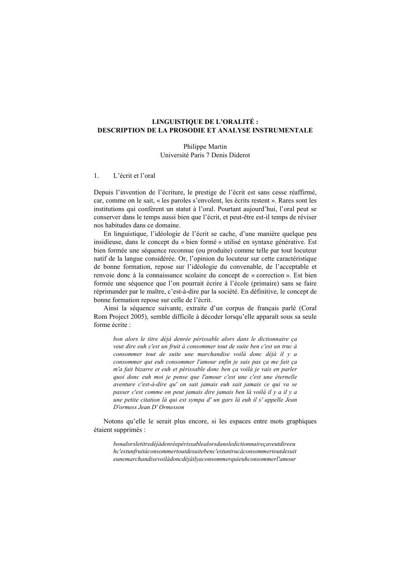## **LINGUISTIQUE DE L'ORALITÉ : DESCRIPTION DE LA PROSODIE ET ANALYSE INSTRUMENTALE**

Philippe Martin Université Paris 7 Denis Diderot

#### 1. L'écrit et l'oral

Depuis l'invention de l'écriture, le prestige de l'écrit est sans cesse réaffirmé, car, comme on le sait, « les paroles s'envolent, les écrits restent ». Rares sont les institutions qui confèrent un statut à l'oral. Pourtant aujourd'hui, l'oral peut se conserver dans le temps aussi bien que l'écrit, et peut-être est-il temps de réviser nos habitudes dans ce domaine.

En linguistique, l'idéologie de l'écrit se cache, d'une manière quelque peu insidieuse, dans le concept du « bien formé » utilisé en syntaxe générative. Est bien formée une séquence reconnue (ou produite) comme telle par tout locuteur natif de la langue considérée. Or, l'opinion du locuteur sur cette caractéristique de bonne formation, repose sur l'idéologie du convenable, de l'acceptable et renvoie donc à la connaissance scolaire du concept de « correction ». Est bien formée une séquence que l'on pourrait écrire à l'école (primaire) sans se faire réprimander par le maître, c'est-à-dire par la société. En définitive, le concept de bonne formation repose sur celle de l'écrit.

Ainsi la séquence suivante, extraite d'un corpus de français parlé (Coral Rom Project 2005), semble difficile à décoder lorsqu'elle apparaît sous sa seule forme écrite :

*bon alors le titre déjà denrée périssable alors dans le dictionnaire ça veut dire euh c'est un fruit à consommer tout de suite ben c'est un truc à consommer tout de suite une marchandise voilà donc déjà il y a consommer qui euh consommer l'amour enfin je sais pas ça me fait ça m'a fait bizarre et euh et périssable donc ben ça voilà je vais en parler quoi donc euh moi je pense que l'amour c'est une c'est une éternelle aventure c'est-à-dire qu' on sait jamais euh sait jamais ce qui va se passer c'est comme on peut jamais dire jamais ben là voilà il y a il y a une petite citation là qui est sympa d' un gars là euh il s' appelle Jean D'ormess Jean D' Ormesson* 

Notons qu'elle le serait plus encore, si les espaces entre mots graphiques étaient supprimés :

*bonalorsletitredéjàdenréepérissablealorsdansledictionnaireçaveutdireeu hc'estunfruitàconsommertoutdesuitebenc'estuntrucàconsommertoutdesuit eunemarchandisevoilàdoncdéjàilyaconsommerquieuhconsommerl'amour*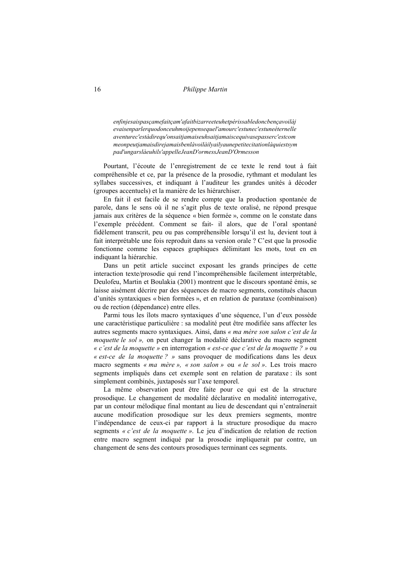## 16 *Philippe Martin*

*enfinjesaispasçamefaitçam'afaitbizarreeteuhetpérissabledoncbençavoilàj evaisenparlerquodonceuhmoijepensequel'amourc'estunec'estuneéternelle aventurec'estàdirequ'onsaitjamaiseuhsaitjamaiscequivasepasserc'estcom meonpeutjamaisdirejamaisbenlàvoilàilyailyaunepetitecitationlàquiestsym pad'ungarslàeuhils'appelleJeanD'ormessJeanD'Ormesson* 

Pourtant, l'écoute de l'enregistrement de ce texte le rend tout à fait compréhensible et ce, par la présence de la prosodie, rythmant et modulant les syllabes successives, et indiquant à l'auditeur les grandes unités à décoder (groupes accentuels) et la manière de les hiérarchiser.

En fait il est facile de se rendre compte que la production spontanée de parole, dans le sens où il ne s'agit plus de texte oralisé, ne répond presque jamais aux critères de la séquence « bien formée », comme on le constate dans l'exemple précédent. Comment se fait- il alors, que de l'oral spontané fidèlement transcrit, peu ou pas compréhensible lorsqu'il est lu, devient tout à fait interprétable une fois reproduit dans sa version orale ? C'est que la prosodie fonctionne comme les espaces graphiques délimitant les mots, tout en en indiquant la hiérarchie.

Dans un petit article succinct exposant les grands principes de cette interaction texte/prosodie qui rend l'incompréhensible facilement interprétable, Deulofeu, Martin et Boulakia (2001) montrent que le discours spontané émis, se laisse aisément décrire par des séquences de macro segments, constitués chacun d'unités syntaxiques « bien formées », et en relation de parataxe (combinaison) ou de rection (dépendance) entre elles.

Parmi tous les îlots macro syntaxiques d'une séquence, l'un d'eux possède une caractéristique particulière : sa modalité peut être modifiée sans affecter les autres segments macro syntaxiques. Ainsi, dans *« ma mère son salon c'est de la moquette le sol »,* on peut changer la modalité déclarative du macro segment *« c'est de la moquette »* en interrogation *« est-ce que c'est de la moquette ? »* ou *« est-ce de la moquette ? »* sans provoquer de modifications dans les deux macro segments *« ma mère », « son salon »* ou *« le sol »*. Les trois macro segments impliqués dans cet exemple sont en relation de parataxe : ils sont simplement combinés, juxtaposés sur l'axe temporel.

La même observation peut être faite pour ce qui est de la structure prosodique. Le changement de modalité déclarative en modalité interrogative, par un contour mélodique final montant au lieu de descendant qui n'entraînerait aucune modification prosodique sur les deux premiers segments, montre l'indépendance de ceux-ci par rapport à la structure prosodique du macro segments *« c'est de la moquette »*. Le jeu d'indication de relation de rection entre macro segment indiqué par la prosodie impliquerait par contre, un changement de sens des contours prosodiques terminant ces segments.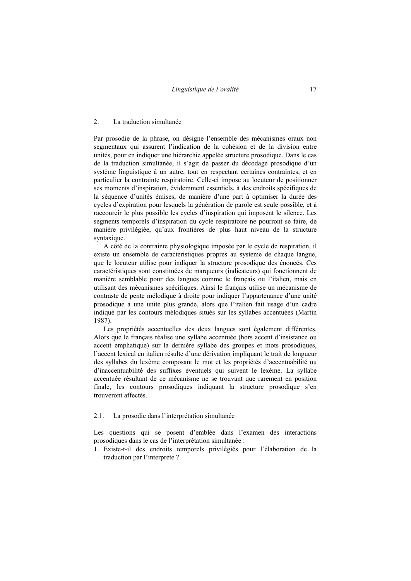#### 2. La traduction simultanée

Par prosodie de la phrase, on désigne l'ensemble des mécanismes oraux non segmentaux qui assurent l'indication de la cohésion et de la division entre unités, pour en indiquer une hiérarchie appelée structure prosodique. Dans le cas de la traduction simultanée, il s'agit de passer du décodage prosodique d'un système linguistique à un autre, tout en respectant certaines contraintes, et en particulier la contrainte respiratoire. Celle-ci impose au locuteur de positionner ses moments d'inspiration, évidemment essentiels, à des endroits spécifiques de la séquence d'unités émises, de manière d'une part à optimiser la durée des cycles d'expiration pour lesquels la génération de parole est seule possible, et à raccourcir le plus possible les cycles d'inspiration qui imposent le silence. Les segments temporels d'inspiration du cycle respiratoire ne pourront se faire, de manière privilégiée, qu'aux frontières de plus haut niveau de la structure syntaxique.

A côté de la contrainte physiologique imposée par le cycle de respiration, il existe un ensemble de caractéristiques propres au système de chaque langue, que le locuteur utilise pour indiquer la structure prosodique des énoncés. Ces caractéristiques sont constituées de marqueurs (indicateurs) qui fonctionnent de manière semblable pour des langues comme le français ou l'italien, mais en utilisant des mécanismes spécifiques. Ainsi le français utilise un mécanisme de contraste de pente mélodique à droite pour indiquer l'appartenance d'une unité prosodique à une unité plus grande, alors que l'italien fait usage d'un cadre indiqué par les contours mélodiques situés sur les syllabes accentuées (Martin 1987).

Les propriétés accentuelles des deux langues sont également différentes. Alors que le français réalise une syllabe accentuée (hors accent d'insistance ou accent emphatique) sur la dernière syllabe des groupes et mots prosodiques, l'accent lexical en italien résulte d'une dérivation impliquant le trait de longueur des syllabes du lexème composant le mot et les propriétés d'accentuabilité ou d'inaccentuabilité des suffixes éventuels qui suivent le lexème. La syllabe accentuée résultant de ce mécanisme ne se trouvant que rarement en position finale, les contours prosodiques indiquant la structure prosodique s'en trouveront affectés.

## 2.1. La prosodie dans l'interprétation simultanée

Les questions qui se posent d'emblée dans l'examen des interactions prosodiques dans le cas de l'interprétation simultanée :

1. Existe-t-il des endroits temporels privilégiés pour l'élaboration de la traduction par l'interprète ?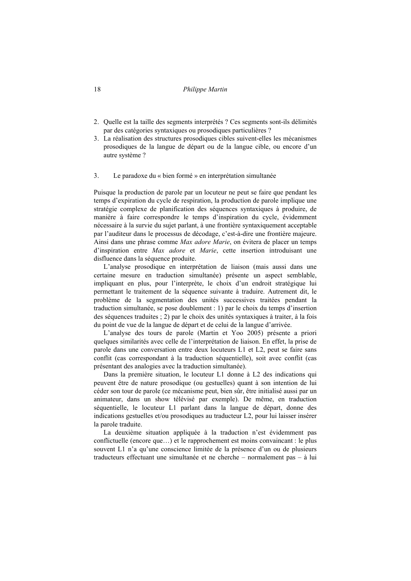## 18 *Philippe Martin*

- 2. Quelle est la taille des segments interprétés ? Ces segments sont-ils délimités par des catégories syntaxiques ou prosodiques particulières ?
- 3. La réalisation des structures prosodiques cibles suivent-elles les mécanismes prosodiques de la langue de départ ou de la langue cible, ou encore d'un autre système ?

#### 3. Le paradoxe du « bien formé » en interprétation simultanée

Puisque la production de parole par un locuteur ne peut se faire que pendant les temps d'expiration du cycle de respiration, la production de parole implique une stratégie complexe de planification des séquences syntaxiques à produire, de manière à faire correspondre le temps d'inspiration du cycle, évidemment nécessaire à la survie du sujet parlant, à une frontière syntaxiquement acceptable par l'auditeur dans le processus de décodage, c'est-à-dire une frontière majeure. Ainsi dans une phrase comme *Max adore Marie*, on évitera de placer un temps d'inspiration entre *Max adore* et *Marie*, cette insertion introduisant une disfluence dans la séquence produite.

L'analyse prosodique en interprétation de liaison (mais aussi dans une certaine mesure en traduction simultanée) présente un aspect semblable, impliquant en plus, pour l'interprète, le choix d'un endroit stratégique lui permettant le traitement de la séquence suivante à traduire. Autrement dit, le problème de la segmentation des unités successives traitées pendant la traduction simultanée, se pose doublement : 1) par le choix du temps d'insertion des séquences traduites ; 2) par le choix des unités syntaxiques à traiter, à la fois du point de vue de la langue de départ et de celui de la langue d'arrivée.

L'analyse des tours de parole (Martin et Yoo 2005) présente a priori quelques similarités avec celle de l'interprétation de liaison. En effet, la prise de parole dans une conversation entre deux locuteurs L1 et L2, peut se faire sans conflit (cas correspondant à la traduction séquentielle), soit avec conflit (cas présentant des analogies avec la traduction simultanée).

Dans la première situation, le locuteur L1 donne à L2 des indications qui peuvent être de nature prosodique (ou gestuelles) quant à son intention de lui céder son tour de parole (ce mécanisme peut, bien sûr, être initialisé aussi par un animateur, dans un show télévisé par exemple). De même, en traduction séquentielle, le locuteur L1 parlant dans la langue de départ, donne des indications gestuelles et/ou prosodiques au traducteur L2, pour lui laisser insérer la parole traduite.

La deuxième situation appliquée à la traduction n'est évidemment pas conflictuelle (encore que…) et le rapprochement est moins convaincant : le plus souvent L1 n'a qu'une conscience limitée de la présence d'un ou de plusieurs traducteurs effectuant une simultanée et ne cherche – normalement pas – à lui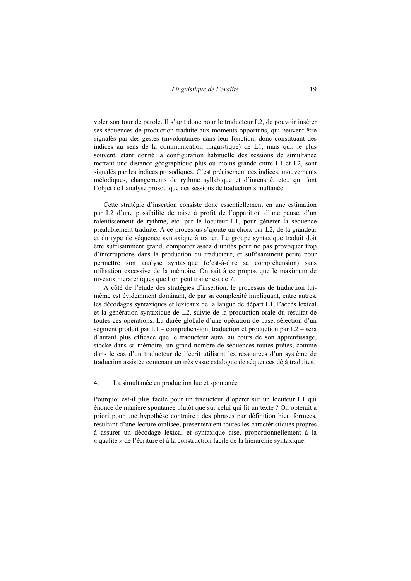voler son tour de parole. Il s'agit donc pour le traducteur L2, de pouvoir insérer ses séquences de production traduite aux moments opportuns, qui peuvent être signalés par des gestes (involontaires dans leur fonction, donc constituant des indices au sens de la communication linguistique) de L1, mais qui, le plus souvent, étant donné la configuration habituelle des sessions de simultanée mettant une distance géographique plus ou moins grande entre L1 et L2, sont signalés par les indices prosodiques. C'est précisément ces indices, mouvements mélodiques, changements de rythme syllabique et d'intensité, etc., qui font l'objet de l'analyse prosodique des sessions de traduction simultanée.

Cette stratégie d'insertion consiste donc essentiellement en une estimation par L2 d'une possibilité de mise à profit de l'apparition d'une pause, d'un ralentissement de rythme, etc. par le locuteur L1, pour générer la séquence préalablement traduite. A ce processus s'ajoute un choix par L2, de la grandeur et du type de séquence syntaxique à traiter. Le groupe syntaxique traduit doit être suffisamment grand, comporter assez d'unités pour ne pas provoquer trop d'interruptions dans la production du traducteur, et suffisamment petite pour permettre son analyse syntaxique (c'est-à-dire sa compréhension) sans utilisation excessive de la mémoire. On sait à ce propos que le maximum de niveaux hiérarchiques que l'on peut traiter est de 7.

A côté de l'étude des stratégies d'insertion, le processus de traduction luimême est évidemment dominant, de par sa complexité impliquant, entre autres, les décodages syntaxiques et lexicaux de la langue de départ L1, l'accès lexical et la génération syntaxique de L2, suivie de la production orale du résultat de toutes ces opérations. La durée globale d'une opération de base, sélection d'un segment produit par L1 – compréhension, traduction et production par L2 – sera d'autant plus efficace que le traducteur aura, au cours de son apprentissage, stocké dans sa mémoire, un grand nombre de séquences toutes prêtes, comme dans le cas d'un traducteur de l'écrit utilisant les ressources d'un système de traduction assistée contenant un très vaste catalogue de séquences déjà traduites.

## 4. La simultanée en production lue et spontanée

Pourquoi est-il plus facile pour un traducteur d'opérer sur un locuteur L1 qui énonce de manière spontanée plutôt que sur celui qui lit un texte ? On opterait a priori pour une hypothèse contraire : des phrases par définition bien formées, résultant d'une lecture oralisée, présenteraient toutes les caractéristiques propres à assurer un décodage lexical et syntaxique aisé, proportionnellement à la « qualité » de l'écriture et à la construction facile de la hiérarchie syntaxique.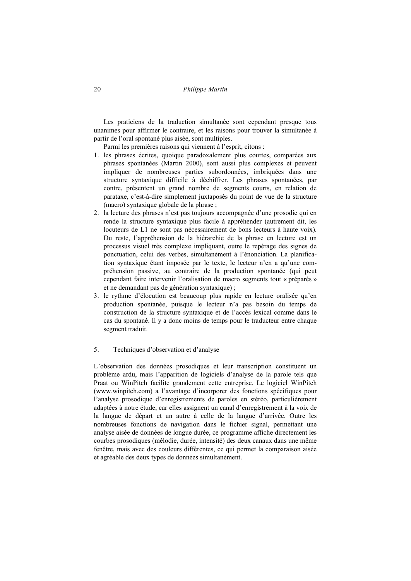Les praticiens de la traduction simultanée sont cependant presque tous unanimes pour affirmer le contraire, et les raisons pour trouver la simultanée à partir de l'oral spontané plus aisée, sont multiples.

Parmi les premières raisons qui viennent à l'esprit, citons :

- 1. les phrases écrites, quoique paradoxalement plus courtes, comparées aux phrases spontanées (Martin 2000), sont aussi plus complexes et peuvent impliquer de nombreuses parties subordonnées, imbriquées dans une structure syntaxique difficile à déchiffrer. Les phrases spontanées, par contre, présentent un grand nombre de segments courts, en relation de parataxe, c'est-à-dire simplement juxtaposés du point de vue de la structure (macro) syntaxique globale de la phrase ;
- 2. la lecture des phrases n'est pas toujours accompagnée d'une prosodie qui en rende la structure syntaxique plus facile à appréhender (autrement dit, les locuteurs de L1 ne sont pas nécessairement de bons lecteurs à haute voix). Du reste, l'appréhension de la hiérarchie de la phrase en lecture est un processus visuel très complexe impliquant, outre le repérage des signes de ponctuation, celui des verbes, simultanément à l'énonciation. La planification syntaxique étant imposée par le texte, le lecteur n'en a qu'une compréhension passive, au contraire de la production spontanée (qui peut cependant faire intervenir l'oralisation de macro segments tout « préparés » et ne demandant pas de génération syntaxique) ;
- 3. le rythme d'élocution est beaucoup plus rapide en lecture oralisée qu'en production spontanée, puisque le lecteur n'a pas besoin du temps de construction de la structure syntaxique et de l'accès lexical comme dans le cas du spontané. Il y a donc moins de temps pour le traducteur entre chaque segment traduit.

#### 5. Techniques d'observation et d'analyse

L'observation des données prosodiques et leur transcription constituent un problème ardu, mais l'apparition de logiciels d'analyse de la parole tels que Praat ou WinPitch facilite grandement cette entreprise. Le logiciel WinPitch (www.winpitch.com) a l'avantage d'incorporer des fonctions spécifiques pour l'analyse prosodique d'enregistrements de paroles en stéréo, particulièrement adaptées à notre étude, car elles assignent un canal d'enregistrement à la voix de la langue de départ et un autre à celle de la langue d'arrivée. Outre les nombreuses fonctions de navigation dans le fichier signal, permettant une analyse aisée de données de longue durée, ce programme affiche directement les courbes prosodiques (mélodie, durée, intensité) des deux canaux dans une même fenêtre, mais avec des couleurs différentes, ce qui permet la comparaison aisée et agréable des deux types de données simultanément.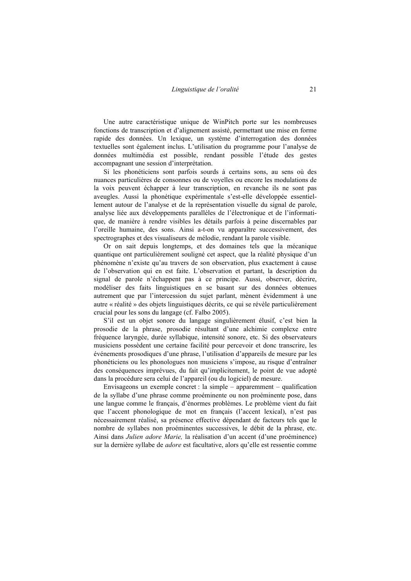Une autre caractéristique unique de WinPitch porte sur les nombreuses fonctions de transcription et d'alignement assisté, permettant une mise en forme rapide des données. Un lexique, un système d'interrogation des données textuelles sont également inclus. L'utilisation du programme pour l'analyse de données multimédia est possible, rendant possible l'étude des gestes accompagnant une session d'interprétation.

Si les phonéticiens sont parfois sourds à certains sons, au sens où des nuances particulières de consonnes ou de voyelles ou encore les modulations de la voix peuvent échapper à leur transcription, en revanche ils ne sont pas aveugles. Aussi la phonétique expérimentale s'est-elle développée essentiellement autour de l'analyse et de la représentation visuelle du signal de parole, analyse liée aux développements parallèles de l'électronique et de l'informatique, de manière à rendre visibles les détails parfois à peine discernables par l'oreille humaine, des sons. Ainsi a-t-on vu apparaître successivement, des spectrographes et des visualiseurs de mélodie, rendant la parole visible.

Or on sait depuis longtemps, et des domaines tels que la mécanique quantique ont particulièrement souligné cet aspect, que la réalité physique d'un phénomène n'existe qu'au travers de son observation, plus exactement à cause de l'observation qui en est faite. L'observation et partant, la description du signal de parole n'échappent pas à ce principe. Aussi, observer, décrire, modéliser des faits linguistiques en se basant sur des données obtenues autrement que par l'intercession du sujet parlant, mènent évidemment à une autre « réalité » des objets linguistiques décrits, ce qui se révèle particulièrement crucial pour les sons du langage (cf. Falbo 2005).

S'il est un objet sonore du langage singulièrement élusif, c'est bien la prosodie de la phrase, prosodie résultant d'une alchimie complexe entre fréquence laryngée, durée syllabique, intensité sonore, etc. Si des observateurs musiciens possèdent une certaine facilité pour percevoir et donc transcrire, les événements prosodiques d'une phrase, l'utilisation d'appareils de mesure par les phonéticiens ou les phonologues non musiciens s'impose, au risque d'entraîner des conséquences imprévues, du fait qu'implicitement, le point de vue adopté dans la procédure sera celui de l'appareil (ou du logiciel) de mesure.

Envisageons un exemple concret : la simple – apparemment – qualification de la syllabe d'une phrase comme proéminente ou non proéminente pose, dans une langue comme le français, d'énormes problèmes. Le problème vient du fait que l'accent phonologique de mot en français (l'accent lexical), n'est pas nécessairement réalisé, sa présence effective dépendant de facteurs tels que le nombre de syllabes non proéminentes successives, le débit de la phrase, etc. Ainsi dans *Julien adore Marie,* la réalisation d'un accent (d'une proéminence) sur la dernière syllabe de *adore* est facultative, alors qu'elle est ressentie comme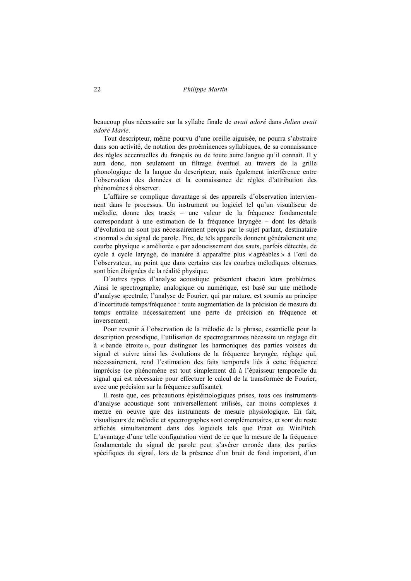22 *Philippe Martin* 

beaucoup plus nécessaire sur la syllabe finale de *avait adoré* dans *Julien avait adoré Marie*.

Tout descripteur, même pourvu d'une oreille aiguisée, ne pourra s'abstraire dans son activité, de notation des proéminences syllabiques, de sa connaissance des règles accentuelles du français ou de toute autre langue qu'il connaît. Il y aura donc, non seulement un filtrage éventuel au travers de la grille phonologique de la langue du descripteur, mais également interférence entre l'observation des données et la connaissance de règles d'attribution des phénomènes à observer.

L'affaire se complique davantage si des appareils d'observation interviennent dans le processus. Un instrument ou logiciel tel qu'un visualiseur de mélodie, donne des tracés – une valeur de la fréquence fondamentale correspondant à une estimation de la fréquence laryngée – dont les détails d'évolution ne sont pas nécessairement perçus par le sujet parlant, destinataire « normal » du signal de parole. Pire, de tels appareils donnent généralement une courbe physique « améliorée » par adoucissement des sauts, parfois détectés, de cycle à cycle laryngé, de manière à apparaître plus « agréables » à l'œil de l'observateur, au point que dans certains cas les courbes mélodiques obtenues sont bien éloignées de la réalité physique.

D'autres types d'analyse acoustique présentent chacun leurs problèmes. Ainsi le spectrographe, analogique ou numérique, est basé sur une méthode d'analyse spectrale, l'analyse de Fourier, qui par nature, est soumis au principe d'incertitude temps/fréquence : toute augmentation de la précision de mesure du temps entraîne nécessairement une perte de précision en fréquence et inversement.

Pour revenir à l'observation de la mélodie de la phrase, essentielle pour la description prosodique, l'utilisation de spectrogrammes nécessite un réglage dit à « bande étroite », pour distinguer les harmoniques des parties voisées du signal et suivre ainsi les évolutions de la fréquence laryngée, réglage qui, nécessairement, rend l'estimation des faits temporels liés à cette fréquence imprécise (ce phénomène est tout simplement dû à l'épaisseur temporelle du signal qui est nécessaire pour effectuer le calcul de la transformée de Fourier, avec une précision sur la fréquence suffisante).

Il reste que, ces précautions épistémologiques prises, tous ces instruments d'analyse acoustique sont universellement utilisés, car moins complexes à mettre en oeuvre que des instruments de mesure physiologique. En fait, visualiseurs de mélodie et spectrographes sont complémentaires, et sont du reste affichés simultanément dans des logiciels tels que Praat ou WinPitch. L'avantage d'une telle configuration vient de ce que la mesure de la fréquence fondamentale du signal de parole peut s'avérer erronée dans des parties spécifiques du signal, lors de la présence d'un bruit de fond important, d'un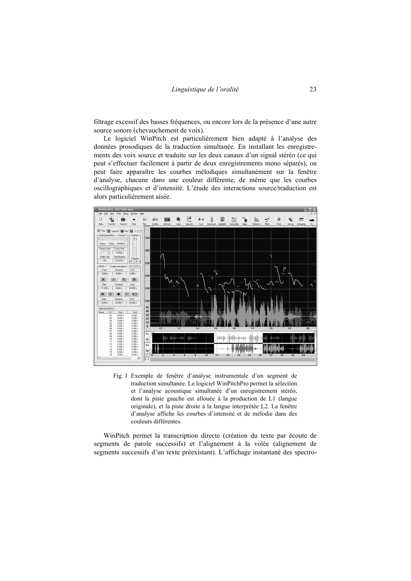filtrage excessif des basses fréquences, ou encore lors de la présence d'une autre source sonore (chevauchement de voix).

Le logiciel WinPitch est particulièrement bien adapté à l'analyse des données prosodiques de la traduction simultanée. En installant les enregistrements des voix source et traduite sur les deux canaux d'un signal stéréo (ce qui peut s'effectuer facilement à partir de deux enregistrements mono séparés), on peut faire apparaître les courbes mélodiques simultanément sur la fenêtre d'analyse, chacune dans une couleur différente, de même que les courbes oscillographiques et d'intensité. L'étude des interactions source/traduction est alors particulièrement aisée.



Fig. 1 Exemple de fenêtre d'analyse instrumentale d'un segment de traduction simultanée. Le logiciel WinPitchPro permet la sélection et l'analyse acoustique simultanée d'un enregistrement stéréo, dont la piste gauche est allouée à la production de L1 (langue originale), et la piste droite à la langue interprétée L2. La fenêtre d'analyse affiche les courbes d'intensité et de mélodie dans des couleurs différentes.

WinPitch permet la transcription directe (création du texte par écoute de segments de parole successifs) et l'alignement à la volée (alignement de segments successifs d'un texte préexistant). L'affichage instantané des spectro-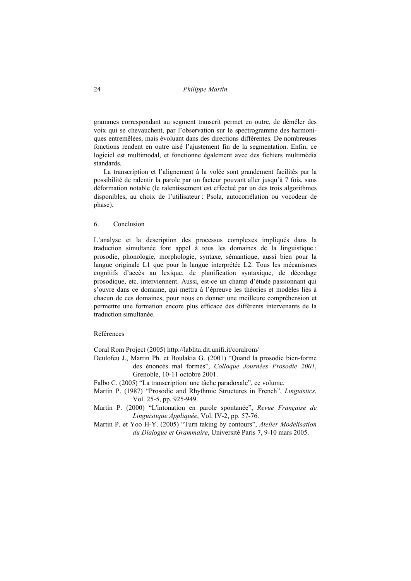## 24 *Philippe Martin*

grammes correspondant au segment transcrit permet en outre, de démêler des voix qui se chevauchent, par l'observation sur le spectrogramme des harmoniques entremêlées, mais évoluant dans des directions différentes. De nombreuses fonctions rendent en outre aisé l'ajustement fin de la segmentation. Enfin, ce logiciel est multimodal, et fonctionne également avec des fichiers multimédia standards.

La transcription et l'alignement à la volée sont grandement facilités par la possibilité de ralentir la parole par un facteur pouvant aller jusqu'à 7 fois, sans déformation notable (le ralentissement est effectué par un des trois algorithmes disponibles, au choix de l'utilisateur : Psola, autocorrélation ou vocodeur de phase).

## 6. Conclusion

L'analyse et la description des processus complexes impliqués dans la traduction simultanée font appel à tous les domaines de la linguistique : prosodie, phonologie, morphologie, syntaxe, sémantique, aussi bien pour la langue originale L1 que pour la langue interprétée L2. Tous les mécanismes cognitifs d'accès au lexique, de planification syntaxique, de décodage prosodique, etc. interviennent. Aussi, est-ce un champ d'étude passionnant qui s'ouvre dans ce domaine, qui mettra à l'épreuve les théories et modèles liés à chacun de ces domaines, pour nous en donner une meilleure compréhension et permettre une formation encore plus efficace des différents intervenants de la traduction simultanée.

# Références

Coral Rom Project (2005) http://lablita.dit.unifi.it/coralrom/

- Deulofeu J., Martin Ph. et Boulakia G. (2001) "Quand la prosodie bien-forme des énoncés mal formés", *Colloque Journées Prosodie 2001*, Grenoble, 10-11 octobre 2001.
- Falbo C. (2005) "La transcription: une tâche paradoxale", ce volume.
- Martin P. (1987) "Prosodic and Rhythmic Structures in French", *Linguistics*, Vol. 25-5, pp. 925-949.
- Martin P. (2000) "L'intonation en parole spontanée", *Revue Française de Linguistique Appliquée*, Vol. IV-2, pp. 57-76.
- Martin P. et Yoo H-Y. (2005) "Turn taking by contours", *Atelier Modélisation du Dialogue et Grammaire*, Université Paris 7, 9-10 mars 2005.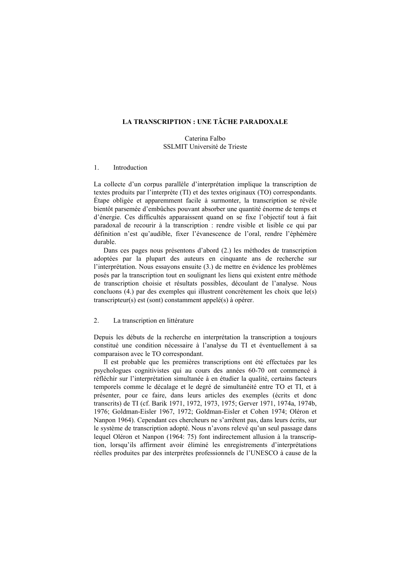# **LA TRANSCRIPTION : UNE TÂCHE PARADOXALE**

## Caterina Falbo SSLMIT Université de Trieste

#### 1. Introduction

La collecte d'un corpus parallèle d'interprétation implique la transcription de textes produits par l'interprète (TI) et des textes originaux (TO) correspondants. Étape obligée et apparemment facile à surmonter, la transcription se révèle bientôt parsemée d'embûches pouvant absorber une quantité énorme de temps et d'énergie. Ces difficultés apparaissent quand on se fixe l'objectif tout à fait paradoxal de recourir à la transcription : rendre visible et lisible ce qui par définition n'est qu'audible, fixer l'évanescence de l'oral, rendre l'éphémère durable.

Dans ces pages nous présentons d'abord (2.) les méthodes de transcription adoptées par la plupart des auteurs en cinquante ans de recherche sur l'interprétation. Nous essayons ensuite (3.) de mettre en évidence les problèmes posés par la transcription tout en soulignant les liens qui existent entre méthode de transcription choisie et résultats possibles, découlant de l'analyse. Nous concluons (4.) par des exemples qui illustrent concrètement les choix que le(s) transcripteur(s) est (sont) constamment appelé(s) à opérer.

## 2. La transcription en littérature

Depuis les débuts de la recherche en interprétation la transcription a toujours constitué une condition nécessaire à l'analyse du TI et éventuellement à sa comparaison avec le TO correspondant.

Il est probable que les premières transcriptions ont été effectuées par les psychologues cognitivistes qui au cours des années 60-70 ont commencé à réfléchir sur l'interprétation simultanée à en étudier la qualité, certains facteurs temporels comme le décalage et le degré de simultanéité entre TO et TI, et à présenter, pour ce faire, dans leurs articles des exemples (écrits et donc transcrits) de TI (cf. Barik 1971, 1972, 1973, 1975; Gerver 1971, 1974a, 1974b, 1976; Goldman-Eisler 1967, 1972; Goldman-Eisler et Cohen 1974; Oléron et Nanpon 1964). Cependant ces chercheurs ne s'arrêtent pas, dans leurs écrits, sur le système de transcription adopté. Nous n'avons relevé qu'un seul passage dans lequel Oléron et Nanpon (1964: 75) font indirectement allusion à la transcription, lorsqu'ils affirment avoir éliminé les enregistrements d'interprétations réelles produites par des interprètes professionnels de l'UNESCO à cause de la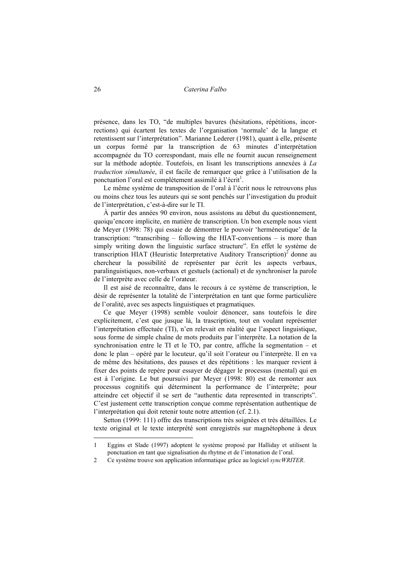présence, dans les TO, "de multiples bavures (hésitations, répétitions, incorrections) qui écartent les textes de l'organisation 'normale' de la langue et retentissent sur l'interprétation". Marianne Lederer (1981), quant à elle, présente un corpus formé par la transcription de 63 minutes d'interprétation accompagnée du TO correspondant, mais elle ne fournit aucun renseignement sur la méthode adoptée. Toutefois, en lisant les transcriptions annexées à *La traduction simultanée*, il est facile de remarquer que grâce à l'utilisation de la ponctuation l'oral est complètement assimilé à l'écrit<sup>1</sup>.

Le même système de transposition de l'oral à l'écrit nous le retrouvons plus ou moins chez tous les auteurs qui se sont penchés sur l'investigation du produit de l'interprétation, c'est-à-dire sur le TI.

À partir des années 90 environ, nous assistons au début du questionnement, quoiqu'encore implicite, en matière de transcription. Un bon exemple nous vient de Meyer (1998: 78) qui essaie de démontrer le pouvoir 'herméneutique' de la transcription: "transcribing – following the HIAT-conventions – is more than simply writing down the linguistic surface structure". En effet le système de transcription HIAT (Heuristic Interpretative Auditory Transcription)<sup>2</sup> donne au chercheur la possibilité de représenter par écrit les aspects verbaux, paralinguistiques, non-verbaux et gestuels (actional) et de synchroniser la parole de l'interprète avec celle de l'orateur.

Il est aisé de reconnaître, dans le recours à ce système de transcription, le désir de représenter la totalité de l'interprétation en tant que forme particulière de l'oralité, avec ses aspects linguistiques et pragmatiques.

Ce que Meyer (1998) semble vouloir dénoncer, sans toutefois le dire explicitement, c'est que jusque là, la trascription, tout en voulant représenter l'interprétation effectuée (TI), n'en relevait en réalité que l'aspect linguistique, sous forme de simple chaîne de mots produits par l'interprète. La notation de la synchronisation entre le TI et le TO, par contre, affiche la segmentation – et donc le plan – opéré par le locuteur, qu'il soit l'orateur ou l'interprète. Il en va de même des hésitations, des pauses et des répétitions : les marquer revient à fixer des points de repère pour essayer de dégager le processus (mental) qui en est à l'origine. Le but poursuivi par Meyer (1998: 80) est de remonter aux processus cognitifs qui déterminent la performance de l'interprète; pour atteindre cet objectif il se sert de "authentic data represented in transcripts". C'est justement cette transcription conçue comme représentation authentique de l'interprétation qui doit retenir toute notre attention (cf. 2.1).

Setton (1999: 111) offre des transcriptions très soignées et très détaillées. Le texte original et le texte interprété sont enregistrés sur magnétophone à deux

 $\overline{a}$ 

<sup>1</sup> Eggins et Slade (1997) adoptent le système proposé par Halliday et utilisent la ponctuation en tant que signalisation du rhytme et de l'intonation de l'oral.

<sup>2</sup> Ce système trouve son application informatique grâce au logiciel *syncWRITER*.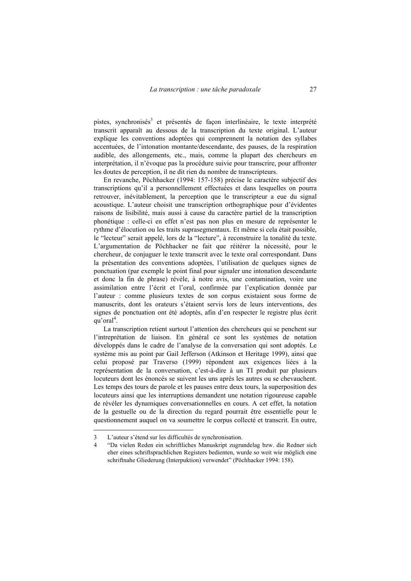pistes, synchronisés<sup>3</sup> et présentés de façon interlinéaire, le texte interprété transcrit apparaît au dessous de la transcription du texte original. L'auteur explique les conventions adoptées qui comprennent la notation des syllabes accentuées, de l'intonation montante/descendante, des pauses, de la respiration audible, des allongements, etc., mais, comme la plupart des chercheurs en interprétation, il n'évoque pas la procédure suivie pour transcrire, pour affronter les doutes de perception, il ne dit rien du nombre de transcripteurs.

En revanche, Pöchhacker (1994: 157-158) précise le caractère subjectif des transcriptions qu'il a personnellement effectuées et dans lesquelles on pourra retrouver, inévitablement, la perception que le transcripteur a eue du signal acoustique. L'auteur choisit une transcription orthographique pour d'évidentes raisons de lisibilité, mais aussi à cause du caractère partiel de la transcription phonétique : celle-ci en effet n'est pas non plus en mesure de représenter le rythme d'élocution ou les traits suprasegmentaux. Et même si cela était possible, le "lecteur" serait appelé, lors de la "lecture", à reconstruire la tonalité du texte. L'argumentation de Pöchhacker ne fait que réitérer la nécessité, pour le chercheur, de conjuguer le texte transcrit avec le texte oral correspondant. Dans la présentation des conventions adoptées, l'utilisation de quelques signes de ponctuation (par exemple le point final pour signaler une intonation descendante et donc la fin de phrase) révèle, à notre avis, une contamination, voire une assimilation entre l'écrit et l'oral, confirmée par l'explication donnée par l'auteur : comme plusieurs textes de son corpus existaient sous forme de manuscrits, dont les orateurs s'étaient servis lors de leurs interventions, des signes de ponctuation ont été adoptés, afin d'en respecter le registre plus écrit qu'oral<sup>4</sup>.

La transcription retient surtout l'attention des chercheurs qui se penchent sur l'intreprétation de liaison. En général ce sont les systèmes de notation développés dans le cadre de l'analyse de la conversation qui sont adoptés. Le système mis au point par Gail Jefferson (Atkinson et Heritage 1999), ainsi que celui proposé par Traverso (1999) répondent aux exigences liées à la représentation de la conversation, c'est-à-dire à un TI produit par plusieurs locuteurs dont les énoncés se suivent les uns après les autres ou se chevauchent. Les temps des tours de parole et les pauses entre deux tours, la superposition des locuteurs ainsi que les interruptions demandent une notation rigoureuse capable de révéler les dynamiques conversationnelles en cours. A cet effet, la notation de la gestuelle ou de la direction du regard pourrait être essentielle pour le questionnement auquel on va soumettre le corpus collecté et transcrit. En outre,

 $\overline{a}$ 

<sup>3</sup> L'auteur s'étend sur les difficultés de synchronisation.

<sup>4 &</sup>quot;Da vielen Reden ein schriftliches Manuskript zugrundelag bzw. die Redner sich eher eines schriftsprachlichen Registers bedienten, wurde so weit wie möglich eine schriftnahe Gliederung (Interpuktion) verwendet" (Pöchhacker 1994: 158).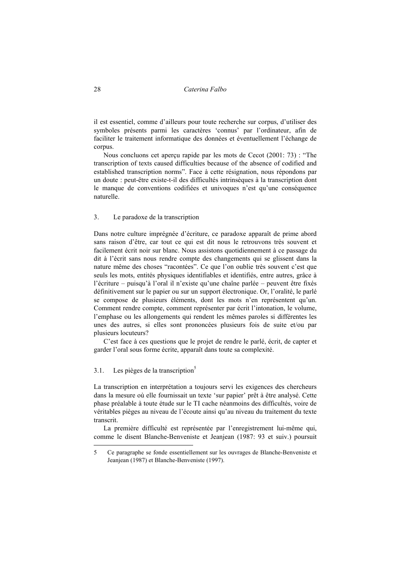28 *Caterina Falbo* 

il est essentiel, comme d'ailleurs pour toute recherche sur corpus, d'utiliser des symboles présents parmi les caractères 'connus' par l'ordinateur, afin de faciliter le traitement informatique des données et éventuellement l'échange de corpus.

Nous concluons cet aperçu rapide par les mots de Cecot (2001: 73) : "The transcription of texts caused difficulties because of the absence of codified and established transcription norms". Face à cette résignation, nous répondons par un doute : peut-être existe-t-il des difficultés intrinsèques à la transcription dont le manque de conventions codifiées et univoques n'est qu'une conséquence naturelle.

## 3. Le paradoxe de la transcription

Dans notre culture imprégnée d'écriture, ce paradoxe apparaît de prime abord sans raison d'être, car tout ce qui est dit nous le retrouvons très souvent et facilement écrit noir sur blanc. Nous assistons quotidiennement à ce passage du dit à l'écrit sans nous rendre compte des changements qui se glissent dans la nature même des choses "racontées". Ce que l'on oublie très souvent c'est que seuls les mots, entités physiques identifiables et identifiés, entre autres, grâce à l'écriture – puisqu'à l'oral il n'existe qu'une chaîne parlée – peuvent être fixés définitivement sur le papier ou sur un support électronique. Or, l'oralité, le parlé se compose de plusieurs éléments, dont les mots n'en représentent qu'un. Comment rendre compte, comment représenter par écrit l'intonation, le volume, l'emphase ou les allongements qui rendent les mêmes paroles si différentes les unes des autres, si elles sont prononcées plusieurs fois de suite et/ou par plusieurs locuteurs?

C'est face à ces questions que le projet de rendre le parlé, écrit, de capter et garder l'oral sous forme écrite, apparaît dans toute sa complexité.

## 3.1. Les pièges de la transcription<sup>5</sup>

La transcription en interprétation a toujours servi les exigences des chercheurs dans la mesure où elle fournissait un texte 'sur papier' prêt à être analysé. Cette phase préalable à toute étude sur le TI cache néanmoins des difficultés, voire de véritables pièges au niveau de l'écoute ainsi qu'au niveau du traitement du texte transcrit.

La première difficulté est représentée par l'enregistrement lui-même qui, comme le disent Blanche-Benveniste et Jeanjean (1987: 93 et suiv.) poursuit

<sup>5</sup> Ce paragraphe se fonde essentiellement sur les ouvrages de Blanche-Benveniste et Jeanjean (1987) et Blanche-Benveniste (1997).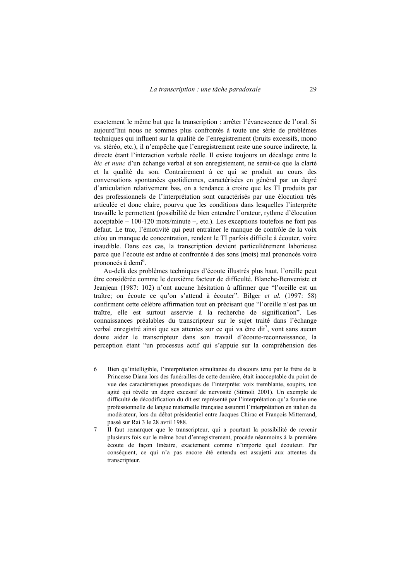exactement le même but que la transcription : arrêter l'évanescence de l'oral. Si aujourd'hui nous ne sommes plus confrontés à toute une série de problèmes techniques qui influent sur la qualité de l'enregistrement (bruits excessifs, mono vs. stéréo, etc.), il n'empêche que l'enregistrement reste une source indirecte, la directe étant l'interaction verbale réelle. Il existe toujours un décalage entre le *hic et nunc* d'un échange verbal et son enregistement, ne serait-ce que la clarté et la qualité du son. Contrairement à ce qui se produit au cours des conversations spontanées quotidiennes, caractérisées en général par un degré d'articulation relativement bas, on a tendance à croire que les TI produits par des professionnels de l'interprétation sont caractérisés par une élocution très articulée et donc claire, pourvu que les conditions dans lesquelles l'interprète travaille le permettent (possibilité de bien entendre l'orateur, rythme d'élocution acceptable – 100-120 mots/minute –, etc.). Les exceptions toutefois ne font pas défaut. Le trac, l'émotivité qui peut entraîner le manque de contrôle de la voix et/ou un manque de concentration, rendent le TI parfois difficile à écouter, voire inaudible. Dans ces cas, la transcription devient particulièrement laborieuse parce que l'écoute est ardue et confrontée à des sons (mots) mal prononcés voire prononcés à demi<sup>6</sup>.

Au-delà des problèmes techniques d'écoute illustrés plus haut, l'oreille peut être considérée comme le deuxième facteur de difficulté. Blanche-Benveniste et Jeanjean (1987: 102) n'ont aucune hésitation à affirmer que "l'oreille est un traître; on écoute ce qu'on s'attend à écouter". Bilger *et al.* (1997: 58) confirment cette célèbre affirmation tout en précisant que "l'oreille n'est pas un traître, elle est surtout asservie à la recherche de signification". Les connaissances préalables du transcripteur sur le sujet traité dans l'échange verbal enregistré ainsi que ses attentes sur ce qui va être dit<sup>7</sup>, vont sans aucun doute aider le transcripteur dans son travail d'écoute-reconnaissance, la perception étant "un processus actif qui s'appuie sur la compréhension des

 $\overline{a}$ 

<sup>6</sup> Bien qu'intelligible, l'interprétation simultanée du discours tenu par le frère de la Princesse Diana lors des funérailles de cette dernière, était inacceptable du point de vue des caractéristiques prosodiques de l'interprète: voix tremblante, soupirs, ton agité qui révèle un degré excessif de nervosité (Stimoli 2001). Un exemple de difficulté de décodification du dit est représenté par l'interprétation qu'a founie une professionnelle de langue maternelle française assurant l'interprétation en italien du modérateur, lors du débat présidentiel entre Jacques Chirac et François Mitterrand, passé sur Rai 3 le 28 avril 1988.

<sup>7</sup> Il faut remarquer que le transcripteur, qui a pourtant la possibilité de revenir plusieurs fois sur le même bout d'enregistrement, procède néanmoins à la première écoute de façon linéaire, exactement comme n'importe quel écouteur. Par conséquent, ce qui n'a pas encore été entendu est assujetti aux attentes du transcripteur.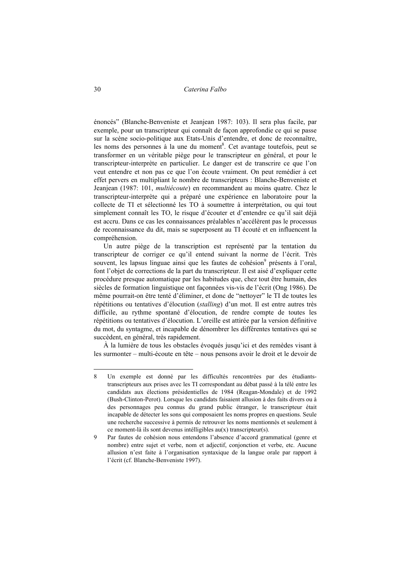30 *Caterina Falbo* 

énoncés" (Blanche-Benveniste et Jeanjean 1987: 103). Il sera plus facile, par exemple, pour un transcripteur qui connaît de façon approfondie ce qui se passe sur la scène socio-politique aux Etats-Unis d'entendre, et donc de reconnaître, les noms des personnes à la une du moment<sup>8</sup>. Cet avantage toutefois, peut se transformer en un véritable piège pour le transcripteur en général, et pour le transcripteur-interprète en particulier. Le danger est de transcrire ce que l'on veut entendre et non pas ce que l'on écoute vraiment. On peut remédier à cet effet pervers en multipliant le nombre de transcripteurs : Blanche-Benveniste et Jeanjean (1987: 101, *multiécoute*) en recommandent au moins quatre. Chez le transcripteur-interprète qui a préparé une expérience en laboratoire pour la collecte de TI et sélectionné les TO à soumettre à interprétation, ou qui tout simplement connaît les TO, le risque d'écouter et d'entendre ce qu'il sait déjà est accru. Dans ce cas les connaissances préalables n'accélèrent pas le processus de reconnaissance du dit, mais se superposent au TI écouté et en influencent la compréhension.

Un autre piège de la transcription est représenté par la tentation du transcripteur de corriger ce qu'il entend suivant la norme de l'écrit. Très souvent, les lapsus linguae ainsi que les fautes de cohésion<sup>9</sup> présents à l'oral, font l'objet de corrections de la part du transcripteur. Il est aisé d'expliquer cette procédure presque automatique par les habitudes que, chez tout être humain, des siècles de formation linguistique ont façonnées vis-vis de l'écrit (Ong 1986). De même pourrait-on être tenté d'éliminer, et donc de "nettoyer" le TI de toutes les répétitions ou tentatives d'élocution (*stalling*) d'un mot. Il est entre autres très difficile, au rythme spontané d'élocution, de rendre compte de toutes les répétitions ou tentatives d'élocution. L'oreille est attirée par la version définitive du mot, du syntagme, et incapable de dénombrer les différentes tentatives qui se succèdent, en général, très rapidement.

À la lumière de tous les obstacles évoqués jusqu'ici et des remèdes visant à les surmonter – multi-écoute en tête – nous pensons avoir le droit et le devoir de

 $\overline{a}$ 

<sup>8</sup> Un exemple est donné par les difficultés rencontrées par des étudiantstranscripteurs aux prises avec les TI correspondant au débat passé à la télé entre les candidats aux élections présidentielles de 1984 (Reagan-Mondale) et de 1992 (Bush-Clinton-Perot). Lorsque les candidats faisaient allusion à des faits divers ou à des personnages peu connus du grand public étranger, le transcripteur était incapable de détecter les sons qui composaient les noms propres en questions. Seule une recherche successive à permis de retrouver les noms mentionnés et seulement à ce moment-là ils sont devenus intélligibles au(x) transcripteur(s).

<sup>9</sup> Par fautes de cohésion nous entendons l'absence d'accord grammatical (genre et nombre) entre sujet et verbe, nom et adjectif, conjonction et verbe, etc. Aucune allusion n'est faite à l'organisation syntaxique de la langue orale par rapport à l'écrit (cf. Blanche-Benveniste 1997).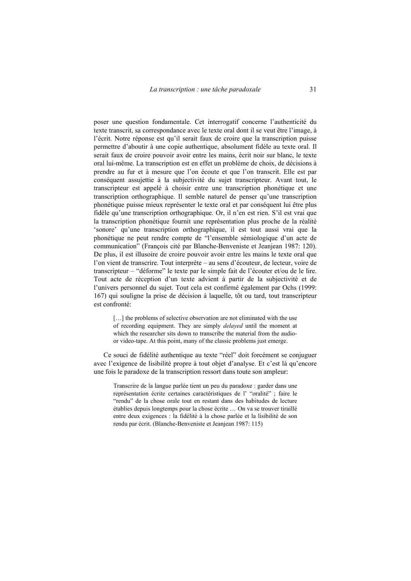poser une question fondamentale. Cet interrogatif concerne l'authenticité du texte transcrit, sa correspondance avec le texte oral dont il se veut être l'image, à l'écrit. Notre réponse est qu'il serait faux de croire que la transcription puisse permettre d'aboutir à une copie authentique, absolument fidèle au texte oral. Il serait faux de croire pouvoir avoir entre les mains, écrit noir sur blanc, le texte oral lui-même. La transcription est en effet un problème de choix, de décisions à prendre au fur et à mesure que l'on écoute et que l'on transcrit. Elle est par conséquent assujettie à la subjectivité du sujet transcripteur. Avant tout, le transcripteur est appelé à choisir entre une transcription phonétique et une transcription orthographique. Il semble naturel de penser qu'une transcription phonétique puisse mieux représenter le texte oral et par conséquent lui être plus fidèle qu'une transcription orthographique. Or, il n'en est rien. S'il est vrai que la transcription phonétique fournit une représentation plus proche de la réalité 'sonore' qu'une transcription orthographique, il est tout aussi vrai que la phonétique ne peut rendre compte de "l'ensemble sémiologique d'un acte de communication" (François cité par Blanche-Benveniste et Jeanjean 1987: 120). De plus, il est illusoire de croire pouvoir avoir entre les mains le texte oral que l'on vient de transcrire. Tout interprète – au sens d'écouteur, de lecteur, voire de transcripteur – "déforme" le texte par le simple fait de l'écouter et/ou de le lire. Tout acte de réception d'un texte advient à partir de la subjectivité et de l'univers personnel du sujet. Tout cela est confirmé également par Ochs (1999: 167) qui souligne la prise de décision à laquelle, tôt ou tard, tout transcripteur est confronté:

[...] the problems of selective observation are not eliminated with the use of recording equipment. They are simply *delayed* until the moment at which the researcher sits down to transcribe the material from the audioor video-tape. At this point, many of the classic problems just emerge.

Ce souci de fidélité authentique au texte "réel" doit forcément se conjuguer avec l'exigence de lisibilité propre à tout objet d'analyse. Et c'est là qu'encore une fois le paradoxe de la transcription ressort dans toute son ampleur:

Transcrire de la langue parlée tient un peu du paradoxe : garder dans une représentation écrite certaines caractéristiques de l' "oralité" ; faire le "rendu" de la chose orale tout en restant dans des habitudes de lecture établies depuis longtemps pour la chose écrite … On va se trouver tiraillé entre deux exigences : la fidélité à la chose parlée et la lisibilité de son rendu par écrit. (Blanche-Benveniste et Jeanjean 1987: 115)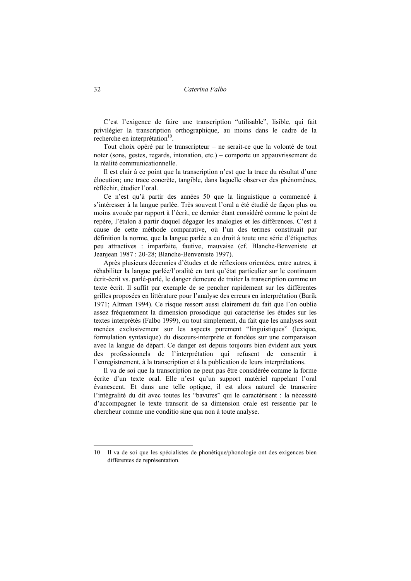C'est l'exigence de faire une transcription "utilisable", lisible, qui fait privilégier la transcription orthographique, au moins dans le cadre de la recherche en interprétation<sup>10</sup>.

Tout choix opéré par le transcripteur – ne serait-ce que la volonté de tout noter (sons, gestes, regards, intonation, etc.) – comporte un appauvrissement de la réalité communicationnelle.

Il est clair à ce point que la transcription n'est que la trace du résultat d'une élocution; une trace concrète, tangible, dans laquelle observer des phénomènes, réfléchir, étudier l'oral.

Ce n'est qu'à partir des années 50 que la linguistique a commencé à s'intéresser à la langue parlée. Très souvent l'oral a été étudié de façon plus ou moins avouée par rapport à l'écrit, ce dernier étant considéré comme le point de repère, l'étalon à partir duquel dégager les analogies et les différences. C'est à cause de cette méthode comparative, où l'un des termes constituait par définition la norme, que la langue parlée a eu droit à toute une série d'étiquettes peu attractives : imparfaite, fautive, mauvaise (cf. Blanche-Benveniste et Jeanjean 1987 : 20-28; Blanche-Benveniste 1997).

Après plusieurs décennies d'études et de réflexions orientées, entre autres, à réhabiliter la langue parlée/l'oralité en tant qu'état particulier sur le continuum écrit-écrit vs. parlé-parlé, le danger demeure de traiter la transcription comme un texte écrit. Il suffit par exemple de se pencher rapidement sur les différentes grilles proposées en littérature pour l'analyse des erreurs en interprétation (Barik 1971; Altman 1994). Ce risque ressort aussi clairement du fait que l'on oublie assez fréquemment la dimension prosodique qui caractérise les études sur les textes interprétés (Falbo 1999), ou tout simplement, du fait que les analyses sont menées exclusivement sur les aspects purement "linguistiques" (lexique, formulation syntaxique) du discours-interprète et fondées sur une comparaison avec la langue de départ. Ce danger est depuis toujours bien évident aux yeux des professionnels de l'interprétation qui refusent de consentir à l'enregistrement, à la transcription et à la publication de leurs interprétations.

Il va de soi que la transcription ne peut pas être considérée comme la forme écrite d'un texte oral. Elle n'est qu'un support matériel rappelant l'oral évanescent. Et dans une telle optique, il est alors naturel de transcrire l'intégralité du dit avec toutes les "bavures" qui le caractérisent : la nécessité d'accompagner le texte transcrit de sa dimension orale est ressentie par le chercheur comme une conditio sine qua non à toute analyse.

<sup>10</sup> Il va de soi que les spécialistes de phonétique/phonologie ont des exigences bien différentes de représentation.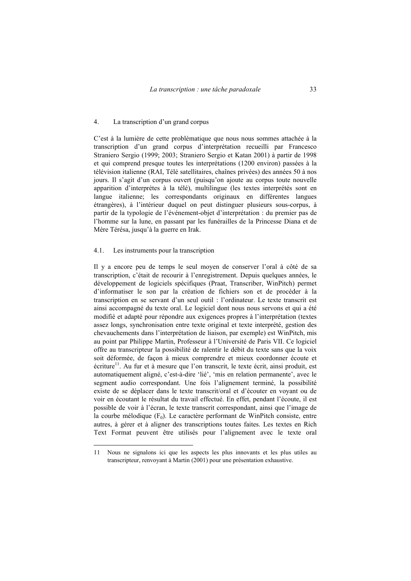#### 4. La transcription d'un grand corpus

C'est à la lumière de cette problématique que nous nous sommes attachée à la transcription d'un grand corpus d'interprétation recueilli par Francesco Straniero Sergio (1999; 2003; Straniero Sergio et Katan 2001) à partir de 1998 et qui comprend presque toutes les interprétations (1200 environ) passées à la télévision italienne (RAI, Télé satellitaires, chaînes privées) des années 50 à nos jours. Il s'agit d'un corpus ouvert (puisqu'on ajoute au corpus toute nouvelle apparition d'interprètes à la télé), multilingue (les textes interprétés sont en langue italienne; les correspondants originaux en différentes langues étrangères), à l'intérieur duquel on peut distinguer plusieurs sous-corpus, à partir de la typologie de l'événement-objet d'interprétation : du premier pas de l'homme sur la lune, en passant par les funérailles de la Princesse Diana et de Mère Térésa, jusqu'à la guerre en Irak.

### 4.1. Les instruments pour la transcription

Il y a encore peu de temps le seul moyen de conserver l'oral à côté de sa transcription, c'était de recourir à l'enregistrement. Depuis quelques années, le développement de logiciels spécifiques (Praat, Transcriber, WinPitch) permet d'informatiser le son par la création de fichiers son et de procéder à la transcription en se servant d'un seul outil : l'ordinateur. Le texte transcrit est ainsi accompagné du texte oral. Le logiciel dont nous nous servons et qui a été modifié et adapté pour répondre aux exigences propres à l'interprétation (textes assez longs, synchronisation entre texte original et texte interprété, gestion des chevauchements dans l'interprétation de liaison, par exemple) est WinPitch, mis au point par Philippe Martin, Professeur à l'Université de Paris VII. Ce logiciel offre au transcripteur la possibilité de ralentir le débit du texte sans que la voix soit déformée, de façon à mieux comprendre et mieux coordonner écoute et écriture<sup>11</sup>. Au fur et à mesure que l'on transcrit, le texte écrit, ainsi produit, est automatiquement aligné, c'est-à-dire 'lié', 'mis en relation permanente', avec le segment audio correspondant. Une fois l'alignement terminé, la possibilité existe de se déplacer dans le texte transcrit/oral et d'écouter en voyant ou de voir en écoutant le résultat du travail effectué. En effet, pendant l'écoute, il est possible de voir à l'écran, le texte transcrit correspondant, ainsi que l'image de la courbe mélodique  $(F_0)$ . Le caractère performant de WinPitch consiste, entre autres, à gérer et à aligner des transcriptions toutes faites. Les textes en Rich Text Format peuvent être utilisés pour l'alignement avec le texte oral

<sup>11</sup> Nous ne signalons ici que les aspects les plus innovants et les plus utiles au transcripteur, renvoyant à Martin (2001) pour une présentation exhaustive.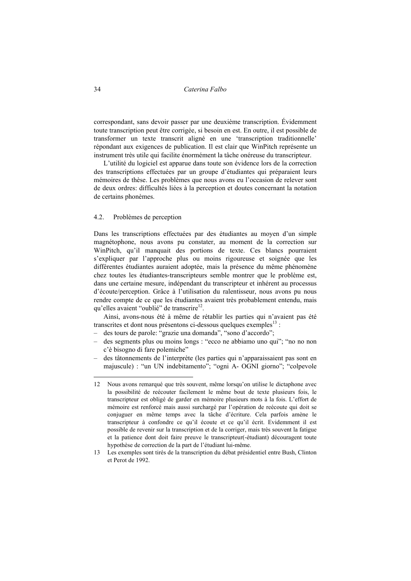# 34 *Caterina Falbo*

correspondant, sans devoir passer par une deuxième transcription. Évidemment toute transcription peut être corrigée, si besoin en est. En outre, il est possible de transformer un texte transcrit aligné en une 'transcription traditionnelle' répondant aux exigences de publication. Il est clair que WinPitch représente un instrument très utile qui facilite énormément la tâche onéreuse du transcripteur.

L'utilité du logiciel est apparue dans toute son évidence lors de la correction des transcriptions effectuées par un groupe d'étudiantes qui préparaient leurs mémoires de thèse. Les problèmes que nous avons eu l'occasion de relever sont de deux ordres: difficultés liées à la perception et doutes concernant la notation de certains phonèmes.

## 4.2. Problèmes de perception

Dans les transcriptions effectuées par des étudiantes au moyen d'un simple magnétophone, nous avons pu constater, au moment de la correction sur WinPitch, qu'il manquait des portions de texte. Ces blancs pourraient s'expliquer par l'approche plus ou moins rigoureuse et soignée que les différentes étudiantes auraient adoptée, mais la présence du même phénomène chez toutes les étudiantes-transcripteurs semble montrer que le problème est, dans une certaine mesure, indépendant du transcripteur et inhérent au processus d'écoute/perception. Grâce à l'utilisation du ralentisseur, nous avons pu nous rendre compte de ce que les étudiantes avaient très probablement entendu, mais qu'elles avaient "oublié" de transcrire<sup>12</sup>.

Ainsi, avons-nous été à même de rétablir les parties qui n'avaient pas été transcrites et dont nous présentons ci-dessous quelques exemples $^{13}$  :

- des tours de parole: "grazie una domanda", "sono d'accordo";
- des segments plus ou moins longs : "ecco ne abbiamo uno qui"; "no no non c'è bisogno di fare polemiche"
- des tâtonnements de l'interprète (les parties qui n'apparaissaient pas sont en majuscule) : "un UN indebitamento"; "ogni A- OGNI giorno"; "colpevole

<sup>12</sup> Nous avons remarqué que très souvent, même lorsqu'on utilise le dictaphone avec la possibilité de reécouter facilement le même bout de texte plusieurs fois, le transcripteur est obligé de garder en mémoire plusieurs mots à la fois. L'effort de mémoire est renforcé mais aussi surchargé par l'opération de reécoute qui doit se conjuguer en même temps avec la tâche d'écriture. Cela parfois amène le transcripteur à confondre ce qu'il écoute et ce qu'il écrit. Evidemment il est possible de revenir sur la transcription et de la corriger, mais très souvent la fatigue et la patience dont doit faire preuve le transcripteur(-étudiant) découragent toute hypothèse de correction de la part de l'étudiant lui-même.

<sup>13</sup> Les exemples sont tirés de la transcription du débat présidentiel entre Bush, Clinton et Perot de 1992.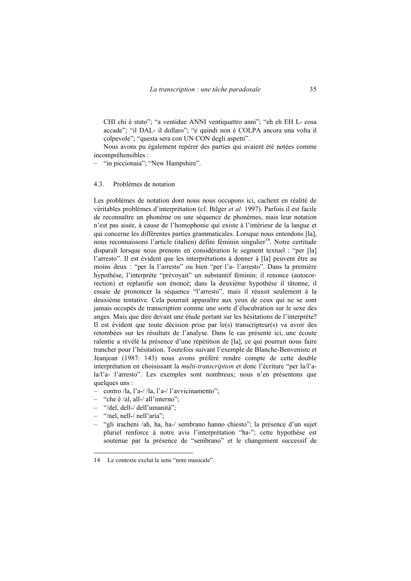CHI chi è stato"; "a ventidue ANNI ventiquattro anni"; "eh eh EH L- cosa accade"; "il DAL- il dollaro"; "e quindi non è COLPA ancora una volta il colpevole"; "questa sera con UN CON degli aspetti".

Nous avons pu également repérer des parties qui avaient été notées comme incompréhensibles :

– "in piccionaia"; "New Hampshire".

### 4.3. Problèmes de notation

Les problèmes de notation dont nous nous occupons ici, cachent en réalité de véritables problèmes d'interprétation (cf. Bilger *et al.* 1997). Parfois il est facile de reconnaître un phonème ou une séquence de phonèmes, mais leur notation n'est pas aisée, à cause de l'homophonie qui existe à l'intérieur de la langue et qui concerne les différentes parties grammaticales. Lorsque nous entendons [la], nous reconnaissons l'article (italien) défini féminin singulier<sup>14</sup>. Notre certitude disparaît lorsque nous prenons en considération le segment textuel : "per [la] l'arresto". Il est évident que les interprétations à donner à [la] peuvent être au moins deux : "per la l'arresto" ou bien "per l'a- l'arresto". Dans la première hypothèse, l'interprète "prévoyait" un substantif féminin; il renonce (autocorrection) et replanifie son énoncé; dans la deuxième hypothèse il tâtonne, il essaie de prononcer la séquence "l'arresto", mais il réussit seulement à la deuxième tentative. Cela pourrait apparaître aux yeux de ceux qui ne se sont jamais occupés de transcription comme une sorte d'élucubration sur le sexe des anges. Mais que dire devant une étude portant sur les hésitations de l'interprète? Il est évident que toute décision prise par le(s) transcripteur(s) va avoir des retombées sur les résultats de l'analyse. Dans le cas présenté ici, une écoute ralentie a révélé la présence d'une répétition de [la], ce qui pourrait nous faire trancher pour l'hésitation. Toutefois suivant l'exemple de Blanche-Benveniste et Jeanjean (1987: 143) nous avons préféré rendre compte de cette double interprétation en choisissant la *multi-transcription* et donc l'écriture "per la/l'ala/l'a- l'arresto". Les exemples sont nombreux; nous n'en présentons que quelques uns :

- contro /la, l'a-/ /la, l'a-/ l'avvicinamento";
- "che è /al, all-/ all'interno";
- "/del, dell-/ dell'umanità";
- "/nel, nell-/ nell'aria";

 $\overline{a}$ 

– "gli iracheni /ah, ha, ha-/ sembrano hanno chiesto"; la présence d'un sujet pluriel renforce à notre avis l'interprétation "ha-"; cette hypothèse est soutenue par la présence de "sembrano" et le changement successif de

<sup>14</sup> Le contexte exclut le sens "note musicale".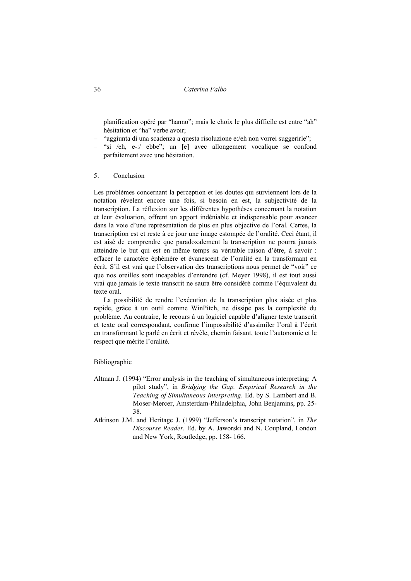36 *Caterina Falbo* 

planification opéré par "hanno"; mais le choix le plus difficile est entre "ah" hésitation et "ha" verbe avoir;

- "aggiunta di una scadenza a questa risoluzione e:/eh non vorrei suggerirle";
- "si /eh, e-:/ ebbe"; un [e] avec allongement vocalique se confond parfaitement avec une hésitation.
- 5. Conclusion

Les problèmes concernant la perception et les doutes qui surviennent lors de la notation révèlent encore une fois, si besoin en est, la subjectivité de la transcription. La réflexion sur les différentes hypothèses concernant la notation et leur évaluation, offrent un apport indéniable et indispensable pour avancer dans la voie d'une représentation de plus en plus objective de l'oral. Certes, la transcription est et reste à ce jour une image estompée de l'oralité. Ceci étant, il est aisé de comprendre que paradoxalement la transcription ne pourra jamais atteindre le but qui est en même temps sa véritable raison d'être, à savoir : effacer le caractère éphémère et évanescent de l'oralité en la transformant en écrit. S'il est vrai que l'observation des transcriptions nous permet de "voir" ce que nos oreilles sont incapables d'entendre (cf. Meyer 1998), il est tout aussi vrai que jamais le texte transcrit ne saura être considéré comme l'équivalent du texte oral.

La possibilité de rendre l'exécution de la transcription plus aisée et plus rapide, grâce à un outil comme WinPitch, ne dissipe pas la complexité du problème. Au contraire, le recours à un logiciel capable d'aligner texte transcrit et texte oral correspondant, confirme l'impossibilité d'assimiler l'oral à l'écrit en transformant le parlé en écrit et révèle, chemin faisant, toute l'autonomie et le respect que mérite l'oralité.

### Bibliographie

- Altman J. (1994) "Error analysis in the teaching of simultaneous interpreting: A pilot study", in *Bridging the Gap. Empirical Research in the Teaching of Simultaneous Interpreting*. Ed. by S. Lambert and B. Moser-Mercer, Amsterdam-Philadelphia, John Benjamins, pp. 25- 38.
- Atkinson J.M. and Heritage J. (1999) "Jefferson's transcript notation", in *The Discourse Reader*. Ed. by A. Jaworski and N. Coupland, London and New York, Routledge, pp. 158- 166.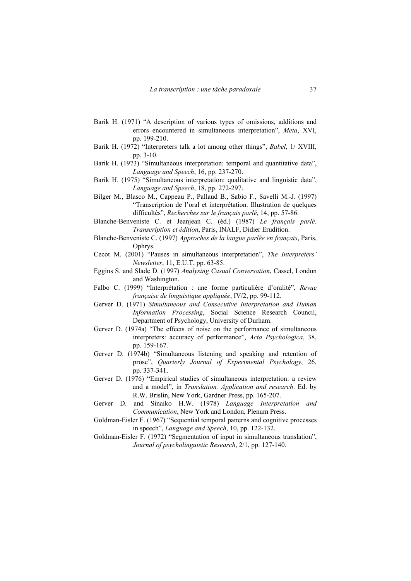- Barik H. (1971) "A description of various types of omissions, additions and errors encountered in simultaneous interpretation", *Meta*, XVI, pp. 199-210.
- Barik H. (1972) "Interpreters talk a lot among other things", *Babel*, 1/ XVIII, pp. 3-10.
- Barik H. (1973) "Simultaneous interpretation: temporal and quantitative data", *Language and Speech*, 16, pp. 237-270.
- Barik H. (1975) "Simultaneous interpretation: qualitative and linguistic data", *Language and Speech*, 18, pp. 272-297.
- Bilger M., Blasco M., Cappeau P., Pallaud B., Sabio F., Savelli M.-J. (1997) "Transcription de l'oral et interprétation. Illustration de quelques difficultés", *Recherches sur le français parlé*, 14, pp. 57-86.
- Blanche-Benveniste C. et Jeanjean C. (éd.) (1987) *Le français parlé. Transcription et édition*, Paris, INALF, Didier Erudition.
- Blanche-Benveniste C. (1997) *Approches de la langue parlée en français*, Paris, Ophrys.
- Cecot M. (2001) "Pauses in simultaneous interpretation", *The Interpreters' Newsletter*, 11, E.U.T, pp. 63-85.
- Eggins S. and Slade D. (1997) *Analysing Casual Conversation*, Cassel, London and Washington.
- Falbo C. (1999) "Interprétation : une forme particulière d'oralité", *Revue française de linguistique appliquée*, IV/2, pp. 99-112.
- Gerver D. (1971) *Simultaneous and Consecutive Interpretation and Human Information Processing*, Social Science Research Council, Department of Psychology, University of Durham.
- Gerver D. (1974a) "The effects of noise on the performance of simultaneous interpreters: accuracy of performance", *Acta Psychologica*, 38, pp. 159-167.
- Gerver D. (1974b) "Simultaneous listening and speaking and retention of prose", *Quarterly Journal of Experimental Psychology*, 26, pp. 337-341.
- Gerver D. (1976) "Empirical studies of simultaneous interpretation: a review and a model", in *Translation. Application and research*. Ed. by R.W. Brislin, New York, Gardner Press, pp. 165-207.
- Gerver D. and Sinaiko H.W. (1978) *Language Interpretation and Communication*, New York and London, Plenum Press.
- Goldman-Eisler F. (1967) "Sequential temporal patterns and cognitive processes in speech", *Language and Speech*, 10, pp. 122-132.
- Goldman-Eisler F. (1972) "Segmentation of input in simultaneous translation", *Journal of psycholinguistic Research*, 2/1, pp. 127-140.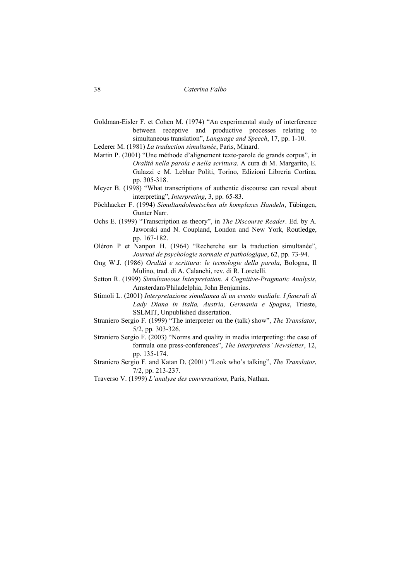- Goldman-Eisler F. et Cohen M. (1974) "An experimental study of interference between receptive and productive processes relating to simultaneous translation", *Language and Speech*, 17, pp. 1-10.
- Lederer M. (1981) *La traduction simultanée*, Paris, Minard.
- Martin P. (2001) "Une méthode d'alignement texte-parole de grands corpus", in *Oralità nella parola e nella scrittura*. A cura di M. Margarito, E. Galazzi e M. Lebhar Politi, Torino, Edizioni Libreria Cortina, pp. 305-318.
- Meyer B. (1998) "What transcriptions of authentic discourse can reveal about interpreting", *Interpreting*, 3, pp. 65-83.
- Pöchhacker F. (1994) *Simultandolmetschen als komplexes Handeln*, Tübingen, Gunter Narr.
- Ochs E. (1999) "Transcription as theory", in *The Discourse Reader*. Ed. by A. Jaworski and N. Coupland, London and New York, Routledge, pp. 167-182.
- Oléron P et Nanpon H. (1964) "Recherche sur la traduction simultanée", *Journal de psychologie normale et pathologique*, 62, pp. 73-94.
- Ong W.J. (1986) *Oralità e scrittura: le tecnologie della parola*, Bologna, Il Mulino, trad. di A. Calanchi, rev. di R. Loretelli.
- Setton R. (1999) *Simultaneous Interpretation. A Cognitive-Pragmatic Analysis*, Amsterdam/Philadelphia, John Benjamins.
- Stimoli L. (2001) *Interpretazione simultanea di un evento mediale. I funerali di Lady Diana in Italia, Austria, Germania e Spagna*, Trieste, SSLMIT, Unpublished dissertation.
- Straniero Sergio F. (1999) "The interpreter on the (talk) show", *The Translator*, 5/2, pp. 303-326.
- Straniero Sergio F. (2003) "Norms and quality in media interpreting: the case of formula one press-conferences", *The Interpreters' Newsletter*, 12, pp. 135-174.
- Straniero Sergio F. and Katan D. (2001) "Look who's talking", *The Translator*, 7/2, pp. 213-237.
- Traverso V. (1999) *L'analyse des conversations*, Paris, Nathan.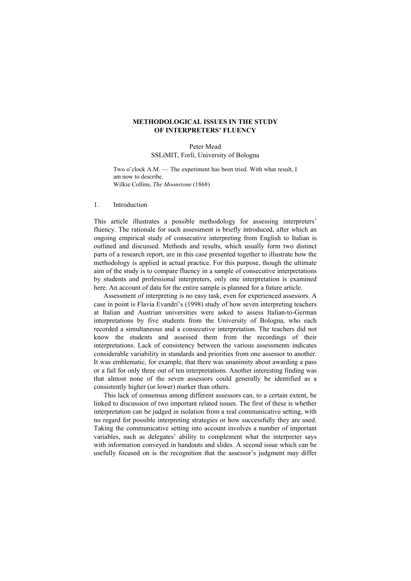# **METHODOLOGICAL ISSUES IN THE STUDY OF INTERPRETERS' FLUENCY**

Peter Mead SSLiMIT, Forlì, University of Bologna

Two o'clock A.M. — The experiment has been tried. With what result, I am now to describe. Wilkie Collins, *The Moonstone* (1868)

#### 1. Introduction

This article illustrates a possible methodology for assessing interpreters' fluency. The rationale for such assessment is briefly introduced, after which an ongoing empirical study of consecutive interpreting from English to Italian is outlined and discussed. Methods and results, which usually form two distinct parts of a research report, are in this case presented together to illustrate how the methodology is applied in actual practice. For this purpose, though the ultimate aim of the study is to compare fluency in a sample of consecutive interpretations by students and professional interpreters, only one interpretation is examined here. An account of data for the entire sample is planned for a future article.

Assessment of interpreting is no easy task, even for experienced assessors. A case in point is Flavia Evandri's (1998) study of how seven interpreting teachers at Italian and Austrian universities were asked to assess Italian-to-German interpretations by five students from the University of Bologna, who each recorded a simultaneous and a consecutive interpretation. The teachers did not know the students and assessed them from the recordings of their interpretations. Lack of consistency between the various assessments indicates considerable variability in standards and priorities from one assessor to another. It was emblematic, for example, that there was unanimity about awarding a pass or a fail for only three out of ten interpretations. Another interesting finding was that almost none of the seven assessors could generally be identified as a consistently higher (or lower) marker than others.

This lack of consensus among different assessors can, to a certain extent, be linked to discussion of two important related issues. The first of these is whether interpretation can be judged in isolation from a real communicative setting, with no regard for possible interpreting strategies or how successfully they are used. Taking the communicative setting into account involves a number of important variables, such as delegates' ability to complement what the interpreter says with information conveyed in handouts and slides. A second issue which can be usefully focused on is the recognition that the assessor's judgment may differ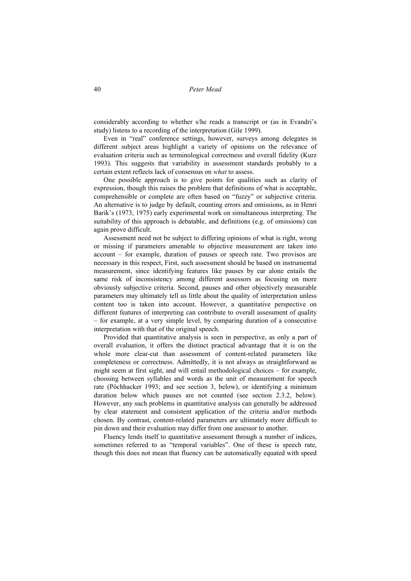considerably according to whether s/he reads a transcript or (as in Evandri's study) listens to a recording of the interpretation (Gile 1999).

Even in "real" conference settings, however, surveys among delegates in different subject areas highlight a variety of opinions on the relevance of evaluation criteria such as terminological correctness and overall fidelity (Kurz 1993). This suggests that variability in assessment standards probably to a certain extent reflects lack of consensus on *what* to assess.

One possible approach is to give points for qualities such as clarity of expression, though this raises the problem that definitions of what is acceptable, comprehensible or complete are often based on "fuzzy" or subjective criteria. An alternative is to judge by default, counting errors and omissions, as in Henri Barik's (1973, 1975) early experimental work on simultaneous interpreting. The suitability of this approach is debatable, and definitions (e.g. of omissions) can again prove difficult.

Assessment need not be subject to differing opinions of what is right, wrong or missing if parameters amenable to objective measurement are taken into account – for example, duration of pauses or speech rate. Two provisos are necessary in this respect, First, such assessment should be based on instrumental measurement, since identifying features like pauses by ear alone entails the same risk of inconsistency among different assessors as focusing on more obviously subjective criteria. Second, pauses and other objectively measurable parameters may ultimately tell us little about the quality of interpretation unless content too is taken into account. However, a quantitative perspective on different features of interpreting can contribute to overall assessment of quality – for example, at a very simple level, by comparing duration of a consecutive interpretation with that of the original speech.

Provided that quantitative analysis is seen in perspective, as only a part of overall evaluation, it offers the distinct practical advantage that it is on the whole more clear-cut than assessment of content-related parameters like completeness or correctness. Admittedly, it is not always as straightforward as might seem at first sight, and will entail methodological choices – for example, choosing between syllables and words as the unit of measurement for speech rate (Pöchhacker 1993; and see section 3, below), or identifying a minimum duration below which pauses are not counted (see section 2.3.2, below). However, any such problems in quantitative analysis can generally be addressed by clear statement and consistent application of the criteria and/or methods chosen. By contrast, content-related parameters are ultimately more difficult to pin down and their evaluation may differ from one assessor to another.

Fluency lends itself to quantitative assessment through a number of indices, sometimes referred to as "temporal variables". One of these is speech rate, though this does not mean that fluency can be automatically equated with speed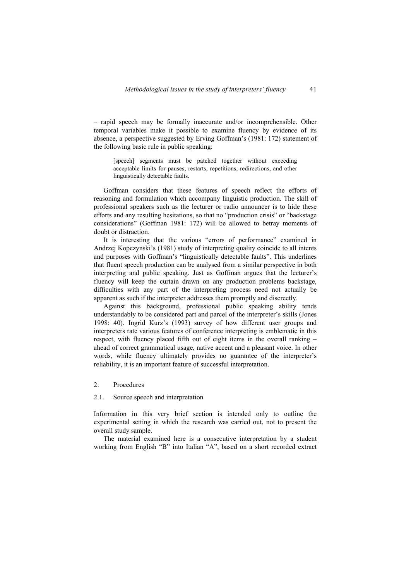– rapid speech may be formally inaccurate and/or incomprehensible. Other temporal variables make it possible to examine fluency by evidence of its absence, a perspective suggested by Erving Goffman's (1981: 172) statement of the following basic rule in public speaking:

[speech] segments must be patched together without exceeding acceptable limits for pauses, restarts, repetitions, redirections, and other linguistically detectable faults.

Goffman considers that these features of speech reflect the efforts of reasoning and formulation which accompany linguistic production. The skill of professional speakers such as the lecturer or radio announcer is to hide these efforts and any resulting hesitations, so that no "production crisis" or "backstage considerations" (Goffman 1981: 172) will be allowed to betray moments of doubt or distraction.

It is interesting that the various "errors of performance" examined in Andrzej Kopczynski's (1981) study of interpreting quality coincide to all intents and purposes with Goffman's "linguistically detectable faults". This underlines that fluent speech production can be analysed from a similar perspective in both interpreting and public speaking. Just as Goffman argues that the lecturer's fluency will keep the curtain drawn on any production problems backstage, difficulties with any part of the interpreting process need not actually be apparent as such if the interpreter addresses them promptly and discreetly.

Against this background, professional public speaking ability tends understandably to be considered part and parcel of the interpreter's skills (Jones 1998: 40). Ingrid Kurz's (1993) survey of how different user groups and interpreters rate various features of conference interpreting is emblematic in this respect, with fluency placed fifth out of eight items in the overall ranking – ahead of correct grammatical usage, native accent and a pleasant voice. In other words, while fluency ultimately provides no guarantee of the interpreter's reliability, it is an important feature of successful interpretation.

## 2. Procedures

## 2.1. Source speech and interpretation

Information in this very brief section is intended only to outline the experimental setting in which the research was carried out, not to present the overall study sample.

The material examined here is a consecutive interpretation by a student working from English "B" into Italian "A", based on a short recorded extract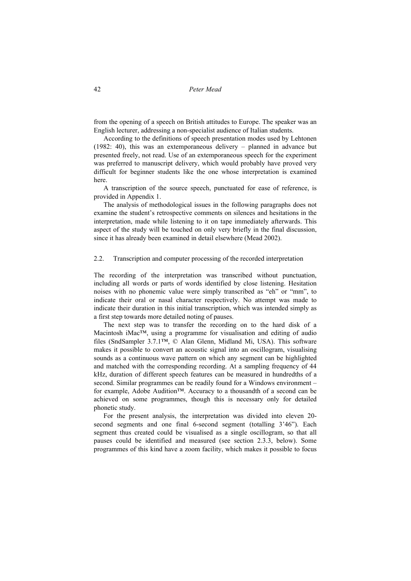from the opening of a speech on British attitudes to Europe. The speaker was an English lecturer, addressing a non-specialist audience of Italian students.

According to the definitions of speech presentation modes used by Lehtonen (1982: 40), this was an extemporaneous delivery – planned in advance but presented freely, not read. Use of an extemporaneous speech for the experiment was preferred to manuscript delivery, which would probably have proved very difficult for beginner students like the one whose interpretation is examined here.

A transcription of the source speech, punctuated for ease of reference, is provided in Appendix 1.

The analysis of methodological issues in the following paragraphs does not examine the student's retrospective comments on silences and hesitations in the interpretation, made while listening to it on tape immediately afterwards. This aspect of the study will be touched on only very briefly in the final discussion, since it has already been examined in detail elsewhere (Mead 2002).

### 2.2. Transcription and computer processing of the recorded interpretation

The recording of the interpretation was transcribed without punctuation, including all words or parts of words identified by close listening. Hesitation noises with no phonemic value were simply transcribed as "eh" or "mm", to indicate their oral or nasal character respectively. No attempt was made to indicate their duration in this initial transcription, which was intended simply as a first step towards more detailed noting of pauses.

The next step was to transfer the recording on to the hard disk of a Macintosh iMac™, using a programme for visualisation and editing of audio files (SndSampler 3.7.1™, © Alan Glenn, Midland Mi, USA). This software makes it possible to convert an acoustic signal into an oscillogram, visualising sounds as a continuous wave pattern on which any segment can be highlighted and matched with the corresponding recording. At a sampling frequency of 44 kHz, duration of different speech features can be measured in hundredths of a second. Similar programmes can be readily found for a Windows environment – for example, Adobe Audition™. Accuracy to a thousandth of a second can be achieved on some programmes, though this is necessary only for detailed phonetic study.

For the present analysis, the interpretation was divided into eleven 20 second segments and one final 6-second segment (totalling 3'46"). Each segment thus created could be visualised as a single oscillogram, so that all pauses could be identified and measured (see section 2.3.3, below). Some programmes of this kind have a zoom facility, which makes it possible to focus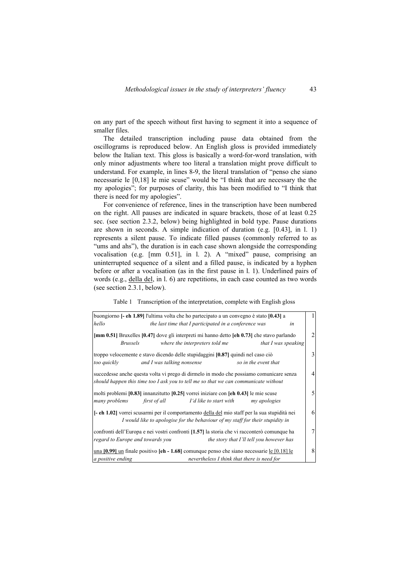on any part of the speech without first having to segment it into a sequence of smaller files.

The detailed transcription including pause data obtained from the oscillograms is reproduced below. An English gloss is provided immediately below the Italian text. This gloss is basically a word-for-word translation, with only minor adjustments where too literal a translation might prove difficult to understand. For example, in lines 8-9, the literal translation of "penso che siano necessarie le [0,18] le mie scuse" would be "I think that are necessary the the my apologies"; for purposes of clarity, this has been modified to "I think that there is need for my apologies".

For convenience of reference, lines in the transcription have been numbered on the right. All pauses are indicated in square brackets, those of at least 0.25 sec. (see section 2.3.2, below) being highlighted in bold type. Pause durations are shown in seconds. A simple indication of duration (e.g. [0.43], in l. 1) represents a silent pause. To indicate filled pauses (commonly referred to as "ums and ahs"), the duration is in each case shown alongside the corresponding vocalisation (e.g. [mm 0.51], in l. 2). A "mixed" pause, comprising an uninterrupted sequence of a silent and a filled pause, is indicated by a hyphen before or after a vocalisation (as in the first pause in l. 1). Underlined pairs of words (e.g., della del, in l. 6) are repetitions, in each case counted as two words (see section 2.3.1, below).

Table 1 Transcription of the interpretation, complete with English gloss

| buongiorno [- eh 1.89] l'ultima volta che ho partecipato a un convegno è stato [0.43] a                                                                                         |   |
|---------------------------------------------------------------------------------------------------------------------------------------------------------------------------------|---|
| hello<br>the last time that I participated in a conference was<br>in                                                                                                            |   |
| [mm 0.51] Bruxelles [0.47] dove gli interpreti mi hanno detto [eh 0.73] che stavo parlando<br><i>Brussels</i><br>where the interpreters told me<br>that I was speaking          | 2 |
| troppo velocemente e stavo dicendo delle stupidaggini [0.87] quindi nel caso ciò<br>too quickly<br>and I was talking nonsense<br>so in the event that                           | 3 |
| succedesse anche questa volta vi prego di dirmelo in modo che possiamo comunicare senza<br>should happen this time too I ask you to tell me so that we can communicate without  | 4 |
| molti problemi $[0.83]$ innanzitutto $[0.25]$ vorrei iniziare con $[\text{eh } 0.43]$ le mie scuse<br>many problems<br>first of all<br>I'd like to start with<br>my apologies   | 5 |
| [- eh 1.02] vorrei scusarmi per il comportamento della del mio staff per la sua stupidità nei<br>I would like to apologise for the behaviour of my staff for their stupidity in | 6 |
| confronti dell'Europa e nei vostri confronti [1.57] la storia che vi racconterò comunque ha<br>regard to Europe and towards you<br>the story that I'll tell you however has     | 7 |
| una $[0.99]$ un finale positivo $[eh - 1.68]$ comunque penso che siano necessarie le $[0.18]$ le<br>nevertheless I think that there is need for<br>a positive ending            | 8 |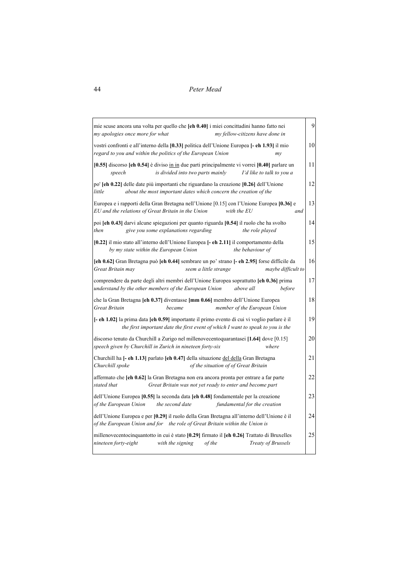| mie scuse ancora una volta per quello che [eh 0.40] i miei concittadini hanno fatto nei<br>my apologies once more for what<br>my fellow-citizens have done in                                 | 9   |
|-----------------------------------------------------------------------------------------------------------------------------------------------------------------------------------------------|-----|
| vostri confronti e all'interno della [0.33] politica dell'Unione Europea [- eh 1.93] il mio<br>regard to you and within the politics of the European Union<br>$m$ y                           | 10  |
| $[0.55]$ discorso $[eh\ 0.54]$ è diviso in in due parti principalmente vi vorrei $[0.40]$ parlare un<br>is divided into two parts mainly<br>I'd like to talk to you a<br>speech               | 11  |
| po' [eh 0.22] delle date più importanti che riguardano la creazione [0.26] dell'Unione<br>little<br>about the most important dates which concern the creation of the                          | 12  |
| Europea e i rapporti della Gran Bretagna nell'Unione [0.15] con l'Unione Europea [0.36] e<br>EU and the relations of Great Britain in the Union<br>with the EU<br>and                         | 13  |
| poi [eh 0.43] darvi alcune spiegazioni per quanto riguarda [0.54] il ruolo che ha svolto<br>give you some explanations regarding<br>then<br>the role played                                   | 14  |
| [0.22] il mio stato all'interno dell'Unione Europea [- eh 2.11] il comportamento della<br>by my state within the European Union<br>the behaviour of                                           | 1.5 |
| [eh 0.62] Gran Bretagna può [eh 0.44] sembrare un po' strano [- eh 2.95] forse difficile da<br>Great Britain may<br>seem a little strange<br>maybe difficult to                               | 16  |
| comprendere da parte degli altri membri dell'Unione Europea soprattutto [eh 0.36] prima<br>understand by the other members of the European Union<br>above all<br>before                       | 17  |
| che la Gran Bretagna [eh 0.37] diventasse [mm 0.66] membro dell'Unione Europea<br><b>Great Britain</b><br>member of the European Union<br>became                                              | 18  |
| <b>[- eh 1.02]</b> la prima data <b>[eh 0.59]</b> importante il primo evento di cui vi voglio parlare è il<br>the first important date the first event of which I want to speak to you is the | 19  |
| discorso tenuto da Churchill a Zurigo nel millenovecentoguarantasei [1.64] dove [0.15]<br>speech given by Churchill in Zurich in nineteen forty-six<br>where                                  | 20  |
| Churchill ha [- eh 1.13] parlato [eh 0.47] della situazione del della Gran Bretagna<br>of the situation of of Great Britain<br>Churchill spoke                                                | 21  |
| affermato che [eh 0.62] la Gran Bretagna non era ancora pronta per entrare a far parte<br>stated that<br>Great Britain was not yet ready to enter and become part                             | 22  |
| dell'Unione Europea [0.55] la seconda data [ch 0.48] fondamentale per la creazione<br>of the European Union<br>the second date<br>fundamental for the creation                                | 23  |
| dell'Unione Europea e per [0.29] il ruolo della Gran Bretagna all'interno dell'Unione è il<br>of the European Union and for the role of Great Britain within the Union is                     | 24  |
| millenovecentocinquantotto in cui è stato [0.29] firmato il [eh 0.26] Trattato di Bruxelles<br>nineteen forty-eight<br><b>Treaty of Brussels</b><br>with the signing<br>of the                | 25  |
|                                                                                                                                                                                               |     |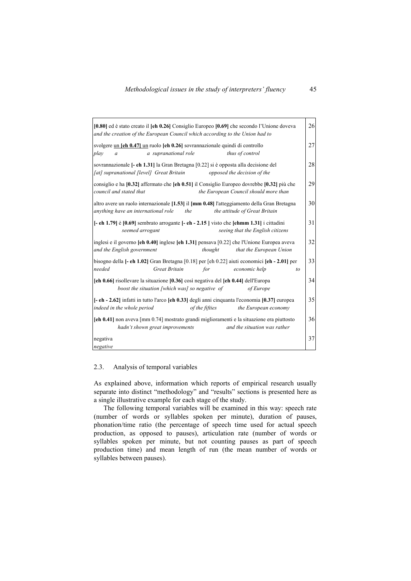| $[0.80]$ ed è stato creato il $[eh 0.26]$ Consiglio Europeo $[0.69]$ che secondo l'Unione doveva<br>and the creation of the European Council which according to the Union had to | 26 |
|----------------------------------------------------------------------------------------------------------------------------------------------------------------------------------|----|
| svolgere un [eh 0.47] un ruolo [eh 0.26] sovrannazionale quindi di controllo<br>a supranational role<br>play<br>thus of control<br>$\boldsymbol{a}$                              | 27 |
| sovrannazionale [- eh 1.31] la Gran Bretagna [0.22] si è opposta alla decisione del<br>[at] supranational [level] Great Britain<br>opposed the decision of the                   | 28 |
| consiglio e ha $[0.32]$ affermato che $[eh 0.51]$ il Consiglio Europeo dovrebbe $[0.32]$ più che<br>council and stated that<br>the European Council should more than             | 29 |
| altro avere un ruolo internazionale [1.53] il [mm 0.48] l'atteggiamento della Gran Bretagna<br>anything have an international role<br>the<br>the attitude of Great Britain       | 30 |
| $[-eh 1.79]$ è $[0.69]$ sembrato arrogante $[-eh - 2.15]$ visto che $[ehmm 1.31]$ i cittadini<br>seeing that the English citizens<br>seemed arrogant                             | 31 |
| inglesi e il governo $[eh 0.40]$ inglese $[eh 1.31]$ pensava $[0.22]$ che l'Unione Europea aveva<br>and the English government<br>that the European Union<br>thought             | 32 |
| bisogno della [- eh 1.02] Gran Bretagna [0.18] per [eh 0.22] aiuti economici [eh - 2.01] per<br>needed<br>Great Britain<br>economic help<br>for<br>to                            | 33 |
| [eh 0.66] risollevare la situazione [0.36] così negativa del [eh 0.44] dell'Europa<br>boost the situation [which was] so negative of<br>of Europe                                | 34 |
| [- eh - 2.62] infatti in tutto l'arco [eh 0.33] degli anni cinquanta l'economia [0.37] europea<br>indeed in the whole period<br>of the fifties<br>the European economy           | 35 |
| [eh 0.41] non aveva [mm 0.74] mostrato grandi miglioramenti e la situazione era piuttosto<br>hadn't shown great improvements<br>and the situation was rather                     | 36 |
| negativa<br>negative                                                                                                                                                             | 37 |

## 2.3. Analysis of temporal variables

As explained above, information which reports of empirical research usually separate into distinct "methodology" and "results" sections is presented here as a single illustrative example for each stage of the study.

The following temporal variables will be examined in this way: speech rate (number of words or syllables spoken per minute), duration of pauses, phonation/time ratio (the percentage of speech time used for actual speech production, as opposed to pauses), articulation rate (number of words or syllables spoken per minute, but not counting pauses as part of speech production time) and mean length of run (the mean number of words or syllables between pauses).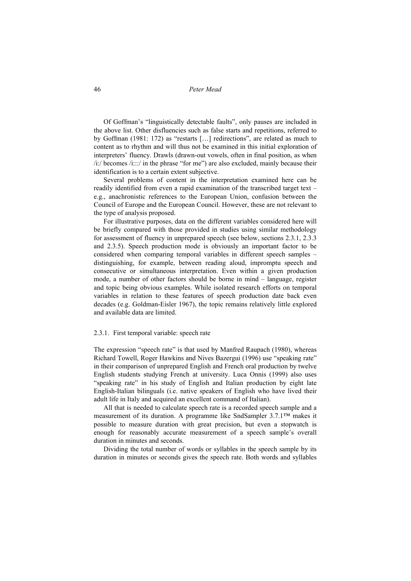Of Goffman's "linguistically detectable faults", only pauses are included in the above list. Other disfluencies such as false starts and repetitions, referred to by Goffman (1981: 172) as "restarts […] redirections", are related as much to content as to rhythm and will thus not be examined in this initial exploration of interpreters' fluency. Drawls (drawn-out vowels, often in final position, as when /i:/ becomes /i:::/ in the phrase "for me") are also excluded, mainly because their identification is to a certain extent subjective.

Several problems of content in the interpretation examined here can be readily identified from even a rapid examination of the transcribed target text – e.g., anachronistic references to the European Union, confusion between the Council of Europe and the European Council. However, these are not relevant to the type of analysis proposed.

For illustrative purposes, data on the different variables considered here will be briefly compared with those provided in studies using similar methodology for assessment of fluency in unprepared speech (see below, sections 2.3.1, 2.3.3 and 2.3.5). Speech production mode is obviously an important factor to be considered when comparing temporal variables in different speech samples – distinguishing, for example, between reading aloud, impromptu speech and consecutive or simultaneous interpretation. Even within a given production mode, a number of other factors should be borne in mind – language, register and topic being obvious examples. While isolated research efforts on temporal variables in relation to these features of speech production date back even decades (e.g. Goldman-Eisler 1967), the topic remains relatively little explored and available data are limited.

#### 2.3.1. First temporal variable: speech rate

The expression "speech rate" is that used by Manfred Raupach (1980), whereas Richard Towell, Roger Hawkins and Nives Bazergui (1996) use "speaking rate" in their comparison of unprepared English and French oral production by twelve English students studying French at university. Luca Onnis (1999) also uses "speaking rate" in his study of English and Italian production by eight late English-Italian bilinguals (i.e. native speakers of English who have lived their adult life in Italy and acquired an excellent command of Italian).

All that is needed to calculate speech rate is a recorded speech sample and a measurement of its duration. A programme like SndSampler 3.7.1™ makes it possible to measure duration with great precision, but even a stopwatch is enough for reasonably accurate measurement of a speech sample's overall duration in minutes and seconds.

Dividing the total number of words or syllables in the speech sample by its duration in minutes or seconds gives the speech rate. Both words and syllables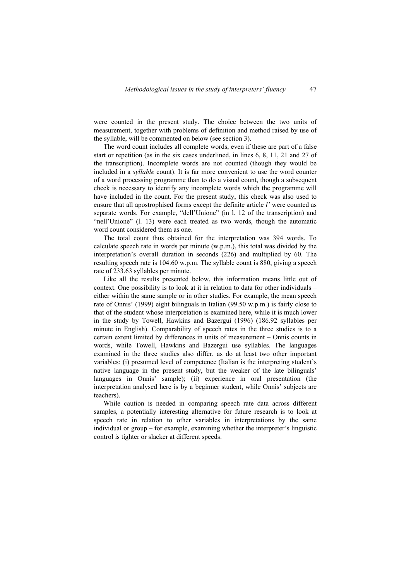were counted in the present study. The choice between the two units of measurement, together with problems of definition and method raised by use of the syllable, will be commented on below (see section 3).

The word count includes all complete words, even if these are part of a false start or repetition (as in the six cases underlined, in lines 6, 8, 11, 21 and 27 of the transcription). Incomplete words are not counted (though they would be included in a *syllable* count). It is far more convenient to use the word counter of a word processing programme than to do a visual count, though a subsequent check is necessary to identify any incomplete words which the programme will have included in the count. For the present study, this check was also used to ensure that all apostrophised forms except the definite article *l'* were counted as separate words. For example, "dell'Unione" (in l. 12 of the transcription) and "nell'Unione" (l. 13) were each treated as two words, though the automatic word count considered them as one.

The total count thus obtained for the interpretation was 394 words. To calculate speech rate in words per minute (w.p.m.), this total was divided by the interpretation's overall duration in seconds (226) and multiplied by 60. The resulting speech rate is 104.60 w.p.m. The syllable count is 880, giving a speech rate of 233.63 syllables per minute.

Like all the results presented below, this information means little out of context. One possibility is to look at it in relation to data for other individuals – either within the same sample or in other studies. For example, the mean speech rate of Onnis' (1999) eight bilinguals in Italian (99.50 w.p.m.) is fairly close to that of the student whose interpretation is examined here, while it is much lower in the study by Towell, Hawkins and Bazergui (1996) (186.92 syllables per minute in English). Comparability of speech rates in the three studies is to a certain extent limited by differences in units of measurement – Onnis counts in words, while Towell, Hawkins and Bazergui use syllables. The languages examined in the three studies also differ, as do at least two other important variables: (i) presumed level of competence (Italian is the interpreting student's native language in the present study, but the weaker of the late bilinguals' languages in Onnis' sample); (ii) experience in oral presentation (the interpretation analysed here is by a beginner student, while Onnis' subjects are teachers).

While caution is needed in comparing speech rate data across different samples, a potentially interesting alternative for future research is to look at speech rate in relation to other variables in interpretations by the same individual or group – for example, examining whether the interpreter's linguistic control is tighter or slacker at different speeds.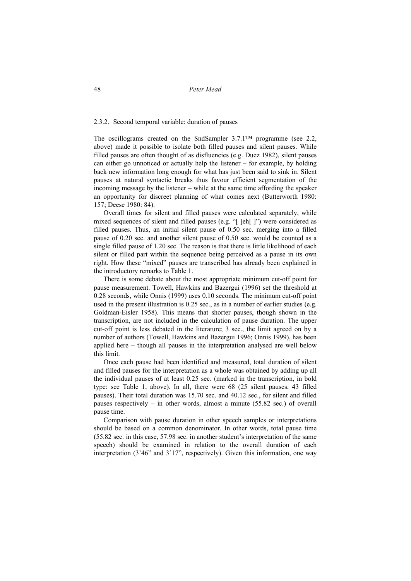### 2.3.2. Second temporal variable: duration of pauses

The oscillograms created on the SndSampler 3.7.1™ programme (see 2.2, above) made it possible to isolate both filled pauses and silent pauses. While filled pauses are often thought of as disfluencies (e.g. Duez 1982), silent pauses can either go unnoticed or actually help the listener – for example, by holding back new information long enough for what has just been said to sink in. Silent pauses at natural syntactic breaks thus favour efficient segmentation of the incoming message by the listener – while at the same time affording the speaker an opportunity for discreet planning of what comes next (Butterworth 1980: 157; Deese 1980: 84).

Overall times for silent and filled pauses were calculated separately, while mixed sequences of silent and filled pauses (e.g. "[ ]eh[ ]") were considered as filled pauses. Thus, an initial silent pause of 0.50 sec. merging into a filled pause of 0.20 sec. and another silent pause of 0.50 sec. would be counted as a single filled pause of 1.20 sec. The reason is that there is little likelihood of each silent or filled part within the sequence being perceived as a pause in its own right. How these "mixed" pauses are transcribed has already been explained in the introductory remarks to Table 1.

There is some debate about the most appropriate minimum cut-off point for pause measurement. Towell, Hawkins and Bazergui (1996) set the threshold at 0.28 seconds, while Onnis (1999) uses 0.10 seconds. The minimum cut-off point used in the present illustration is 0.25 sec., as in a number of earlier studies (e.g. Goldman-Eisler 1958). This means that shorter pauses, though shown in the transcription, are not included in the calculation of pause duration. The upper cut-off point is less debated in the literature; 3 sec., the limit agreed on by a number of authors (Towell, Hawkins and Bazergui 1996; Onnis 1999), has been applied here – though all pauses in the interpretation analysed are well below this limit.

Once each pause had been identified and measured, total duration of silent and filled pauses for the interpretation as a whole was obtained by adding up all the individual pauses of at least 0.25 sec. (marked in the transcription, in bold type: see Table 1, above). In all, there were 68 (25 silent pauses, 43 filled pauses). Their total duration was 15.70 sec. and 40.12 sec., for silent and filled pauses respectively – in other words, almost a minute (55.82 sec.) of overall pause time.

Comparison with pause duration in other speech samples or interpretations should be based on a common denominator. In other words, total pause time (55.82 sec. in this case, 57.98 sec. in another student's interpretation of the same speech) should be examined in relation to the overall duration of each interpretation (3'46" and 3'17", respectively). Given this information, one way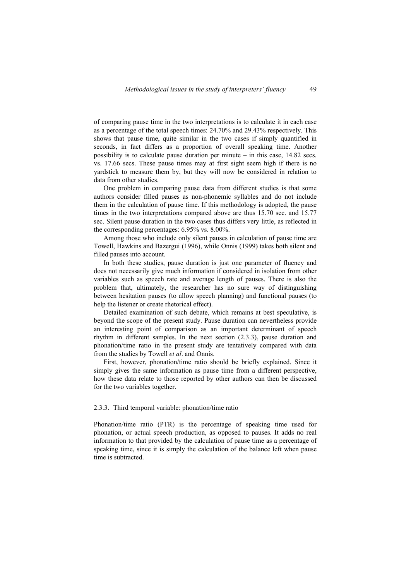of comparing pause time in the two interpretations is to calculate it in each case as a percentage of the total speech times: 24.70% and 29.43% respectively. This shows that pause time, quite similar in the two cases if simply quantified in seconds, in fact differs as a proportion of overall speaking time. Another possibility is to calculate pause duration per minute – in this case, 14.82 secs. vs. 17.66 secs. These pause times may at first sight seem high if there is no yardstick to measure them by, but they will now be considered in relation to data from other studies.

One problem in comparing pause data from different studies is that some authors consider filled pauses as non-phonemic syllables and do not include them in the calculation of pause time. If this methodology is adopted, the pause times in the two interpretations compared above are thus 15.70 sec. and 15.77 sec. Silent pause duration in the two cases thus differs very little, as reflected in the corresponding percentages: 6.95% vs. 8.00%.

Among those who include only silent pauses in calculation of pause time are Towell, Hawkins and Bazergui (1996), while Onnis (1999) takes both silent and filled pauses into account.

In both these studies, pause duration is just one parameter of fluency and does not necessarily give much information if considered in isolation from other variables such as speech rate and average length of pauses. There is also the problem that, ultimately, the researcher has no sure way of distinguishing between hesitation pauses (to allow speech planning) and functional pauses (to help the listener or create rhetorical effect).

Detailed examination of such debate, which remains at best speculative, is beyond the scope of the present study. Pause duration can nevertheless provide an interesting point of comparison as an important determinant of speech rhythm in different samples. In the next section (2.3.3), pause duration and phonation/time ratio in the present study are tentatively compared with data from the studies by Towell *et al*. and Onnis.

First, however, phonation/time ratio should be briefly explained. Since it simply gives the same information as pause time from a different perspective, how these data relate to those reported by other authors can then be discussed for the two variables together.

# 2.3.3. Third temporal variable: phonation/time ratio

Phonation/time ratio (PTR) is the percentage of speaking time used for phonation, or actual speech production, as opposed to pauses. It adds no real information to that provided by the calculation of pause time as a percentage of speaking time, since it is simply the calculation of the balance left when pause time is subtracted.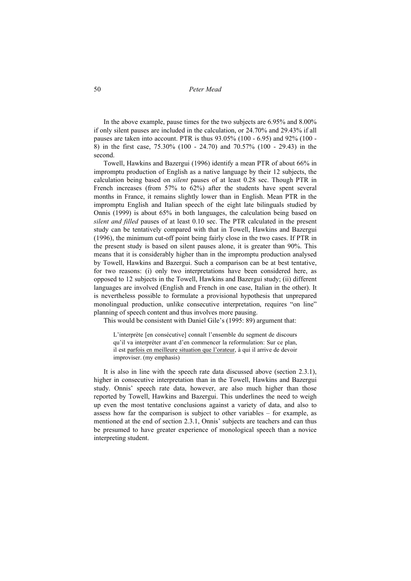In the above example, pause times for the two subjects are 6.95% and 8.00% if only silent pauses are included in the calculation, or 24.70% and 29.43% if all pauses are taken into account. PTR is thus 93.05% (100 - 6.95) and 92% (100 - 8) in the first case, 75.30% (100 - 24.70) and 70.57% (100 - 29.43) in the second.

Towell, Hawkins and Bazergui (1996) identify a mean PTR of about 66% in impromptu production of English as a native language by their 12 subjects, the calculation being based on *silent* pauses of at least 0.28 sec. Though PTR in French increases (from 57% to 62%) after the students have spent several months in France, it remains slightly lower than in English. Mean PTR in the impromptu English and Italian speech of the eight late bilinguals studied by Onnis (1999) is about 65% in both languages, the calculation being based on *silent and filled* pauses of at least 0.10 sec. The PTR calculated in the present study can be tentatively compared with that in Towell, Hawkins and Bazergui (1996), the minimum cut-off point being fairly close in the two cases. If PTR in the present study is based on silent pauses alone, it is greater than 90%. This means that it is considerably higher than in the impromptu production analysed by Towell, Hawkins and Bazergui. Such a comparison can be at best tentative, for two reasons: (i) only two interpretations have been considered here, as opposed to 12 subjects in the Towell, Hawkins and Bazergui study; (ii) different languages are involved (English and French in one case, Italian in the other). It is nevertheless possible to formulate a provisional hypothesis that unprepared monolingual production, unlike consecutive interpretation, requires "on line" planning of speech content and thus involves more pausing.

This would be consistent with Daniel Gile's (1995: 89) argument that:

L'interprète [en consécutive] connaît l'ensemble du segment de discours qu'il va interpréter avant d'en commencer la reformulation: Sur ce plan, il est parfois en meilleure situation que l'orateur, à qui il arrive de devoir improviser. (my emphasis)

It is also in line with the speech rate data discussed above (section 2.3.1), higher in consecutive interpretation than in the Towell, Hawkins and Bazergui study. Onnis' speech rate data, however, are also much higher than those reported by Towell, Hawkins and Bazergui. This underlines the need to weigh up even the most tentative conclusions against a variety of data, and also to assess how far the comparison is subject to other variables – for example, as mentioned at the end of section 2.3.1, Onnis' subjects are teachers and can thus be presumed to have greater experience of monological speech than a novice interpreting student.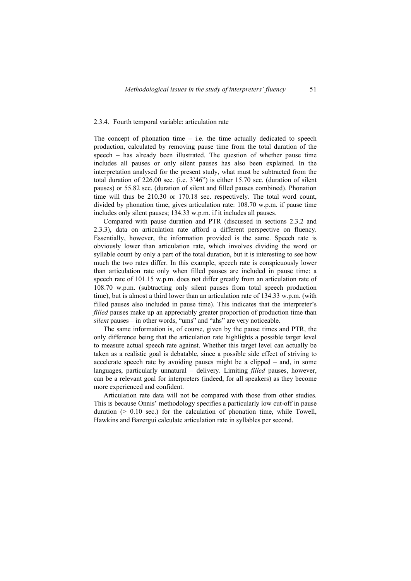#### 2.3.4. Fourth temporal variable: articulation rate

The concept of phonation time  $-$  i.e. the time actually dedicated to speech production, calculated by removing pause time from the total duration of the speech – has already been illustrated. The question of whether pause time includes all pauses or only silent pauses has also been explained. In the interpretation analysed for the present study, what must be subtracted from the total duration of 226.00 sec. (i.e. 3'46") is either 15.70 sec. (duration of silent pauses) or 55.82 sec. (duration of silent and filled pauses combined). Phonation time will thus be 210.30 or 170.18 sec. respectively. The total word count, divided by phonation time, gives articulation rate: 108.70 w.p.m. if pause time includes only silent pauses; 134.33 w.p.m. if it includes all pauses.

Compared with pause duration and PTR (discussed in sections 2.3.2 and 2.3.3), data on articulation rate afford a different perspective on fluency. Essentially, however, the information provided is the same. Speech rate is obviously lower than articulation rate, which involves dividing the word or syllable count by only a part of the total duration, but it is interesting to see how much the two rates differ. In this example, speech rate is conspicuously lower than articulation rate only when filled pauses are included in pause time: a speech rate of 101.15 w.p.m. does not differ greatly from an articulation rate of 108.70 w.p.m. (subtracting only silent pauses from total speech production time), but is almost a third lower than an articulation rate of 134.33 w.p.m. (with filled pauses also included in pause time). This indicates that the interpreter's *filled* pauses make up an appreciably greater proportion of production time than *silent* pauses – in other words, "ums" and "ahs" are very noticeable.

The same information is, of course, given by the pause times and PTR, the only difference being that the articulation rate highlights a possible target level to measure actual speech rate against. Whether this target level can actually be taken as a realistic goal is debatable, since a possible side effect of striving to accelerate speech rate by avoiding pauses might be a clipped – and, in some languages, particularly unnatural – delivery. Limiting *filled* pauses, however, can be a relevant goal for interpreters (indeed, for all speakers) as they become more experienced and confident.

Articulation rate data will not be compared with those from other studies. This is because Onnis' methodology specifies a particularly low cut-off in pause duration  $(> 0.10 \text{ sec.})$  for the calculation of phonation time, while Towell, Hawkins and Bazergui calculate articulation rate in syllables per second.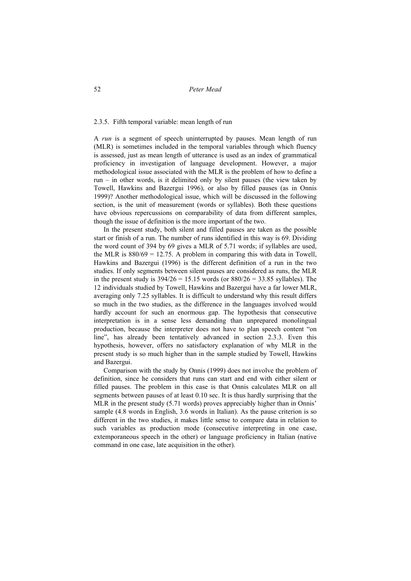## 2.3.5. Fifth temporal variable: mean length of run

A *run* is a segment of speech uninterrupted by pauses. Mean length of run (MLR) is sometimes included in the temporal variables through which fluency is assessed, just as mean length of utterance is used as an index of grammatical proficiency in investigation of language development. However, a major methodological issue associated with the MLR is the problem of how to define a run – in other words, is it delimited only by silent pauses (the view taken by Towell, Hawkins and Bazergui 1996), or also by filled pauses (as in Onnis 1999)? Another methodological issue, which will be discussed in the following section, is the unit of measurement (words or syllables). Both these questions have obvious repercussions on comparability of data from different samples, though the issue of definition is the more important of the two.

In the present study, both silent and filled pauses are taken as the possible start or finish of a run. The number of runs identified in this way is 69. Dividing the word count of 394 by 69 gives a MLR of 5.71 words; if syllables are used, the MLR is  $880/69 = 12.75$ . A problem in comparing this with data in Towell, Hawkins and Bazergui (1996) is the different definition of a run in the two studies. If only segments between silent pauses are considered as runs, the MLR in the present study is  $394/26 = 15.15$  words (or  $880/26 = 33.85$  syllables). The 12 individuals studied by Towell, Hawkins and Bazergui have a far lower MLR, averaging only 7.25 syllables. It is difficult to understand why this result differs so much in the two studies, as the difference in the languages involved would hardly account for such an enormous gap. The hypothesis that consecutive interpretation is in a sense less demanding than unprepared monolingual production, because the interpreter does not have to plan speech content "on line", has already been tentatively advanced in section 2.3.3. Even this hypothesis, however, offers no satisfactory explanation of why MLR in the present study is so much higher than in the sample studied by Towell, Hawkins and Bazergui.

Comparison with the study by Onnis (1999) does not involve the problem of definition, since he considers that runs can start and end with either silent or filled pauses. The problem in this case is that Onnis calculates MLR on all segments between pauses of at least 0.10 sec. It is thus hardly surprising that the MLR in the present study (5.71 words) proves appreciably higher than in Onnis' sample (4.8 words in English, 3.6 words in Italian). As the pause criterion is so different in the two studies, it makes little sense to compare data in relation to such variables as production mode (consecutive interpreting in one case, extemporaneous speech in the other) or language proficiency in Italian (native command in one case, late acquisition in the other).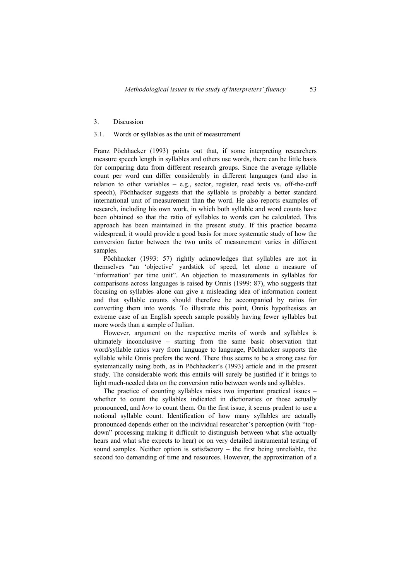### 3. Discussion

# 3.1. Words or syllables as the unit of measurement

Franz Pöchhacker (1993) points out that, if some interpreting researchers measure speech length in syllables and others use words, there can be little basis for comparing data from different research groups. Since the average syllable count per word can differ considerably in different languages (and also in relation to other variables  $-$  e.g., sector, register, read texts vs. off-the-cuff speech), Pöchhacker suggests that the syllable is probably a better standard international unit of measurement than the word. He also reports examples of research, including his own work, in which both syllable and word counts have been obtained so that the ratio of syllables to words can be calculated. This approach has been maintained in the present study. If this practice became widespread, it would provide a good basis for more systematic study of how the conversion factor between the two units of measurement varies in different samples.

Pöchhacker (1993: 57) rightly acknowledges that syllables are not in themselves "an 'objective' yardstick of speed, let alone a measure of 'information' per time unit". An objection to measurements in syllables for comparisons across languages is raised by Onnis (1999: 87), who suggests that focusing on syllables alone can give a misleading idea of information content and that syllable counts should therefore be accompanied by ratios for converting them into words. To illustrate this point, Onnis hypothesises an extreme case of an English speech sample possibly having fewer syllables but more words than a sample of Italian.

However, argument on the respective merits of words and syllables is ultimately inconclusive – starting from the same basic observation that word/syllable ratios vary from language to language, Pöchhacker supports the syllable while Onnis prefers the word. There thus seems to be a strong case for systematically using both, as in Pöchhacker's (1993) article and in the present study. The considerable work this entails will surely be justified if it brings to light much-needed data on the conversion ratio between words and syllables.

The practice of counting syllables raises two important practical issues – whether to count the syllables indicated in dictionaries or those actually pronounced, and *how* to count them. On the first issue, it seems prudent to use a notional syllable count. Identification of how many syllables are actually pronounced depends either on the individual researcher's perception (with "topdown" processing making it difficult to distinguish between what s/he actually hears and what s/he expects to hear) or on very detailed instrumental testing of sound samples. Neither option is satisfactory – the first being unreliable, the second too demanding of time and resources. However, the approximation of a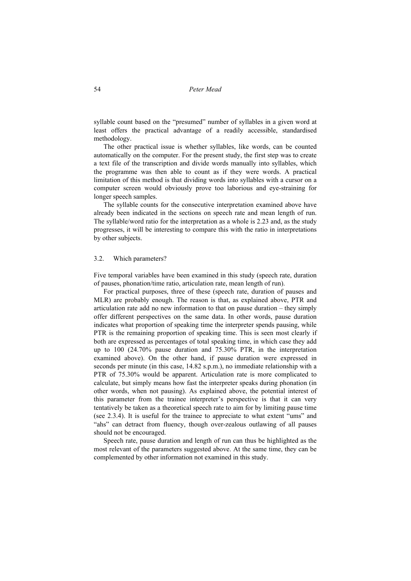syllable count based on the "presumed" number of syllables in a given word at least offers the practical advantage of a readily accessible, standardised methodology.

The other practical issue is whether syllables, like words, can be counted automatically on the computer. For the present study, the first step was to create a text file of the transcription and divide words manually into syllables, which the programme was then able to count as if they were words. A practical limitation of this method is that dividing words into syllables with a cursor on a computer screen would obviously prove too laborious and eye-straining for longer speech samples.

The syllable counts for the consecutive interpretation examined above have already been indicated in the sections on speech rate and mean length of run. The syllable/word ratio for the interpretation as a whole is 2.23 and, as the study progresses, it will be interesting to compare this with the ratio in interpretations by other subjects.

### 3.2. Which parameters?

Five temporal variables have been examined in this study (speech rate, duration of pauses, phonation/time ratio, articulation rate, mean length of run).

For practical purposes, three of these (speech rate, duration of pauses and MLR) are probably enough. The reason is that, as explained above, PTR and articulation rate add no new information to that on pause duration – they simply offer different perspectives on the same data. In other words, pause duration indicates what proportion of speaking time the interpreter spends pausing, while PTR is the remaining proportion of speaking time. This is seen most clearly if both are expressed as percentages of total speaking time, in which case they add up to 100 (24.70% pause duration and 75.30% PTR, in the interpretation examined above). On the other hand, if pause duration were expressed in seconds per minute (in this case, 14.82 s.p.m.), no immediate relationship with a PTR of 75.30% would be apparent. Articulation rate is more complicated to calculate, but simply means how fast the interpreter speaks during phonation (in other words, when not pausing). As explained above, the potential interest of this parameter from the trainee interpreter's perspective is that it can very tentatively be taken as a theoretical speech rate to aim for by limiting pause time (see 2.3.4). It is useful for the trainee to appreciate to what extent "ums" and "ahs" can detract from fluency, though over-zealous outlawing of all pauses should not be encouraged.

Speech rate, pause duration and length of run can thus be highlighted as the most relevant of the parameters suggested above. At the same time, they can be complemented by other information not examined in this study.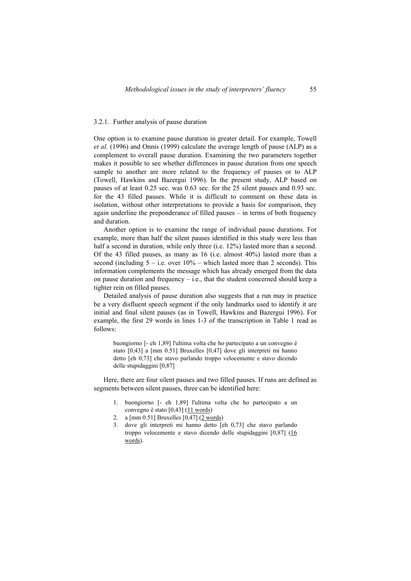#### 3.2.1. Further analysis of pause duration

One option is to examine pause duration in greater detail. For example, Towell *et al.* (1996) and Onnis (1999) calculate the average length of pause (ALP) as a complement to overall pause duration. Examining the two parameters together makes it possible to see whether differences in pause duration from one speech sample to another are more related to the frequency of pauses or to ALP (Towell, Hawkins and Bazergui 1996). In the present study, ALP based on pauses of at least 0.25 sec. was 0.63 sec. for the 25 silent pauses and 0.93 sec. for the 43 filled pauses. While it is difficult to comment on these data in isolation, without other interpretations to provide a basis for comparison, they again underline the preponderance of filled pauses – in terms of both frequency and duration.

Another option is to examine the range of individual pause durations. For example, more than half the silent pauses identified in this study were less than half a second in duration, while only three (i.e. 12%) lasted more than a second. Of the 43 filled pauses, as many as 16 (i.e. almost 40%) lasted more than a second (including  $5 - i.e.$  over  $10\%$  – which lasted more than 2 seconds). This information complements the message which has already emerged from the data on pause duration and frequency  $-$  i.e., that the student concerned should keep a tighter rein on filled pauses.

Detailed analysis of pause duration also suggests that a run may in practice be a very disfluent speech segment if the only landmarks used to identify it are initial and final silent pauses (as in Towell, Hawkins and Bazergui 1996). For example, the first 29 words in lines 1-3 of the transcription in Table 1 read as follows:

buongiorno [- eh 1,89] l'ultima volta che ho partecipato a un convegno è stato [0,43] a [mm 0.51] Bruxelles [0,47] dove gli interpreti mi hanno detto [eh 0,73] che stavo parlando troppo velocemente e stavo dicendo delle stupidaggini [0,87]

Here, there are four silent pauses and two filled pauses. If runs are defined as segments between silent pauses, three can be identified here:

- 1. buongiorno [- eh 1,89] l'ultima volta che ho partecipato a un convegno è stato [0,43] (11 words)
- 2. a  $\lceil \text{mm } 0.51 \rceil$  Bruxelles  $[0,47]$   $(2 \text{ words})$
- 3. dove gli interpreti mi hanno detto [eh 0,73] che stavo parlando troppo velocemente e stavo dicendo delle stupidaggini [0,87] (16 words).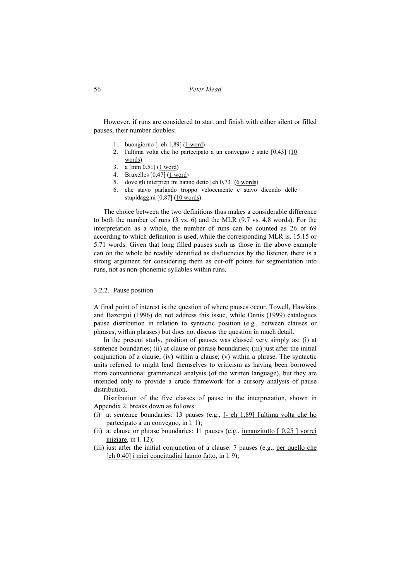However, if runs are considered to start and finish with either silent or filled pauses, their number doubles:

- 1. buongiorno [- eh 1,89] (1 word)
- 2. l'ultima volta che ho partecipato a un convegno è stato [0,43] (10 words)
- 3. a [mm 0.51] (1 word)
- 4. Bruxelles  $\left[0,47\right]$   $\left(1 \text{ word}\right)$
- 5. dove gli interpreti mi hanno detto [eh 0,73] (6 words)
- 6. che stavo parlando troppo velocemente e stavo dicendo delle stupidaggini [0,87] (10 words).

The choice between the two definitions thus makes a considerable difference to both the number of runs (3 vs. 6) and the MLR (9.7 vs. 4.8 words). For the interpretation as a whole, the number of runs can be counted as 26 or 69 according to which definition is used, while the corresponding MLR is. 15.15 or 5.71 words. Given that long filled pauses such as those in the above example can on the whole be readily identified as disfluencies by the listener, there is a strong argument for considering them as cut-off points for segmentation into runs, not as non-phonemic syllables within runs.

# 3.2.2. Pause position

A final point of interest is the question of where pauses occur. Towell, Hawkins and Bazergui (1996) do not address this issue, while Onnis (1999) catalogues pause distribution in relation to syntactic position (e.g., between clauses or phrases, within phrases) but does not discuss the question in much detail.

In the present study, position of pauses was classed very simply as: (i) at sentence boundaries; (ii) at clause or phrase boundaries; (iii) just after the initial conjunction of a clause; (iv) within a clause; (v) within a phrase. The syntactic units referred to might lend themselves to criticism as having been borrowed from conventional grammatical analysis (of the written language), but they are intended only to provide a crude framework for a cursory analysis of pause distribution.

Distribution of the five classes of pause in the interpretation, shown in Appendix 2, breaks down as follows:

- (i) at sentence boundaries: 13 pauses (e.g., [- eh 1,89] l'ultima volta che ho partecipato a un convegno, in l. 1);
- (ii) at clause or phrase boundaries: 11 pauses (e.g., innanzitutto  $[0,25]$  vorrei iniziare, in l. 12);
- (iii) just after the initial conjunction of a clause: 7 pauses (e.g., per quello che [eh 0.40] i miei concittadini hanno fatto, in l. 9);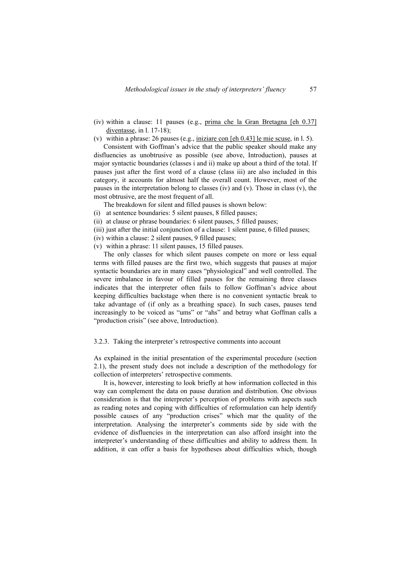- (iv) within a clause: 11 pauses (e.g., prima che la Gran Bretagna [eh 0.37] diventasse, in l. 17-18);
- (v) within a phrase: 26 pauses (e.g., iniziare con [eh 0.43] le mie scuse, in l. 5).

Consistent with Goffman's advice that the public speaker should make any disfluencies as unobtrusive as possible (see above, Introduction), pauses at major syntactic boundaries (classes i and ii) make up about a third of the total. If pauses just after the first word of a clause (class iii) are also included in this category, it accounts for almost half the overall count. However, most of the pauses in the interpretation belong to classes (iv) and (v). Those in class (v), the most obtrusive, are the most frequent of all.

- The breakdown for silent and filled pauses is shown below:
- (i) at sentence boundaries: 5 silent pauses, 8 filled pauses;
- (ii) at clause or phrase boundaries: 6 silent pauses, 5 filled pauses;
- (iii) just after the initial conjunction of a clause: 1 silent pause, 6 filled pauses;
- (iv) within a clause: 2 silent pauses, 9 filled pauses;
- (v) within a phrase: 11 silent pauses, 15 filled pauses.

The only classes for which silent pauses compete on more or less equal terms with filled pauses are the first two, which suggests that pauses at major syntactic boundaries are in many cases "physiological" and well controlled. The severe imbalance in favour of filled pauses for the remaining three classes indicates that the interpreter often fails to follow Goffman's advice about keeping difficulties backstage when there is no convenient syntactic break to take advantage of (if only as a breathing space). In such cases, pauses tend increasingly to be voiced as "ums" or "ahs" and betray what Goffman calls a "production crisis" (see above, Introduction).

### 3.2.3. Taking the interpreter's retrospective comments into account

As explained in the initial presentation of the experimental procedure (section 2.1), the present study does not include a description of the methodology for collection of interpreters' retrospective comments.

It is, however, interesting to look briefly at how information collected in this way can complement the data on pause duration and distribution. One obvious consideration is that the interpreter's perception of problems with aspects such as reading notes and coping with difficulties of reformulation can help identify possible causes of any "production crises" which mar the quality of the interpretation. Analysing the interpreter's comments side by side with the evidence of disfluencies in the interpretation can also afford insight into the interpreter's understanding of these difficulties and ability to address them. In addition, it can offer a basis for hypotheses about difficulties which, though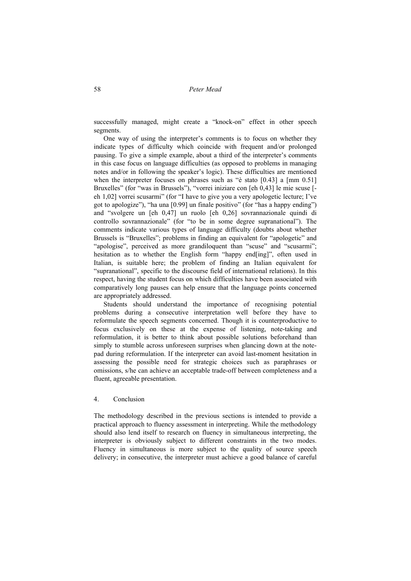successfully managed, might create a "knock-on" effect in other speech segments.

One way of using the interpreter's comments is to focus on whether they indicate types of difficulty which coincide with frequent and/or prolonged pausing. To give a simple example, about a third of the interpreter's comments in this case focus on language difficulties (as opposed to problems in managing notes and/or in following the speaker's logic). These difficulties are mentioned when the interpreter focuses on phrases such as "è stato [0.43] a [mm 0.51] Bruxelles" (for "was in Brussels"), "vorrei iniziare con [eh 0,43] le mie scuse [ eh 1,02] vorrei scusarmi" (for "I have to give you a very apologetic lecture; I've got to apologize"), "ha una [0.99] un finale positivo" (for "has a happy ending") and "svolgere un [eh 0,47] un ruolo [eh 0,26] sovrannazionale quindi di controllo sovrannazionale" (for "to be in some degree supranational"). The comments indicate various types of language difficulty (doubts about whether Brussels is "Bruxelles"; problems in finding an equivalent for "apologetic" and "apologise", perceived as more grandiloquent than "scuse" and "scusarmi"; hesitation as to whether the English form "happy end[ing]", often used in Italian, is suitable here; the problem of finding an Italian equivalent for "supranational", specific to the discourse field of international relations). In this respect, having the student focus on which difficulties have been associated with comparatively long pauses can help ensure that the language points concerned are appropriately addressed.

Students should understand the importance of recognising potential problems during a consecutive interpretation well before they have to reformulate the speech segments concerned. Though it is counterproductive to focus exclusively on these at the expense of listening, note-taking and reformulation, it is better to think about possible solutions beforehand than simply to stumble across unforeseen surprises when glancing down at the notepad during reformulation. If the interpreter can avoid last-moment hesitation in assessing the possible need for strategic choices such as paraphrases or omissions, s/he can achieve an acceptable trade-off between completeness and a fluent, agreeable presentation.

# 4. Conclusion

The methodology described in the previous sections is intended to provide a practical approach to fluency assessment in interpreting. While the methodology should also lend itself to research on fluency in simultaneous interpreting, the interpreter is obviously subject to different constraints in the two modes. Fluency in simultaneous is more subject to the quality of source speech delivery; in consecutive, the interpreter must achieve a good balance of careful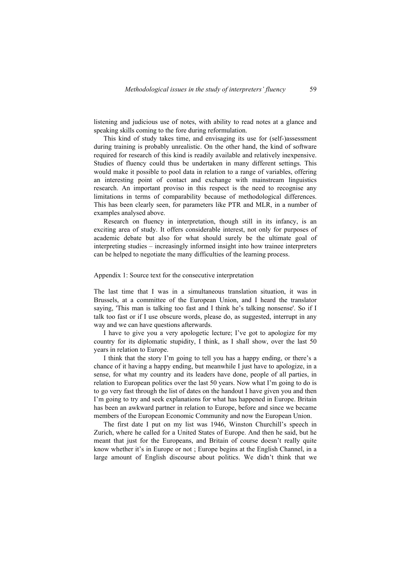listening and judicious use of notes, with ability to read notes at a glance and speaking skills coming to the fore during reformulation.

This kind of study takes time, and envisaging its use for (self-)assessment during training is probably unrealistic. On the other hand, the kind of software required for research of this kind is readily available and relatively inexpensive. Studies of fluency could thus be undertaken in many different settings. This would make it possible to pool data in relation to a range of variables, offering an interesting point of contact and exchange with mainstream linguistics research. An important proviso in this respect is the need to recognise any limitations in terms of comparability because of methodological differences. This has been clearly seen, for parameters like PTR and MLR, in a number of examples analysed above.

Research on fluency in interpretation, though still in its infancy, is an exciting area of study. It offers considerable interest, not only for purposes of academic debate but also for what should surely be the ultimate goal of interpreting studies – increasingly informed insight into how trainee interpreters can be helped to negotiate the many difficulties of the learning process.

## Appendix 1: Source text for the consecutive interpretation

The last time that I was in a simultaneous translation situation, it was in Brussels, at a committee of the European Union, and I heard the translator saying, 'This man is talking too fast and I think he's talking nonsense'. So if I talk too fast or if I use obscure words, please do, as suggested, interrupt in any way and we can have questions afterwards.

I have to give you a very apologetic lecture; I've got to apologize for my country for its diplomatic stupidity, I think, as I shall show, over the last 50 years in relation to Europe.

I think that the story I'm going to tell you has a happy ending, or there's a chance of it having a happy ending, but meanwhile I just have to apologize, in a sense, for what my country and its leaders have done, people of all parties, in relation to European politics over the last 50 years. Now what I'm going to do is to go very fast through the list of dates on the handout I have given you and then I'm going to try and seek explanations for what has happened in Europe. Britain has been an awkward partner in relation to Europe, before and since we became members of the European Economic Community and now the European Union.

The first date I put on my list was 1946, Winston Churchill's speech in Zurich, where he called for a United States of Europe. And then he said, but he meant that just for the Europeans, and Britain of course doesn't really quite know whether it's in Europe or not ; Europe begins at the English Channel, in a large amount of English discourse about politics. We didn't think that we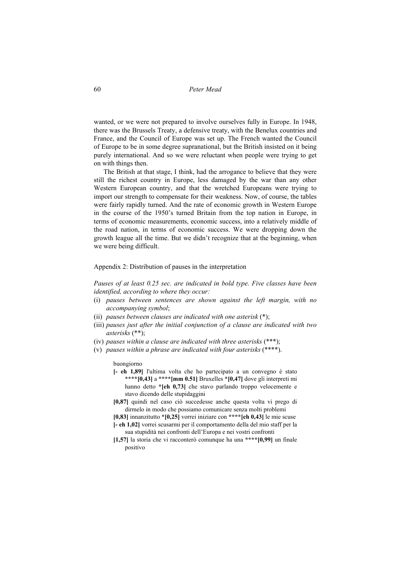wanted, or we were not prepared to involve ourselves fully in Europe. In 1948, there was the Brussels Treaty, a defensive treaty, with the Benelux countries and France, and the Council of Europe was set up. The French wanted the Council of Europe to be in some degree supranational, but the British insisted on it being purely international. And so we were reluctant when people were trying to get on with things then.

The British at that stage, I think, had the arrogance to believe that they were still the richest country in Europe, less damaged by the war than any other Western European country, and that the wretched Europeans were trying to import our strength to compensate for their weakness. Now, of course, the tables were fairly rapidly turned. And the rate of economic growth in Western Europe in the course of the 1950's turned Britain from the top nation in Europe, in terms of economic measurements, economic success, into a relatively middle of the road nation, in terms of economic success. We were dropping down the growth league all the time. But we didn't recognize that at the beginning, when we were being difficult.

### Appendix 2: Distribution of pauses in the interpretation

*Pauses of at least 0.25 sec. are indicated in bold type. Five classes have been identified, according to where they occur:* 

- (i) *pauses between sentences are shown against the left margin, with no accompanying symbol*;
- (ii) *pauses between clauses are indicated with one asterisk* (\*);
- (iii) *pauses just after the initial conjunction of a clause are indicated with two asterisks* (\*\*);
- (iv) *pauses within a clause are indicated with three asterisks* (\*\*\*);
- (v) *pauses within a phrase are indicated with four asterisks* (\*\*\*\*).

#### buongiorno

- **[- eh 1,89]** l'ultima volta che ho partecipato a un convegno è stato **\*\*\*\*[0,43]** a **\*\*\*\*[mm 0.51]** Bruxelles **\*[0,47]** dove gli interpreti mi hanno detto **\*[eh 0,73]** che stavo parlando troppo velocemente e stavo dicendo delle stupidaggini
- **[0,87]** quindi nel caso ciò succedesse anche questa volta vi prego di dirmelo in modo che possiamo comunicare senza molti problemi
- **[0,83]** innanzitutto **\*[0,25]** vorrei iniziare con **\*\*\*\*[eh 0,43]** le mie scuse **[- eh 1,02]** vorrei scusarmi per il comportamento della del mio staff per la
- sua stupidità nei confronti dell'Europa e nei vostri confronti
- **[1,57]** la storia che vi racconterò comunque ha una **\*\*\*\*[0,99]** un finale positivo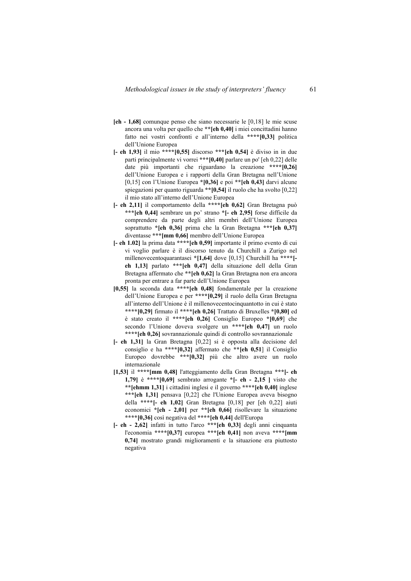- **[eh 1,68]** comunque penso che siano necessarie le [0,18] le mie scuse ancora una volta per quello che **\*\*[eh 0,40]** i miei concittadini hanno fatto nei vostri confronti e all'interno della **\*\*\*\*[0,33]** politica dell'Unione Europea
- **[- eh 1,93]** il mio **\*\*\*\*[0,55]** discorso **\*\*\*[eh 0,54]** è diviso in in due parti principalmente vi vorrei **\*\*\*[0,40]** parlare un po' [eh 0,22] delle date più importanti che riguardano la creazione **\*\*\*\*[0,26]** dell'Unione Europea e i rapporti della Gran Bretagna nell'Unione [0,15] con l'Unione Europea **\*[0,36]** e poi **\*\*[eh 0,43]** darvi alcune spiegazioni per quanto riguarda **\*\*[0,54]** il ruolo che ha svolto [0,22] il mio stato all'interno dell'Unione Europea
- **[- eh 2,11]** il comportamento della **\*\*\*\*[eh 0,62]** Gran Bretagna può **\*\*\*[eh 0,44]** sembrare un po' strano **\*[- eh 2,95]** forse difficile da comprendere da parte degli altri membri dell'Unione Europea soprattutto **\*[eh 0,36]** prima che la Gran Bretagna **\*\*\*[eh 0,37]** diventasse **\*\*\*[mm 0,66]** membro dell'Unione Europea
- **[- eh 1.02]** la prima data **\*\*\*\*[eh 0,59]** importante il primo evento di cui vi voglio parlare è il discorso tenuto da Churchill a Zurigo nel millenovecentoquarantasei **\*[1,64]** dove [0,15] Churchill ha **\*\*\*\*[ eh 1,13]** parlato **\*\*\*[eh 0,47]** della situazione dell della Gran Bretagna affermato che **\*\*[eh 0,62]** la Gran Bretagna non era ancora pronta per entrare a far parte dell'Unione Europea
- **[0,55]** la seconda data **\*\*\*\*[eh 0,48]** fondamentale per la creazione dell'Unione Europea e per **\*\*\*\*[0,29]** il ruolo della Gran Bretagna all'interno dell'Unione è il millenovecentocinquantotto in cui è stato **\*\*\*\*[0,29]** firmato il **\*\*\*\*[eh 0,26]** Trattato di Bruxelles **\*[0,80]** ed è stato creato il **\*\*\*\*[eh 0,26]** Consiglio Europeo **\*[0,69**] che secondo l'Unione doveva svolgere un \*\*\*\***[eh 0,47]** un ruolo **\*\*\*\*[eh 0,26]** sovrannazionale quindi di controllo sovrannazionale
- **[- eh 1,31]** la Gran Bretagna [0,22] si è opposta alla decisione del consiglio e ha **\*\*\*\*[0,32]** affermato che **\*\*[eh 0,51**] il Consiglio Europeo dovrebbe **\*\*\*[0,32]** più che altro avere un ruolo internazionale
- **[1,53]** il **\*\*\*\*[mm 0,48]** l'atteggiamento della Gran Bretagna **\*\*\*[- eh 1,79]** è **\*\*\*\*[0,69]** sembrato arrogante **\*[- eh - 2,15 ]** visto che **\*\*[ehmm 1,31]** i cittadini inglesi e il governo **\*\*\*\*[eh 0,40]** inglese **\*\*\*[eh 1,31]** pensava [0,22] che l'Unione Europea aveva bisogno della **\*\*\*\*[- eh 1,02]** Gran Bretagna [0,18] per [eh 0,22] aiuti economici **\*[eh - 2,01]** per **\*\*[eh 0,66]** risollevare la situazione **\*\*\*\*[0,36]** così negativa del **\*\*\*\*[eh 0,44]** dell'Europa
- **[- eh 2,62]** infatti in tutto l'arco **\*\*\*[eh 0,33]** degli anni cinquanta l'economia **\*\*\*\*[0,37]** europea **\*\*\*[eh 0,41]** non aveva **\*\*\*\*[mm 0,74]** mostrato grandi miglioramenti e la situazione era piuttosto negativa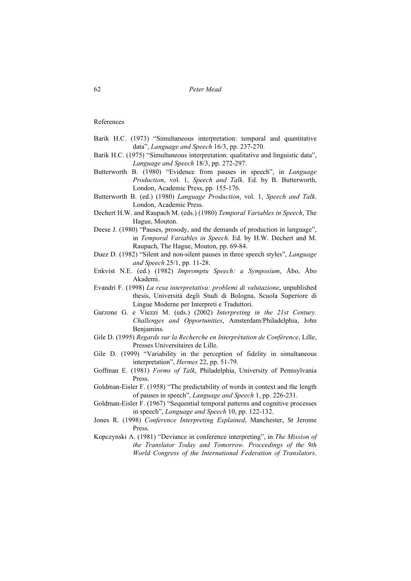References

- Barik H.C. (1973) "Simultaneous interpretation: temporal and quantitative data", *Language and Speech* 16/3, pp. 237-270.
- Barik H.C. (1975) "Simultaneous interpretation: qualitative and linguistic data", *Language and Speech* 18/3, pp. 272-297.
- Butterworth B. (1980) "Evidence from pauses in speech", in *Language Production*, vol. 1, *Speech and Talk*. Ed. by B. Butterworth, London, Academic Press, pp. 155-176.
- Butterworth B. (ed.) (1980) *Language Production*, vol. 1, *Speech and Talk*. London, Academic Press.
- Dechert H.W. and Raupach M. (eds.) (1980) *Temporal Variables in Speech*, The Hague, Mouton.
- Deese J. (1980) "Pauses, prosody, and the demands of production in language", in *Temporal Variables in Speech*. Ed. by H.W. Dechert and M. Raupach, The Hague, Mouton, pp. 69-84.
- Duez D. (1982) "Silent and non-silent pauses in three speech styles", *Language and Speech* 25/1, pp. 11-28.
- Enkvist N.E. (ed.) (1982) *Impromptu Speech: a Symposium*, Åbo, Åbo Akademi.
- Evandri F. (1998) *La resa interpretativa: problemi di valutazione*, unpublished thesis, Università degli Studi di Bologna, Scuola Superiore di Lingue Moderne per Interpreti e Traduttori.
- Garzone G. e Viezzi M. (eds.) (2002) *Interpreting in the 21st Century. Challenges and Opportunities*, Amsterdam/Philadelphia, John Benjamins.
- Gile D. (1995) *Regards sur la Recherche en Interprétation de Conférence*, Lille, Presses Universitaires de Lille.
- Gile D. (1999) "Variability in the perception of fidelity in simultaneous interpretation", *Hermes* 22, pp. 51-79.
- Goffman E. (1981) *Forms of Talk*, Philadelphia, University of Pennsylvania Press.
- Goldman-Eisler F. (1958) "The predictability of words in context and the length of pauses in speech", *Language and Speech* 1, pp. 226-231.
- Goldman-Eisler F. (1967) "Sequential temporal patterns and cognitive processes in speech", *Language and Speech* 10, pp. 122-132.
- Jones R. (1998) *Conference Interpreting Explained*, Manchester, St Jerome Press.
- Kopczynski A. (1981) "Deviance in conference interpreting", in *The Mission of the Translator Today and Tomorrow. Proceedings of the 9th World Congress of the International Federation of Translators*.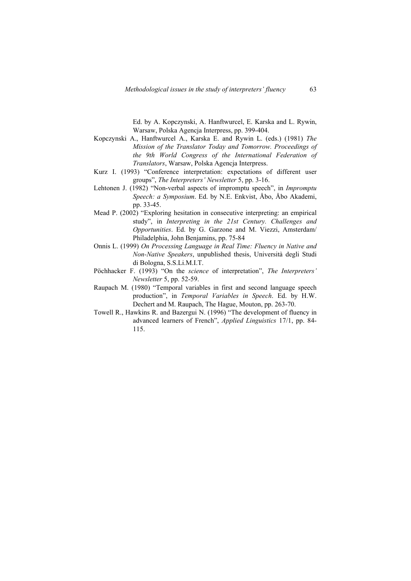Ed. by A. Kopczynski, A. Hanftwurcel, E. Karska and L. Rywin, Warsaw, Polska Agencja Interpress, pp. 399-404.

- Kopczynski A., Hanftwurcel A., Karska E. and Rywin L. (eds.) (1981) *The Mission of the Translator Today and Tomorrow. Proceedings of the 9th World Congress of the International Federation of Translators*, Warsaw, Polska Agencja Interpress.
- Kurz I. (1993) "Conference interpretation: expectations of different user groups", *The Interpreters' Newsletter* 5, pp. 3-16.
- Lehtonen J. (1982) "Non-verbal aspects of impromptu speech", in *Impromptu Speech: a Symposium*. Ed. by N.E. Enkvist, Åbo, Åbo Akademi, pp. 33-45.
- Mead P. (2002) "Exploring hesitation in consecutive interpreting: an empirical study", in *Interpreting in the 21st Century. Challenges and Opportunities*. Ed. by G. Garzone and M. Viezzi, Amsterdam/ Philadelphia, John Benjamins, pp. 75-84
- Onnis L. (1999) *On Processing Language in Real Time: Fluency in Native and Non-Native Speakers*, unpublished thesis, Università degli Studi di Bologna, S.S.Li.M.I.T.
- Pöchhacker F. (1993) "On the *science* of interpretation", *The Interpreters' Newsletter* 5, pp. 52-59.
- Raupach M. (1980) "Temporal variables in first and second language speech production", in *Temporal Variables in Speech*. Ed. by H.W. Dechert and M. Raupach, The Hague, Mouton, pp. 263-70.
- Towell R., Hawkins R. and Bazergui N. (1996) "The development of fluency in advanced learners of French", *Applied Linguistics* 17/1, pp. 84- 115.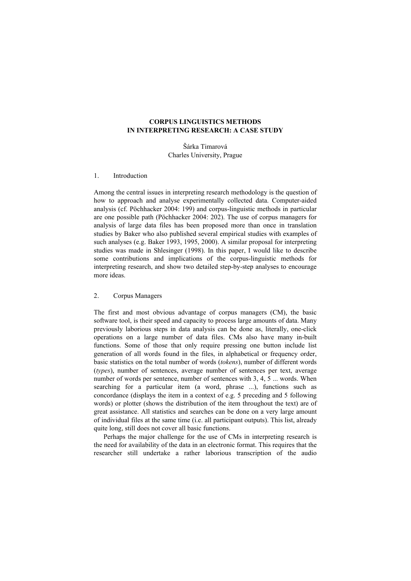# **CORPUS LINGUISTICS METHODS IN INTERPRETING RESEARCH: A CASE STUDY**

Šárka Timarová Charles University, Prague

#### 1. Introduction

Among the central issues in interpreting research methodology is the question of how to approach and analyse experimentally collected data. Computer-aided analysis (cf. Pöchhacker 2004: 199) and corpus-linguistic methods in particular are one possible path (Pöchhacker 2004: 202). The use of corpus managers for analysis of large data files has been proposed more than once in translation studies by Baker who also published several empirical studies with examples of such analyses (e.g. Baker 1993, 1995, 2000). A similar proposal for interpreting studies was made in Shlesinger (1998). In this paper, I would like to describe some contributions and implications of the corpus-linguistic methods for interpreting research, and show two detailed step-by-step analyses to encourage more ideas.

## 2. Corpus Managers

The first and most obvious advantage of corpus managers (CM), the basic software tool, is their speed and capacity to process large amounts of data. Many previously laborious steps in data analysis can be done as, literally, one-click operations on a large number of data files. CMs also have many in-built functions. Some of those that only require pressing one button include list generation of all words found in the files, in alphabetical or frequency order, basic statistics on the total number of words (*tokens*), number of different words (*types*), number of sentences, average number of sentences per text, average number of words per sentence, number of sentences with 3, 4, 5 ... words. When searching for a particular item (a word, phrase ...), functions such as concordance (displays the item in a context of e.g. 5 preceding and 5 following words) or plotter (shows the distribution of the item throughout the text) are of great assistance. All statistics and searches can be done on a very large amount of individual files at the same time (i.e. all participant outputs). This list, already quite long, still does not cover all basic functions.

Perhaps the major challenge for the use of CMs in interpreting research is the need for availability of the data in an electronic format. This requires that the researcher still undertake a rather laborious transcription of the audio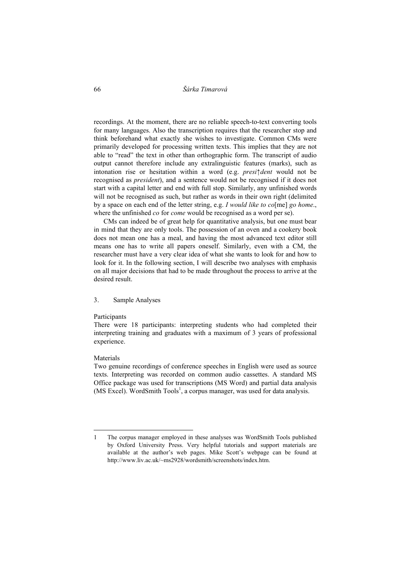66 *Šárka Timarová* 

recordings. At the moment, there are no reliable speech-to-text converting tools for many languages. Also the transcription requires that the researcher stop and think beforehand what exactly she wishes to investigate. Common CMs were primarily developed for processing written texts. This implies that they are not able to "read" the text in other than orthographic form. The transcript of audio output cannot therefore include any extralinguistic features (marks), such as intonation rise or hesitation within a word (e.g. *presi↑dent* would not be recognised as *president*), and a sentence would not be recognised if it does not start with a capital letter and end with full stop. Similarly, any unfinished words will not be recognised as such, but rather as words in their own right (delimited by a space on each end of the letter string, e.g. *I would like to co*[me] *go home*., where the unfinished *co* for *come* would be recognised as a word per se).

CMs can indeed be of great help for quantitative analysis, but one must bear in mind that they are only tools. The possession of an oven and a cookery book does not mean one has a meal, and having the most advanced text editor still means one has to write all papers oneself. Similarly, even with a CM, the researcher must have a very clear idea of what she wants to look for and how to look for it. In the following section, I will describe two analyses with emphasis on all major decisions that had to be made throughout the process to arrive at the desired result.

### 3. Sample Analyses

#### Participants

There were 18 participants: interpreting students who had completed their interpreting training and graduates with a maximum of 3 years of professional experience.

### Materials

 $\overline{a}$ 

Two genuine recordings of conference speeches in English were used as source texts. Interpreting was recorded on common audio cassettes. A standard MS Office package was used for transcriptions (MS Word) and partial data analysis  $(MS$  Excel). WordSmith Tools<sup>1</sup>, a corpus manager, was used for data analysis.

<sup>1</sup> The corpus manager employed in these analyses was WordSmith Tools published by Oxford University Press. Very helpful tutorials and support materials are available at the author's web pages. Mike Scott's webpage can be found at http://www.liv.ac.uk/~ms2928/wordsmith/screenshots/index.htm.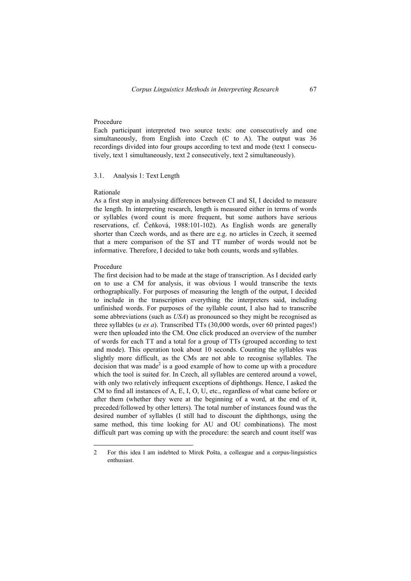### Procedure

Each participant interpreted two source texts: one consecutively and one simultaneously, from English into Czech (C to A). The output was 36 recordings divided into four groups according to text and mode (text 1 consecutively, text 1 simultaneously, text 2 consecutively, text 2 simultaneously).

### 3.1. Analysis 1: Text Length

## Rationale

As a first step in analysing differences between CI and SI, I decided to measure the length. In interpreting research, length is measured either in terms of words or syllables (word count is more frequent, but some authors have serious reservations, cf. Čeňková, 1988:101-102). As English words are generally shorter than Czech words, and as there are e.g. no articles in Czech, it seemed that a mere comparison of the ST and TT number of words would not be informative. Therefore, I decided to take both counts, words and syllables.

### Procedure

The first decision had to be made at the stage of transcription. As I decided early on to use a CM for analysis, it was obvious I would transcribe the texts orthographically. For purposes of measuring the length of the output, I decided to include in the transcription everything the interpreters said, including unfinished words. For purposes of the syllable count, I also had to transcribe some abbreviations (such as *USA*) as pronounced so they might be recognised as three syllables (*u es a*). Transcribed TTs (30,000 words, over 60 printed pages!) were then uploaded into the CM. One click produced an overview of the number of words for each TT and a total for a group of TTs (grouped according to text and mode). This operation took about 10 seconds. Counting the syllables was slightly more difficult, as the CMs are not able to recognise syllables. The decision that was made<sup>2</sup> is a good example of how to come up with a procedure which the tool is suited for. In Czech, all syllables are centered around a vowel. with only two relatively infrequent exceptions of diphthongs. Hence, I asked the CM to find all instances of A, E, I, O, U, etc., regardless of what came before or after them (whether they were at the beginning of a word, at the end of it, preceded/followed by other letters). The total number of instances found was the desired number of syllables (I still had to discount the diphthongs, using the same method, this time looking for AU and OU combinations). The most difficult part was coming up with the procedure: the search and count itself was

<sup>2</sup> For this idea I am indebted to Mirek Pošta, a colleague and a corpus-linguistics enthusiast.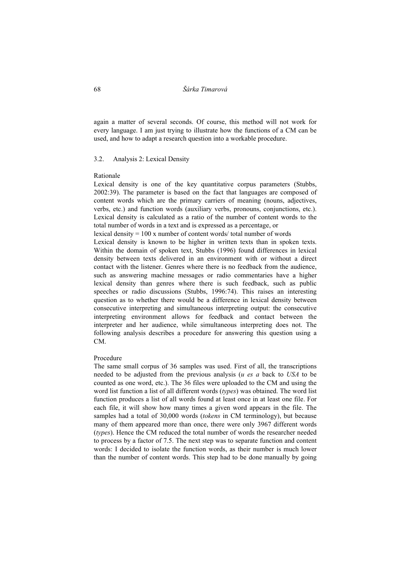68 *Šárka Timarová* 

again a matter of several seconds. Of course, this method will not work for every language. I am just trying to illustrate how the functions of a CM can be used, and how to adapt a research question into a workable procedure.

#### 3.2. Analysis 2: Lexical Density

#### Rationale

Lexical density is one of the key quantitative corpus parameters (Stubbs, 2002:39). The parameter is based on the fact that languages are composed of content words which are the primary carriers of meaning (nouns, adjectives, verbs, etc.) and function words (auxiliary verbs, pronouns, conjunctions, etc.). Lexical density is calculated as a ratio of the number of content words to the total number of words in a text and is expressed as a percentage, or

lexical density = 100 x number of content words/ total number of words

Lexical density is known to be higher in written texts than in spoken texts. Within the domain of spoken text, Stubbs (1996) found differences in lexical density between texts delivered in an environment with or without a direct contact with the listener. Genres where there is no feedback from the audience, such as answering machine messages or radio commentaries have a higher lexical density than genres where there is such feedback, such as public speeches or radio discussions (Stubbs, 1996:74). This raises an interesting question as to whether there would be a difference in lexical density between consecutive interpreting and simultaneous interpreting output: the consecutive interpreting environment allows for feedback and contact between the interpreter and her audience, while simultaneous interpreting does not. The following analysis describes a procedure for answering this question using a CM.

#### Procedure

The same small corpus of 36 samples was used. First of all, the transcriptions needed to be adjusted from the previous analysis (*u es a* back to *USA* to be counted as one word, etc.). The 36 files were uploaded to the CM and using the word list function a list of all different words (*types*) was obtained. The word list function produces a list of all words found at least once in at least one file. For each file, it will show how many times a given word appears in the file. The samples had a total of 30,000 words (*tokens* in CM terminology), but because many of them appeared more than once, there were only 3967 different words (*types*). Hence the CM reduced the total number of words the researcher needed to process by a factor of 7.5. The next step was to separate function and content words: I decided to isolate the function words, as their number is much lower than the number of content words. This step had to be done manually by going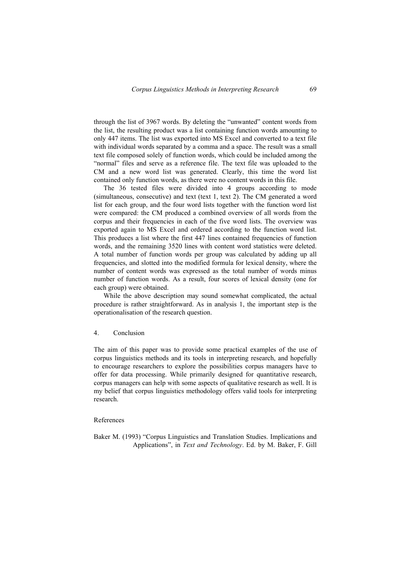through the list of 3967 words. By deleting the "unwanted" content words from the list, the resulting product was a list containing function words amounting to only 447 items. The list was exported into MS Excel and converted to a text file with individual words separated by a comma and a space. The result was a small text file composed solely of function words, which could be included among the "normal" files and serve as a reference file. The text file was uploaded to the CM and a new word list was generated. Clearly, this time the word list contained only function words, as there were no content words in this file.

The 36 tested files were divided into 4 groups according to mode (simultaneous, consecutive) and text (text 1, text 2). The CM generated a word list for each group, and the four word lists together with the function word list were compared: the CM produced a combined overview of all words from the corpus and their frequencies in each of the five word lists. The overview was exported again to MS Excel and ordered according to the function word list. This produces a list where the first 447 lines contained frequencies of function words, and the remaining 3520 lines with content word statistics were deleted. A total number of function words per group was calculated by adding up all frequencies, and slotted into the modified formula for lexical density, where the number of content words was expressed as the total number of words minus number of function words. As a result, four scores of lexical density (one for each group) were obtained.

While the above description may sound somewhat complicated, the actual procedure is rather straightforward. As in analysis 1, the important step is the operationalisation of the research question.

#### 4. Conclusion

The aim of this paper was to provide some practical examples of the use of corpus linguistics methods and its tools in interpreting research, and hopefully to encourage researchers to explore the possibilities corpus managers have to offer for data processing. While primarily designed for quantitative research, corpus managers can help with some aspects of qualitative research as well. It is my belief that corpus linguistics methodology offers valid tools for interpreting research.

#### References

Baker M. (1993) "Corpus Linguistics and Translation Studies. Implications and Applications", in *Text and Technology*. Ed. by M. Baker, F. Gill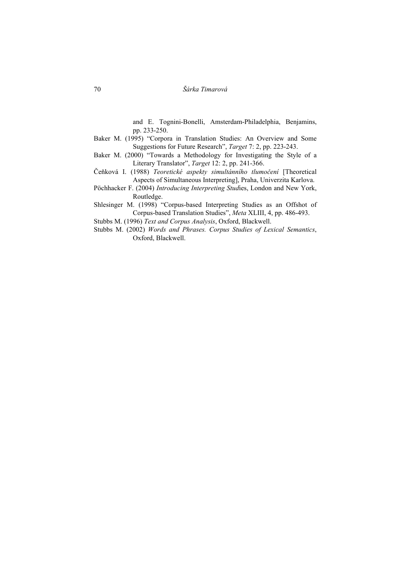and E. Tognini-Bonelli, Amsterdam-Philadelphia, Benjamins, pp. 233-250.

- Baker M. (1995) "Corpora in Translation Studies: An Overview and Some Suggestions for Future Research", *Target* 7: 2, pp. 223-243.
- Baker M. (2000) "Towards a Methodology for Investigating the Style of a Literary Translator", *Target* 12: 2, pp. 241-366.
- Čeňková I. (1988) *Teoretické aspekty simultánního tlumočení* [Theoretical Aspects of Simultaneous Interpreting], Praha, Univerzita Karlova.
- Pöchhacker F. (2004) *Introducing Interpreting Stud*ies, London and New York, Routledge.

Shlesinger M. (1998) "Corpus-based Interpreting Studies as an Offshot of Corpus-based Translation Studies", *Meta* XLIII, 4, pp. 486-493.

Stubbs M. (1996) *Text and Corpus Analysis*, Oxford, Blackwell.

Stubbs M. (2002) *Words and Phrases. Corpus Studies of Lexical Semantics*, Oxford, Blackwell.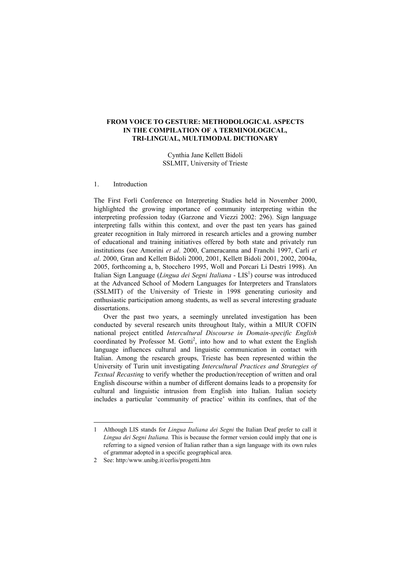## **FROM VOICE TO GESTURE: METHODOLOGICAL ASPECTS IN THE COMPILATION OF A TERMINOLOGICAL, TRI-LINGUAL, MULTIMODAL DICTIONARY**

Cynthia Jane Kellett Bidoli SSLMIT, University of Trieste

#### 1. Introduction

The First Forlì Conference on Interpreting Studies held in November 2000, highlighted the growing importance of community interpreting within the interpreting profession today (Garzone and Viezzi 2002: 296). Sign language interpreting falls within this context, and over the past ten years has gained greater recognition in Italy mirrored in research articles and a growing number of educational and training initiatives offered by both state and privately run institutions (see Amorini *et al*. 2000, Cameracanna and Franchi 1997, Carli *et al*. 2000, Gran and Kellett Bidoli 2000, 2001, Kellett Bidoli 2001, 2002, 2004a, 2005, forthcoming a, b, Stocchero 1995, Woll and Porcari Li Destri 1998). An Italian Sign Language (*Lingua dei Segni Italiana* - LIS<sup>1</sup>) course was introduced at the Advanced School of Modern Languages for Interpreters and Translators (SSLMIT) of the University of Trieste in 1998 generating curiosity and enthusiastic participation among students, as well as several interesting graduate dissertations.

Over the past two years, a seemingly unrelated investigation has been conducted by several research units throughout Italy, within a MIUR COFIN national project entitled *Intercultural Discourse in Domain-specific English*  coordinated by Professor M. Gotti<sup>2</sup>, into how and to what extent the English language influences cultural and linguistic communication in contact with Italian. Among the research groups, Trieste has been represented within the University of Turin unit investigating *Intercultural Practices and Strategies of Textual Recasting* to verify whether the production/reception of written and oral English discourse within a number of different domains leads to a propensity for cultural and linguistic intrusion from English into Italian. Italian society includes a particular 'community of practice' within its confines, that of the

<sup>1</sup> Although LIS stands for *Lingua Italiana dei Segni* the Italian Deaf prefer to call it *Lingua dei Segni Italiana.* This is because the former version could imply that one is referring to a signed version of Italian rather than a sign language with its own rules of grammar adopted in a specific geographical area.

<sup>2</sup> See: http:/www.unibg.it/cerlis/progetti.htm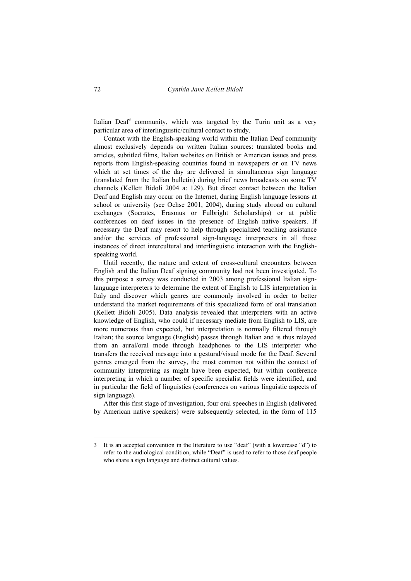Italian Deaf<sup>3</sup> community, which was targeted by the Turin unit as a very particular area of interlinguistic/cultural contact to study.

Contact with the English-speaking world within the Italian Deaf community almost exclusively depends on written Italian sources: translated books and articles, subtitled films, Italian websites on British or American issues and press reports from English-speaking countries found in newspapers or on TV news which at set times of the day are delivered in simultaneous sign language (translated from the Italian bulletin) during brief news broadcasts on some TV channels (Kellett Bidoli 2004 a: 129). But direct contact between the Italian Deaf and English may occur on the Internet, during English language lessons at school or university (see Ochse 2001, 2004), during study abroad on cultural exchanges (Socrates, Erasmus or Fulbright Scholarships) or at public conferences on deaf issues in the presence of English native speakers. If necessary the Deaf may resort to help through specialized teaching assistance and/or the services of professional sign-language interpreters in all those instances of direct intercultural and interlinguistic interaction with the Englishspeaking world.

Until recently, the nature and extent of cross-cultural encounters between English and the Italian Deaf signing community had not been investigated. To this purpose a survey was conducted in 2003 among professional Italian signlanguage interpreters to determine the extent of English to LIS interpretation in Italy and discover which genres are commonly involved in order to better understand the market requirements of this specialized form of oral translation (Kellett Bidoli 2005). Data analysis revealed that interpreters with an active knowledge of English, who could if necessary mediate from English to LIS, are more numerous than expected, but interpretation is normally filtered through Italian; the source language (English) passes through Italian and is thus relayed from an aural/oral mode through headphones to the LIS interpreter who transfers the received message into a gestural/visual mode for the Deaf. Several genres emerged from the survey, the most common not within the context of community interpreting as might have been expected, but within conference interpreting in which a number of specific specialist fields were identified, and in particular the field of linguistics (conferences on various linguistic aspects of sign language).

After this first stage of investigation, four oral speeches in English (delivered by American native speakers) were subsequently selected, in the form of 115

 $\overline{a}$ 

<sup>3</sup> It is an accepted convention in the literature to use "deaf" (with a lowercase "d") to refer to the audiological condition, while "Deaf" is used to refer to those deaf people who share a sign language and distinct cultural values.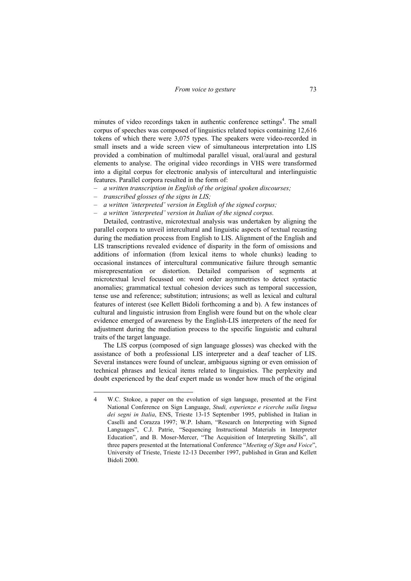minutes of video recordings taken in authentic conference settings<sup>4</sup>. The small corpus of speeches was composed of linguistics related topics containing 12,616 tokens of which there were 3,075 types. The speakers were video-recorded in small insets and a wide screen view of simultaneous interpretation into LIS provided a combination of multimodal parallel visual, oral/aural and gestural elements to analyse. The original video recordings in VHS were transformed into a digital corpus for electronic analysis of intercultural and interlinguistic features. Parallel corpora resulted in the form of:

- *a written transcription in English of the original spoken discourses;*
- *transcribed glosses of the signs in LIS;*

 $\overline{a}$ 

- *a written 'interpreted' version in English of the signed corpus;*
- *a written 'interpreted' version in Italian of the signed corpus.*

Detailed, contrastive, microtextual analysis was undertaken by aligning the parallel corpora to unveil intercultural and linguistic aspects of textual recasting during the mediation process from English to LIS. Alignment of the English and LIS transcriptions revealed evidence of disparity in the form of omissions and additions of information (from lexical items to whole chunks) leading to occasional instances of intercultural communicative failure through semantic misrepresentation or distortion. Detailed comparison of segments at microtextual level focussed on: word order asymmetries to detect syntactic anomalies; grammatical textual cohesion devices such as temporal succession, tense use and reference; substitution; intrusions; as well as lexical and cultural features of interest (see Kellett Bidoli forthcoming a and b). A few instances of cultural and linguistic intrusion from English were found but on the whole clear evidence emerged of awareness by the English-LIS interpreters of the need for adjustment during the mediation process to the specific linguistic and cultural traits of the target language.

The LIS corpus (composed of sign language glosses) was checked with the assistance of both a professional LIS interpreter and a deaf teacher of LIS. Several instances were found of unclear, ambiguous signing or even omission of technical phrases and lexical items related to linguistics. The perplexity and doubt experienced by the deaf expert made us wonder how much of the original

<sup>4</sup> W.C. Stokoe, a paper on the evolution of sign language, presented at the First National Conference on Sign Language, *Studi, esperienze e ricerche sulla lingua dei segni in Italia*, ENS, Trieste 13-15 September 1995, published in Italian in Caselli and Corazza 1997; W.P. Isham, "Research on Interpreting with Signed Languages", C.J. Patrie, "Sequencing Instructional Materials in Interpreter Education", and B. Moser-Mercer, "The Acquisition of Interpreting Skills", all three papers presented at the International Conference "*Meeting of Sign and Voice*", University of Trieste, Trieste 12-13 December 1997, published in Gran and Kellett Bidoli 2000.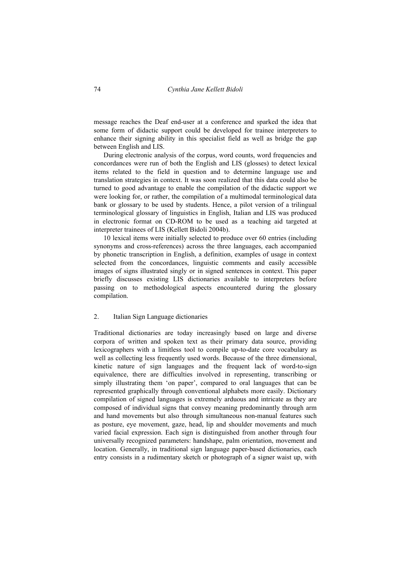message reaches the Deaf end-user at a conference and sparked the idea that some form of didactic support could be developed for trainee interpreters to enhance their signing ability in this specialist field as well as bridge the gap between English and LIS.

During electronic analysis of the corpus, word counts, word frequencies and concordances were run of both the English and LIS (glosses) to detect lexical items related to the field in question and to determine language use and translation strategies in context. It was soon realized that this data could also be turned to good advantage to enable the compilation of the didactic support we were looking for, or rather, the compilation of a multimodal terminological data bank or glossary to be used by students. Hence, a pilot version of a trilingual terminological glossary of linguistics in English, Italian and LIS was produced in electronic format on CD-ROM to be used as a teaching aid targeted at interpreter trainees of LIS (Kellett Bidoli 2004b).

10 lexical items were initially selected to produce over 60 entries (including synonyms and cross-references) across the three languages, each accompanied by phonetic transcription in English, a definition, examples of usage in context selected from the concordances, linguistic comments and easily accessible images of signs illustrated singly or in signed sentences in context. This paper briefly discusses existing LIS dictionaries available to interpreters before passing on to methodological aspects encountered during the glossary compilation.

## 2. Italian Sign Language dictionaries

Traditional dictionaries are today increasingly based on large and diverse corpora of written and spoken text as their primary data source, providing lexicographers with a limitless tool to compile up-to-date core vocabulary as well as collecting less frequently used words. Because of the three dimensional, kinetic nature of sign languages and the frequent lack of word-to-sign equivalence, there are difficulties involved in representing, transcribing or simply illustrating them 'on paper', compared to oral languages that can be represented graphically through conventional alphabets more easily. Dictionary compilation of signed languages is extremely arduous and intricate as they are composed of individual signs that convey meaning predominantly through arm and hand movements but also through simultaneous non-manual features such as posture, eye movement, gaze, head, lip and shoulder movements and much varied facial expression. Each sign is distinguished from another through four universally recognized parameters: handshape, palm orientation, movement and location. Generally, in traditional sign language paper-based dictionaries, each entry consists in a rudimentary sketch or photograph of a signer waist up, with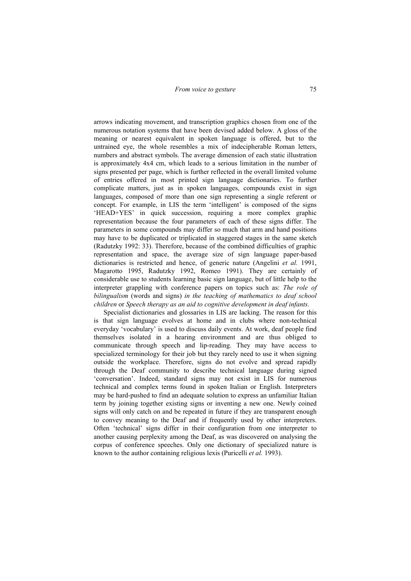arrows indicating movement, and transcription graphics chosen from one of the numerous notation systems that have been devised added below. A gloss of the meaning or nearest equivalent in spoken language is offered, but to the untrained eye, the whole resembles a mix of indecipherable Roman letters, numbers and abstract symbols. The average dimension of each static illustration is approximately 4x4 cm, which leads to a serious limitation in the number of signs presented per page, which is further reflected in the overall limited volume of entries offered in most printed sign language dictionaries. To further complicate matters, just as in spoken languages, compounds exist in sign languages, composed of more than one sign representing a single referent or concept. For example, in LIS the term 'intelligent' is composed of the signs 'HEAD+YES' in quick succession, requiring a more complex graphic representation because the four parameters of each of these signs differ. The parameters in some compounds may differ so much that arm and hand positions may have to be duplicated or triplicated in staggered stages in the same sketch (Radutzky 1992: 33). Therefore, because of the combined difficulties of graphic representation and space, the average size of sign language paper-based dictionaries is restricted and hence, of generic nature (Angelini *et al.* 1991, Magarotto 1995, Radutzky 1992, Romeo 1991). They are certainly of considerable use to students learning basic sign language, but of little help to the interpreter grappling with conference papers on topics such as: *The role of bilingualism* (words and signs) *in the teaching of mathematics to deaf school children* or *Speech therapy as an aid to cognitive development in deaf infants*.

Specialist dictionaries and glossaries in LIS are lacking. The reason for this is that sign language evolves at home and in clubs where non-technical everyday 'vocabulary' is used to discuss daily events. At work, deaf people find themselves isolated in a hearing environment and are thus obliged to communicate through speech and lip-reading. They may have access to specialized terminology for their job but they rarely need to use it when signing outside the workplace. Therefore, signs do not evolve and spread rapidly through the Deaf community to describe technical language during signed 'conversation'. Indeed, standard signs may not exist in LIS for numerous technical and complex terms found in spoken Italian or English. Interpreters may be hard-pushed to find an adequate solution to express an unfamiliar Italian term by joining together existing signs or inventing a new one. Newly coined signs will only catch on and be repeated in future if they are transparent enough to convey meaning to the Deaf and if frequently used by other interpreters. Often 'technical' signs differ in their configuration from one interpreter to another causing perplexity among the Deaf, as was discovered on analysing the corpus of conference speeches. Only one dictionary of specialized nature is known to the author containing religious lexis (Puricelli *et al.* 1993).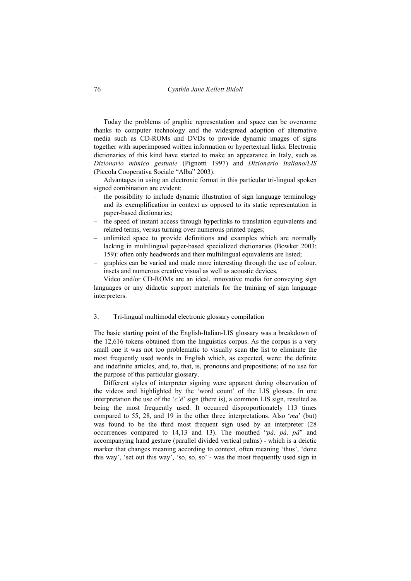Today the problems of graphic representation and space can be overcome thanks to computer technology and the widespread adoption of alternative media such as CD-ROMs and DVDs to provide dynamic images of signs together with superimposed written information or hypertextual links. Electronic dictionaries of this kind have started to make an appearance in Italy, such as *Dizionario mimico gestuale* (Pignotti 1997) and *Dizionario Italiano/LIS* (Piccola Cooperativa Sociale "Alba" 2003).

Advantages in using an electronic format in this particular tri-lingual spoken signed combination are evident:

- the possibility to include dynamic illustration of sign language terminology and its exemplification in context as opposed to its static representation in paper-based dictionaries;
- the speed of instant access through hyperlinks to translation equivalents and related terms, versus turning over numerous printed pages;
- unlimited space to provide definitions and examples which are normally lacking in multilingual paper-based specialized dictionaries (Bowker 2003: 159): often only headwords and their multilingual equivalents are listed;
- graphics can be varied and made more interesting through the use of colour, insets and numerous creative visual as well as acoustic devices.

Video and/or CD-ROMs are an ideal, innovative media for conveying sign languages or any didactic support materials for the training of sign language interpreters.

## 3. Tri-lingual multimodal electronic glossary compilation

The basic starting point of the English-Italian-LIS glossary was a breakdown of the 12,616 tokens obtained from the linguistics corpus. As the corpus is a very small one it was not too problematic to visually scan the list to eliminate the most frequently used words in English which, as expected, were: the definite and indefinite articles, and, to, that, is, pronouns and prepositions; of no use for the purpose of this particular glossary.

Different styles of interpreter signing were apparent during observation of the videos and highlighted by the 'word count' of the LIS glosses. In one interpretation the use of the '*c'è*' sign (there is), a common LIS sign, resulted as being the most frequently used. It occurred disproportionately 113 times compared to 55, 28, and 19 in the other three interpretations. Also '*ma*' (but) was found to be the third most frequent sign used by an interpreter (28 occurrences compared to 14,13 and 13). The mouthed "*pà, pà, pà*" and accompanying hand gesture (parallel divided vertical palms) - which is a deictic marker that changes meaning according to context, often meaning 'thus', 'done this way', 'set out this way', 'so, so, so' - was the most frequently used sign in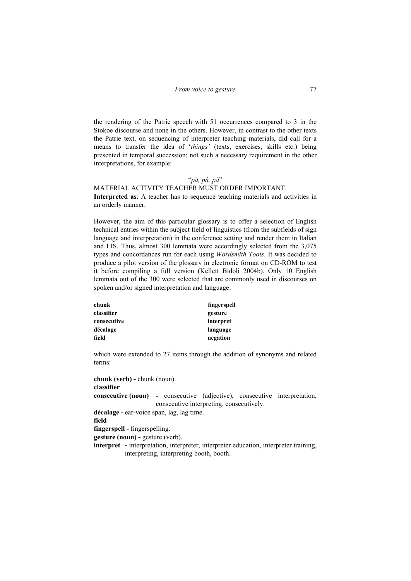the rendering of the Patrie speech with 51 occurrences compared to 3 in the Stokoe discourse and none in the others. However, in contrast to the other texts the Patrie text, on sequencing of interpreter teaching materials, did call for a means to transfer the idea of '*things'* (texts, exercises, skills etc.) being presented in temporal succession; not such a necessary requirement in the other interpretations, for example:

## "*pà, pà, pà*"

# MATERIAL ACTIVITY TEACHER MUST ORDER IMPORTANT.

**Interpreted as**: A teacher has to sequence teaching materials and activities in an orderly manner.

However, the aim of this particular glossary is to offer a selection of English technical entries within the subject field of linguistics (from the subfields of sign language and interpretation) in the conference setting and render them in Italian and LIS. Thus, almost 300 lemmata were accordingly selected from the 3,075 types and concordances run for each using *Wordsmith Tools*. It was decided to produce a pilot version of the glossary in electronic format on CD-ROM to test it before compiling a full version (Kellett Bidoli 2004b). Only 10 English lemmata out of the 300 were selected that are commonly used in discourses on spoken and/or signed interpretation and language:

| chunk       | fingerspell |
|-------------|-------------|
| classifier  | gesture     |
| consecutive | interpret   |
| décalage    | language    |
| field       | negation    |

which were extended to 27 items through the addition of synonyms and related terms:

**chunk (verb) -** chunk (noun). **classifier consecutive (noun) -** consecutive (adjective), consecutive interpretation, consecutive interpreting, consecutively. **décalage -** ear-voice span, lag, lag time. **field fingerspell -** fingerspelling. **gesture (noun) -** gesture (verb). **interpret** - interpretation, interpreter, interpreter education, interpreter training, interpreting, interpreting booth, booth.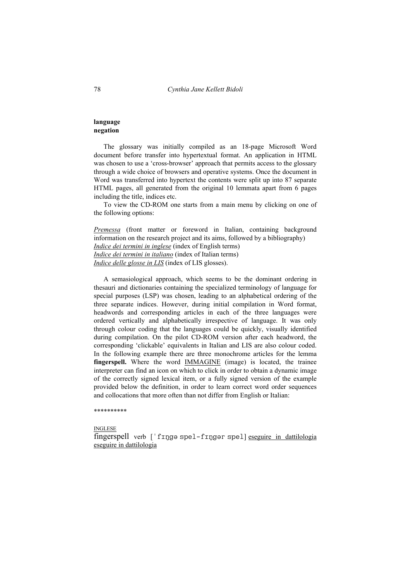# **language negation**

The glossary was initially compiled as an 18-page Microsoft Word document before transfer into hypertextual format. An application in HTML was chosen to use a 'cross-browser' approach that permits access to the glossary through a wide choice of browsers and operative systems. Once the document in Word was transferred into hypertext the contents were split up into 87 separate HTML pages, all generated from the original 10 lemmata apart from 6 pages including the title, indices etc.

To view the CD-ROM one starts from a main menu by clicking on one of the following options:

*Premessa* (front matter or foreword in Italian, containing background information on the research project and its aims, followed by a bibliography) *Indice dei termini in inglese* (index of English terms) *Indice dei termini in italiano* (index of Italian terms) *Indice delle glosse in LIS* (index of LIS glosses).

A semasiological approach, which seems to be the dominant ordering in thesauri and dictionaries containing the specialized terminology of language for special purposes (LSP) was chosen, leading to an alphabetical ordering of the three separate indices. However, during initial compilation in Word format, headwords and corresponding articles in each of the three languages were ordered vertically and alphabetically irrespective of language. It was only through colour coding that the languages could be quickly, visually identified during compilation. On the pilot CD-ROM version after each headword, the corresponding 'clickable' equivalents in Italian and LIS are also colour coded. In the following example there are three monochrome articles for the lemma **fingerspell.** Where the word IMMAGINE (image) is located, the trainee interpreter can find an icon on which to click in order to obtain a dynamic image of the correctly signed lexical item, or a fully signed version of the example provided below the definition, in order to learn correct word order sequences and collocations that more often than not differ from English or Italian:

#### \*\*\*\*\*\*\*\*\*\*

INGLESE fingerspell verb  $\lceil \cdot \text{f} \cdot \text{f} \cdot \text{f} \cdot \text{f} \cdot \text{f} \cdot \text{f} \cdot \text{f} \cdot \text{f} \cdot \text{f} \cdot \text{f} \cdot \text{f} \cdot \text{f} \cdot \text{f} \cdot \text{f} \cdot \text{f} \cdot \text{f} \cdot \text{f} \cdot \text{f} \cdot \text{f} \cdot \text{f} \cdot \text{f} \cdot \text{f} \cdot \text{f} \cdot \text{f} \cdot \text{f} \cdot \text{f} \cdot \text{f} \cdot \text{f} \cdot \text$ eseguire in dattilologia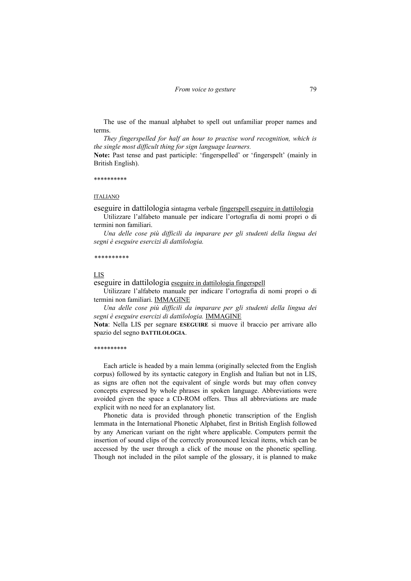The use of the manual alphabet to spell out unfamiliar proper names and terms.

*They fingerspelled for half an hour to practise word recognition, which is the single most difficult thing for sign language learners.* 

**Note:** Past tense and past participle: 'fingerspelled' or 'fingerspelt' (mainly in British English).

\*\*\*\*\*\*\*\*\*\*

#### ITALIANO

eseguire in dattilologia sintagma verbale fingerspell eseguire in dattilologia

Utilizzare l'alfabeto manuale per indicare l'ortografia di nomi propri o di termini non familiari.

*Una delle cose più difficili da imparare per gli studenti della lingua dei segni è eseguire esercizi di dattilologia.* 

#### *\*\*\*\*\*\*\*\*\*\**

#### LIS

eseguire in dattilologia eseguire in dattilologia fingerspell

Utilizzare l'alfabeto manuale per indicare l'ortografia di nomi propri o di termini non familiari. IMMAGINE

*Una delle cose più difficili da imparare per gli studenti della lingua dei segni è eseguire esercizi di dattilologia.* IMMAGINE

**Nota**: Nella LIS per segnare **ESEGUIRE** si muove il braccio per arrivare allo spazio del segno **DATTILOLOGIA**.

#### \*\*\*\*\*\*\*\*\*\*

Each article is headed by a main lemma (originally selected from the English corpus) followed by its syntactic category in English and Italian but not in LIS, as signs are often not the equivalent of single words but may often convey concepts expressed by whole phrases in spoken language. Abbreviations were avoided given the space a CD-ROM offers. Thus all abbreviations are made explicit with no need for an explanatory list.

Phonetic data is provided through phonetic transcription of the English lemmata in the International Phonetic Alphabet, first in British English followed by any American variant on the right where applicable. Computers permit the insertion of sound clips of the correctly pronounced lexical items, which can be accessed by the user through a click of the mouse on the phonetic spelling. Though not included in the pilot sample of the glossary, it is planned to make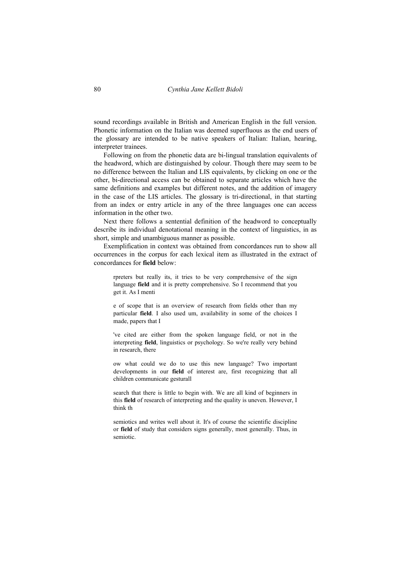sound recordings available in British and American English in the full version. Phonetic information on the Italian was deemed superfluous as the end users of the glossary are intended to be native speakers of Italian: Italian, hearing, interpreter trainees.

Following on from the phonetic data are bi-lingual translation equivalents of the headword, which are distinguished by colour. Though there may seem to be no difference between the Italian and LIS equivalents, by clicking on one or the other, bi-directional access can be obtained to separate articles which have the same definitions and examples but different notes, and the addition of imagery in the case of the LIS articles. The glossary is tri-directional, in that starting from an index or entry article in any of the three languages one can access information in the other two.

Next there follows a sentential definition of the headword to conceptually describe its individual denotational meaning in the context of linguistics, in as short, simple and unambiguous manner as possible.

Exemplification in context was obtained from concordances run to show all occurrences in the corpus for each lexical item as illustrated in the extract of concordances for **field** below:

rpreters but really its, it tries to be very comprehensive of the sign language **field** and it is pretty comprehensive. So I recommend that you get it. As I menti

e of scope that is an overview of research from fields other than my particular **field**. I also used um, availability in some of the choices I made, papers that I

've cited are either from the spoken language field, or not in the interpreting **field**, linguistics or psychology. So we're really very behind in research, there

ow what could we do to use this new language? Two important developments in our **field** of interest are, first recognizing that all children communicate gesturall

search that there is little to begin with. We are all kind of beginners in this **field** of research of interpreting and the quality is uneven. However, I think th

semiotics and writes well about it. It's of course the scientific discipline or **field** of study that considers signs generally, most generally. Thus, in semiotic.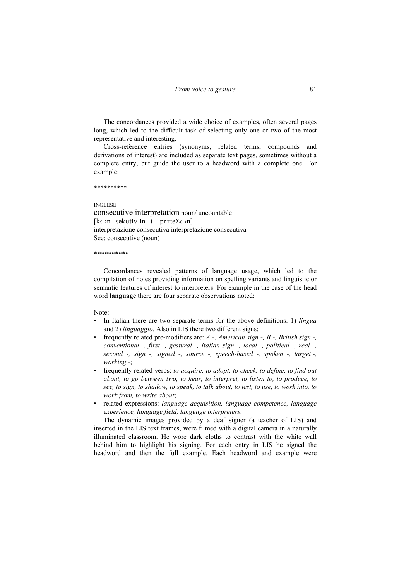The concordances provided a wide choice of examples, often several pages long, which led to the difficult task of selecting only one or two of the most representative and interesting.

Cross-reference entries (synonyms, related terms, compounds and derivations of interest) are included as separate text pages, sometimes without a complete entry, but guide the user to a headword with a complete one. For example:

\*\*\*\*\*\*\*\*\*\*

INGLESE consecutive interpretation noun/ uncountable  $[k \leftrightarrow n$  sekutly  $[n \ t \ prite \Sigma \leftrightarrow n]$ interpretazione consecutiva interpretazione consecutiva See: consecutive (noun)

\**\*\*\*\*\*\*\*\*\** 

Concordances revealed patterns of language usage, which led to the compilation of notes providing information on spelling variants and linguistic or semantic features of interest to interpreters. For example in the case of the head word **language** there are four separate observations noted:

Note:

- In Italian there are two separate terms for the above definitions: 1) *lingua* and 2) *linguaggio*. Also in LIS there two different signs;
- frequently related pre-modifiers are: *A -, American sign -, B -, British sign -, conventional -, first -, gestural -, Italian sign -, local -, political -, real -, second -, sign -, signed -, source -, speech-based -, spoken -, target -, working -*;
- frequently related verbs: *to acquire, to adopt, to check, to define, to find out about, to go between two, to hear, to interpret, to listen to, to produce, to see, to sign, to shadow, to speak, to talk about, to test, to use, to work into, to work from, to write about*;
- related expressions: *language acquisition, language competence, language experience, language field, language interpreters*.

The dynamic images provided by a deaf signer (a teacher of LIS) and inserted in the LIS text frames, were filmed with a digital camera in a naturally illuminated classroom. He wore dark cloths to contrast with the white wall behind him to highlight his signing. For each entry in LIS he signed the headword and then the full example. Each headword and example were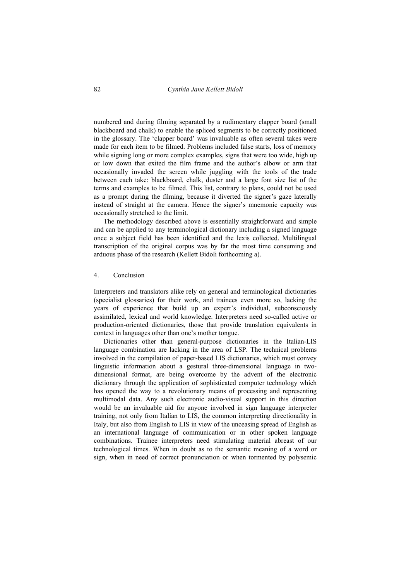numbered and during filming separated by a rudimentary clapper board (small blackboard and chalk) to enable the spliced segments to be correctly positioned in the glossary. The 'clapper board' was invaluable as often several takes were made for each item to be filmed. Problems included false starts, loss of memory while signing long or more complex examples, signs that were too wide, high up or low down that exited the film frame and the author's elbow or arm that occasionally invaded the screen while juggling with the tools of the trade between each take: blackboard, chalk, duster and a large font size list of the terms and examples to be filmed. This list, contrary to plans, could not be used as a prompt during the filming, because it diverted the signer's gaze laterally instead of straight at the camera. Hence the signer's mnemonic capacity was occasionally stretched to the limit.

The methodology described above is essentially straightforward and simple and can be applied to any terminological dictionary including a signed language once a subject field has been identified and the lexis collected. Multilingual transcription of the original corpus was by far the most time consuming and arduous phase of the research (Kellett Bidoli forthcoming a).

## 4. Conclusion

Interpreters and translators alike rely on general and terminological dictionaries (specialist glossaries) for their work, and trainees even more so, lacking the years of experience that build up an expert's individual, subconsciously assimilated, lexical and world knowledge. Interpreters need so-called active or production-oriented dictionaries, those that provide translation equivalents in context in languages other than one's mother tongue.

Dictionaries other than general-purpose dictionaries in the Italian-LIS language combination are lacking in the area of LSP. The technical problems involved in the compilation of paper-based LIS dictionaries, which must convey linguistic information about a gestural three-dimensional language in twodimensional format, are being overcome by the advent of the electronic dictionary through the application of sophisticated computer technology which has opened the way to a revolutionary means of processing and representing multimodal data. Any such electronic audio-visual support in this direction would be an invaluable aid for anyone involved in sign language interpreter training, not only from Italian to LIS, the common interpreting directionality in Italy, but also from English to LIS in view of the unceasing spread of English as an international language of communication or in other spoken language combinations. Trainee interpreters need stimulating material abreast of our technological times. When in doubt as to the semantic meaning of a word or sign, when in need of correct pronunciation or when tormented by polysemic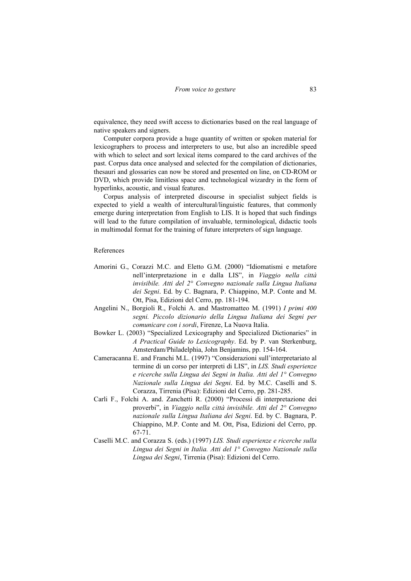equivalence, they need swift access to dictionaries based on the real language of native speakers and signers.

Computer corpora provide a huge quantity of written or spoken material for lexicographers to process and interpreters to use, but also an incredible speed with which to select and sort lexical items compared to the card archives of the past. Corpus data once analysed and selected for the compilation of dictionaries, thesauri and glossaries can now be stored and presented on line, on CD-ROM or DVD, which provide limitless space and technological wizardry in the form of hyperlinks, acoustic, and visual features.

Corpus analysis of interpreted discourse in specialist subject fields is expected to yield a wealth of intercultural/linguistic features, that commonly emerge during interpretation from English to LIS. It is hoped that such findings will lead to the future compilation of invaluable, terminological, didactic tools in multimodal format for the training of future interpreters of sign language.

#### References

- Amorini G., Corazzi M.C. and Eletto G.M. (2000) "Idiomatismi e metafore nell'interpretazione in e dalla LIS", in *Viaggio nella città invisibile. Atti del 2° Convegno nazionale sulla Lingua Italiana dei Segni*. Ed. by C. Bagnara, P. Chiappino, M.P. Conte and M. Ott, Pisa, Edizioni del Cerro, pp. 181-194.
- Angelini N., Borgioli R., Folchi A. and Mastromatteo M. (1991) *I primi 400 segni. Piccolo dizionario della Lingua Italiana dei Segni per comunicare con i sordi*, Firenze, La Nuova Italia.
- Bowker L. (2003) "Specialized Lexicography and Specialized Dictionaries" in *A Practical Guide to Lexicography*. Ed. by P. van Sterkenburg, Amsterdam/Philadelphia, John Benjamins, pp. 154-164.
- Cameracanna E. and Franchi M.L. (1997) "Considerazioni sull'interpretariato al termine di un corso per interpreti di LIS", in *LIS. Studi esperienze e ricerche sulla Lingua dei Segni in Italia. Atti del 1° Convegno Nazionale sulla Lingua dei Segni*. Ed. by M.C. Caselli and S. Corazza, Tirrenia (Pisa): Edizioni del Cerro, pp. 281-285.
- Carli F., Folchi A. and. Zanchetti R. (2000) "Processi di interpretazione dei proverbi", in *Viaggio nella città invisibile. Atti del 2° Convegno nazionale sulla Lingua Italiana dei Segni*. Ed. by C. Bagnara, P. Chiappino, M.P. Conte and M. Ott, Pisa, Edizioni del Cerro, pp. 67-71.
- Caselli M.C. and Corazza S. (eds.) (1997) *LIS. Studi esperienze e ricerche sulla Lingua dei Segni in Italia. Atti del 1° Convegno Nazionale sulla Lingua dei Segni*, Tirrenia (Pisa): Edizioni del Cerro.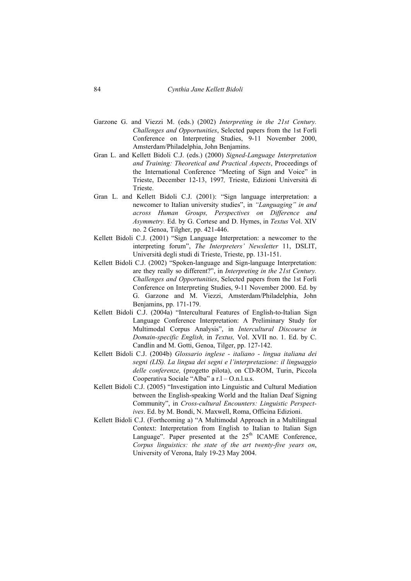- Garzone G. and Viezzi M. (eds.) (2002) *Interpreting in the 21st Century. Challenges and Opportunities*, Selected papers from the 1st Forlì Conference on Interpreting Studies, 9-11 November 2000, Amsterdam/Philadelphia, John Benjamins.
- Gran L. and Kellett Bidoli C.J. (eds.) (2000) *Signed-Language Interpretation and Training: Theoretical and Practical Aspects*, Proceedings of the International Conference "Meeting of Sign and Voice" in Trieste, December 12-13, 1997*,* Trieste, Edizioni Università di Trieste.
- Gran L. and Kellett Bidoli C.J. (2001): "Sign language interpretation: a newcomer to Italian university studies", in *"Languaging" in and across Human Groups, Perspectives on Difference and Asymmetry.* Ed. by G. Cortese and D. Hymes, in *Textus* Vol. XIV no. 2 Genoa, Tilgher, pp. 421-446.
- Kellett Bidoli C.J. (2001) "Sign Language Interpretation: a newcomer to the interpreting forum", *The Interpreters' Newsletter* 11, DSLIT, Università degli studi di Trieste, Trieste, pp. 131-151.
- Kellett Bidoli C.J. (2002) "Spoken-language and Sign-language Interpretation: are they really so different?", in *Interpreting in the 21st Century. Challenges and Opportunities*, Selected papers from the 1st Forlì Conference on Interpreting Studies, 9-11 November 2000. Ed. by G. Garzone and M. Viezzi, Amsterdam/Philadelphia, John Benjamins, pp. 171-179.
- Kellett Bidoli C.J. (2004a) "Intercultural Features of English-to-Italian Sign Language Conference Interpretation: A Preliminary Study for Multimodal Corpus Analysis", in *Intercultural Discourse in Domain-specific English,* in *Textus,* Vol. XVII no. 1. Ed. by C. Candlin and M. Gotti, Genoa, Tilger, pp. 127-142.
- Kellett Bidoli C.J. (2004b) *Glossario inglese italiano lingua italiana dei segni (LIS). La lingua dei segni e l'interpretazione: il linguaggio delle conferenze,* (progetto pilota), on CD-ROM, Turin, Piccola Cooperativa Sociale "Alba" a r.l – O.n.l.u.s.
- Kellett Bidoli C.J. (2005) "Investigation into Linguistic and Cultural Mediation between the English-speaking World and the Italian Deaf Signing Community", in *Cross-cultural Encounters: Linguistic Perspectives*. Ed. by M. Bondi, N. Maxwell, Roma, Officina Edizioni.
- Kellett Bidoli C.J. (Forthcoming a) "A Multimodal Approach in a Multilingual Context: Interpretation from English to Italian to Italian Sign Language". Paper presented at the  $25<sup>th</sup>$  ICAME Conference, *Corpus linguistics: the state of the art twenty-five years on*, University of Verona, Italy 19-23 May 2004.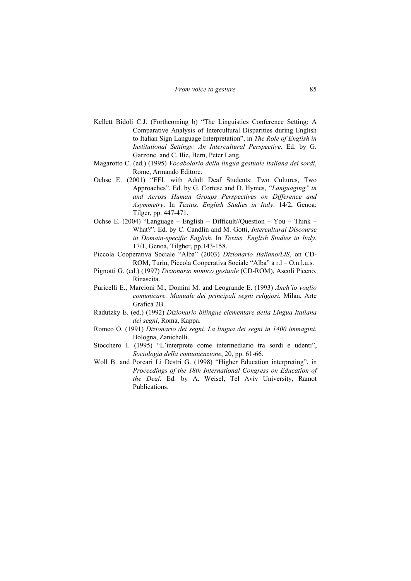- Kellett Bidoli C.J. (Forthcoming b) "The Linguistics Conference Setting: A Comparative Analysis of Intercultural Disparities during English to Italian Sign Language Interpretation", in *The Role of English in Institutional Settings: An Intercultural Perspective*. Ed. by G. Garzone. and C. Ilie, Bern, Peter Lang.
- Magarotto C. (ed.) (1995) *Vocabolario della lingua gestuale italiana dei sordi*, Rome, Armando Editore.
- Ochse E. (2001) "EFL with Adult Deaf Students: Two Cultures, Two Approaches". Ed. by G. Cortese and D. Hymes, *"Languaging" in and Across Human Groups Perspectives on Difference and Asymmetry*. In *Textus. English Studies in Italy*. 14/2, Genoa: Tilger, pp. 447-471.
- Ochse E. (2004) "Language English Difficult//Question You Think What?". Ed. by C. Candlin and M. Gotti, *Intercultural Discourse in Domain-specific English*. In *Textus. English Studies in Italy*. 17/1, Genoa, Tilgher, pp.143-158.
- Piccola Cooperativa Sociale "Alba" (2003) *Dizionario Italiano/LIS*, on CD-ROM, Turin, Piccola Cooperativa Sociale "Alba" a r.l – O.n.l.u.s.
- Pignotti G. (ed.) (1997) *Dizionario mimico gestuale* (CD-ROM), Ascoli Piceno, Rinascita.
- Puricelli E., Marcioni M., Domini M. and Leogrande E. (1993) *Anch'io voglio comunicare. Manuale dei principali segni religiosi*, Milan, Arte Grafica 2B.
- Radutzky E. (ed.) (1992) *Dizionario bilingue elementare della Lingua Italiana dei segni*, Roma, Kappa.
- Romeo O. (1991) *Dizionario dei segni. La lingua dei segni in 1400 immagini*, Bologna, Zanichelli.
- Stocchero I. (1995) "L'interprete come intermediario tra sordi e udenti", *Sociologia della comunicazione*, 20, pp. 61-66.
- Woll B. and Porcari Li Destri G. (1998) "Higher Education interpreting", in *Proceedings of the 18th International Congress on Education of the Deaf*. Ed. by A. Weisel, Tel Aviv University, Ramot Publications.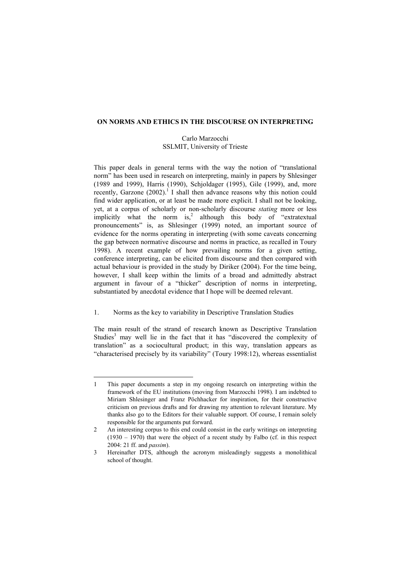#### **ON NORMS AND ETHICS IN THE DISCOURSE ON INTERPRETING**

## Carlo Marzocchi SSLMIT, University of Trieste

This paper deals in general terms with the way the notion of "translational norm" has been used in research on interpreting, mainly in papers by Shlesinger (1989 and 1999), Harris (1990), Schjoldager (1995), Gile (1999), and, more recently, Garzone  $(2002)$ .<sup>1</sup> I shall then advance reasons why this notion could find wider application, or at least be made more explicit. I shall not be looking, yet, at a corpus of scholarly or non-scholarly discourse *stating* more or less implicitly what the norm is,<sup>2</sup> although this body of "extratextual" pronouncements" is, as Shlesinger (1999) noted, an important source of evidence for the norms operating in interpreting (with some caveats concerning the gap between normative discourse and norms in practice, as recalled in Toury 1998). A recent example of how prevailing norms for a given setting, conference interpreting, can be elicited from discourse and then compared with actual behaviour is provided in the study by Diriker (2004). For the time being, however, I shall keep within the limits of a broad and admittedly abstract argument in favour of a "thicker" description of norms in interpreting, substantiated by anecdotal evidence that I hope will be deemed relevant.

# 1. Norms as the key to variability in Descriptive Translation Studies

The main result of the strand of research known as Descriptive Translation Studies<sup>3</sup> may well lie in the fact that it has "discovered the complexity of translation" as a sociocultural product; in this way, translation appears as "characterised precisely by its variability" (Toury 1998:12), whereas essentialist

<sup>1</sup> This paper documents a step in my ongoing research on interpreting within the framework of the EU institutions (moving from Marzocchi 1998). I am indebted to Miriam Shlesinger and Franz Pöchhacker for inspiration, for their constructive criticism on previous drafts and for drawing my attention to relevant literature. My thanks also go to the Editors for their valuable support. Of course, I remain solely responsible for the arguments put forward.

<sup>2</sup> An interesting corpus to this end could consist in the early writings on interpreting  $(1930 - 1970)$  that were the object of a recent study by Falbo (cf. in this respect 2004: 21 ff. and *passim*).

<sup>3</sup> Hereinafter DTS, although the acronym misleadingly suggests a monolithical school of thought.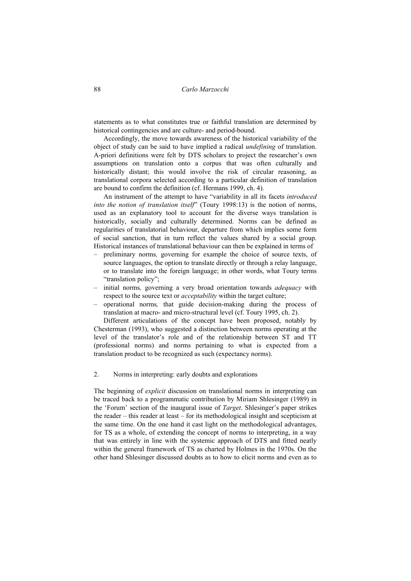statements as to what constitutes true or faithful translation are determined by historical contingencies and are culture- and period-bound.

Accordingly, the move towards awareness of the historical variability of the object of study can be said to have implied a radical *undefining* of translation. A-priori definitions were felt by DTS scholars to project the researcher's own assumptions on translation onto a corpus that was often culturally and historically distant; this would involve the risk of circular reasoning, as translational corpora selected according to a particular definition of translation are bound to confirm the definition (cf. Hermans 1999, ch. 4).

An instrument of the attempt to have "variability in all its facets *introduced into the notion of translation itself*" (Toury 1998:13) is the notion of norms, used as an explanatory tool to account for the diverse ways translation is historically, socially and culturally determined. Norms can be defined as regularities of translatorial behaviour, departure from which implies some form of social sanction, that in turn reflect the values shared by a social group. Historical instances of translational behaviour can then be explained in terms of

- preliminary norms*,* governing for example the choice of source texts, of source languages, the option to translate directly or through a relay language, or to translate into the foreign language; in other words, what Toury terms "translation policy";
- initial norms*,* governing a very broad orientation towards *adequacy* with respect to the source text or *acceptability* within the target culture;
- operational norms*,* that guide decision-making during the process of translation at macro- and micro-structural level (cf. Toury 1995, ch. 2).

Different articulations of the concept have been proposed, notably by Chesterman (1993), who suggested a distinction between norms operating at the level of the translator's role and of the relationship between ST and TT (professional norms) and norms pertaining to what is expected from a translation product to be recognized as such (expectancy norms).

## 2. Norms in interpreting: early doubts and explorations

The beginning of *explicit* discussion on translational norms in interpreting can be traced back to a programmatic contribution by Miriam Shlesinger (1989) in the 'Forum' section of the inaugural issue of *Target*. Shlesinger's paper strikes the reader – this reader at least – for its methodological insight and scepticism at the same time. On the one hand it cast light on the methodological advantages, for TS as a whole, of extending the concept of norms to interpreting, in a way that was entirely in line with the systemic approach of DTS and fitted neatly within the general framework of TS as charted by Holmes in the 1970s. On the other hand Shlesinger discussed doubts as to how to elicit norms and even as to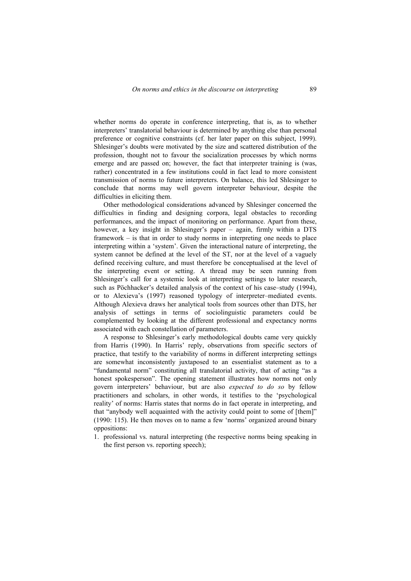whether norms do operate in conference interpreting, that is, as to whether interpreters' translatorial behaviour is determined by anything else than personal preference or cognitive constraints (cf. her later paper on this subject, 1999). Shlesinger's doubts were motivated by the size and scattered distribution of the profession, thought not to favour the socialization processes by which norms emerge and are passed on; however, the fact that interpreter training is (was, rather) concentrated in a few institutions could in fact lead to more consistent transmission of norms to future interpreters. On balance, this led Shlesinger to conclude that norms may well govern interpreter behaviour, despite the difficulties in eliciting them.

Other methodological considerations advanced by Shlesinger concerned the difficulties in finding and designing corpora, legal obstacles to recording performances, and the impact of monitoring on performance. Apart from these, however, a key insight in Shlesinger's paper – again, firmly within a DTS framework – is that in order to study norms in interpreting one needs to place interpreting within a 'system'. Given the interactional nature of interpreting, the system cannot be defined at the level of the ST, nor at the level of a vaguely defined receiving culture, and must therefore be conceptualised at the level of the interpreting event or setting. A thread may be seen running from Shlesinger's call for a systemic look at interpreting settings to later research, such as Pöchhacker's detailed analysis of the context of his case–study (1994), or to Alexieva's (1997) reasoned typology of interpreter–mediated events. Although Alexieva draws her analytical tools from sources other than DTS, her analysis of settings in terms of sociolinguistic parameters could be complemented by looking at the different professional and expectancy norms associated with each constellation of parameters.

A response to Shlesinger's early methodological doubts came very quickly from Harris (1990). In Harris' reply, observations from specific sectors of practice, that testify to the variability of norms in different interpreting settings are somewhat inconsistently juxtaposed to an essentialist statement as to a "fundamental norm" constituting all translatorial activity, that of acting "as a honest spokesperson". The opening statement illustrates how norms not only govern interpreters' behaviour, but are also *expected to do so* by fellow practitioners and scholars, in other words, it testifies to the 'psychological reality' of norms: Harris states that norms do in fact operate in interpreting, and that "anybody well acquainted with the activity could point to some of [them]" (1990: 115). He then moves on to name a few 'norms' organized around binary oppositions:

1. professional vs. natural interpreting (the respective norms being speaking in the first person vs. reporting speech);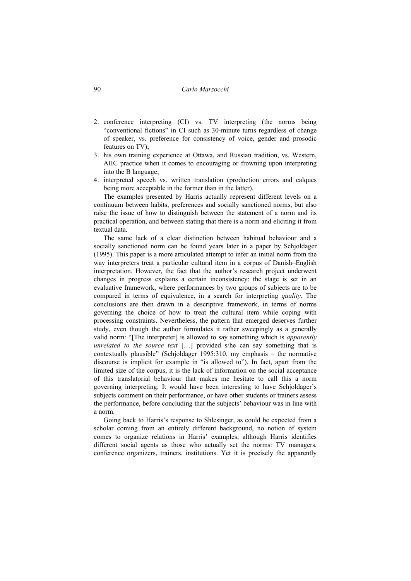- 2. conference interpreting (CI) vs. TV interpreting (the norms being "conventional fictions" in CI such as 30-minute turns regardless of change of speaker, vs. preference for consistency of voice, gender and prosodic features on TV);
- 3. his own training experience at Ottawa, and Russian tradition, vs. Western, AIIC practice when it comes to encouraging or frowning upon interpreting into the B language;
- 4. interpreted speech vs. written translation (production errors and calques being more acceptable in the former than in the latter).

The examples presented by Harris actually represent different levels on a continuum between habits, preferences and socially sanctioned norms, but also raise the issue of how to distinguish between the statement of a norm and its practical operation, and between stating that there is a norm and eliciting it from textual data.

The same lack of a clear distinction between habitual behaviour and a socially sanctioned norm can be found years later in a paper by Schjoldager (1995). This paper is a more articulated attempt to infer an initial norm from the way interpreters treat a particular cultural item in a corpus of Danish–English interpretation. However, the fact that the author's research project underwent changes in progress explains a certain inconsistency: the stage is set in an evaluative framework, where performances by two groups of subjects are to be compared in terms of equivalence, in a search for interpreting *quality*. The conclusions are then drawn in a descriptive framework, in terms of norms governing the choice of how to treat the cultural item while coping with processing constraints. Nevertheless, the pattern that emerged deserves further study, even though the author formulates it rather sweepingly as a generally valid norm: "[The interpreter] is allowed to say something which is *apparently unrelated to the source text* […] provided s/he can say something that is contextually plausible" (Schjoldager 1995:310, my emphasis – the normative discourse is implicit for example in "is allowed to"). In fact, apart from the limited size of the corpus, it is the lack of information on the social acceptance of this translatorial behaviour that makes me hesitate to call this a norm governing interpreting. It would have been interesting to have Schjoldager's subjects comment on their performance, or have other students or trainers assess the performance, before concluding that the subjects' behaviour was in line with a norm.

Going back to Harris's response to Shlesinger, as could be expected from a scholar coming from an entirely different background, no notion of system comes to organize relations in Harris' examples, although Harris identifies different social agents as those who actually set the norms: TV managers, conference organizers, trainers, institutions. Yet it is precisely the apparently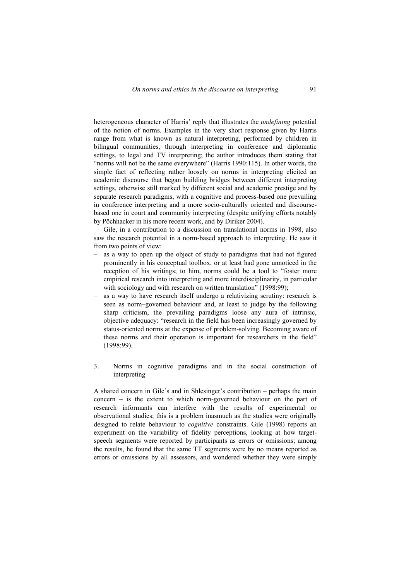heterogeneous character of Harris' reply that illustrates the *undefining* potential of the notion of norms. Examples in the very short response given by Harris range from what is known as natural interpreting, performed by children in bilingual communities, through interpreting in conference and diplomatic settings, to legal and TV interpreting; the author introduces them stating that "norms will not be the same everywhere" (Harris 1990:115). In other words, the simple fact of reflecting rather loosely on norms in interpreting elicited an academic discourse that began building bridges between different interpreting settings, otherwise still marked by different social and academic prestige and by separate research paradigms, with a cognitive and process-based one prevailing in conference interpreting and a more socio-culturally oriented and discoursebased one in court and community interpreting (despite unifying efforts notably by Pöchhacker in his more recent work, and by Diriker 2004).

Gile, in a contribution to a discussion on translational norms in 1998, also saw the research potential in a norm-based approach to interpreting. He saw it from two points of view:

- as a way to open up the object of study to paradigms that had not figured prominently in his conceptual toolbox, or at least had gone unnoticed in the reception of his writings; to him, norms could be a tool to "foster more empirical research into interpreting and more interdisciplinarity, in particular with sociology and with research on written translation" (1998:99);
- as a way to have research itself undergo a relativizing scrutiny: research is seen as norm–governed behaviour and, at least to judge by the following sharp criticism, the prevailing paradigms loose any aura of intrinsic, objective adequacy: "research in the field has been increasingly governed by status-oriented norms at the expense of problem-solving. Becoming aware of these norms and their operation is important for researchers in the field" (1998:99).
- 3. Norms in cognitive paradigms and in the social construction of interpreting

A shared concern in Gile's and in Shlesinger's contribution – perhaps the main concern – is the extent to which norm-governed behaviour on the part of research informants can interfere with the results of experimental or observational studies; this is a problem inasmuch as the studies were originally designed to relate behaviour to *cognitive* constraints. Gile (1998) reports an experiment on the variability of fidelity perceptions, looking at how targetspeech segments were reported by participants as errors or omissions; among the results, he found that the same TT segments were by no means reported as errors or omissions by all assessors, and wondered whether they were simply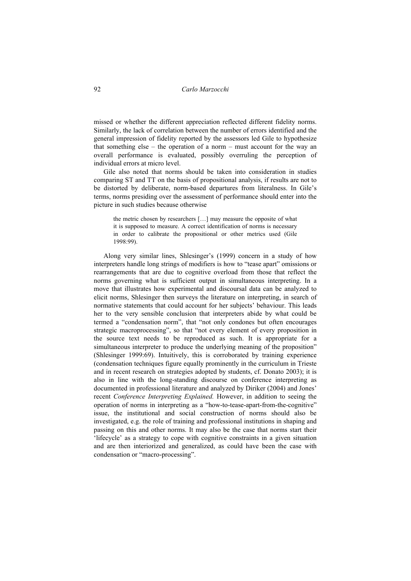missed or whether the different appreciation reflected different fidelity norms. Similarly, the lack of correlation between the number of errors identified and the general impression of fidelity reported by the assessors led Gile to hypothesize that something else – the operation of a norm – must account for the way an overall performance is evaluated, possibly overruling the perception of individual errors at micro level.

Gile also noted that norms should be taken into consideration in studies comparing ST and TT on the basis of propositional analysis, if results are not to be distorted by deliberate, norm-based departures from literalness. In Gile's terms, norms presiding over the assessment of performance should enter into the picture in such studies because otherwise

the metric chosen by researchers […] may measure the opposite of what it is supposed to measure. A correct identification of norms is necessary in order to calibrate the propositional or other metrics used (Gile 1998:99).

Along very similar lines, Shlesinger's (1999) concern in a study of how interpreters handle long strings of modifiers is how to "tease apart" omissions or rearrangements that are due to cognitive overload from those that reflect the norms governing what is sufficient output in simultaneous interpreting. In a move that illustrates how experimental and discoursal data can be analyzed to elicit norms, Shlesinger then surveys the literature on interpreting, in search of normative statements that could account for her subjects' behaviour. This leads her to the very sensible conclusion that interpreters abide by what could be termed a "condensation norm", that "not only condones but often encourages strategic macroprocessing", so that "not every element of every proposition in the source text needs to be reproduced as such. It is appropriate for a simultaneous interpreter to produce the underlying meaning of the proposition" (Shlesinger 1999:69). Intuitively, this is corroborated by training experience (condensation techniques figure equally prominently in the curriculum in Trieste and in recent research on strategies adopted by students, cf. Donato 2003); it is also in line with the long-standing discourse on conference interpreting as documented in professional literature and analyzed by Diriker (2004) and Jones' recent *Conference Interpreting Explained.* However, in addition to seeing the operation of norms in interpreting as a "how-to-tease-apart-from-the-cognitive" issue, the institutional and social construction of norms should also be investigated, e.g. the role of training and professional institutions in shaping and passing on this and other norms. It may also be the case that norms start their 'lifecycle' as a strategy to cope with cognitive constraints in a given situation and are then interiorized and generalized, as could have been the case with condensation or "macro-processing".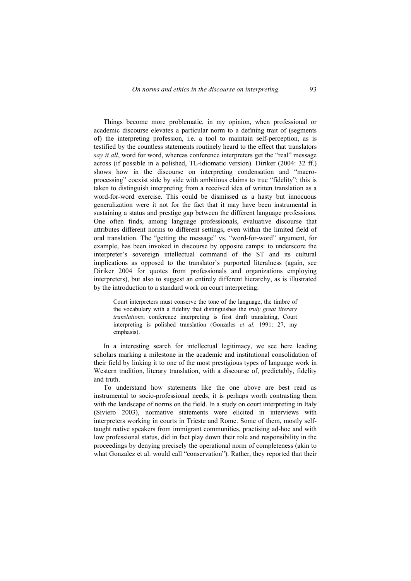Things become more problematic, in my opinion, when professional or academic discourse elevates a particular norm to a defining trait of (segments of) the interpreting profession, i.e. a tool to maintain self-perception, as is testified by the countless statements routinely heard to the effect that translators *say it all*, word for word, whereas conference interpreters get the "real" message across (if possible in a polished, TL-idiomatic version). Diriker (2004: 32 ff.) shows how in the discourse on interpreting condensation and "macroprocessing" coexist side by side with ambitious claims to true "fidelity"; this is taken to distinguish interpreting from a received idea of written translation as a word-for-word exercise. This could be dismissed as a hasty but innocuous generalization were it not for the fact that it may have been instrumental in sustaining a status and prestige gap between the different language professions. One often finds, among language professionals, evaluative discourse that attributes different norms to different settings, even within the limited field of oral translation. The "getting the message" vs. "word-for-word" argument, for example, has been invoked in discourse by opposite camps: to underscore the interpreter's sovereign intellectual command of the ST and its cultural implications as opposed to the translator's purported literalness (again, see Diriker 2004 for quotes from professionals and organizations employing interpreters), but also to suggest an entirely different hierarchy, as is illustrated by the introduction to a standard work on court interpreting:

Court interpreters must conserve the tone of the language, the timbre of the vocabulary with a fidelity that distinguishes the *truly great literary translations*; conference interpreting is first draft translating, Court interpreting is polished translation (Gonzales *et al.* 1991: 27, my emphasis).

In a interesting search for intellectual legitimacy, we see here leading scholars marking a milestone in the academic and institutional consolidation of their field by linking it to one of the most prestigious types of language work in Western tradition, literary translation, with a discourse of, predictably, fidelity and truth.

To understand how statements like the one above are best read as instrumental to socio-professional needs, it is perhaps worth contrasting them with the landscape of norms on the field. In a study on court interpreting in Italy (Siviero 2003), normative statements were elicited in interviews with interpreters working in courts in Trieste and Rome. Some of them, mostly selftaught native speakers from immigrant communities, practising ad-hoc and with low professional status, did in fact play down their role and responsibility in the proceedings by denying precisely the operational norm of completeness (akin to what Gonzalez et al. would call "conservation"). Rather, they reported that their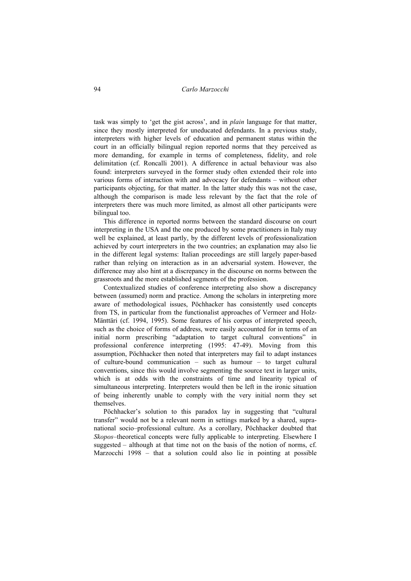task was simply to 'get the gist across', and in *plain* language for that matter, since they mostly interpreted for uneducated defendants. In a previous study, interpreters with higher levels of education and permanent status within the court in an officially bilingual region reported norms that they perceived as more demanding, for example in terms of completeness, fidelity, and role delimitation (cf. Roncalli 2001). A difference in actual behaviour was also found: interpreters surveyed in the former study often extended their role into various forms of interaction with and advocacy for defendants – without other participants objecting, for that matter. In the latter study this was not the case, although the comparison is made less relevant by the fact that the role of interpreters there was much more limited, as almost all other participants were bilingual too.

This difference in reported norms between the standard discourse on court interpreting in the USA and the one produced by some practitioners in Italy may well be explained, at least partly, by the different levels of professionalization achieved by court interpreters in the two countries; an explanation may also lie in the different legal systems: Italian proceedings are still largely paper-based rather than relying on interaction as in an adversarial system. However, the difference may also hint at a discrepancy in the discourse on norms between the grassroots and the more established segments of the profession.

Contextualized studies of conference interpreting also show a discrepancy between (assumed) norm and practice. Among the scholars in interpreting more aware of methodological issues, Pöchhacker has consistently used concepts from TS, in particular from the functionalist approaches of Vermeer and Holz-Mänttäri (cf. 1994, 1995). Some features of his corpus of interpreted speech, such as the choice of forms of address, were easily accounted for in terms of an initial norm prescribing "adaptation to target cultural conventions" in professional conference interpreting (1995: 47-49). Moving from this assumption, Pöchhacker then noted that interpreters may fail to adapt instances of culture-bound communication – such as humour – to target cultural conventions, since this would involve segmenting the source text in larger units, which is at odds with the constraints of time and linearity typical of simultaneous interpreting. Interpreters would then be left in the ironic situation of being inherently unable to comply with the very initial norm they set themselves.

Pöchhacker's solution to this paradox lay in suggesting that "cultural transfer" would not be a relevant norm in settings marked by a shared, supranational socio–professional culture. As a corollary, Pöchhacker doubted that *Skopos*–theoretical concepts were fully applicable to interpreting. Elsewhere I suggested – although at that time not on the basis of the notion of norms, cf. Marzocchi 1998 – that a solution could also lie in pointing at possible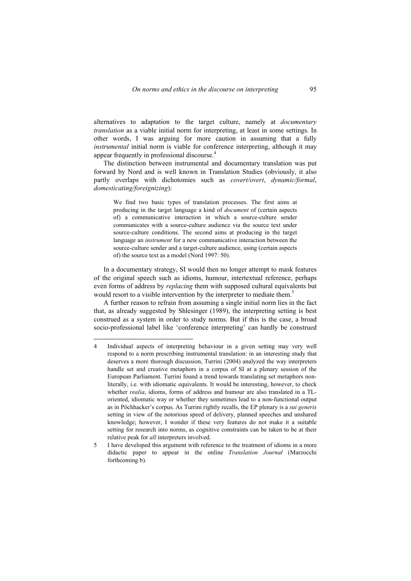alternatives to adaptation to the target culture, namely at *documentary translation* as a viable initial norm for interpreting, at least in some settings. In other words, I was arguing for more caution in assuming that a fully *instrumental* initial norm is viable for conference interpreting, although it may appear frequently in professional discourse.4

The distinction between instrumental and documentary translation was put forward by Nord and is well known in Translation Studies (obviously, it also partly overlaps with dichotomies such as *covert/overt*, *dynamic/formal*, *domesticating/foreignizing*):

We find two basic types of translation processes. The first aims at producing in the target language a kind of *document* of (certain aspects of) a communicative interaction in which a source-culture sender communicates with a source-culture audience via the source text under source-culture conditions. The second aims at producing in the target language an *instrument* for a new communicative interaction between the source-culture sender and a target-culture audience, using (certain aspects of) the source text as a model (Nord 1997: 50).

In a documentary strategy, SI would then no longer attempt to mask features of the original speech such as idioms, humour, intertextual reference, perhaps even forms of address by *replacing* them with supposed cultural equivalents but would resort to a visible intervention by the interpreter to mediate them.<sup>5</sup>

A further reason to refrain from assuming a single initial norm lies in the fact that, as already suggested by Shlesinger (1989), the interpreting setting is best construed as a system in order to study norms. But if this is the case, a broad socio-professional label like 'conference interpreting' can hardly be construed

 $\overline{a}$ 

<sup>4</sup> Individual aspects of interpreting behaviour in a given setting may very well respond to a norm prescribing instrumental translation: in an interesting study that deserves a more thorough discussion, Turrini (2004) analyzed the way interpreters handle set and creative metaphors in a corpus of SI at a plenary session of the European Parliament. Turrini found a trend towards translating set metaphors nonliterally, i.e. with idiomatic equivalents. It would be interesting, however, to check whether *realia*, idioms, forms of address and humour are also translated in a TLoriented, idiomatic way or whether they sometimes lead to a non-functional output as in Pöchhacker's corpus. As Turrini rightly recalls, the EP plenary is a *sui generis* setting in view of the notorious speed of delivery, planned speeches and unshared knowledge; however, I wonder if these very features do not make it a suitable setting for research into norms, as cognitive constraints can be taken to be at their relative peak for *all* interpreters involved.

<sup>5</sup> I have developed this argument with reference to the treatment of idioms in a more didactic paper to appear in the online *Translation Journal* (Marzocchi forthcoming b).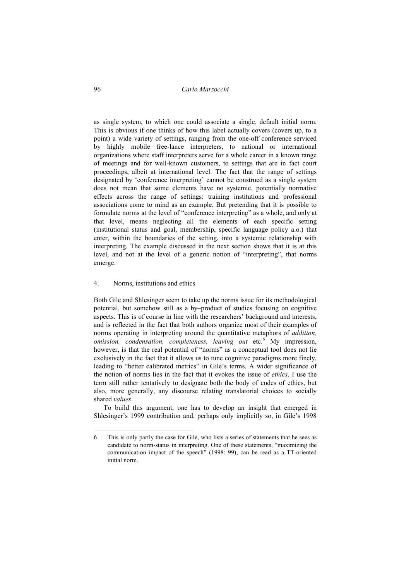as single system, to which one could associate a single*,* default initial norm. This is obvious if one thinks of how this label actually covers (covers up, to a point) a wide variety of settings, ranging from the one-off conference serviced by highly mobile free-lance interpreters, to national or international organizations where staff interpreters serve for a whole career in a known range of meetings and for well-known customers, to settings that are in fact court proceedings, albeit at international level. The fact that the range of settings designated by 'conference interpreting' cannot be construed as a single system does not mean that some elements have no systemic, potentially normative effects across the range of settings: training institutions and professional associations come to mind as an example. But pretending that it is possible to formulate norms at the level of "conference interpreting" as a whole, and only at that level, means neglecting all the elements of each specific setting (institutional status and goal, membership, specific language policy a.o.) that enter, within the boundaries of the setting, into a systemic relationship with interpreting. The example discussed in the next section shows that it is at this level, and not at the level of a generic notion of "interpreting", that norms emerge.

# 4. Norms, institutions and ethics

Both Gile and Shlesinger seem to take up the norms issue for its methodological potential, but somehow still as a by–product of studies focusing on cognitive aspects. This is of course in line with the researchers' background and interests, and is reflected in the fact that both authors organize most of their examples of norms operating in interpreting around the quantitative metaphors of *addition,*  omission, condensation, completeness, leaving out etc.<sup>6</sup> My impression, however, is that the real potential of "norms" as a conceptual tool does not lie exclusively in the fact that it allows us to tune cognitive paradigms more finely, leading to "better calibrated metrics" in Gile's terms. A wider significance of the notion of norms lies in the fact that it evokes the issue of *ethics*. I use the term still rather tentatively to designate both the body of codes of ethics, but also, more generally, any discourse relating translatorial choices to socially shared *values*.

To build this argument, one has to develop an insight that emerged in Shlesinger's 1999 contribution and, perhaps only implicitly so, in Gile's 1998

 $\overline{a}$ 

<sup>6</sup> This is only partly the case for Gile, who lists a series of statements that he sees as candidate to norm-status in interpreting. One of these statements, "maximizing the communication impact of the speech" (1998: 99), can be read as a TT-oriented initial norm.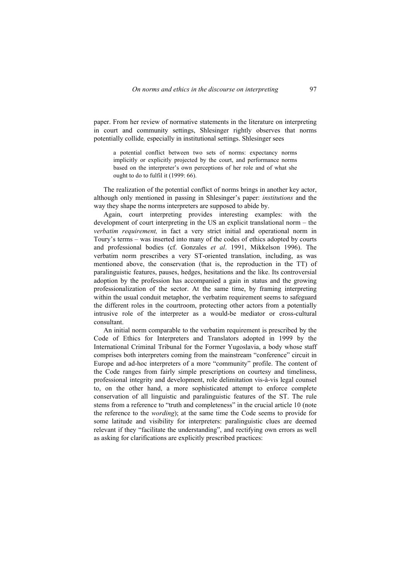paper. From her review of normative statements in the literature on interpreting in court and community settings, Shlesinger rightly observes that norms potentially collide*,* especially in institutional settings. Shlesinger sees

a potential conflict between two sets of norms: expectancy norms implicitly or explicitly projected by the court, and performance norms based on the interpreter's own perceptions of her role and of what she ought to do to fulfil it (1999: 66).

The realization of the potential conflict of norms brings in another key actor, although only mentioned in passing in Shlesinger's paper: *institutions* and the way they shape the norms interpreters are supposed to abide by.

Again, court interpreting provides interesting examples: with the development of court interpreting in the US an explicit translational norm – the *verbatim requirement,* in fact a very strict initial and operational norm in Toury's terms – was inserted into many of the codes of ethics adopted by courts and professional bodies (cf. Gonzales *et al*. 1991, Mikkelson 1996). The verbatim norm prescribes a very ST-oriented translation, including, as was mentioned above, the conservation (that is, the reproduction in the TT) of paralinguistic features, pauses, hedges, hesitations and the like. Its controversial adoption by the profession has accompanied a gain in status and the growing professionalization of the sector. At the same time, by framing interpreting within the usual conduit metaphor, the verbatim requirement seems to safeguard the different roles in the courtroom, protecting other actors from a potentially intrusive role of the interpreter as a would-be mediator or cross-cultural consultant.

An initial norm comparable to the verbatim requirement is prescribed by the Code of Ethics for Interpreters and Translators adopted in 1999 by the International Criminal Tribunal for the Former Yugoslavia, a body whose staff comprises both interpreters coming from the mainstream "conference" circuit in Europe and ad-hoc interpreters of a more "community" profile. The content of the Code ranges from fairly simple prescriptions on courtesy and timeliness, professional integrity and development, role delimitation vis-à-vis legal counsel to, on the other hand, a more sophisticated attempt to enforce complete conservation of all linguistic and paralinguistic features of the ST. The rule stems from a reference to "truth and completeness" in the crucial article 10 (note the reference to the *wording*); at the same time the Code seems to provide for some latitude and visibility for interpreters: paralinguistic clues are deemed relevant if they "facilitate the understanding", and rectifying own errors as well as asking for clarifications are explicitly prescribed practices: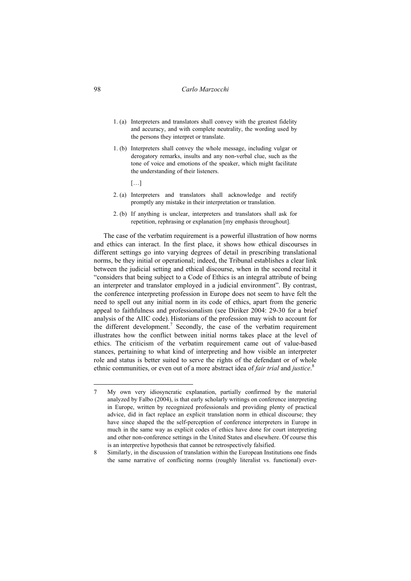- 1. (a) Interpreters and translators shall convey with the greatest fidelity and accuracy, and with complete neutrality, the wording used by the persons they interpret or translate.
- 1. (b) Interpreters shall convey the whole message, including vulgar or derogatory remarks, insults and any non-verbal clue, such as the tone of voice and emotions of the speaker, which might facilitate the understanding of their listeners.
	- […]
- 2. (a) Interpreters and translators shall acknowledge and rectify promptly any mistake in their interpretation or translation.
- 2. (b) If anything is unclear, interpreters and translators shall ask for repetition, rephrasing or explanation [my emphasis throughout].

The case of the verbatim requirement is a powerful illustration of how norms and ethics can interact. In the first place, it shows how ethical discourses in different settings go into varying degrees of detail in prescribing translational norms, be they initial or operational; indeed, the Tribunal establishes a clear link between the judicial setting and ethical discourse, when in the second recital it "considers that being subject to a Code of Ethics is an integral attribute of being an interpreter and translator employed in a judicial environment". By contrast, the conference interpreting profession in Europe does not seem to have felt the need to spell out any initial norm in its code of ethics, apart from the generic appeal to faithfulness and professionalism (see Diriker 2004: 29-30 for a brief analysis of the AIIC code). Historians of the profession may wish to account for the different development.<sup>7</sup> Secondly, the case of the verbatim requirement illustrates how the conflict between initial norms takes place at the level of ethics. The criticism of the verbatim requirement came out of value-based stances, pertaining to what kind of interpreting and how visible an interpreter role and status is better suited to serve the rights of the defendant or of whole ethnic communities, or even out of a more abstract idea of *fair trial* and *justice*. 8

 $\overline{a}$ 

<sup>7</sup> My own very idiosyncratic explanation, partially confirmed by the material analyzed by Falbo (2004), is that early scholarly writings on conference interpreting in Europe, written by recognized professionals and providing plenty of practical advice, did in fact replace an explicit translation norm in ethical discourse; they have since shaped the the self-perception of conference interpreters in Europe in much in the same way as explicit codes of ethics have done for court interpreting and other non-conference settings in the United States and elsewhere. Of course this is an interpretive hypothesis that cannot be retrospectively falsified.

<sup>8</sup> Similarly, in the discussion of translation within the European Institutions one finds the same narrative of conflicting norms (roughly literalist vs. functional) over-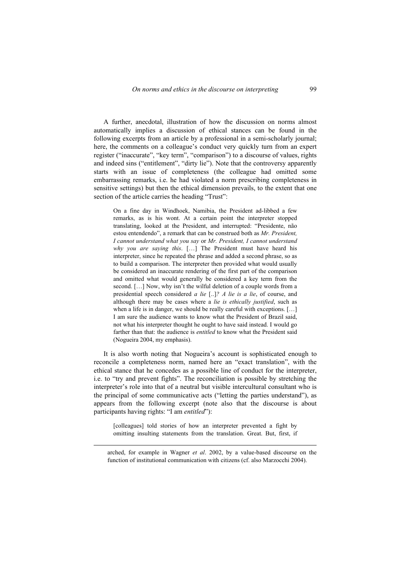A further, anecdotal, illustration of how the discussion on norms almost automatically implies a discussion of ethical stances can be found in the following excerpts from an article by a professional in a semi-scholarly journal; here, the comments on a colleague's conduct very quickly turn from an expert register ("inaccurate", "key term", "comparison") to a discourse of values, rights and indeed sins ("entitlement", "dirty lie"). Note that the controversy apparently starts with an issue of completeness (the colleague had omitted some embarrassing remarks, i.e. he had violated a norm prescribing completeness in sensitive settings) but then the ethical dimension prevails, to the extent that one section of the article carries the heading "Trust":

On a fine day in Windhoek, Namibia, the President ad-libbed a few remarks, as is his wont. At a certain point the interpreter stopped translating, looked at the President, and interrupted: "Presidente, não estou entendendo", a remark that can be construed both as *Mr. President, I cannot understand what you say* or *Mr. President, I cannot understand why you are saying this*. […] The President must have heard his interpreter, since he repeated the phrase and added a second phrase, so as to build a comparison. The interpreter then provided what would usually be considered an inaccurate rendering of the first part of the comparison and omitted what would generally be considered a key term from the second. […] Now, why isn't the wilful deletion of a couple words from a presidential speech considered *a lie* [..]*? A lie is a lie*, of course, and although there may be cases where a *lie is ethically justified*, such as when a life is in danger, we should be really careful with exceptions. [...] I am sure the audience wants to know what the President of Brazil said, not what his interpreter thought he ought to have said instead. I would go farther than that: the audience is *entitled* to know what the President said (Nogueira 2004, my emphasis).

It is also worth noting that Nogueira's account is sophisticated enough to reconcile a completeness norm, named here an "exact translation", with the ethical stance that he concedes as a possible line of conduct for the interpreter, i.e. to "try and prevent fights". The reconciliation is possible by stretching the interpreter's role into that of a neutral but visible intercultural consultant who is the principal of some communicative acts ("letting the parties understand"), as appears from the following excerpt (note also that the discourse is about participants having rights: "I am *entitled*"):

[colleagues] told stories of how an interpreter prevented a fight by omitting insulting statements from the translation. Great. But, first, if

arched, for example in Wagner *et al*. 2002, by a value-based discourse on the function of institutional communication with citizens (cf. also Marzocchi 2004).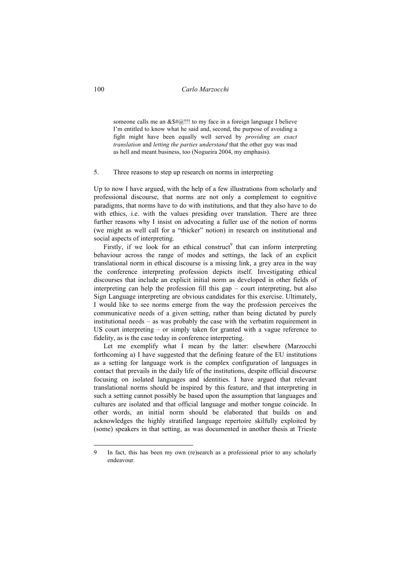someone calls me an  $&\frac{1}{2}$  (1). It is my face in a foreign language I believe I'm entitled to know what he said and, second, the purpose of avoiding a fight might have been equally well served by *providing an exact translation* and *letting the parties understand* that the other guy was mad as hell and meant business, too (Nogueira 2004, my emphasis).

### 5. Three reasons to step up research on norms in interpreting

Up to now I have argued, with the help of a few illustrations from scholarly and professional discourse, that norms are not only a complement to cognitive paradigms, that norms have to do with institutions, and that they also have to do with ethics, i.e. with the values presiding over translation. There are three further reasons why I insist on advocating a fuller use of the notion of norms (we might as well call for a "thicker" notion) in research on institutional and social aspects of interpreting.

Firstly, if we look for an ethical construct<sup>9</sup> that can inform interpreting behaviour across the range of modes and settings, the lack of an explicit translational norm in ethical discourse is a missing link, a grey area in the way the conference interpreting profession depicts itself. Investigating ethical discourses that include an explicit initial norm as developed in other fields of interpreting can help the profession fill this gap – court interpreting, but also Sign Language interpreting are obvious candidates for this exercise. Ultimately, I would like to see norms emerge from the way the profession perceives the communicative needs of a given setting, rather than being dictated by purely institutional needs – as was probably the case with the verbatim requirement in US court interpreting – or simply taken for granted with a vague reference to fidelity, as is the case today in conference interpreting.

Let me exemplify what I mean by the latter: elsewhere (Marzocchi forthcoming a) I have suggested that the defining feature of the EU institutions as a setting for language work is the complex configuration of languages in contact that prevails in the daily life of the institutions, despite official discourse focusing on isolated languages and identities. I have argued that relevant translational norms should be inspired by this feature, and that interpreting in such a setting cannot possibly be based upon the assumption that languages and cultures are isolated and that official language and mother tongue coincide. In other words, an initial norm should be elaborated that builds on and acknowledges the highly stratified language repertoire skilfully exploited by (some) speakers in that setting, as was documented in another thesis at Trieste

<sup>9</sup> In fact, this has been my own (re)search as a professional prior to any scholarly endeavour.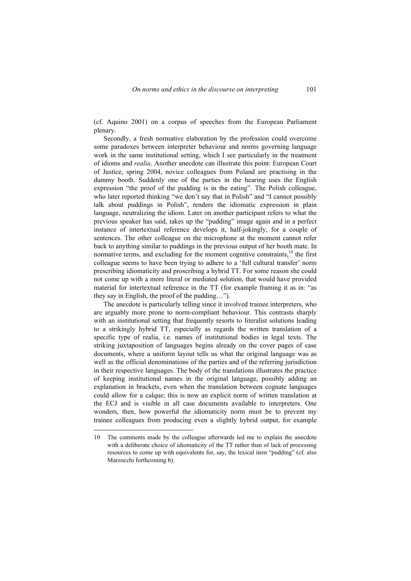(cf. Aquino 2001) on a corpus of speeches from the European Parliament plenary.

Secondly, a fresh normative elaboration by the profession could overcome some paradoxes between interpreter behaviour and norms governing language work in the same institutional setting, which I see particularly in the treatment of idioms and *realia*. Another anecdote can illustrate this point: European Court of Justice, spring 2004, novice colleagues from Poland are practising in the dummy booth. Suddenly one of the parties in the hearing uses the English expression "the proof of the pudding is in the eating". The Polish colleague, who later reported thinking "we don't say that in Polish" and "I cannot possibly talk about puddings in Polish", renders the idiomatic expression in plain language, neutralizing the idiom. Later on another participant refers to what the previous speaker has said, takes up the "pudding" image again and in a perfect instance of intertextual reference develops it, half-jokingly, for a couple of sentences. The other colleague on the microphone at the moment cannot refer back to anything similar to puddings in the previous output of her booth mate. In normative terms, and excluding for the moment cognitive constraints,<sup>10</sup> the first colleague seems to have been trying to adhere to a 'full cultural transfer' norm prescribing idiomaticity and proscribing a hybrid TT. For some reason she could not come up with a more literal or mediated solution, that would have provided material for intertextual reference in the TT (for example framing it as in: "as they say in English, the proof of the pudding…").

The anecdote is particularly telling since it involved trainee interpreters, who are arguably more prone to norm-compliant behaviour. This contrasts sharply with an institutional setting that frequently resorts to literalist solutions leading to a strikingly hybrid TT, especially as regards the written translation of a specific type of realia, i.e. names of institutional bodies in legal texts. The striking juxtaposition of languages begins already on the cover pages of case documents, where a uniform layout tells us what the original language was as well as the official denominations of the parties and of the referring jurisdiction in their respective languages. The body of the translations illustrates the practice of keeping institutional names in the original language, possibly adding an explanation in brackets, even when the translation between cognate languages could allow for a calque; this is now an explicit norm of written translation at the ECJ and is visible in all case documents available to interpreters. One wonders, then, how powerful the idiomaticity norm must be to prevent my trainee colleagues from producing even a slightly hybrid output, for example

 $\overline{a}$ 

<sup>10</sup> The comments made by the colleague afterwards led me to explain the anecdote with a deliberate choice of idiomaticity of the TT rather than of lack of processing resources to come up with equivalents for, say, the lexical item "pudding" (cf. also Marzocchi forthcoming b).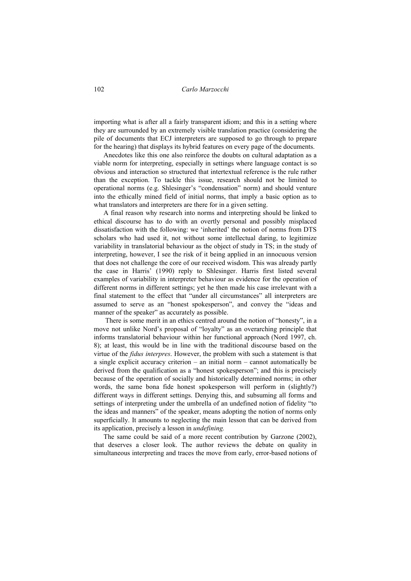importing what is after all a fairly transparent idiom; and this in a setting where they are surrounded by an extremely visible translation practice (considering the pile of documents that ECJ interpreters are supposed to go through to prepare for the hearing) that displays its hybrid features on every page of the documents.

Anecdotes like this one also reinforce the doubts on cultural adaptation as a viable norm for interpreting, especially in settings where language contact is so obvious and interaction so structured that intertextual reference is the rule rather than the exception. To tackle this issue, research should not be limited to operational norms (e.g. Shlesinger's "condensation" norm) and should venture into the ethically mined field of initial norms, that imply a basic option as to what translators and interpreters are there for in a given setting.

A final reason why research into norms and interpreting should be linked to ethical discourse has to do with an overtly personal and possibly misplaced dissatisfaction with the following: we 'inherited' the notion of norms from DTS scholars who had used it, not without some intellectual daring, to legitimize variability in translatorial behaviour as the object of study in TS; in the study of interpreting, however, I see the risk of it being applied in an innocuous version that does not challenge the core of our received wisdom. This was already partly the case in Harris' (1990) reply to Shlesinger. Harris first listed several examples of variability in interpreter behaviour as evidence for the operation of different norms in different settings; yet he then made his case irrelevant with a final statement to the effect that "under all circumstances" all interpreters are assumed to serve as an "honest spokesperson", and convey the "ideas and manner of the speaker" as accurately as possible.

 There is some merit in an ethics centred around the notion of "honesty", in a move not unlike Nord's proposal of "loyalty" as an overarching principle that informs translatorial behaviour within her functional approach (Nord 1997, ch. 8); at least, this would be in line with the traditional discourse based on the virtue of the *fidus interpres*. However, the problem with such a statement is that a single explicit accuracy criterion – an initial norm – cannot automatically be derived from the qualification as a "honest spokesperson"; and this is precisely because of the operation of socially and historically determined norms; in other words, the same bona fide honest spokesperson will perform in (slightly?) different ways in different settings. Denying this, and subsuming all forms and settings of interpreting under the umbrella of an undefined notion of fidelity "to the ideas and manners" of the speaker, means adopting the notion of norms only superficially. It amounts to neglecting the main lesson that can be derived from its application, precisely a lesson in *undefining.* 

The same could be said of a more recent contribution by Garzone (2002), that deserves a closer look. The author reviews the debate on quality in simultaneous interpreting and traces the move from early, error-based notions of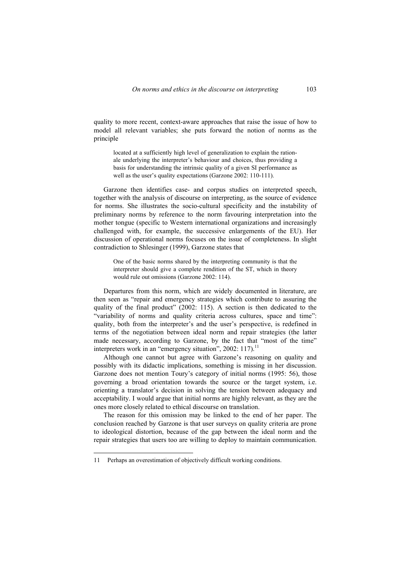quality to more recent, context-aware approaches that raise the issue of how to model all relevant variables; she puts forward the notion of norms as the principle

located at a sufficiently high level of generalization to explain the rationale underlying the interpreter's behaviour and choices, thus providing a basis for understanding the intrinsic quality of a given SI performance as well as the user's quality expectations (Garzone 2002: 110-111).

Garzone then identifies case- and corpus studies on interpreted speech, together with the analysis of discourse on interpreting, as the source of evidence for norms. She illustrates the socio-cultural specificity and the instability of preliminary norms by reference to the norm favouring interpretation into the mother tongue (specific to Western international organizations and increasingly challenged with, for example, the successive enlargements of the EU). Her discussion of operational norms focuses on the issue of completeness. In slight contradiction to Shlesinger (1999), Garzone states that

One of the basic norms shared by the interpreting community is that the interpreter should give a complete rendition of the ST, which in theory would rule out omissions (Garzone 2002: 114).

Departures from this norm, which are widely documented in literature, are then seen as "repair and emergency strategies which contribute to assuring the quality of the final product" (2002: 115). A section is then dedicated to the "variability of norms and quality criteria across cultures, space and time": quality, both from the interpreter's and the user's perspective, is redefined in terms of the negotiation between ideal norm and repair strategies (the latter made necessary, according to Garzone, by the fact that "most of the time" interpreters work in an "emergency situation", 2002:  $117$ ).<sup>11</sup>

Although one cannot but agree with Garzone's reasoning on quality and possibly with its didactic implications, something is missing in her discussion. Garzone does not mention Toury's category of initial norms (1995: 56), those governing a broad orientation towards the source or the target system, i.e. orienting a translator's decision in solving the tension between adequacy and acceptability. I would argue that initial norms are highly relevant, as they are the ones more closely related to ethical discourse on translation.

The reason for this omission may be linked to the end of her paper. The conclusion reached by Garzone is that user surveys on quality criteria are prone to ideological distortion, because of the gap between the ideal norm and the repair strategies that users too are willing to deploy to maintain communication.

 $\overline{a}$ 

<sup>11</sup> Perhaps an overestimation of objectively difficult working conditions.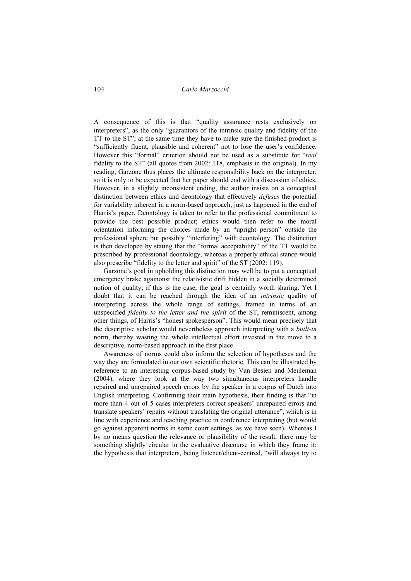A consequence of this is that "quality assurance rests exclusively on interpreters", as the only "guarantors of the intrinsic quality and fidelity of the TT to the ST"; at the same time they have to make sure the finished product is "sufficiently fluent, plausible and coherent" not to lose the user's confidence. However this "formal" criterion should not be used as a substitute for "*real* fidelity to the ST" (all quotes from 2002: 118, emphasis in the original). In my reading, Garzone thus places the ultimate responsibility back on the interpreter, so it is only to be expected that her paper should end with a discussion of ethics. However, in a slightly inconsistent ending, the author insists on a conceptual distinction between ethics and deontology that effectively *defuses* the potential for variability inherent in a norm-based approach, just as happened in the end of Harris's paper. Deontology is taken to refer to the professional commitment to provide the best possible product; ethics would then refer to the moral orientation informing the choices made by an "upright person" outside the professional sphere but possibly "interfering" with deontology. The distinction is then developed by stating that the "formal acceptability" of the TT would be prescribed by professional deontology, whereas a properly ethical stance would also prescribe "fidelity to the letter and spirit" of the ST (2002: 119).

Garzone's goal in upholding this distinction may well be to put a conceptual emergency brake againonst the relativistic drift hidden in a socially determined notion of quality; if this is the case, the goal is certainly worth sharing. Yet I doubt that it can be reached through the idea of an *intrinsic* quality of interpreting across the whole range of settings, framed in terms of an unspecified *fidelity to the letter and the spirit* of the ST, reminiscent, among other things, of Harris's "honest spokesperson". This would mean precisely that the descriptive scholar would nevertheless approach interpreting with a *built-in* norm, thereby wasting the whole intellectual effort invested in the move to a descriptive, norm-based approach in the first place.

Awareness of norms could also inform the selection of hypotheses and the way they are formulated in our own scientific rhetoric. This can be illustrated by reference to an interesting corpus-based study by Van Besien and Meuleman (2004), where they look at the way two simultaneous interpreters handle repaired and unrepaired speech errors by the speaker in a corpus of Dutch into English interpreting. Confirming their main hypothesis, their finding is that "in more than 4 out of 5 cases interpreters correct speakers' unrepaired errors and translate speakers' repairs without translating the original utterance", which is in line with experience and teaching practice in conference interpreting (but would go against apparent norms in some court settings, as we have seen). Whereas I by no means question the relevance or plausibility of the result, there may be something slightly circular in the evaluative discourse in which they frame it: the hypothesis that interpreters, being listener/client-centred, "will always try to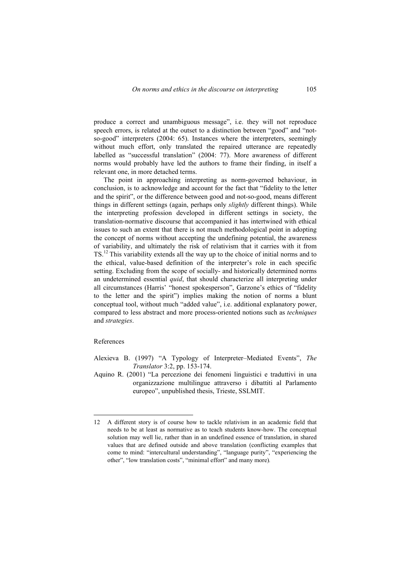produce a correct and unambiguous message", i.e. they will not reproduce speech errors, is related at the outset to a distinction between "good" and "notso-good" interpreters (2004: 65). Instances where the interpreters, seemingly without much effort, only translated the repaired utterance are repeatedly labelled as "successful translation" (2004: 77). More awareness of different norms would probably have led the authors to frame their finding, in itself a relevant one, in more detached terms.

The point in approaching interpreting as norm-governed behaviour, in conclusion, is to acknowledge and account for the fact that "fidelity to the letter and the spirit", or the difference between good and not-so-good, means different things in different settings (again, perhaps only *slightly* different things). While the interpreting profession developed in different settings in society, the translation-normative discourse that accompanied it has intertwined with ethical issues to such an extent that there is not much methodological point in adopting the concept of norms without accepting the undefining potential, the awareness of variability, and ultimately the risk of relativism that it carries with it from TS.12 This variability extends all the way up to the choice of initial norms and to the ethical, value-based definition of the interpreter's role in each specific setting. Excluding from the scope of socially- and historically determined norms an undetermined essential *quid*, that should characterize all interpreting under all circumstances (Harris' "honest spokesperson", Garzone's ethics of "fidelity to the letter and the spirit") implies making the notion of norms a blunt conceptual tool, without much "added value", i.e. additional explanatory power, compared to less abstract and more process-oriented notions such as *techniques* and *strategies*.

#### References

 $\overline{a}$ 

- Alexieva B. (1997) "A Typology of Interpreter–Mediated Events", *The Translator* 3:2, pp. 153-174.
- Aquino R. (2001) "La percezione dei fenomeni linguistici e traduttivi in una organizzazione multilingue attraverso i dibattiti al Parlamento europeo", unpublished thesis, Trieste, SSLMIT.

<sup>12</sup> A different story is of course how to tackle relativism in an academic field that needs to be at least as normative as to teach students know-how. The conceptual solution may well lie, rather than in an undefined essence of translation, in shared values that are defined outside and above translation (conflicting examples that come to mind: "intercultural understanding", "language purity", "experiencing the other", "low translation costs", "minimal effort" and many more)*.*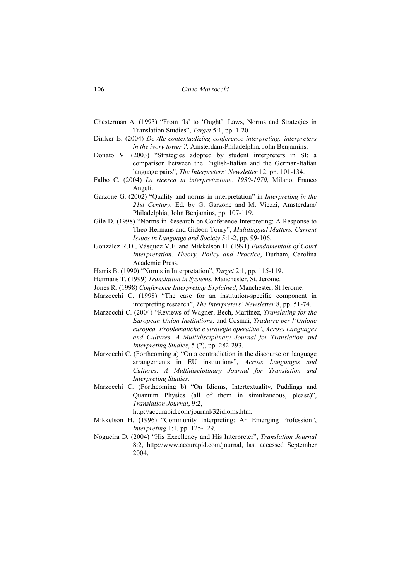- Chesterman A. (1993) "From 'Is' to 'Ought': Laws, Norms and Strategies in Translation Studies", *Target* 5:1, pp. 1-20.
- Diriker E. (2004) *De-/Re-contextualizing conference interpreting: interpreters in the ivory tower ?*, Amsterdam-Philadelphia, John Benjamins.
- Donato V. (2003) "Strategies adopted by student interpreters in SI: a comparison between the English-Italian and the German-Italian language pairs", *The Interpreters' Newsletter* 12, pp. 101-134.
- Falbo C. (2004) *La ricerca in interpretazione. 1930-1970*, Milano, Franco Angeli.
- Garzone G. (2002) "Quality and norms in interpretation" in *Interpreting in the 21st Century*. Ed. by G. Garzone and M. Viezzi, Amsterdam/ Philadelphia, John Benjamins*,* pp. 107-119.
- Gile D. (1998) "Norms in Research on Conference Interpreting: A Response to Theo Hermans and Gideon Toury", *Multilingual Matters. Current Issues in Language and Society* 5:1-2, pp. 99-106.
- González R.D., Vásquez V.F. and Mikkelson H. (1991) *Fundamentals of Court Interpretation. Theory, Policy and Practice*, Durham, Carolina Academic Press.
- Harris B. (1990) "Norms in Interpretation", *Target* 2:1, pp. 115-119.
- Hermans T. (1999) *Translation in Systems*, Manchester, St. Jerome.
- Jones R. (1998) *Conference Interpreting Explained*, Manchester, St Jerome.
- Marzocchi C. (1998) "The case for an institution-specific component in interpreting research", *The Interpreters' Newsletter* 8, pp. 51-74.
- Marzocchi C. (2004) "Reviews of Wagner, Bech, Martínez, *Translating for the European Union Institutions,* and Cosmai, *Tradurre per l'Unione europea. Problematiche e strategie operative*", *Across Languages and Cultures. A Multidisciplinary Journal for Translation and Interpreting Studies*, 5 (2), pp. 282-293.
- Marzocchi C. (Forthcoming a) "On a contradiction in the discourse on language arrangements in EU institutions", *Across Languages and Cultures. A Multidisciplinary Journal for Translation and Interpreting Studies.*
- Marzocchi C. (Forthcoming b) "On Idioms, Intertextuality, Puddings and Quantum Physics (all of them in simultaneous, please)", *Translation Journal*, 9:2,

http://accurapid.com/journal/32idioms.htm.

- Mikkelson H. (1996) "Community Interpreting: An Emerging Profession", *Interpreting* 1:1, pp. 125-129.
- Nogueira D. (2004) "His Excellency and His Interpreter", *Translation Journal* 8:2, http://www.accurapid.com/journal, last accessed September 2004.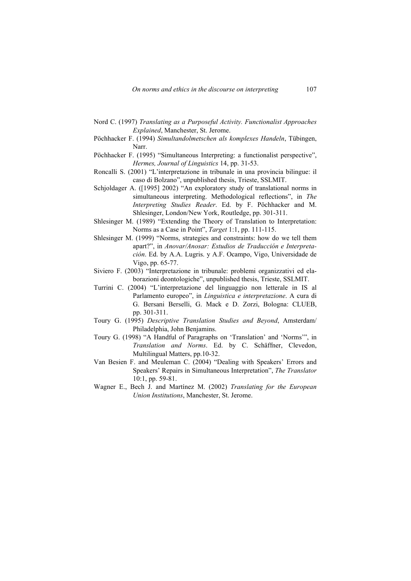- Nord C. (1997) *Translating as a Purposeful Activity. Functionalist Approaches Explained*, Manchester, St. Jerome.
- Pöchhacker F. (1994) *Simultandolmetschen als komplexes Handeln*, Tübingen, Narr.
- Pöchhacker F. (1995) "Simultaneous Interpreting: a functionalist perspective", *Hermes, Journal of Linguistics* 14, pp. 31-53.
- Roncalli S. (2001) "L'interpretazione in tribunale in una provincia bilingue: il caso di Bolzano", unpublished thesis, Trieste, SSLMIT.
- Schjoldager A. ([1995] 2002) "An exploratory study of translational norms in simultaneous interpreting. Methodological reflections", in *The Interpreting Studies Reader*. Ed. by F. Pöchhacker and M. Shlesinger, London/New York, Routledge, pp. 301-311.
- Shlesinger M. (1989) "Extending the Theory of Translation to Interpretation: Norms as a Case in Point", *Target* 1:1, pp. 111-115.
- Shlesinger M. (1999) "Norms, strategies and constraints: how do we tell them apart?", in *Anovar/Anosar: Estudios de Traducción e Interpretación*. Ed. by A.A. Lugris. y A.F. Ocampo, Vigo, Universidade de Vigo, pp. 65-77.
- Siviero F. (2003) "Interpretazione in tribunale: problemi organizzativi ed elaborazioni deontologiche", unpublished thesis, Trieste, SSLMIT.
- Turrini C. (2004) "L'interpretazione del linguaggio non letterale in IS al Parlamento europeo", in *Linguistica e interpretazione*. A cura di G. Bersani Berselli, G. Mack e D. Zorzi, Bologna: CLUEB, pp. 301-311.
- Toury G. (1995) *Descriptive Translation Studies and Beyond*, Amsterdam/ Philadelphia, John Benjamins.
- Toury G. (1998) "A Handful of Paragraphs on 'Translation' and 'Norms'", in *Translation and Norms*. Ed. by C. Schäffner, Clevedon, Multilingual Matters, pp.10-32.
- Van Besien F. and Meuleman C. (2004) "Dealing with Speakers' Errors and Speakers' Repairs in Simultaneous Interpretation", *The Translator* 10:1, pp. 59-81.
- Wagner E., Bech J. and Martínez M. (2002) *Translating for the European Union Institutions*, Manchester, St. Jerome.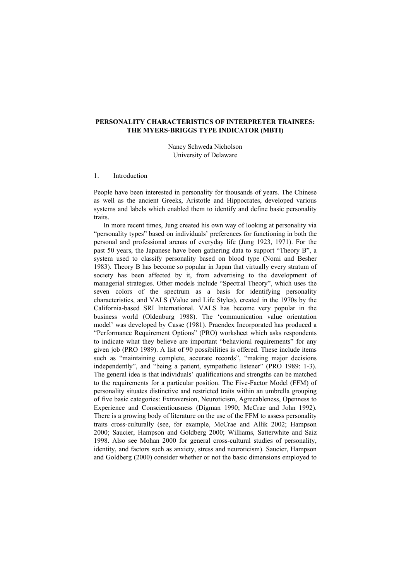# **PERSONALITY CHARACTERISTICS OF INTERPRETER TRAINEES: THE MYERS-BRIGGS TYPE INDICATOR (MBTI)**

Nancy Schweda Nicholson University of Delaware

#### 1. Introduction

People have been interested in personality for thousands of years. The Chinese as well as the ancient Greeks, Aristotle and Hippocrates, developed various systems and labels which enabled them to identify and define basic personality traits.

In more recent times, Jung created his own way of looking at personality via "personality types" based on individuals' preferences for functioning in both the personal and professional arenas of everyday life (Jung 1923, 1971). For the past 50 years, the Japanese have been gathering data to support "Theory B", a system used to classify personality based on blood type (Nomi and Besher 1983). Theory B has become so popular in Japan that virtually every stratum of society has been affected by it, from advertising to the development of managerial strategies. Other models include "Spectral Theory", which uses the seven colors of the spectrum as a basis for identifying personality characteristics, and VALS (Value and Life Styles), created in the 1970s by the California-based SRI International. VALS has become very popular in the business world (Oldenburg 1988). The 'communication value orientation model' was developed by Casse (1981). Praendex Incorporated has produced a "Performance Requirement Options" (PRO) worksheet which asks respondents to indicate what they believe are important "behavioral requirements" for any given job (PRO 1989). A list of 90 possibilities is offered. These include items such as "maintaining complete, accurate records", "making major decisions independently", and "being a patient, sympathetic listener" (PRO 1989: 1-3). The general idea is that individuals' qualifications and strengths can be matched to the requirements for a particular position. The Five-Factor Model (FFM) of personality situates distinctive and restricted traits within an umbrella grouping of five basic categories: Extraversion, Neuroticism, Agreeableness, Openness to Experience and Conscientiousness (Digman 1990; McCrae and John 1992). There is a growing body of literature on the use of the FFM to assess personality traits cross-culturally (see, for example, McCrae and Allik 2002; Hampson 2000; Saucier, Hampson and Goldberg 2000; Williams, Satterwhite and Saiz 1998. Also see Mohan 2000 for general cross-cultural studies of personality, identity, and factors such as anxiety, stress and neuroticism). Saucier, Hampson and Goldberg (2000) consider whether or not the basic dimensions employed to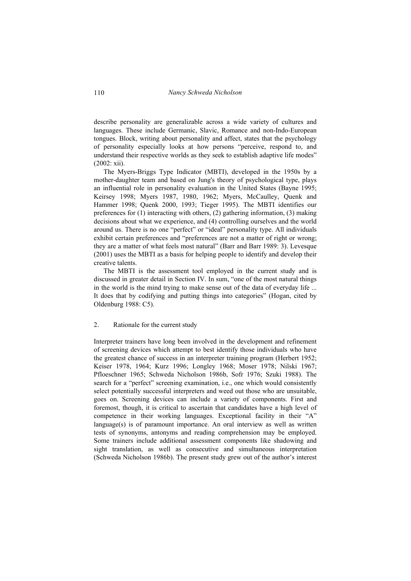describe personality are generalizable across a wide variety of cultures and languages. These include Germanic, Slavic, Romance and non-Indo-European tongues. Block, writing about personality and affect, states that the psychology of personality especially looks at how persons "perceive, respond to, and understand their respective worlds as they seek to establish adaptive life modes" (2002: xii).

The Myers-Briggs Type Indicator (MBTI), developed in the 1950s by a mother-daughter team and based on Jung's theory of psychological type, plays an influential role in personality evaluation in the United States (Bayne 1995; Keirsey 1998; Myers 1987, 1980, 1962; Myers, McCaulley, Quenk and Hammer 1998; Quenk 2000, 1993; Tieger 1995). The MBTI identifies our preferences for (1) interacting with others, (2) gathering information, (3) making decisions about what we experience, and (4) controlling ourselves and the world around us. There is no one "perfect" or "ideal" personality type. All individuals exhibit certain preferences and "preferences are not a matter of right or wrong; they are a matter of what feels most natural" (Barr and Barr 1989: 3). Levesque (2001) uses the MBTI as a basis for helping people to identify and develop their creative talents.

The MBTI is the assessment tool employed in the current study and is discussed in greater detail in Section IV. In sum, "one of the most natural things in the world is the mind trying to make sense out of the data of everyday life ... It does that by codifying and putting things into categories" (Hogan, cited by Oldenburg 1988: C5).

#### 2. Rationale for the current study

Interpreter trainers have long been involved in the development and refinement of screening devices which attempt to best identify those individuals who have the greatest chance of success in an interpreter training program (Herbert 1952; Keiser 1978, 1964; Kurz 1996; Longley 1968; Moser 1978; Nilski 1967; Pfloeschner 1965; Schweda Nicholson 1986b, Sofr 1976; Szuki 1988). The search for a "perfect" screening examination, i.e., one which would consistently select potentially successful interpreters and weed out those who are unsuitable, goes on. Screening devices can include a variety of components. First and foremost, though, it is critical to ascertain that candidates have a high level of competence in their working languages. Exceptional facility in their "A"  $l$ anguage $(s)$  is of paramount importance. An oral interview as well as written tests of synonyms, antonyms and reading comprehension may be employed. Some trainers include additional assessment components like shadowing and sight translation, as well as consecutive and simultaneous interpretation (Schweda Nicholson 1986b). The present study grew out of the author's interest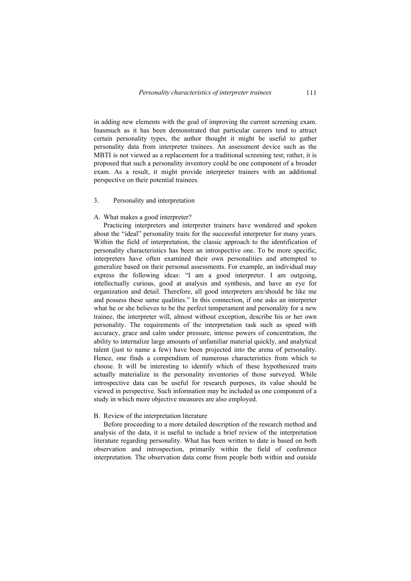in adding new elements with the goal of improving the current screening exam. Inasmuch as it has been demonstrated that particular careers tend to attract certain personality types, the author thought it might be useful to gather personality data from interpreter trainees. An assessment device such as the MBTI is not viewed as a replacement for a traditional screening test; rather, it is proposed that such a personality inventory could be one component of a broader exam. As a result, it might provide interpreter trainers with an additional perspective on their potential trainees.

# 3. Personality and interpretation

## A. What makes a good interpreter?

Practicing interpreters and interpreter trainers have wondered and spoken about the "ideal" personality traits for the successful interpreter for many years. Within the field of interpretation, the classic approach to the identification of personality characteristics has been an introspective one. To be more specific, interpreters have often examined their own personalities and attempted to generalize based on their personal assessments. For example, an individual may express the following ideas: "I am a good interpreter. I am outgoing, intellectually curious, good at analysis and synthesis, and have an eye for organization and detail. Therefore, all good interpreters are/should be like me and possess these same qualities." In this connection, if one asks an interpreter what he or she believes to be the perfect temperament and personality for a new trainee, the interpreter will, almost without exception, describe his or her own personality. The requirements of the interpretation task such as speed with accuracy, grace and calm under pressure, intense powers of concentration, the ability to internalize large amounts of unfamiliar material quickly, and analytical talent (just to name a few) have been projected into the arena of personality. Hence, one finds a compendium of numerous characteristics from which to choose. It will be interesting to identify which of these hypothesized traits actually materialize in the personality inventories of those surveyed. While introspective data can be useful for research purposes, its value should be viewed in perspective. Such information may be included as one component of a study in which more objective measures are also employed.

#### B. Review of the interpretation literature

Before proceeding to a more detailed description of the research method and analysis of the data, it is useful to include a brief review of the interpretation literature regarding personality. What has been written to date is based on both observation and introspection, primarily within the field of conference interpretation. The observation data come from people both within and outside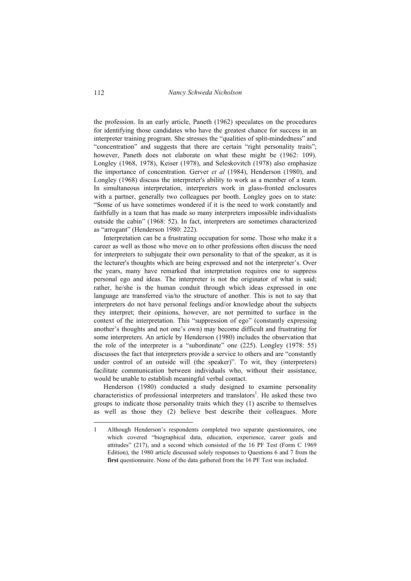the profession. In an early article, Paneth (1962) speculates on the procedures for identifying those candidates who have the greatest chance for success in an interpreter training program. She stresses the "qualities of split-mindedness" and "concentration" and suggests that there are certain "right personality traits"; however, Paneth does not elaborate on what these might be (1962: 109). Longley (1968, 1978), Keiser (1978), and Seleskovitch (1978) also emphasize the importance of concentration. Gerver *et al* (1984), Henderson (1980), and Longley (1968) discuss the interpreter's ability to work as a member of a team. In simultaneous interpretation, interpreters work in glass-fronted enclosures with a partner, generally two colleagues per booth. Longley goes on to state: "Some of us have sometimes wondered if it is the need to work constantly and faithfully in a team that has made so many interpreters impossible individualists outside the cabin" (1968: 52). In fact, interpreters are sometimes characterized as "arrogant" (Henderson 1980: 222).

Interpretation can be a frustrating occupation for some. Those who make it a career as well as those who move on to other professions often discuss the need for interpreters to subjugate their own personality to that of the speaker, as it is the lecturer's thoughts which are being expressed and not the interpreter's. Over the years, many have remarked that interpretation requires one to suppress personal ego and ideas. The interpreter is not the originator of what is said; rather, he/she is the human conduit through which ideas expressed in one language are transferred via/to the structure of another. This is not to say that interpreters do not have personal feelings and/or knowledge about the subjects they interpret; their opinions, however, are not permitted to surface in the context of the interpretation. This "suppression of ego" (constantly expressing another's thoughts and not one's own) may become difficult and frustrating for some interpreters. An article by Henderson (1980) includes the observation that the role of the interpreter is a "subordinate" one (225). Longley (1978: 55) discusses the fact that interpreters provide a service to others and are "constantly under control of an outside will (the speaker)". To wit, they (interpreters) facilitate communication between individuals who, without their assistance, would be unable to establish meaningful verbal contact.

Henderson (1980) conducted a study designed to examine personality characteristics of professional interpreters and translators<sup>1</sup>. He asked these two groups to indicate those personality traits which they (1) ascribe to themselves as well as those they (2) believe best describe their colleagues. More

<sup>1</sup> Although Henderson's respondents completed two separate questionnaires, one which covered "biographical data, education, experience, career goals and attitudes" (217), and a second which consisted of the 16 PF Test (Form C 1969 Edition), the 1980 article discussed solely responses to Questions 6 and 7 from the **first** questionnaire. None of the data gathered from the 16 PF Test was included.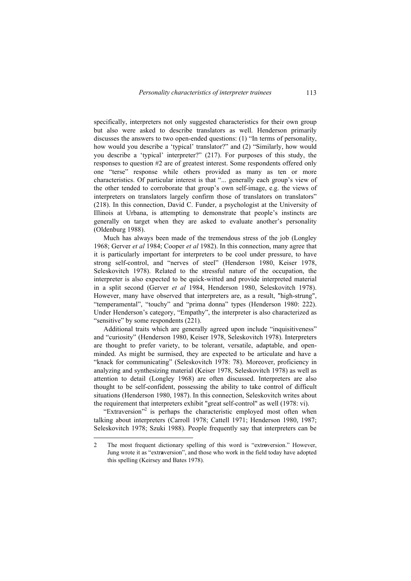specifically, interpreters not only suggested characteristics for their own group but also were asked to describe translators as well. Henderson primarily discusses the answers to two open-ended questions: (1) "In terms of personality, how would you describe a 'typical' translator?" and (2) "Similarly, how would you describe a 'typical' interpreter?" (217). For purposes of this study, the responses to question #2 are of greatest interest. Some respondents offered only one "terse" response while others provided as many as ten or more characteristics. Of particular interest is that "... generally each group's view of the other tended to corroborate that group's own self-image, e.g. the views of interpreters on translators largely confirm those of translators on translators" (218). In this connection, David C. Funder, a psychologist at the University of Illinois at Urbana, is attempting to demonstrate that people's instincts are generally on target when they are asked to evaluate another's personality (Oldenburg 1988).

Much has always been made of the tremendous stress of the job (Longley 1968; Gerver *et al* 1984; Cooper *et al* 1982). In this connection, many agree that it is particularly important for interpreters to be cool under pressure, to have strong self-control, and "nerves of steel" (Henderson 1980, Keiser 1978, Seleskovitch 1978). Related to the stressful nature of the occupation, the interpreter is also expected to be quick-witted and provide interpreted material in a split second (Gerver *et al* 1984, Henderson 1980, Seleskovitch 1978). However, many have observed that interpreters are, as a result, "high-strung", "temperamental", "touchy" and "prima donna" types (Henderson 1980: 222). Under Henderson's category, "Empathy", the interpreter is also characterized as "sensitive" by some respondents (221).

Additional traits which are generally agreed upon include "inquisitiveness" and "curiosity" (Henderson 1980, Keiser 1978, Seleskovitch 1978). Interpreters are thought to prefer variety, to be tolerant, versatile, adaptable, and openminded. As might be surmised, they are expected to be articulate and have a "knack for communicating" (Seleskovitch 1978: 78). Moreover, proficiency in analyzing and synthesizing material (Keiser 1978, Seleskovitch 1978) as well as attention to detail (Longley 1968) are often discussed. Interpreters are also thought to be self-confident, possessing the ability to take control of difficult situations (Henderson 1980, 1987). In this connection, Seleskovitch writes about the requirement that interpreters exhibit "great self-control" as well (1978: vi).

"Extraversion"<sup>2</sup> is perhaps the characteristic employed most often when talking about interpreters (Carroll 1978; Cattell 1971; Henderson 1980, 1987; Seleskovitch 1978; Szuki 1988). People frequently say that interpreters can be

 $\overline{a}$ 

<sup>2</sup> The most frequent dictionary spelling of this word is "extr**o**version." However, Jung wrote it as "extr**a**version", and those who work in the field today have adopted this spelling (Keirsey and Bates 1978).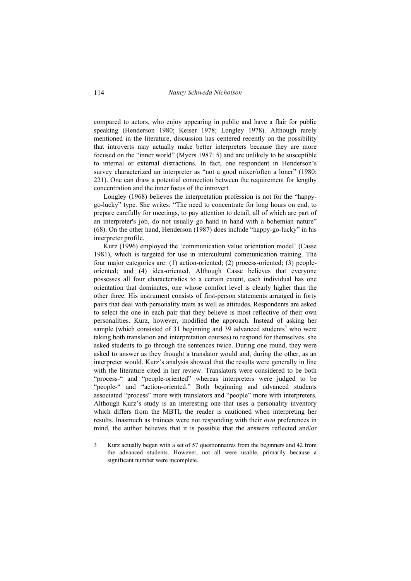compared to actors, who enjoy appearing in public and have a flair for public speaking (Henderson 1980; Keiser 1978; Longley 1978). Although rarely mentioned in the literature, discussion has centered recently on the possibility that introverts may actually make better interpreters because they are more focused on the "inner world" (Myers 1987: 5) and are unlikely to be susceptible to internal or external distractions. In fact, one respondent in Henderson's survey characterized an interpreter as "not a good mixer/often a loner" (1980: 221). One can draw a potential connection between the requirement for lengthy concentration and the inner focus of the introvert.

Longley (1968) believes the interpretation profession is not for the "happygo-lucky" type. She writes: "The need to concentrate for long hours on end, to prepare carefully for meetings, to pay attention to detail, all of which are part of an interpreter's job, do not usually go hand in hand with a bohemian nature" (68). On the other hand, Henderson (1987) does include "happy-go-lucky" in his interpreter profile.

Kurz (1996) employed the 'communication value orientation model' (Casse 1981), which is targeted for use in intercultural communication training. The four major categories are: (1) action-oriented; (2) process-oriented; (3) peopleoriented; and (4) idea-oriented. Although Casse believes that everyone possesses all four characteristics to a certain extent, each individual has one orientation that dominates, one whose comfort level is clearly higher than the other three. His instrument consists of first-person statements arranged in forty pairs that deal with personality traits as well as attitudes. Respondents are asked to select the one in each pair that they believe is most reflective of their own personalities. Kurz, however, modified the approach. Instead of asking her sample (which consisted of 31 beginning and 39 advanced students<sup>3</sup> who were taking both translation and interpretation courses) to respond for themselves, she asked students to go through the sentences twice. During one round, they were asked to answer as they thought a translator would and, during the other, as an interpreter would. Kurz's analysis showed that the results were generally in line with the literature cited in her review. Translators were considered to be both "process-" and "people-oriented" whereas interpreters were judged to be "people-" and "action-oriented." Both beginning and advanced students associated "process" more with translators and "people" more with interpreters. Although Kurz's study is an interesting one that uses a personality inventory which differs from the MBTI, the reader is cautioned when interpreting her results. Inasmuch as trainees were not responding with their *own* preferences in mind, the author believes that it is possible that the answers reflected and/or

 $\overline{a}$ 

<sup>3</sup> Kurz actually began with a set of 57 questionnaires from the beginners and 42 from the advanced students. However, not all were usable, primarily because a significant number were incomplete.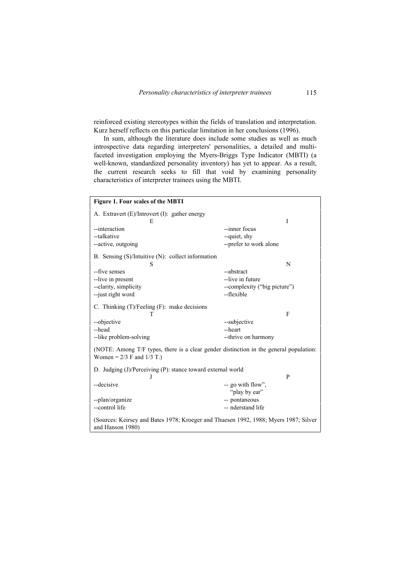reinforced existing stereotypes within the fields of translation and interpretation. Kurz herself reflects on this particular limitation in her conclusions (1996).

In sum, although the literature does include some studies as well as much introspective data regarding interpreters' personalities, a detailed and multifaceted investigation employing the Myers-Briggs Type Indicator (MBTI) (a well-known, standardized personality inventory) has yet to appear. As a result, the current research seeks to fill that void by examining personality characteristics of interpreter trainees using the MBTI.

| Figure 1. Four scales of the MBTI                                                                                       |                              |              |
|-------------------------------------------------------------------------------------------------------------------------|------------------------------|--------------|
| A. Extravert (E)/Introvert (I): gather energy<br>E                                                                      |                              | I            |
| --interaction                                                                                                           | --inner focus                |              |
| --talkative                                                                                                             | --quiet, shy                 |              |
| --active, outgoing                                                                                                      | --prefer to work alone       |              |
| B. Sensing (S)/Intuitive (N): collect information<br>S                                                                  |                              | N            |
| --five senses                                                                                                           | --abstract                   |              |
| --live in present                                                                                                       | --live in future             |              |
| --clarity, simplicity                                                                                                   | --complexity ("big picture") |              |
| --just right word                                                                                                       | --flexible                   |              |
|                                                                                                                         |                              |              |
| C. Thinking (T)/Feeling (F): make decisions                                                                             |                              |              |
| T                                                                                                                       |                              | $\mathbf{F}$ |
| --objective                                                                                                             | --subjective                 |              |
| --head                                                                                                                  | --heart                      |              |
| --like problem-solving                                                                                                  | --thrive on harmony          |              |
| (NOTE: Among T/F types, there is a clear gender distinction in the general population:<br>Women = $2/3$ F and $1/3$ T.) |                              |              |
| D. Judging (J)/Perceiving (P): stance toward external world                                                             |                              |              |
| J                                                                                                                       |                              | P            |
| --decisive                                                                                                              | -- go with flow",            |              |
|                                                                                                                         | "play by ear"                |              |
| --plan/organize                                                                                                         | -- pontaneous                |              |
| --control life                                                                                                          | -- nderstand life            |              |
| (Sources: Keirsey and Bates 1978; Kroeger and Thuesen 1992, 1988; Myers 1987; Silver<br>and Hanson 1980)                |                              |              |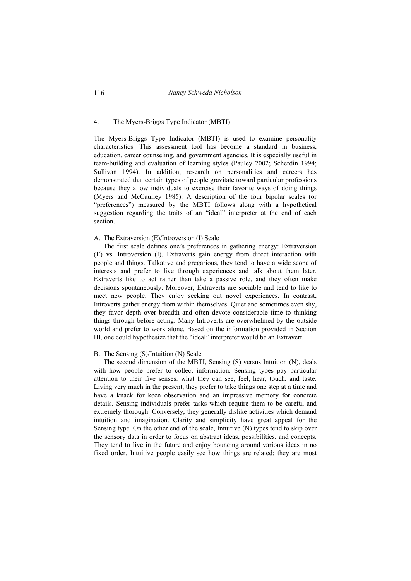### 4. The Myers-Briggs Type Indicator (MBTI)

The Myers-Briggs Type Indicator (MBTI) is used to examine personality characteristics. This assessment tool has become a standard in business, education, career counseling, and government agencies. It is especially useful in team-building and evaluation of learning styles (Pauley 2002; Scherdin 1994; Sullivan 1994). In addition, research on personalities and careers has demonstrated that certain types of people gravitate toward particular professions because they allow individuals to exercise their favorite ways of doing things (Myers and McCaulley 1985). A description of the four bipolar scales (or "preferences") measured by the MBTI follows along with a hypothetical suggestion regarding the traits of an "ideal" interpreter at the end of each section.

#### A. The Extraversion (E)/Introversion (I) Scale

The first scale defines one's preferences in gathering energy: Extraversion (E) vs. Introversion (I). Extraverts gain energy from direct interaction with people and things. Talkative and gregarious, they tend to have a wide scope of interests and prefer to live through experiences and talk about them later. Extraverts like to act rather than take a passive role, and they often make decisions spontaneously. Moreover, Extraverts are sociable and tend to like to meet new people. They enjoy seeking out novel experiences. In contrast, Introverts gather energy from within themselves. Quiet and sometimes even shy, they favor depth over breadth and often devote considerable time to thinking things through before acting. Many Introverts are overwhelmed by the outside world and prefer to work alone. Based on the information provided in Section III, one could hypothesize that the "ideal" interpreter would be an Extravert.

#### B. The Sensing (S)/Intuition (N) Scale

The second dimension of the MBTI, Sensing (S) versus Intuition (N), deals with how people prefer to collect information. Sensing types pay particular attention to their five senses: what they can see, feel, hear, touch, and taste. Living very much in the present, they prefer to take things one step at a time and have a knack for keen observation and an impressive memory for concrete details. Sensing individuals prefer tasks which require them to be careful and extremely thorough. Conversely, they generally dislike activities which demand intuition and imagination. Clarity and simplicity have great appeal for the Sensing type. On the other end of the scale, Intuitive (N) types tend to skip over the sensory data in order to focus on abstract ideas, possibilities, and concepts. They tend to live in the future and enjoy bouncing around various ideas in no fixed order. Intuitive people easily see how things are related; they are most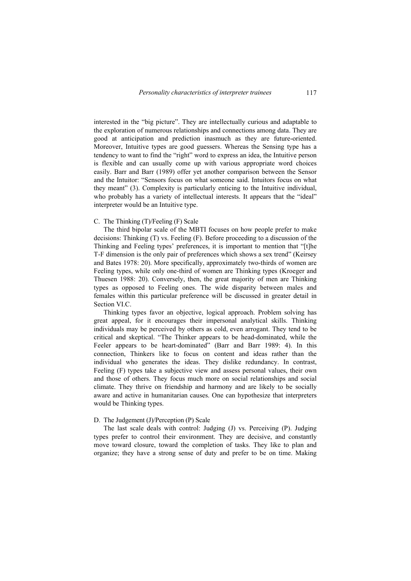interested in the "big picture". They are intellectually curious and adaptable to the exploration of numerous relationships and connections among data. They are good at anticipation and prediction inasmuch as they are future-oriented. Moreover, Intuitive types are good guessers. Whereas the Sensing type has a tendency to want to find the "right" word to express an idea, the Intuitive person is flexible and can usually come up with various appropriate word choices easily. Barr and Barr (1989) offer yet another comparison between the Sensor and the Intuitor: "Sensors focus on what someone said. Intuitors focus on what they meant" (3). Complexity is particularly enticing to the Intuitive individual, who probably has a variety of intellectual interests. It appears that the "ideal" interpreter would be an Intuitive type.

#### C. The Thinking (T)/Feeling (F) Scale

The third bipolar scale of the MBTI focuses on how people prefer to make decisions: Thinking (T) vs. Feeling (F). Before proceeding to a discussion of the Thinking and Feeling types' preferences, it is important to mention that "[t]he T-F dimension is the only pair of preferences which shows a sex trend" (Keirsey and Bates 1978: 20). More specifically, approximately two-thirds of women are Feeling types, while only one-third of women are Thinking types (Kroeger and Thuesen 1988: 20). Conversely, then, the great majority of men are Thinking types as opposed to Feeling ones. The wide disparity between males and females within this particular preference will be discussed in greater detail in Section VI.C.

Thinking types favor an objective, logical approach. Problem solving has great appeal, for it encourages their impersonal analytical skills. Thinking individuals may be perceived by others as cold, even arrogant. They tend to be critical and skeptical. "The Thinker appears to be head-dominated, while the Feeler appears to be heart-dominated" (Barr and Barr 1989: 4). In this connection, Thinkers like to focus on content and ideas rather than the individual who generates the ideas. They dislike redundancy. In contrast, Feeling (F) types take a subjective view and assess personal values, their own and those of others. They focus much more on social relationships and social climate. They thrive on friendship and harmony and are likely to be socially aware and active in humanitarian causes. One can hypothesize that interpreters would be Thinking types.

# D. The Judgement (J)/Perception (P) Scale

The last scale deals with control: Judging (J) vs. Perceiving (P). Judging types prefer to control their environment. They are decisive, and constantly move toward closure, toward the completion of tasks. They like to plan and organize; they have a strong sense of duty and prefer to be on time. Making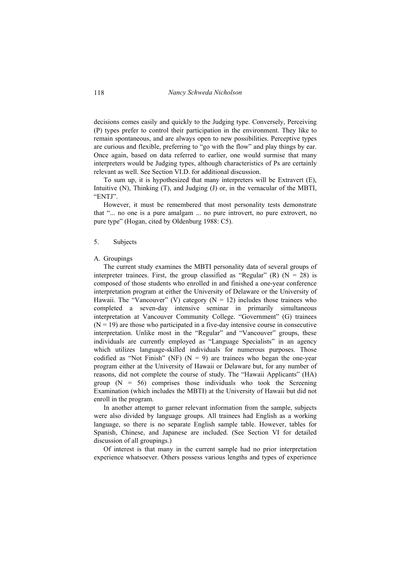decisions comes easily and quickly to the Judging type. Conversely, Perceiving (P) types prefer to control their participation in the environment. They like to remain spontaneous, and are always open to new possibilities. Perceptive types are curious and flexible, preferring to "go with the flow" and play things by ear. Once again, based on data referred to earlier, one would surmise that many interpreters would be Judging types, although characteristics of Ps are certainly relevant as well. See Section VI.D. for additional discussion.

To sum up, it is hypothesized that many interpreters will be Extravert (E), Intuitive (N), Thinking (T), and Judging (J) or, in the vernacular of the MBTI, "ENTJ".

However, it must be remembered that most personality tests demonstrate that "... no one is a pure amalgam ... no pure introvert, no pure extrovert, no pure type" (Hogan, cited by Oldenburg 1988: C5).

#### 5. Subjects

# A. Groupings

The current study examines the MBTI personality data of several groups of interpreter trainees. First, the group classified as "Regular"  $(R)$   $(N = 28)$  is composed of those students who enrolled in and finished a one-year conference interpretation program at either the University of Delaware or the University of Hawaii. The "Vancouver" (V) category ( $N = 12$ ) includes those trainees who completed a seven-day intensive seminar in primarily simultaneous interpretation at Vancouver Community College. "Government" (G) trainees  $(N = 19)$  are those who participated in a five-day intensive course in consecutive interpretation. Unlike most in the "Regular" and "Vancouver" groups, these individuals are currently employed as "Language Specialists" in an agency which utilizes language-skilled individuals for numerous purposes. Those codified as "Not Finish" (NF) ( $N = 9$ ) are trainees who began the one-year program either at the University of Hawaii or Delaware but, for any number of reasons, did not complete the course of study. The "Hawaii Applicants" (HA) group  $(N = 56)$  comprises those individuals who took the Screening Examination (which includes the MBTI) at the University of Hawaii but did not enroll in the program.

In another attempt to garner relevant information from the sample, subjects were also divided by language groups. All trainees had English as a working language, so there is no separate English sample table. However, tables for Spanish, Chinese, and Japanese are included. (See Section VI for detailed discussion of all groupings.)

Of interest is that many in the current sample had no prior interpretation experience whatsoever. Others possess various lengths and types of experience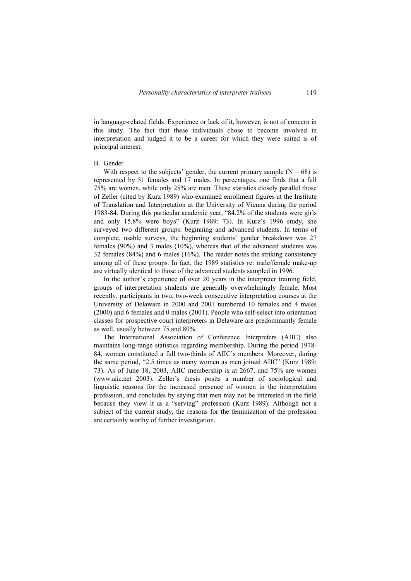in language-related fields. Experience or lack of it, however, is not of concern in this study. The fact that these individuals chose to become involved in interpretation and judged it to be a career for which they were suited is of principal interest.

### B. Gender

With respect to the subjects' gender, the current primary sample  $(N = 68)$  is represented by 51 females and 17 males. In percentages, one finds that a full 75% are women, while only 25% are men. These statistics closely parallel those of Zeller (cited by Kurz 1989) who examined enrollment figures at the Institute of Translation and Interpretation at the University of Vienna during the period 1983-84. During this particular academic year, "84.2% of the students were girls and only 15.8% were boys" (Kurz 1989: 73). In Kurz's 1996 study, she surveyed two different groups: beginning and advanced students. In terms of complete, usable surveys, the beginning students' gender breakdown was 27 females (90%) and 3 males (10%), whereas that of the advanced students was 32 females (84%) and 6 males (16%). The reader notes the striking consistency among all of these groups. In fact, the 1989 statistics re: male/female make-up are virtually identical to those of the advanced students sampled in 1996.

In the author's experience of over 20 years in the interpreter training field, groups of interpretation students are generally overwhelmingly female. Most recently, participants in two, two-week consecutive interpretation courses at the University of Delaware in 2000 and 2001 numbered 10 females and 4 males (2000) and 6 females and 0 males (2001). People who self-select into orientation classes for prospective court interpreters in Delaware are predominantly female as well, usually between 75 and 80%.

The International Association of Conference Interpreters (AIIC) also maintains long-range statistics regarding membership. During the period 1978- 84, women constituted a full two-thirds of AIIC's members. Moreover, during the same period, "2.5 times as many women as men joined AIIC" (Kurz 1989: 73). As of June 18, 2003, AIIC membership is at 2667, and 75% are women (www.aiic.net 2003). Zeller's thesis posits a number of sociological and linguistic reasons for the increased presence of women in the interpretation profession, and concludes by saying that men may not be interested in the field because they view it as a "serving" profession (Kurz 1989). Although not a subject of the current study, the reasons for the feminization of the profession are certainly worthy of further investigation.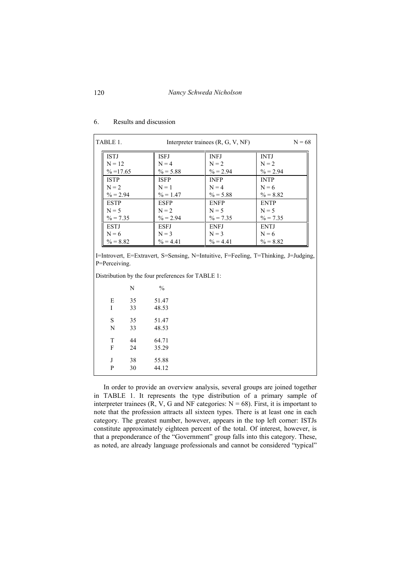| TABLE 1.<br>Interpreter trainees $(R, G, V, NF)$ |             |             | $N = 68$    |
|--------------------------------------------------|-------------|-------------|-------------|
| <b>ISTJ</b>                                      | <b>ISEJ</b> | <b>INFJ</b> | <b>INTJ</b> |
| $N = 12$                                         | $N = 4$     | $N = 2$     | $N = 2$     |
| $\% = 17.65$                                     | $\% = 5.88$ | $\% = 2.94$ | $\% = 2.94$ |
| <b>ISTP</b>                                      | <b>ISFP</b> | <b>INFP</b> | <b>INTP</b> |
| $N = 2$                                          | $N = 1$     | $N = 4$     | $N = 6$     |
| $\% = 2.94$                                      | $\% = 1.47$ | $\% = 5.88$ | $\% = 8.82$ |
| <b>ESTP</b>                                      | <b>ESFP</b> | <b>ENFP</b> | <b>ENTP</b> |
| $N = 5$                                          | $N = 2$     | $N = 5$     | $N = 5$     |
| $\% = 7.35$                                      | $\% = 2.94$ | $\% = 7.35$ | $\% = 7.35$ |
| <b>ESTJ</b>                                      | <b>ESFJ</b> | <b>ENFJ</b> | <b>ENTJ</b> |
| $N = 6$                                          | $N = 3$     | $N = 3$     | $N = 6$     |
| $\% = 8.82$                                      | $\% = 4.41$ | $\% = 4.41$ | $\% = 8.82$ |

#### 6. Results and discussion

I=Introvert, E=Extravert, S=Sensing, N=Intuitive, F=Feeling, T=Thinking, J=Judging, P=Perceiving.

Distribution by the four preferences for TABLE 1:

|   | N  | $\frac{0}{0}$ |  |
|---|----|---------------|--|
| Е | 35 | 51.47         |  |
| I | 33 | 48.53         |  |
| S | 35 | 51.47         |  |
| N | 33 | 48.53         |  |
| T | 44 | 64.71         |  |
| F | 24 | 35.29         |  |
| J | 38 | 55.88         |  |
| P | 30 | 44.12         |  |

In order to provide an overview analysis, several groups are joined together in TABLE 1. It represents the type distribution of a primary sample of interpreter trainees (R, V, G and NF categories:  $N = 68$ ). First, it is important to note that the profession attracts all sixteen types. There is at least one in each category. The greatest number, however, appears in the top left corner: ISTJs constitute approximately eighteen percent of the total. Of interest, however, is that a preponderance of the "Government" group falls into this category. These, as noted, are already language professionals and cannot be considered "typical"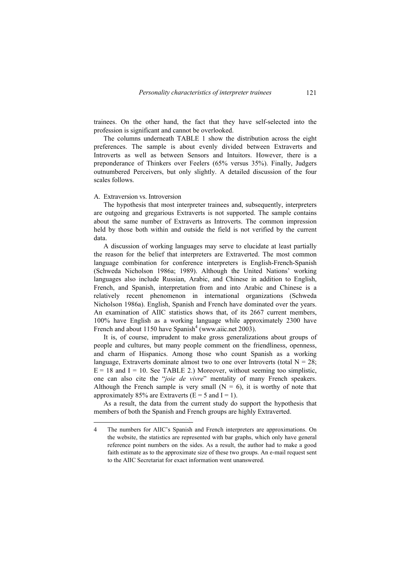trainees. On the other hand, the fact that they have self-selected into the profession is significant and cannot be overlooked.

The columns underneath TABLE 1 show the distribution across the eight preferences. The sample is about evenly divided between Extraverts and Introverts as well as between Sensors and Intuitors. However, there is a preponderance of Thinkers over Feelers (65% versus 35%). Finally, Judgers outnumbered Perceivers, but only slightly. A detailed discussion of the four scales follows.

#### A. Extraversion vs. Introversion

The hypothesis that most interpreter trainees and, subsequently, interpreters are outgoing and gregarious Extraverts is not supported. The sample contains about the same number of Extraverts as Introverts. The common impression held by those both within and outside the field is not verified by the current data.

A discussion of working languages may serve to elucidate at least partially the reason for the belief that interpreters are Extraverted. The most common language combination for conference interpreters is English-French-Spanish (Schweda Nicholson 1986a; 1989). Although the United Nations' working languages also include Russian, Arabic, and Chinese in addition to English, French, and Spanish, interpretation from and into Arabic and Chinese is a relatively recent phenomenon in international organizations (Schweda Nicholson 1986a). English, Spanish and French have dominated over the years. An examination of AIIC statistics shows that, of its 2667 current members, 100% have English as a working language while approximately 2300 have French and about 1150 have Spanish<sup>4</sup> (www.aiic.net 2003).

It is, of course, imprudent to make gross generalizations about groups of people and cultures, but many people comment on the friendliness, openness, and charm of Hispanics. Among those who count Spanish as a working language, Extraverts dominate almost two to one over Introverts (total  $N = 28$ ;  $E = 18$  and  $I = 10$ . See TABLE 2.) Moreover, without seeming too simplistic, one can also cite the "*joie de vivre*" mentality of many French speakers. Although the French sample is very small  $(N = 6)$ , it is worthy of note that approximately 85% are Extraverts ( $E = 5$  and  $I = 1$ ).

As a result, the data from the current study do support the hypothesis that members of both the Spanish and French groups are highly Extraverted.

<sup>4</sup> The numbers for AIIC's Spanish and French interpreters are approximations. On the website, the statistics are represented with bar graphs, which only have general reference point numbers on the sides. As a result, the author had to make a good faith estimate as to the approximate size of these two groups. An e-mail request sent to the AIIC Secretariat for exact information went unanswered.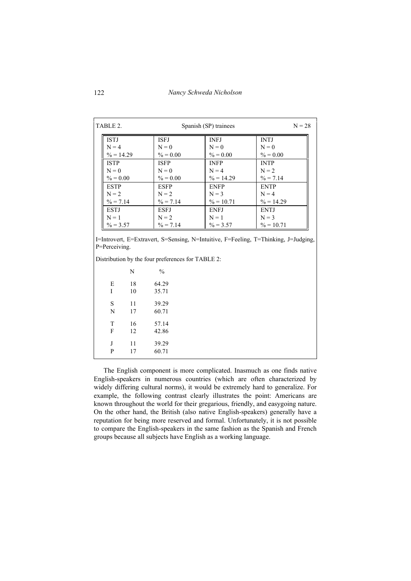| TABLE 2.<br>Spanish (SP) trainees |                        |                        | $N = 28$               |  |
|-----------------------------------|------------------------|------------------------|------------------------|--|
| <b>ISTJ</b><br>$N = 4$            | <b>ISFJ</b>            | <b>INFJ</b>            | <b>INTJ</b>            |  |
| $\% = 14.29$                      | $N = 0$<br>$\% = 0.00$ | $N = 0$<br>$\% = 0.00$ | $N = 0$<br>$\% = 0.00$ |  |
| <b>ISTP</b>                       | <b>ISFP</b>            | <b>INFP</b>            | <b>INTP</b>            |  |
| $N = 0$                           | $N = 0$                | $N = 4$                | $N = 2$                |  |
| $\% = 0.00$                       | $\% = 0.00$            | $\% = 14.29$           | $\frac{9}{6}$ = 7.14   |  |
| <b>ESTP</b>                       | <b>ESFP</b>            | <b>ENFP</b>            | <b>ENTP</b>            |  |
| $N = 2$                           | $N = 2$                | $N = 3$                | $N = 4$                |  |
| $\% = 7.14$                       | $\% = 7.14$            | $\% = 10.71$           | $\% = 14.29$           |  |
| <b>ESTJ</b>                       | <b>ESFJ</b>            | <b>ENFJ</b>            | <b>ENTJ</b>            |  |
| $N = 1$                           | $N = 2$                | $N = 1$                | $N = 3$                |  |
| $\% = 3.57$                       | $\% = 7.14$            | $\% = 3.57$            | $\% = 10.71$           |  |

Distribution by the four preferences for TABLE 2:

|   | N  | $\frac{0}{0}$ |
|---|----|---------------|
| E | 18 | 64.29         |
| I | 10 | 35.71         |
| S | 11 | 39.29         |
| N | 17 | 60.71         |
| T | 16 | 57.14         |
| F | 12 | 42.86         |
| J | 11 | 39.29         |
| P | 17 | 60.71         |

The English component is more complicated. Inasmuch as one finds native English-speakers in numerous countries (which are often characterized by widely differing cultural norms), it would be extremely hard to generalize. For example, the following contrast clearly illustrates the point: Americans are known throughout the world for their gregarious, friendly, and easygoing nature. On the other hand, the British (also native English-speakers) generally have a reputation for being more reserved and formal. Unfortunately, it is not possible to compare the English-speakers in the same fashion as the Spanish and French groups because all subjects have English as a working language.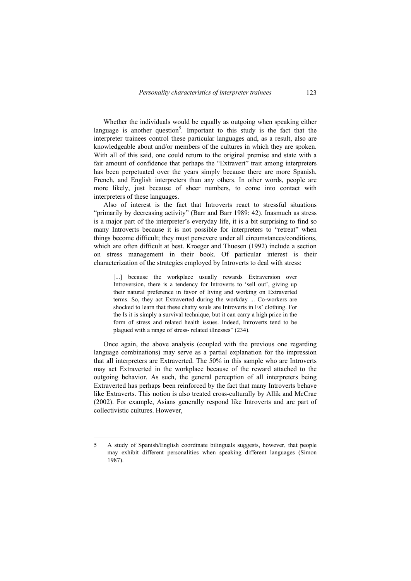Whether the individuals would be equally as outgoing when speaking either language is another question<sup>5</sup>. Important to this study is the fact that the interpreter trainees control these particular languages and, as a result, also are knowledgeable about and/or members of the cultures in which they are spoken. With all of this said, one could return to the original premise and state with a fair amount of confidence that perhaps the "Extravert" trait among interpreters has been perpetuated over the years simply because there are more Spanish, French, and English interpreters than any others. In other words, people are more likely, just because of sheer numbers, to come into contact with interpreters of these languages.

Also of interest is the fact that Introverts react to stressful situations "primarily by decreasing activity" (Barr and Barr 1989: 42). Inasmuch as stress is a major part of the interpreter's everyday life, it is a bit surprising to find so many Introverts because it is not possible for interpreters to "retreat" when things become difficult; they must persevere under all circumstances/conditions, which are often difficult at best. Kroeger and Thuesen (1992) include a section on stress management in their book. Of particular interest is their characterization of the strategies employed by Introverts to deal with stress:

[...] because the workplace usually rewards Extraversion over Introversion, there is a tendency for Introverts to 'sell out', giving up their natural preference in favor of living and working on Extraverted terms. So, they act Extraverted during the workday ... Co-workers are shocked to learn that these chatty souls are Introverts in Es' clothing. For the Is it is simply a survival technique, but it can carry a high price in the form of stress and related health issues. Indeed, Introverts tend to be plagued with a range of stress- related illnesses" (234).

Once again, the above analysis (coupled with the previous one regarding language combinations) may serve as a partial explanation for the impression that all interpreters are Extraverted. The 50% in this sample who are Introverts may act Extraverted in the workplace because of the reward attached to the outgoing behavior. As such, the general perception of all interpreters being Extraverted has perhaps been reinforced by the fact that many Introverts behave like Extraverts. This notion is also treated cross-culturally by Allik and McCrae (2002). For example, Asians generally respond like Introverts and are part of collectivistic cultures. However,

 $\overline{a}$ 

<sup>5</sup> A study of Spanish/English coordinate bilinguals suggests, however, that people may exhibit different personalities when speaking different languages (Simon 1987).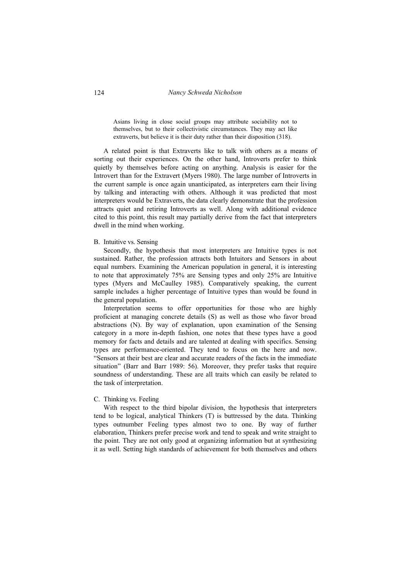124 *Nancy Schweda Nicholson* 

Asians living in close social groups may attribute sociability not to themselves, but to their collectivistic circumstances. They may act like extraverts, but believe it is their duty rather than their disposition (318).

A related point is that Extraverts like to talk with others as a means of sorting out their experiences. On the other hand, Introverts prefer to think quietly by themselves before acting on anything. Analysis is easier for the Introvert than for the Extravert (Myers 1980). The large number of Introverts in the current sample is once again unanticipated, as interpreters earn their living by talking and interacting with others. Although it was predicted that most interpreters would be Extraverts, the data clearly demonstrate that the profession attracts quiet and retiring Introverts as well. Along with additional evidence cited to this point, this result may partially derive from the fact that interpreters dwell in the mind when working.

#### B. Intuitive vs. Sensing

Secondly, the hypothesis that most interpreters are Intuitive types is not sustained. Rather, the profession attracts both Intuitors and Sensors in about equal numbers. Examining the American population in general, it is interesting to note that approximately 75% are Sensing types and only 25% are Intuitive types (Myers and McCaulley 1985). Comparatively speaking, the current sample includes a higher percentage of Intuitive types than would be found in the general population.

Interpretation seems to offer opportunities for those who are highly proficient at managing concrete details (S) as well as those who favor broad abstractions (N). By way of explanation, upon examination of the Sensing category in a more in-depth fashion, one notes that these types have a good memory for facts and details and are talented at dealing with specifics. Sensing types are performance-oriented. They tend to focus on the here and now. "Sensors at their best are clear and accurate readers of the facts in the immediate situation" (Barr and Barr 1989: 56). Moreover, they prefer tasks that require soundness of understanding. These are all traits which can easily be related to the task of interpretation.

# C. Thinking vs. Feeling

With respect to the third bipolar division, the hypothesis that interpreters tend to be logical, analytical Thinkers (T) is buttressed by the data. Thinking types outnumber Feeling types almost two to one. By way of further elaboration, Thinkers prefer precise work and tend to speak and write straight to the point. They are not only good at organizing information but at synthesizing it as well. Setting high standards of achievement for both themselves and others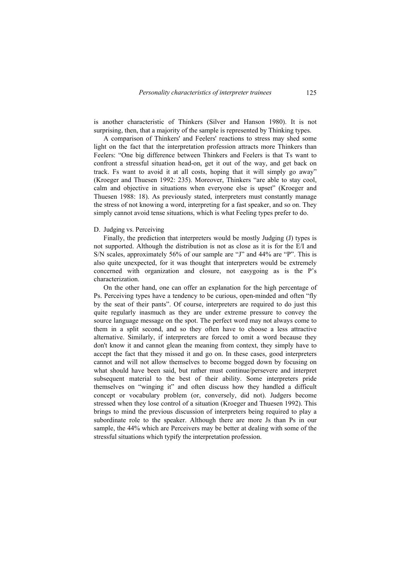is another characteristic of Thinkers (Silver and Hanson 1980). It is not surprising, then, that a majority of the sample is represented by Thinking types.

A comparison of Thinkers' and Feelers' reactions to stress may shed some light on the fact that the interpretation profession attracts more Thinkers than Feelers: "One big difference between Thinkers and Feelers is that Ts want to confront a stressful situation head-on, get it out of the way, and get back on track. Fs want to avoid it at all costs, hoping that it will simply go away" (Kroeger and Thuesen 1992: 235). Moreover, Thinkers "are able to stay cool, calm and objective in situations when everyone else is upset" (Kroeger and Thuesen 1988: 18). As previously stated, interpreters must constantly manage the stress of not knowing a word, interpreting for a fast speaker, and so on. They simply cannot avoid tense situations, which is what Feeling types prefer to do.

# D. Judging vs. Perceiving

Finally, the prediction that interpreters would be mostly Judging (J) types is not supported. Although the distribution is not as close as it is for the E/I and S/N scales, approximately 56% of our sample are "J" and 44% are "P". This is also quite unexpected, for it was thought that interpreters would be extremely concerned with organization and closure, not easygoing as is the P's characterization.

On the other hand, one can offer an explanation for the high percentage of Ps. Perceiving types have a tendency to be curious, open-minded and often "fly by the seat of their pants". Of course, interpreters are required to do just this quite regularly inasmuch as they are under extreme pressure to convey the source language message on the spot. The perfect word may not always come to them in a split second, and so they often have to choose a less attractive alternative. Similarly, if interpreters are forced to omit a word because they don't know it and cannot glean the meaning from context, they simply have to accept the fact that they missed it and go on. In these cases, good interpreters cannot and will not allow themselves to become bogged down by focusing on what should have been said, but rather must continue/persevere and interpret subsequent material to the best of their ability. Some interpreters pride themselves on "winging it" and often discuss how they handled a difficult concept or vocabulary problem (or, conversely, did not). Judgers become stressed when they lose control of a situation (Kroeger and Thuesen 1992). This brings to mind the previous discussion of interpreters being required to play a subordinate role to the speaker. Although there are more Js than Ps in our sample, the 44% which are Perceivers may be better at dealing with some of the stressful situations which typify the interpretation profession.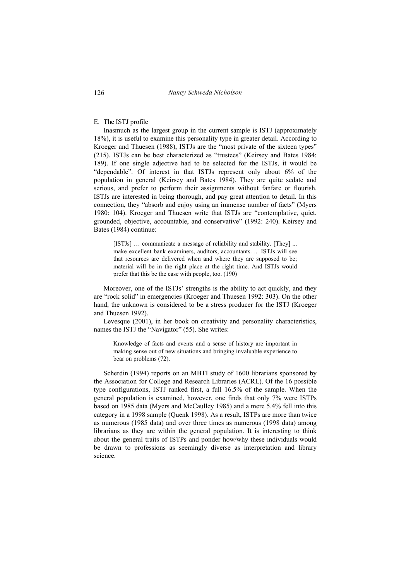126 *Nancy Schweda Nicholson* 

### E. The ISTJ profile

Inasmuch as the largest group in the current sample is ISTJ (approximately 18%), it is useful to examine this personality type in greater detail. According to Kroeger and Thuesen (1988), ISTJs are the "most private of the sixteen types" (215). ISTJs can be best characterized as "trustees" (Keirsey and Bates 1984: 189). If one single adjective had to be selected for the ISTJs, it would be "dependable". Of interest in that ISTJs represent only about 6% of the population in general (Keirsey and Bates 1984). They are quite sedate and serious, and prefer to perform their assignments without fanfare or flourish. ISTJs are interested in being thorough, and pay great attention to detail. In this connection, they "absorb and enjoy using an immense number of facts" (Myers 1980: 104). Kroeger and Thuesen write that ISTJs are "contemplative, quiet, grounded, objective, accountable, and conservative" (1992: 240). Keirsey and Bates (1984) continue:

[ISTJs] … communicate a message of reliability and stability. [They] ... make excellent bank examiners, auditors, accountants. ... ISTJs will see that resources are delivered when and where they are supposed to be; material will be in the right place at the right time. And ISTJs would prefer that this be the case with people, too. (190)

Moreover, one of the ISTJs' strengths is the ability to act quickly, and they are "rock solid" in emergencies (Kroeger and Thuesen 1992: 303). On the other hand, the unknown is considered to be a stress producer for the ISTJ (Kroeger and Thuesen 1992).

Levesque (2001), in her book on creativity and personality characteristics, names the ISTJ the "Navigator" (55). She writes:

Knowledge of facts and events and a sense of history are important in making sense out of new situations and bringing invaluable experience to bear on problems (72).

Scherdin (1994) reports on an MBTI study of 1600 librarians sponsored by the Association for College and Research Libraries (ACRL). Of the 16 possible type configurations, ISTJ ranked first, a full 16.5% of the sample. When the general population is examined, however, one finds that only 7% were ISTPs based on 1985 data (Myers and McCaulley 1985) and a mere 5.4% fell into this category in a 1998 sample (Quenk 1998). As a result, ISTPs are more than twice as numerous (1985 data) and over three times as numerous (1998 data) among librarians as they are within the general population. It is interesting to think about the general traits of ISTPs and ponder how/why these individuals would be drawn to professions as seemingly diverse as interpretation and library science.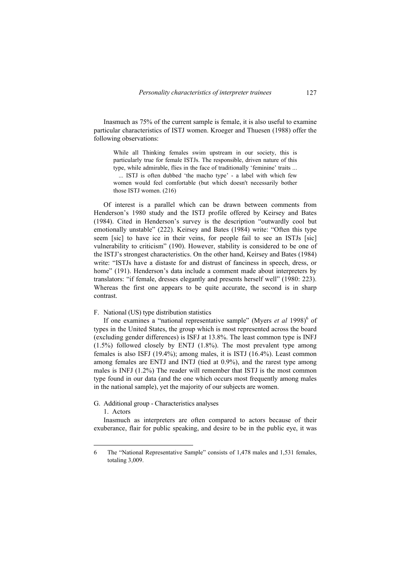Inasmuch as 75% of the current sample is female, it is also useful to examine particular characteristics of ISTJ women. Kroeger and Thuesen (1988) offer the following observations:

While all Thinking females swim upstream in our society, this is particularly true for female ISTJs. The responsible, driven nature of this type, while admirable, flies in the face of traditionally 'feminine' traits ... ... ISTJ is often dubbed 'the macho type' - a label with which few women would feel comfortable (but which doesn't necessarily bother

those ISTJ women. (216)

Of interest is a parallel which can be drawn between comments from Henderson's 1980 study and the ISTJ profile offered by Keirsey and Bates (1984). Cited in Henderson's survey is the description "outwardly cool but emotionally unstable" (222). Keirsey and Bates (1984) write: "Often this type seem [sic] to have ice in their veins, for people fail to see an ISTJs [sic] vulnerability to criticism" (190). However, stability is considered to be one of the ISTJ's strongest characteristics. On the other hand, Keirsey and Bates (1984) write: "ISTJs have a distaste for and distrust of fanciness in speech, dress, or home" (191). Henderson's data include a comment made about interpreters by translators: "if female, dresses elegantly and presents herself well" (1980: 223). Whereas the first one appears to be quite accurate, the second is in sharp contrast.

### F. National (US) type distribution statistics

If one examines a "national representative sample" (Myers *et al* 1998)<sup>6</sup> of types in the United States, the group which is most represented across the board (excluding gender differences) is ISFJ at 13.8%. The least common type is INFJ  $(1.5\%)$  followed closely by ENTJ  $(1.8\%)$ . The most prevalent type among females is also ISFJ (19.4%); among males, it is ISTJ (16.4%). Least common among females are ENTJ and INTJ (tied at 0.9%), and the rarest type among males is INFJ (1.2%) The reader will remember that ISTJ is the most common type found in our data (and the one which occurs most frequently among males in the national sample), yet the majority of our subjects are women.

# G. Additional group - Characteristics analyses

1. Actors

Inasmuch as interpreters are often compared to actors because of their exuberance, flair for public speaking, and desire to be in the public eye, it was

<sup>6</sup> The "National Representative Sample" consists of 1,478 males and 1,531 females, totaling 3,009.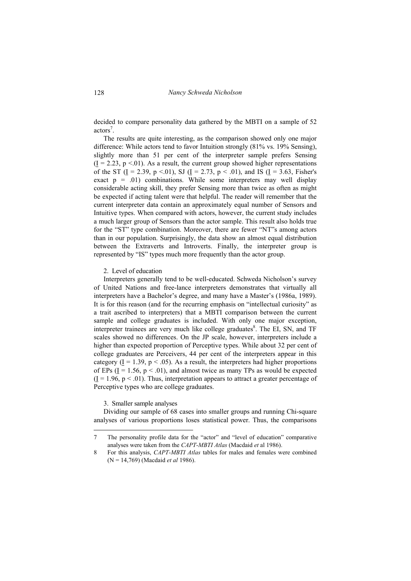decided to compare personality data gathered by the MBTI on a sample of 52 actors<sup>7</sup>.

The results are quite interesting, as the comparison showed only one major difference: While actors tend to favor Intuition strongly (81% vs. 19% Sensing), slightly more than 51 per cent of the interpreter sample prefers Sensing  $(I = 2.23, p < 0.01)$ . As a result, the current group showed higher representations of the ST (I = 2.39, p <.01), SJ (I = 2.73, p < .01), and IS (I = 3.63, Fisher's exact  $p = .01$ ) combinations. While some interpreters may well display considerable acting skill, they prefer Sensing more than twice as often as might be expected if acting talent were that helpful. The reader will remember that the current interpreter data contain an approximately equal number of Sensors and Intuitive types. When compared with actors, however, the current study includes a much larger group of Sensors than the actor sample. This result also holds true for the "ST" type combination. Moreover, there are fewer "NT"s among actors than in our population. Surprisingly, the data show an almost equal distribution between the Extraverts and Introverts. Finally, the interpreter group is represented by "IS" types much more frequently than the actor group.

2. Level of education

Interpreters generally tend to be well-educated. Schweda Nicholson's survey of United Nations and free-lance interpreters demonstrates that virtually all interpreters have a Bachelor's degree, and many have a Master's (1986a, 1989). It is for this reason (and for the recurring emphasis on "intellectual curiosity" as a trait ascribed to interpreters) that a MBTI comparison between the current sample and college graduates is included. With only one major exception, interpreter trainees are very much like college graduates $\delta$ . The EI, SN, and TF scales showed no differences. On the JP scale, however, interpreters include a higher than expected proportion of Perceptive types. While about 32 per cent of college graduates are Perceivers, 44 per cent of the interpreters appear in this category  $(I = 1.39, p < .05)$ . As a result, the interpreters had higher proportions of EPs ( $I = 1.56$ ,  $p < .01$ ), and almost twice as many TPs as would be expected  $(I = 1.96, p < .01)$ . Thus, interpretation appears to attract a greater percentage of Perceptive types who are college graduates.

3. Smaller sample analyses

 $\overline{a}$ 

Dividing our sample of 68 cases into smaller groups and running Chi-square analyses of various proportions loses statistical power. Thus, the comparisons

<sup>7</sup> The personality profile data for the "actor" and "level of education" comparative analyses were taken from the *CAPT-MBTI Atlas* (Macdaid *et* al 1986).

<sup>8</sup> For this analysis, *CAPT-MBTI Atlas* tables for males and females were combined (N = 14,769) (Macdaid *et al* 1986).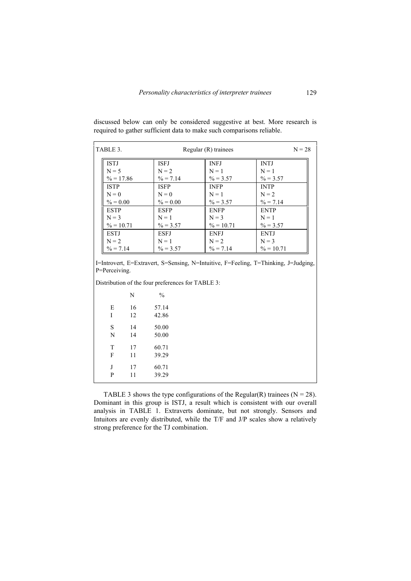| TABLE 3.     |             | Regular (R) trainees | $N = 28$     |
|--------------|-------------|----------------------|--------------|
| <b>ISTJ</b>  | <b>ISEJ</b> | <b>INFJ</b>          | <b>INTJ</b>  |
| $N = 5$      | $N = 2$     | $N = 1$              | $N = 1$      |
| $\% = 17.86$ | $\% = 7.14$ | $\% = 3.57$          | $\% = 3.57$  |
| <b>ISTP</b>  | <b>ISFP</b> | <b>INFP</b>          | <b>INTP</b>  |
| $N = 0$      | $N = 0$     | $N = 1$              | $N = 2$      |
| $\% = 0.00$  | $\% = 0.00$ | $\% = 3.57$          | $\% = 7.14$  |
| <b>ESTP</b>  | <b>ESFP</b> | <b>ENFP</b>          | <b>ENTP</b>  |
| $N = 3$      | $N = 1$     | $N = 3$              | $N = 1$      |
| $\% = 10.71$ | $\% = 3.57$ | $\% = 10.71$         | $\% = 3.57$  |
| <b>ESTJ</b>  | <b>ESFJ</b> | <b>ENFJ</b>          | <b>ENTJ</b>  |
| $N = 2$      | $N = 1$     | $N = 2$              | $N = 3$      |
| $\% = 7.14$  | $\% = 3.57$ | $\% = 7.14$          | $\% = 10.71$ |

discussed below can only be considered suggestive at best. More research is required to gather sufficient data to make such comparisons reliable.

I=Introvert, E=Extravert, S=Sensing, N=Intuitive, F=Feeling, T=Thinking, J=Judging, P=Perceiving.

Distribution of the four preferences for TABLE 3:

|   | N  | $\frac{0}{0}$ |
|---|----|---------------|
| E | 16 | 57.14         |
| I | 12 | 42.86         |
| S | 14 | 50.00         |
| N | 14 | 50.00         |
| T | 17 | 60.71         |
| F | 11 | 39.29         |
| J | 17 | 60.71         |
| P | 11 | 39.29         |

TABLE 3 shows the type configurations of the Regular(R) trainees ( $N = 28$ ). Dominant in this group is ISTJ, a result which is consistent with our overall analysis in TABLE 1. Extraverts dominate, but not strongly. Sensors and Intuitors are evenly distributed, while the T/F and J/P scales show a relatively strong preference for the TJ combination.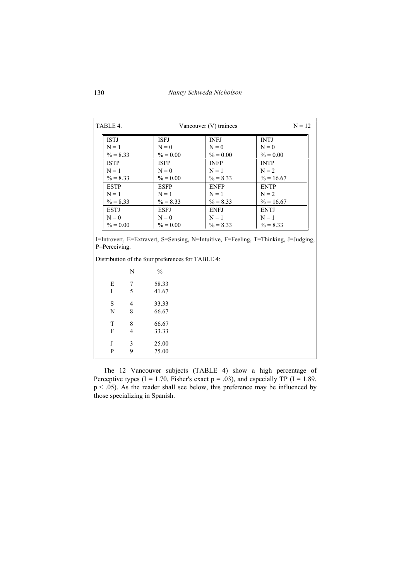| TABLE 4.<br>Vancouver (V) trainees |             |             | $N = 12$     |
|------------------------------------|-------------|-------------|--------------|
| <b>ISTJ</b>                        | <b>ISEJ</b> | <b>INFJ</b> | <b>INTJ</b>  |
| $N = 1$                            | $N = 0$     | $N = 0$     | $N = 0$      |
| $\% = 8.33$                        | $\% = 0.00$ | $\% = 0.00$ | $\% = 0.00$  |
| <b>ISTP</b>                        | <b>ISFP</b> | <b>INFP</b> | <b>INTP</b>  |
| $N = 1$                            | $N = 0$     | $N = 1$     | $N = 2$      |
| $\% = 8.33$                        | $\% = 0.00$ | $\% = 8.33$ | $\% = 16.67$ |
| <b>ESTP</b>                        | <b>ESFP</b> | <b>ENFP</b> | <b>ENTP</b>  |
| $N = 1$                            | $N = 1$     | $N = 1$     | $N = 2$      |
| $\% = 8.33$                        | $\% = 8.33$ | $\% = 8.33$ | $\% = 16.67$ |
| <b>ESTJ</b>                        | <b>ESFJ</b> | <b>ENFJ</b> | <b>ENTJ</b>  |
| $N = 0$                            | $N = 0$     | $N = 1$     | $N = 1$      |
| $\% = 0.00$                        | $\% = 0.00$ | $\% = 8.33$ | $\% = 8.33$  |

Distribution of the four preferences for TABLE 4:

|   | N | $\frac{0}{0}$ |
|---|---|---------------|
| E | 7 | 58.33         |
| I | 5 | 41.67         |
| S | 4 | 33.33         |
| N | 8 | 66.67         |
| T | 8 | 66.67         |
| F | 4 | 33.33         |
| J | 3 | 25.00         |
| P | 9 | 75.00         |

The 12 Vancouver subjects (TABLE 4) show a high percentage of Perceptive types ( $\underline{I} = 1.70$ , Fisher's exact  $p = .03$ ), and especially TP ( $\underline{I} = 1.89$ , p < .05). As the reader shall see below, this preference may be influenced by those specializing in Spanish.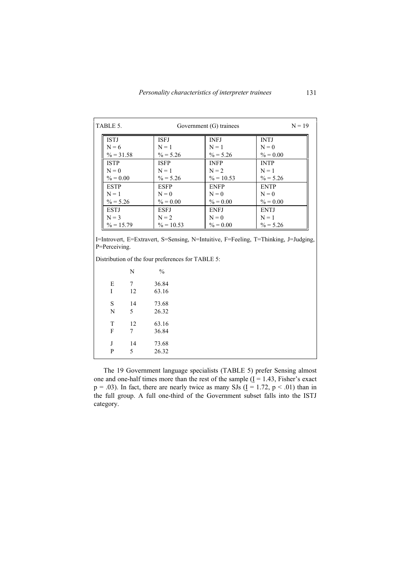| TABLE 5.<br>Government (G) trainees |                        |                        | $N = 19$               |
|-------------------------------------|------------------------|------------------------|------------------------|
| <b>ISTJ</b><br>$N = 6$              | <b>ISEJ</b><br>$N = 1$ | <b>INFJ</b><br>$N = 1$ | <b>INTJ</b><br>$N = 0$ |
| $\% = 31.58$                        | $\% = 5.26$            | $\% = 5.26$            | $\% = 0.00$            |
| <b>ISTP</b>                         | <b>ISFP</b>            | <b>INFP</b>            | <b>INTP</b>            |
| $N = 0$                             | $N = 1$                | $N = 2$                | $N = 1$                |
| $\% = 0.00$                         | $\% = 5.26$            | $\% = 10.53$           | $\% = 5.26$            |
| <b>ESTP</b>                         | <b>ESFP</b>            | <b>ENFP</b>            | <b>ENTP</b>            |
| $N = 1$                             | $N = 0$                | $N = 0$                | $N = 0$                |
| $\% = 5.26$                         | $\% = 0.00$            | $\% = 0.00$            | $\% = 0.00$            |
| <b>ESTJ</b>                         | <b>ESFJ</b>            | <b>ENFJ</b>            | <b>ENTJ</b>            |
| $N = 3$                             | $N = 2$                | $N = 0$                | $N = 1$                |
| $\% = 15.79$                        | $\% = 10.53$           | $\% = 0.00$            | $\% = 5.26$            |

Distribution of the four preferences for TABLE 5:

|   | N  | $\frac{0}{0}$ |
|---|----|---------------|
| E | 7  | 36.84         |
| T | 12 | 63.16         |
| S | 14 | 73.68         |
| N | 5  | 26.32         |
| T | 12 | 63.16         |
| F | 7  | 36.84         |
| J | 14 | 73.68         |
| P | 5  | 26.32         |

The 19 Government language specialists (TABLE 5) prefer Sensing almost one and one-half times more than the rest of the sample  $(I = 1.43, Fisher's exact)$  $p = .03$ ). In fact, there are nearly twice as many SJs ( $\underline{I} = 1.72$ ,  $p < .01$ ) than in the full group. A full one-third of the Government subset falls into the ISTJ category.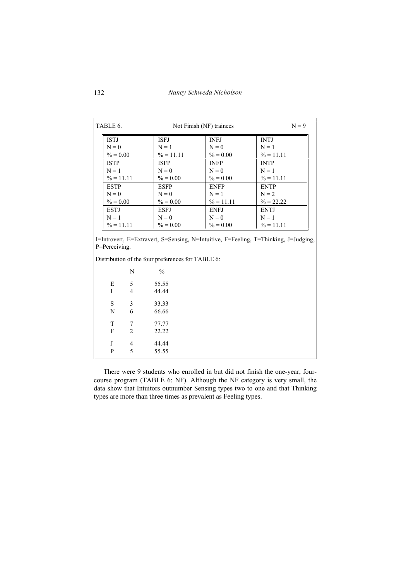| $N = 9$<br>Not Finish (NF) trainees<br>TABLE 6. |                            |                            |                             |
|-------------------------------------------------|----------------------------|----------------------------|-----------------------------|
| <b>ISTJ</b>                                     | <b>ISEJ</b>                | <b>INFJ</b>                | <b>INTJ</b>                 |
| $N = 0$<br>$\% = 0.00$                          | $N = 1$<br>$\% = 11.11$    | $N = 0$<br>$\% = 0.00$     | $N = 1$<br>$\% = 11.11$     |
| <b>ISTP</b>                                     | <b>ISFP</b>                | <b>INFP</b>                | <b>INTP</b>                 |
| $N = 1$                                         | $N = 0$                    | $N = 0$                    | $N = 1$                     |
| $\% = 11.11$<br><b>ESTP</b>                     | $\% = 0.00$<br><b>ESFP</b> | $\% = 0.00$<br><b>ENFP</b> | $\% = 11.11$<br><b>ENTP</b> |
| $N = 0$                                         | $N = 0$                    | $N = 1$                    | $N = 2$                     |
| $\% = 0.00$                                     | $\% = 0.00$                | $\% = 11.11$               | $\% = 22.22$                |
| <b>ESTJ</b>                                     | <b>ESFJ</b>                | <b>ENFJ</b>                | <b>ENTJ</b>                 |
| $N = 1$                                         | $N = 0$                    | $N = 0$                    | $N = 1$                     |
| $\% = 11.11$                                    | $\% = 0.00$                | $\% = 0.00$                | $\% = 11.11$                |

Distribution of the four preferences for TABLE 6:

|   | N              | $\frac{0}{0}$ |  |
|---|----------------|---------------|--|
| E | 5              | 55.55         |  |
| I | $\overline{4}$ | 44.44         |  |
| S | 3              | 33.33         |  |
| N | 6              | 66.66         |  |
| T | 7              | 77.77         |  |
| F | $\overline{2}$ | 22.22         |  |
| J | 4              | 44.44         |  |
| P | 5              | 55.55         |  |

There were 9 students who enrolled in but did not finish the one-year, fourcourse program (TABLE 6: NF). Although the NF category is very small, the data show that Intuitors outnumber Sensing types two to one and that Thinking types are more than three times as prevalent as Feeling types.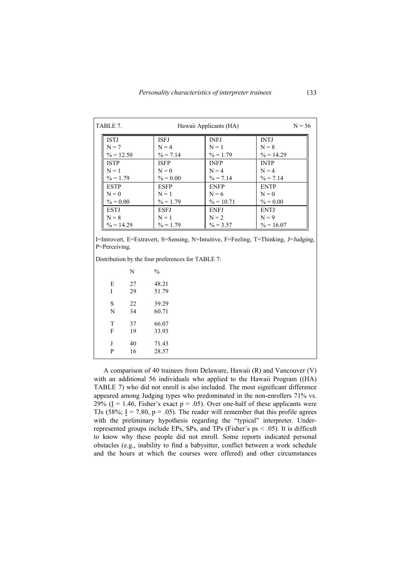| TABLE 7. |              |             | Hawaii Applicants (HA) |              |
|----------|--------------|-------------|------------------------|--------------|
|          | <b>ISTJ</b>  | <b>ISFJ</b> | <b>INFJ</b>            | <b>INTJ</b>  |
|          | $N = 7$      | $N = 4$     | $N = 1$                | $N = 8$      |
|          | $\% = 12.50$ | $\% = 7.14$ | $\% = 1.79$            | $\% = 14.29$ |
|          | <b>ISTP</b>  | <b>ISFP</b> | <b>INFP</b>            | <b>INTP</b>  |
|          | $N = 1$      | $N = 0$     | $N = 4$                | $N = 4$      |
|          | $\% = 1.79$  | $\% = 0.00$ | $\% = 7.14$            | $\% = 7.14$  |
|          | <b>ESTP</b>  | <b>ESFP</b> | <b>ENFP</b>            | <b>ENTP</b>  |
|          | $N = 0$      | $N = 1$     | $N = 6$                | $N = 0$      |
|          | $\% = 0.00$  | $\% = 1.79$ | $\% = 10.71$           | $\% = 0.00$  |
|          | <b>ESTJ</b>  | <b>ESFJ</b> | <b>ENFJ</b>            | <b>ENTJ</b>  |
|          | $N = 8$      | $N = 1$     | $N = 2$                | $N = 9$      |
|          | $\% = 14.29$ | $\% = 1.79$ | $\% = 3.57$            | $\% = 16.07$ |

I=Introvert, E=Extravert, S=Sensing, N=Intuitive, F=Feeling, T=Thinking, J=Judging, P=Perceiving.

Distribution by the four preferences for TABLE 7:

|   | N  | $\frac{0}{0}$ |
|---|----|---------------|
| E | 27 | 48.21         |
| I | 29 | 51.79         |
| S | 22 | 39.29         |
| N | 34 | 60.71         |
| T | 37 | 66.07         |
| F | 19 | 33.93         |
| J | 40 | 71.43         |
| P | 16 | 28.57         |

A comparison of 40 trainees from Delaware, Hawaii (R) and Vancouver (V) with an additional 56 individuals who applied to the Hawaii Program ((HA) TABLE 7) who did not enroll is also included. The most significant difference appeared among Judging types who predominated in the non-enrollers 71% vs. 29% (I = 1.46, Fisher's exact  $p = .05$ ). Over one-half of these applicants were TJs (58%;  $I = 7.80$ ,  $p = .05$ ). The reader will remember that this profile agrees with the preliminary hypothesis regarding the "typical" interpreter. Underrepresented groups include EPs, SPs, and TPs (Fisher's  $ps < .05$ ). It is difficult to know why these people did not enroll. Some reports indicated personal obstacles (e.g., inability to find a babysitter, conflict between a work schedule and the hours at which the courses were offered) and other circumstances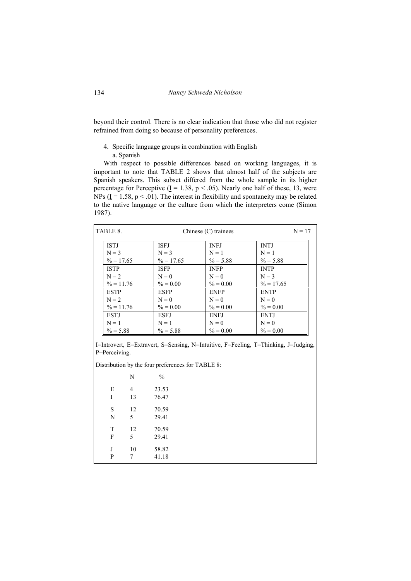beyond their control. There is no clear indication that those who did not register refrained from doing so because of personality preferences.

- 4. Specific language groups in combination with English
	- a. Spanish

With respect to possible differences based on working languages, it is important to note that TABLE 2 shows that almost half of the subjects are Spanish speakers. This subset differed from the whole sample in its higher percentage for Perceptive ( $\underline{I} = 1.38$ ,  $p < .05$ ). Nearly one half of these, 13, were NPs ( $\underline{I} = 1.58$ ,  $p < .01$ ). The interest in flexibility and spontaneity may be related to the native language or the culture from which the interpreters come (Simon 1987).

| TABLE 8.     |              | Chinese $(C)$ trainees | $N = 17$     |
|--------------|--------------|------------------------|--------------|
| <b>ISTJ</b>  | <b>ISEJ</b>  | <b>INFJ</b>            | <b>INTJ</b>  |
| $N = 3$      | $N = 3$      | $N = 1$                | $N = 1$      |
| $\% = 17.65$ | $\% = 17.65$ | $\% = 5.88$            | $\% = 5.88$  |
| <b>ISTP</b>  | <b>ISFP</b>  | <b>INFP</b>            | <b>INTP</b>  |
| $N = 2$      | $N = 0$      | $N = 0$                | $N = 3$      |
| $\% = 11.76$ | $\% = 0.00$  | $\% = 0.00$            | $\% = 17.65$ |
| <b>ESTP</b>  | <b>ESFP</b>  | <b>ENFP</b>            | <b>ENTP</b>  |
| $N = 2$      | $N = 0$      | $N = 0$                | $N = 0$      |
| $\% = 11.76$ | $\% = 0.00$  | $\% = 0.00$            | $\% = 0.00$  |
| <b>ESTI</b>  | <b>ESFJ</b>  | <b>ENFJ</b>            | <b>ENTJ</b>  |
| $N = 1$      | $N = 1$      | $N = 0$                | $N = 0$      |
| $\% = 5.88$  | $\% = 5.88$  | $\% = 0.00$            | $\% = 0.00$  |

I=Introvert, E=Extravert, S=Sensing, N=Intuitive, F=Feeling, T=Thinking, J=Judging, P=Perceiving.

Distribution by the four preferences for TABLE 8:

|   | N              | $\frac{0}{0}$ |
|---|----------------|---------------|
| E | $\overline{4}$ | 23.53         |
| I | 13             | 76.47         |
| S | 12             | 70.59         |
| N | 5              | 29.41         |
| T | 12             | 70.59         |
| F | 5              | 29.41         |
| J | 10             | 58.82         |
| P | 7              | 41.18         |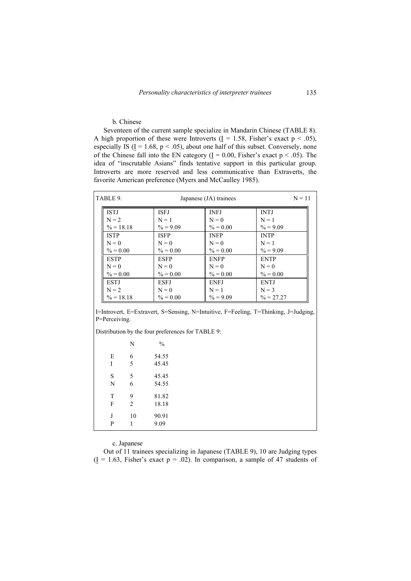# b. Chinese

Seventeen of the current sample specialize in Mandarin Chinese (TABLE 8). A high proportion of these were Introverts ( $\underline{I} = 1.58$ , Fisher's exact  $p < .05$ ), especially IS ( $\underline{I} = 1.68$ ,  $p < .05$ ), about one half of this subset. Conversely, none of the Chinese fall into the EN category  $(I = 0.00, Fisher's exact p < .05)$ . The idea of "inscrutable Asians" finds tentative support in this particular group. Introverts are more reserved and less communicative than Extraverts, the favorite American preference (Myers and McCaulley 1985).

| TABLE 9. |              | Japanese (JA) trainees | $N = 11$    |              |
|----------|--------------|------------------------|-------------|--------------|
|          | <b>ISTJ</b>  | <b>ISEJ</b>            | <b>INFJ</b> | <b>INTJ</b>  |
|          | $N = 2$      | $N = 1$                | $N = 0$     | $N = 1$      |
|          | $\% = 18.18$ | $\% = 9.09$            | $\% = 0.00$ | $\% = 9.09$  |
|          | <b>ISTP</b>  | <b>ISFP</b>            | <b>INFP</b> | <b>INTP</b>  |
|          | $N = 0$      | $N = 0$                | $N = 0$     | $N = 1$      |
|          | $\% = 0.00$  | $\% = 0.00$            | $\% = 0.00$ | $\% = 9.09$  |
|          | <b>ESTP</b>  | <b>ESFP</b>            | <b>ENFP</b> | <b>ENTP</b>  |
|          | $N = 0$      | $N = 0$                | $N = 0$     | $N = 0$      |
|          | $\% = 0.00$  | $\% = 0.00$            | $\% = 0.00$ | $\% = 0.00$  |
|          | <b>ESTJ</b>  | <b>ESFJ</b>            | <b>ENFJ</b> | <b>ENTJ</b>  |
|          | $N = 2$      | $N = 0$                | $N = 1$     | $N = 3$      |
|          | $\% = 18.18$ | $\% = 0.00$            | $\% = 9.09$ | $\% = 27.27$ |

I=Introvert, E=Extravert, S=Sensing, N=Intuitive, F=Feeling, T=Thinking, J=Judging, P=Perceiving.

Distribution by the four preferences for TABLE 9:

|        | N              | $\frac{0}{0}$ |
|--------|----------------|---------------|
| E      | 6              | 54.55         |
| I      | 5              | 45.45         |
| S      | 5              | 45.45         |
| N      | 6              | 54.55         |
| T      | 9              | 81.82         |
| F      | $\overline{2}$ | 18.18         |
| J<br>P | 10             | 90.91<br>9.09 |

c. Japanese

Out of 11 trainees specializing in Japanese (TABLE 9), 10 are Judging types  $(I = 1.63$ , Fisher's exact  $p = .02$ ). In comparison, a sample of 47 students of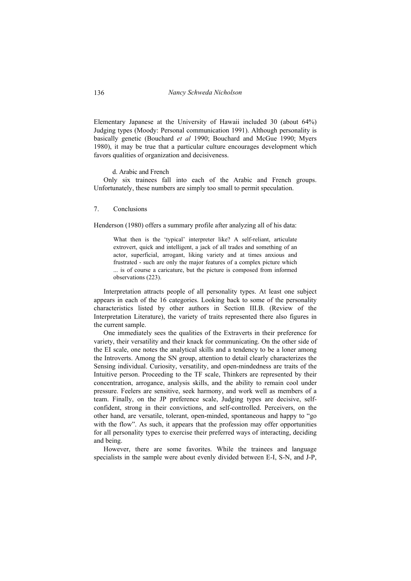Elementary Japanese at the University of Hawaii included 30 (about 64%) Judging types (Moody: Personal communication 1991). Although personality is basically genetic (Bouchard *et al* 1990; Bouchard and McGue 1990; Myers 1980), it may be true that a particular culture encourages development which favors qualities of organization and decisiveness.

d. Arabic and French

Only six trainees fall into each of the Arabic and French groups. Unfortunately, these numbers are simply too small to permit speculation.

7. Conclusions

Henderson (1980) offers a summary profile after analyzing all of his data:

What then is the 'typical' interpreter like? A self-reliant, articulate extrovert, quick and intelligent, a jack of all trades and something of an actor, superficial, arrogant, liking variety and at times anxious and frustrated - such are only the major features of a complex picture which ... is of course a caricature, but the picture is composed from informed observations (223).

Interpretation attracts people of all personality types. At least one subject appears in each of the 16 categories. Looking back to some of the personality characteristics listed by other authors in Section III.B. (Review of the Interpretation Literature), the variety of traits represented there also figures in the current sample.

One immediately sees the qualities of the Extraverts in their preference for variety, their versatility and their knack for communicating. On the other side of the EI scale, one notes the analytical skills and a tendency to be a loner among the Introverts. Among the SN group, attention to detail clearly characterizes the Sensing individual. Curiosity, versatility, and open-mindedness are traits of the Intuitive person. Proceeding to the TF scale, Thinkers are represented by their concentration, arrogance, analysis skills, and the ability to remain cool under pressure. Feelers are sensitive, seek harmony, and work well as members of a team. Finally, on the JP preference scale, Judging types are decisive, selfconfident, strong in their convictions, and self-controlled. Perceivers, on the other hand, are versatile, tolerant, open-minded, spontaneous and happy to "go with the flow". As such, it appears that the profession may offer opportunities for all personality types to exercise their preferred ways of interacting, deciding and being.

However, there are some favorites. While the trainees and language specialists in the sample were about evenly divided between E-I, S-N, and J-P,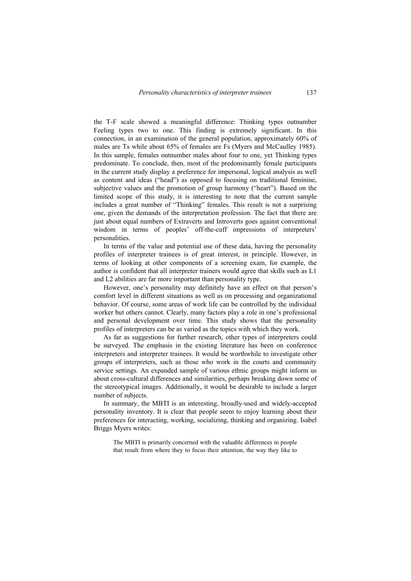the T-F scale showed a meaningful difference: Thinking types outnumber Feeling types two to one. This finding is extremely significant. In this connection, in an examination of the general population, approximately 60% of males are Ts while about 65% of females are Fs (Myers and McCaulley 1985). In this sample, females outnumber males about four to one, yet Thinking types predominate. To conclude, then, most of the predominantly female participants in the current study display a preference for impersonal, logical analysis as well as content and ideas ("head") as opposed to focusing on traditional feminine, subjective values and the promotion of group harmony ("heart"). Based on the limited scope of this study, it is interesting to note that the current sample includes a great number of "Thinking" females. This result is not a surprising one, given the demands of the interpretation profession. The fact that there are just about equal numbers of Extraverts and Introverts goes against conventional wisdom in terms of peoples' off-the-cuff impressions of interpreters' personalities.

In terms of the value and potential use of these data, having the personality profiles of interpreter trainees is of great interest, in principle. However, in terms of looking at other components of a screening exam, for example, the author is confident that all interpreter trainers would agree that skills such as L1 and L2 abilities are far more important than personality type.

However, one's personality may definitely have an effect on that person's comfort level in different situations as well as on processing and organizational behavior. Of course, some areas of work life can be controlled by the individual worker but others cannot. Clearly, many factors play a role in one's professional and personal development over time. This study shows that the personality profiles of interpreters can be as varied as the topics with which they work.

As far as suggestions for further research, other types of interpreters could be surveyed. The emphasis in the existing literature has been on conference interpreters and interpreter trainees. It would be worthwhile to investigate other groups of interpreters, such as those who work in the courts and community service settings. An expanded sample of various ethnic groups might inform us about cross-cultural differences and similarities, perhaps breaking down some of the stereotypical images. Additionally, it would be desirable to include a larger number of subjects.

In summary, the MBTI is an interesting, broadly-used and widely-accepted personality inventory. It is clear that people seem to enjoy learning about their preferences for interacting, working, socializing, thinking and organizing. Isabel Briggs Myers writes:

The MBTI is primarily concerned with the valuable differences in people that result from where they to focus their attention, the way they like to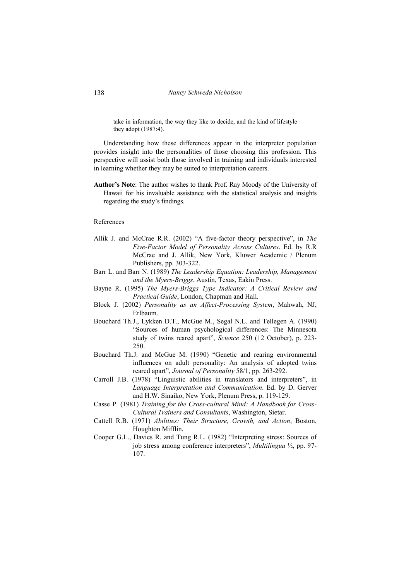take in information, the way they like to decide, and the kind of lifestyle they adopt (1987:4).

Understanding how these differences appear in the interpreter population provides insight into the personalities of those choosing this profession. This perspective will assist both those involved in training and individuals interested in learning whether they may be suited to interpretation careers.

**Author's Note**: The author wishes to thank Prof. Ray Moody of the University of Hawaii for his invaluable assistance with the statistical analysis and insights regarding the study's findings.

# References

- Allik J. and McCrae R.R. (2002) "A five-factor theory perspective", in *The Five-Factor Model of Personality Across Cultures*. Ed. by R.R McCrae and J. Allik, New York, Kluwer Academic / Plenum Publishers, pp. 303-322.
- Barr L. and Barr N. (1989) *The Leadership Equation: Leadership, Management and the Myers-Briggs*, Austin, Texas, Eakin Press.
- Bayne R. (1995) *The Myers-Briggs Type Indicator: A Critical Review and Practical Guide*, London, Chapman and Hall.
- Block J. (2002) *Personality as an Affect-Processing System*, Mahwah, NJ, Erlbaum.
- Bouchard Th.J., Lykken D.T., McGue M., Segal N.L. and Tellegen A. (1990) "Sources of human psychological differences: The Minnesota study of twins reared apart", *Science* 250 (12 October), p. 223- 250.
- Bouchard Th.J. and McGue M. (1990) "Genetic and rearing environmental influences on adult personality: An analysis of adopted twins reared apart", *Journal of Personality* 58/1, pp. 263-292.
- Carroll J.B. (1978) "Linguistic abilities in translators and interpreters", in *Language Interpretation and Communication*. Ed. by D. Gerver and H.W. Sinaiko, New York, Plenum Press, p. 119-129.
- Casse P. (1981) *Training for the Cross-cultural Mind: A Handbook for Cross-Cultural Trainers and Consultants*, Washington, Sietar.
- Cattell R.B. (1971) *Abilities: Their Structure, Growth, and Action*, Boston, Houghton Mifflin.
- Cooper G.L., Davies R. and Tung R.L. (1982) "Interpreting stress: Sources of job stress among conference interpreters", *Multilingua* ½, pp. 97- 107.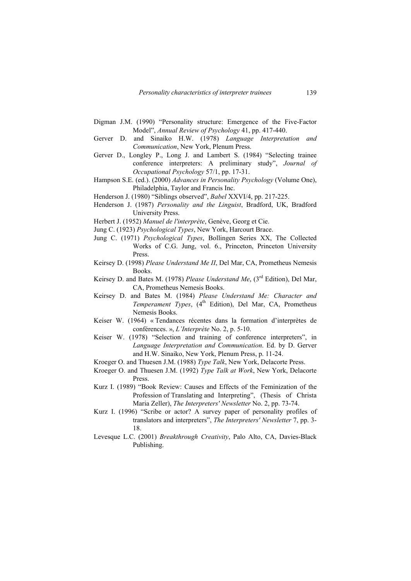- Digman J.M. (1990) "Personality structure: Emergence of the Five-Factor Model", *Annual Review of Psychology* 41, pp. 417-440.
- Gerver D. and Sinaiko H.W. (1978) *Language Interpretation and Communication*, New York, Plenum Press.
- Gerver D., Longley P., Long J. and Lambert S. (1984) "Selecting trainee conference interpreters: A preliminary study", *Journal of Occupational Psychology* 57/1, pp. 17-31.
- Hampson S.E. (ed.). (2000) *Advances in Personality Psychology* (Volume One), Philadelphia, Taylor and Francis Inc.
- Henderson J. (1980) "Siblings observed", *Babel* XXVI/4, pp. 217-225.
- Henderson J. (1987) *Personality and the Linguist*, Bradford, UK, Bradford University Press.
- Herbert J. (1952) *Manuel de l'interprète*, Genève, Georg et Cie.
- Jung C. (1923) *Psychological Types*, New York, Harcourt Brace.
- Jung C. (1971) *Psychological Types*, Bollingen Series XX, The Collected Works of C.G. Jung, vol. 6., Princeton, Princeton University Press.
- Keirsey D. (1998) *Please Understand Me II*, Del Mar, CA, Prometheus Nemesis Books.
- Keirsey D. and Bates M. (1978) *Please Understand Me*, (3<sup>rd</sup> Edition), Del Mar, CA, Prometheus Nemesis Books.
- Keirsey D. and Bates M. (1984) *Please Understand Me: Character and*  Temperament Types, (4<sup>th</sup> Edition), Del Mar, CA, Prometheus Nemesis Books.
- Keiser W. (1964) « Tendances récentes dans la formation d'interprètes de conférences. », *L'Interprète* No. 2, p. 5-10.
- Keiser W. (1978) "Selection and training of conference interpreters", in *Language Interpretation and Communication*. Ed. by D. Gerver and H.W. Sinaiko, New York, Plenum Press, p. 11-24.
- Kroeger O. and Thuesen J.M. (1988) *Type Talk*, New York, Delacorte Press.
- Kroeger O. and Thuesen J.M. (1992) *Type Talk at Work*, New York, Delacorte Press.
- Kurz I. (1989) "Book Review: Causes and Effects of the Feminization of the Profession of Translating and Interpreting", (Thesis of Christa Maria Zeller), *The Interpreters' Newsletter* No. 2, pp. 73-74.
- Kurz I. (1996) "Scribe or actor? A survey paper of personality profiles of translators and interpreters", *The Interpreters' Newsletter* 7, pp. 3- 18.
- Levesque L.C. (2001) *Breakthrough Creativity*, Palo Alto, CA, Davies-Black Publishing.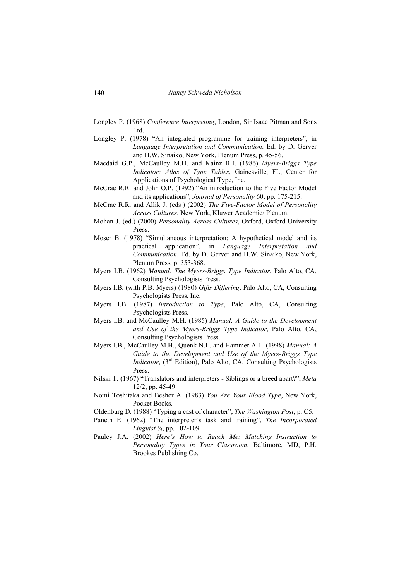- Longley P. (1968) *Conference Interpreting*, London, Sir Isaac Pitman and Sons Ltd.
- Longley P. (1978) "An integrated programme for training interpreters", in *Language Interpretation and Communication*. Ed. by D. Gerver and H.W. Sinaiko, New York, Plenum Press, p. 45-56.
- Macdaid G.P., McCaulley M.H. and Kainz R.I. (1986) *Myers-Briggs Type Indicator: Atlas of Type Tables*, Gainesville, FL, Center for Applications of Psychological Type, Inc.
- McCrae R.R. and John O.P. (1992) "An introduction to the Five Factor Model and its applications", *Journal of Personality* 60, pp. 175-215.
- McCrae R.R. and Allik J. (eds.) (2002) *The Five-Factor Model of Personality Across Cultures*, New York, Kluwer Academic/ Plenum.
- Mohan J. (ed.) (2000) *Personality Across Cultures*, Oxford, Oxford University Press.
- Moser B. (1978) "Simultaneous interpretation: A hypothetical model and its practical application", in *Language Interpretation and Communication*. Ed. by D. Gerver and H.W. Sinaiko, New York, Plenum Press, p. 353-368.
- Myers I.B. (1962) *Manual: The Myers-Briggs Type Indicator*, Palo Alto, CA, Consulting Psychologists Press.
- Myers I.B. (with P.B. Myers) (1980) *Gifts Differing*, Palo Alto, CA, Consulting Psychologists Press, Inc.
- Myers I.B. (1987) *Introduction to Type*, Palo Alto, CA, Consulting Psychologists Press.
- Myers I.B. and McCaulley M.H. (1985) *Manual: A Guide to the Development and Use of the Myers-Briggs Type Indicator*, Palo Alto, CA, Consulting Psychologists Press.
- Myers I.B., McCaulley M.H., Quenk N.L. and Hammer A.L. (1998) *Manual: A Guide to the Development and Use of the Myers-Briggs Type Indicator*, (3<sup>rd</sup> Edition), Palo Alto, CA, Consulting Psychologists Press.
- Nilski T. (1967) "Translators and interpreters Siblings or a breed apart?", *Meta* 12/2, pp. 45-49.
- Nomi Toshitaka and Besher A. (1983) *You Are Your Blood Type*, New York, Pocket Books.
- Oldenburg D. (1988) "Typing a cast of character", *The Washington Post*, p. C5.
- Paneth E. (1962) "The interpreter's task and training", *The Incorporated Linguist* ¼, pp. 102-109.
- Pauley J.A. (2002) *Here's How to Reach Me: Matching Instruction to Personality Types in Your Classroom*, Baltimore, MD, P.H. Brookes Publishing Co.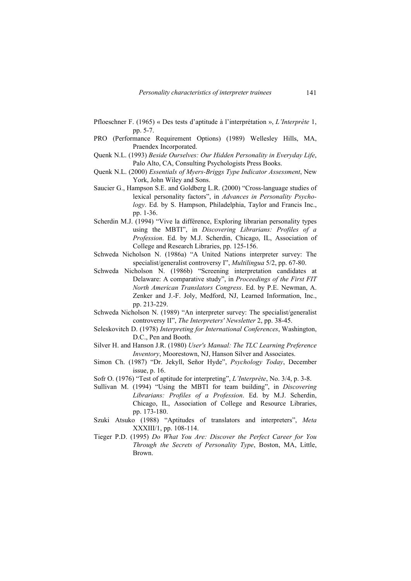- Pfloeschner F. (1965) « Des tests d'aptitude à l'interprétation », *L'Interprète* 1, pp. 5-7.
- PRO (Performance Requirement Options) (1989) Wellesley Hills, MA, Praendex Incorporated.
- Quenk N.L. (1993) *Beside Ourselves: Our Hidden Personality in Everyday Life*, Palo Alto, CA, Consulting Psychologists Press Books.
- Quenk N.L. (2000) *Essentials of Myers-Briggs Type Indicator Assessment*, New York, John Wiley and Sons.
- Saucier G., Hampson S.E. and Goldberg L.R. (2000) "Cross-language studies of lexical personality factors", in *Advances in Personality Psychology*. Ed. by S. Hampson, Philadelphia, Taylor and Francis Inc., pp. 1-36.
- Scherdin M.J. (1994) "Vive la différence, Exploring librarian personality types using the MBTI", in *Discovering Librarians: Profiles of a Profession*. Ed. by M.J. Scherdin, Chicago, IL, Association of College and Research Libraries, pp. 125-156.
- Schweda Nicholson N. (1986a) "A United Nations interpreter survey: The specialist/generalist controversy I", *Multilingua* 5/2, pp. 67-80.
- Schweda Nicholson N. (1986b) "Screening interpretation candidates at Delaware: A comparative study", in *Proceedings of the First FIT North American Translators Congress*. Ed. by P.E. Newman, A. Zenker and J.-F. Joly, Medford, NJ, Learned Information, Inc., pp. 213-229.
- Schweda Nicholson N. (1989) "An interpreter survey: The specialist/generalist controversy II", *The Interpreters' Newsletter* 2, pp. 38-45.
- Seleskovitch D. (1978) *Interpreting for International Conferences*, Washington, D.C., Pen and Booth.
- Silver H. and Hanson J.R. (1980) *User's Manual: The TLC Learning Preference Inventory*, Moorestown, NJ, Hanson Silver and Associates.
- Simon Ch. (1987) "Dr. Jekyll, Señor Hyde", *Psychology Today*, December issue, p. 16.
- Sofr O. (1976) "Test of aptitude for interpreting", *L'Interprète*, No. 3/4, p. 3-8.
- Sullivan M. (1994) "Using the MBTI for team building", in *Discovering Librarians: Profiles of a Profession*. Ed. by M.J. Scherdin, Chicago, IL, Association of College and Resource Libraries, pp. 173-180.
- Szuki Atsuko (1988) "Aptitudes of translators and interpreters", *Meta* XXXIII/1, pp. 108-114.
- Tieger P.D. (1995) *Do What You Are: Discover the Perfect Career for You Through the Secrets of Personality Type*, Boston, MA, Little, Brown.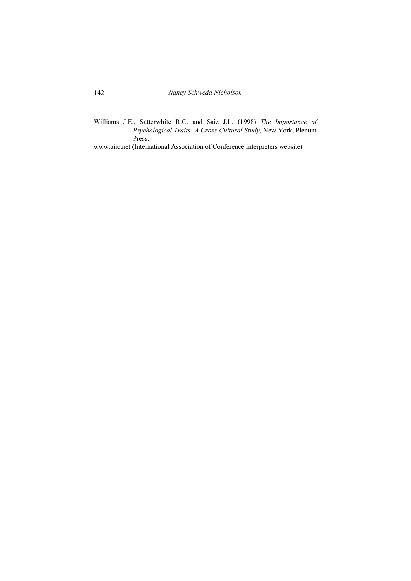Williams J.E., Satterwhite R.C. and Saiz J.L. (1998) *The Importance of Psychological Traits: A Cross-Cultural Study*, New York, Plenum Press.

www.aiic.net (International Association of Conference Interpreters website)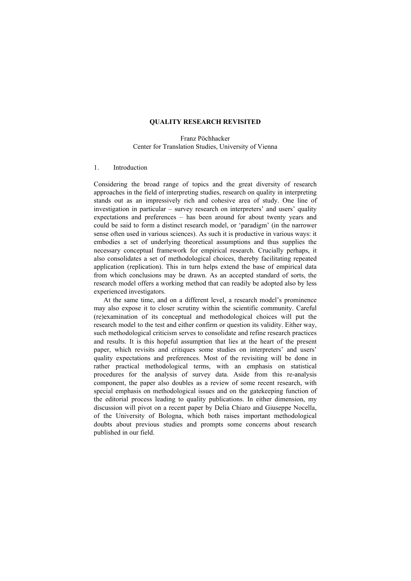## **QUALITY RESEARCH REVISITED**

Franz Pöchhacker Center for Translation Studies, University of Vienna

## 1. Introduction

Considering the broad range of topics and the great diversity of research approaches in the field of interpreting studies, research on quality in interpreting stands out as an impressively rich and cohesive area of study. One line of investigation in particular – survey research on interpreters' and users' quality expectations and preferences – has been around for about twenty years and could be said to form a distinct research model, or 'paradigm' (in the narrower sense often used in various sciences). As such it is productive in various ways: it embodies a set of underlying theoretical assumptions and thus supplies the necessary conceptual framework for empirical research. Crucially perhaps, it also consolidates a set of methodological choices, thereby facilitating repeated application (replication). This in turn helps extend the base of empirical data from which conclusions may be drawn. As an accepted standard of sorts, the research model offers a working method that can readily be adopted also by less experienced investigators.

At the same time, and on a different level, a research model's prominence may also expose it to closer scrutiny within the scientific community. Careful (re)examination of its conceptual and methodological choices will put the research model to the test and either confirm or question its validity. Either way, such methodological criticism serves to consolidate and refine research practices and results. It is this hopeful assumption that lies at the heart of the present paper, which revisits and critiques some studies on interpreters' and users' quality expectations and preferences. Most of the revisiting will be done in rather practical methodological terms, with an emphasis on statistical procedures for the analysis of survey data. Aside from this re-analysis component, the paper also doubles as a review of some recent research, with special emphasis on methodological issues and on the gatekeeping function of the editorial process leading to quality publications. In either dimension, my discussion will pivot on a recent paper by Delia Chiaro and Giuseppe Nocella, of the University of Bologna, which both raises important methodological doubts about previous studies and prompts some concerns about research published in our field.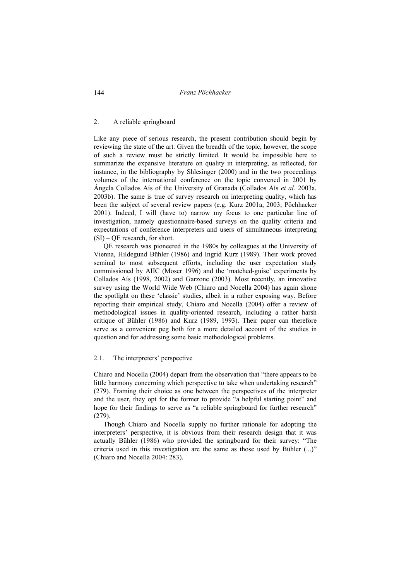#### 2. A reliable springboard

Like any piece of serious research, the present contribution should begin by reviewing the state of the art. Given the breadth of the topic, however, the scope of such a review must be strictly limited. It would be impossible here to summarize the expansive literature on quality in interpreting, as reflected, for instance, in the bibliography by Shlesinger (2000) and in the two proceedings volumes of the international conference on the topic convened in 2001 by Ángela Collados Aís of the University of Granada (Collados Aís *et al.* 2003a, 2003b). The same is true of survey research on interpreting quality, which has been the subject of several review papers (e.g. Kurz 2001a, 2003; Pöchhacker 2001). Indeed, I will (have to) narrow my focus to one particular line of investigation, namely questionnaire-based surveys on the quality criteria and expectations of conference interpreters and users of simultaneous interpreting  $(SI)$  – QE research, for short.

QE research was pioneered in the 1980s by colleagues at the University of Vienna, Hildegund Bühler (1986) and Ingrid Kurz (1989). Their work proved seminal to most subsequent efforts, including the user expectation study commissioned by AIIC (Moser 1996) and the 'matched-guise' experiments by Collados Aís (1998, 2002) and Garzone (2003). Most recently, an innovative survey using the World Wide Web (Chiaro and Nocella 2004) has again shone the spotlight on these 'classic' studies, albeit in a rather exposing way. Before reporting their empirical study, Chiaro and Nocella (2004) offer a review of methodological issues in quality-oriented research, including a rather harsh critique of Bühler (1986) and Kurz (1989, 1993). Their paper can therefore serve as a convenient peg both for a more detailed account of the studies in question and for addressing some basic methodological problems.

## 2.1. The interpreters' perspective

Chiaro and Nocella (2004) depart from the observation that "there appears to be little harmony concerning which perspective to take when undertaking research" (279). Framing their choice as one between the perspectives of the interpreter and the user, they opt for the former to provide "a helpful starting point" and hope for their findings to serve as "a reliable springboard for further research" (279).

Though Chiaro and Nocella supply no further rationale for adopting the interpreters' perspective, it is obvious from their research design that it was actually Bühler (1986) who provided the springboard for their survey: "The criteria used in this investigation are the same as those used by Bühler (...)" (Chiaro and Nocella 2004: 283).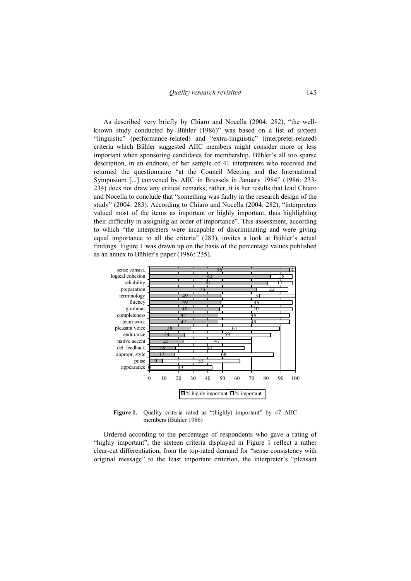As described very briefly by Chiaro and Nocella (2004: 282), "the wellknown study conducted by Bühler (1986)" was based on a list of sixteen "linguistic" (performance-related) and "extra-linguistic" (interpreter-related) criteria which Bühler suggested AIIC members might consider more or less important when sponsoring candidates for membership. Bühler's all too sparse description, in an endnote, of her sample of 41 interpreters who received and returned the questionnaire "at the Council Meeting and the International Symposium [...] convened by AIIC in Brussels in January 1984" (1986: 233- 234) does not draw any critical remarks; rather, it is her results that lead Chiaro and Nocella to conclude that "something was faulty in the research design of the study" (2004: 283). According to Chiaro and Nocella (2004: 282), "interpreters valued most of the items as important or highly important, thus highlighting their difficulty in assigning an order of importance". This assessment, according to which "the interpreters were incapable of discriminating and were giving equal importance to all the criteria" (283), invites a look at Bühler's actual findings. Figure 1 was drawn up on the basis of the percentage values published as an annex to Bühler's paper (1986: 235).



**Figure 1.** Ouality criteria rated as "(highly) important" by 47 AIIC members (Bühler 1986)

Ordered according to the percentage of respondents who gave a rating of "highly important", the sixteen criteria displayed in Figure 1 reflect a rather clear-cut differentiation, from the top-rated demand for "sense consistency with original message" to the least important criterion, the interpreter's "pleasant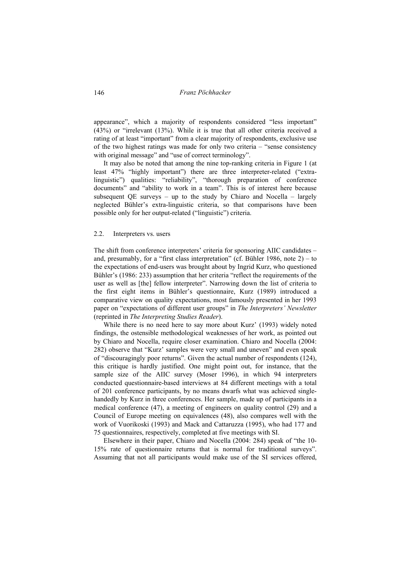appearance", which a majority of respondents considered "less important" (43%) or "irrelevant (13%). While it is true that all other criteria received a rating of at least "important" from a clear majority of respondents, exclusive use of the two highest ratings was made for only two criteria – "sense consistency with original message" and "use of correct terminology".

It may also be noted that among the nine top-ranking criteria in Figure 1 (at least 47% "highly important") there are three interpreter-related ("extralinguistic") qualities: "reliability", "thorough preparation of conference documents" and "ability to work in a team". This is of interest here because subsequent QE surveys – up to the study by Chiaro and Nocella – largely neglected Bühler's extra-linguistic criteria, so that comparisons have been possible only for her output-related ("linguistic") criteria.

### 2.2. Interpreters vs. users

The shift from conference interpreters' criteria for sponsoring AIIC candidates – and, presumably, for a "first class interpretation" (cf. Bühler 1986, note  $2$ ) – to the expectations of end-users was brought about by Ingrid Kurz, who questioned Bühler's (1986: 233) assumption that her criteria "reflect the requirements of the user as well as [the] fellow interpreter". Narrowing down the list of criteria to the first eight items in Bühler's questionnaire, Kurz (1989) introduced a comparative view on quality expectations, most famously presented in her 1993 paper on "expectations of different user groups" in *The Interpreters' Newsletter* (reprinted in *The Interpreting Studies Reader*).

While there is no need here to say more about Kurz' (1993) widely noted findings, the ostensible methodological weaknesses of her work, as pointed out by Chiaro and Nocella, require closer examination. Chiaro and Nocella (2004: 282) observe that "Kurz' samples were very small and uneven" and even speak of "discouragingly poor returns". Given the actual number of respondents (124), this critique is hardly justified. One might point out, for instance, that the sample size of the AIIC survey (Moser 1996), in which 94 interpreters conducted questionnaire-based interviews at 84 different meetings with a total of 201 conference participants, by no means dwarfs what was achieved singlehandedly by Kurz in three conferences. Her sample, made up of participants in a medical conference (47), a meeting of engineers on quality control (29) and a Council of Europe meeting on equivalences (48), also compares well with the work of Vuorikoski (1993) and Mack and Cattaruzza (1995), who had 177 and 75 questionnaires, respectively, completed at five meetings with SI.

Elsewhere in their paper, Chiaro and Nocella (2004: 284) speak of "the 10- 15% rate of questionnaire returns that is normal for traditional surveys". Assuming that not all participants would make use of the SI services offered,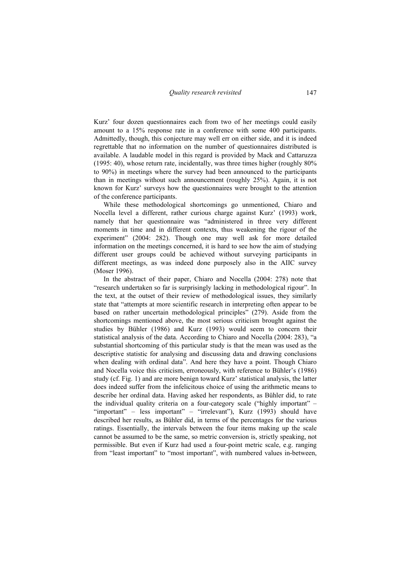Kurz' four dozen questionnaires each from two of her meetings could easily amount to a 15% response rate in a conference with some 400 participants. Admittedly, though, this conjecture may well err on either side, and it is indeed regrettable that no information on the number of questionnaires distributed is available. A laudable model in this regard is provided by Mack and Cattaruzza (1995: 40), whose return rate, incidentally, was three times higher (roughly 80% to 90%) in meetings where the survey had been announced to the participants than in meetings without such announcement (roughly 25%). Again, it is not known for Kurz' surveys how the questionnaires were brought to the attention of the conference participants.

While these methodological shortcomings go unmentioned, Chiaro and Nocella level a different, rather curious charge against Kurz' (1993) work, namely that her questionnaire was "administered in three very different moments in time and in different contexts, thus weakening the rigour of the experiment" (2004: 282). Though one may well ask for more detailed information on the meetings concerned, it is hard to see how the aim of studying different user groups could be achieved without surveying participants in different meetings, as was indeed done purposely also in the AIIC survey (Moser 1996).

In the abstract of their paper, Chiaro and Nocella (2004: 278) note that "research undertaken so far is surprisingly lacking in methodological rigour". In the text, at the outset of their review of methodological issues, they similarly state that "attempts at more scientific research in interpreting often appear to be based on rather uncertain methodological principles" (279). Aside from the shortcomings mentioned above, the most serious criticism brought against the studies by Bühler (1986) and Kurz (1993) would seem to concern their statistical analysis of the data. According to Chiaro and Nocella (2004: 283), "a substantial shortcoming of this particular study is that the mean was used as the descriptive statistic for analysing and discussing data and drawing conclusions when dealing with ordinal data". And here they have a point. Though Chiaro and Nocella voice this criticism, erroneously, with reference to Bühler's (1986) study (cf. Fig. 1) and are more benign toward Kurz' statistical analysis, the latter does indeed suffer from the infelicitous choice of using the arithmetic means to describe her ordinal data. Having asked her respondents, as Bühler did, to rate the individual quality criteria on a four-category scale ("highly important" – "important" – less important" – "irrelevant"), Kurz (1993) should have described her results, as Bühler did, in terms of the percentages for the various ratings. Essentially, the intervals between the four items making up the scale cannot be assumed to be the same, so metric conversion is, strictly speaking, not permissible. But even if Kurz had used a four-point metric scale, e.g. ranging from "least important" to "most important", with numbered values in-between,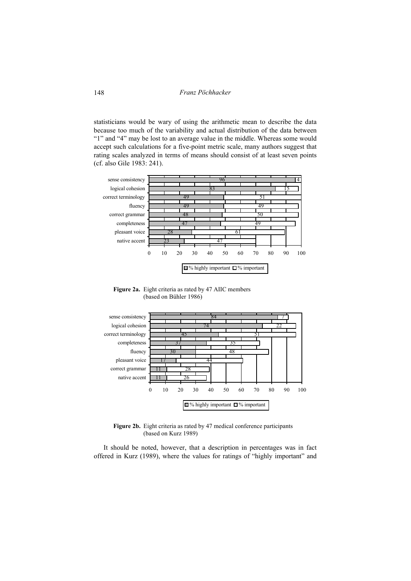statisticians would be wary of using the arithmetic mean to describe the data because too much of the variability and actual distribution of the data between "1" and "4" may be lost to an average value in the middle. Whereas some would accept such calculations for a five-point metric scale, many authors suggest that rating scales analyzed in terms of means should consist of at least seven points (cf. also Gile 1983: 241).



**Figure 2a.** Eight criteria as rated by 47 AIIC members (based on Bühler 1986)



Figure 2b. Eight criteria as rated by 47 medical conference participants (based on Kurz 1989)

It should be noted, however, that a description in percentages was in fact offered in Kurz (1989), where the values for ratings of "highly important" and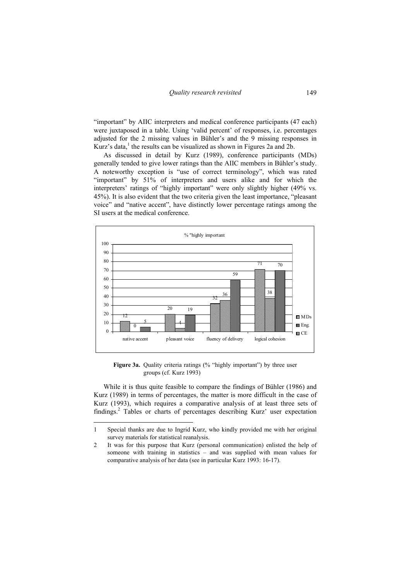"important" by AIIC interpreters and medical conference participants (47 each) were juxtaposed in a table. Using 'valid percent' of responses, i.e. percentages adjusted for the 2 missing values in Bühler's and the 9 missing responses in Kurz's data,<sup>1</sup> the results can be visualized as shown in Figures 2a and 2b.

As discussed in detail by Kurz (1989), conference participants (MDs) generally tended to give lower ratings than the AIIC members in Bühler's study. A noteworthy exception is "use of correct terminology", which was rated "important" by 51% of interpreters and users alike and for which the interpreters' ratings of "highly important" were only slightly higher (49% vs. 45%). It is also evident that the two criteria given the least importance, "pleasant voice" and "native accent", have distinctly lower percentage ratings among the SI users at the medical conference.



Figure 3a. Quality criteria ratings (% "highly important") by three user groups (cf. Kurz 1993)

While it is thus quite feasible to compare the findings of Bühler (1986) and Kurz (1989) in terms of percentages, the matter is more difficult in the case of Kurz (1993), which requires a comparative analysis of at least three sets of findings.2 Tables or charts of percentages describing Kurz' user expectation

<sup>1</sup> Special thanks are due to Ingrid Kurz, who kindly provided me with her original survey materials for statistical reanalysis.

<sup>2</sup> It was for this purpose that Kurz (personal communication) enlisted the help of someone with training in statistics – and was supplied with mean values for comparative analysis of her data (see in particular Kurz 1993: 16-17).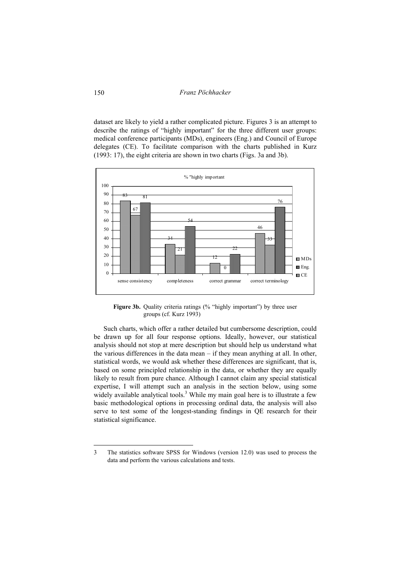dataset are likely to yield a rather complicated picture. Figures 3 is an attempt to describe the ratings of "highly important" for the three different user groups: medical conference participants (MDs), engineers (Eng.) and Council of Europe delegates (CE). To facilitate comparison with the charts published in Kurz (1993: 17), the eight criteria are shown in two charts (Figs. 3a and 3b).



Figure 3b. Quality criteria ratings (% "highly important") by three user groups (cf. Kurz 1993)

Such charts, which offer a rather detailed but cumbersome description, could be drawn up for all four response options. Ideally, however, our statistical analysis should not stop at mere description but should help us understand what the various differences in the data mean – if they mean anything at all. In other, statistical words, we would ask whether these differences are significant, that is, based on some principled relationship in the data, or whether they are equally likely to result from pure chance. Although I cannot claim any special statistical expertise, I will attempt such an analysis in the section below, using some widely available analytical tools.<sup>3</sup> While my main goal here is to illustrate a few basic methodological options in processing ordinal data, the analysis will also serve to test some of the longest-standing findings in QE research for their statistical significance.

<sup>3</sup> The statistics software SPSS for Windows (version 12.0) was used to process the data and perform the various calculations and tests.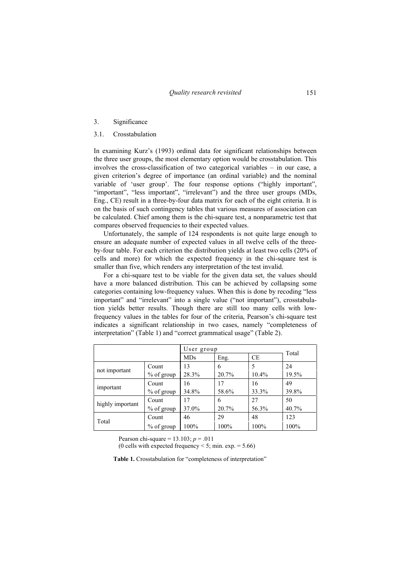#### 3. Significance

# 3.1. Crosstabulation

In examining Kurz's (1993) ordinal data for significant relationships between the three user groups, the most elementary option would be crosstabulation. This involves the cross-classification of two categorical variables – in our case, a given criterion's degree of importance (an ordinal variable) and the nominal variable of 'user group'. The four response options ("highly important", "important", "less important", "irrelevant") and the three user groups (MDs, Eng., CE) result in a three-by-four data matrix for each of the eight criteria. It is on the basis of such contingency tables that various measures of association can be calculated. Chief among them is the chi-square test, a nonparametric test that compares observed frequencies to their expected values.

Unfortunately, the sample of 124 respondents is not quite large enough to ensure an adequate number of expected values in all twelve cells of the threeby-four table. For each criterion the distribution yields at least two cells (20% of cells and more) for which the expected frequency in the chi-square test is smaller than five, which renders any interpretation of the test invalid.

For a chi-square test to be viable for the given data set, the values should have a more balanced distribution. This can be achieved by collapsing some categories containing low-frequency values. When this is done by recoding "less important" and "irrelevant" into a single value ("not important"), crosstabulation yields better results. Though there are still too many cells with lowfrequency values in the tables for four of the criteria, Pearson's chi-square test indicates a significant relationship in two cases, namely "completeness of interpretation" (Table 1) and "correct grammatical usage" (Table 2).

|                  |              | User group | Total |       |       |
|------------------|--------------|------------|-------|-------|-------|
|                  |              | <b>MDs</b> | Eng.  | CE    |       |
| not important    | Count        | 13         | 6     | 5     | 24    |
|                  | $%$ of group | 28.3%      | 20.7% | 10.4% | 19.5% |
| important        | Count        | 16         | 17    | 16    | 49    |
|                  | $%$ of group | 34.8%      | 58.6% | 33.3% | 39.8% |
| highly important | Count        | 17         | 6     | 27    | 50    |
|                  | $%$ of group | 37.0%      | 20.7% | 56.3% | 40.7% |
| Total            | Count        | 46         | 29    | 48    | 123   |
|                  | $%$ of group | 100%       | 100%  | 100%  | 100%  |

Pearson chi-square = 13.103; *p* = .011

(0 cells with expected frequency  $\le$  5; min. exp. = 5.66)

### **Table 1.** Crosstabulation for "completeness of interpretation"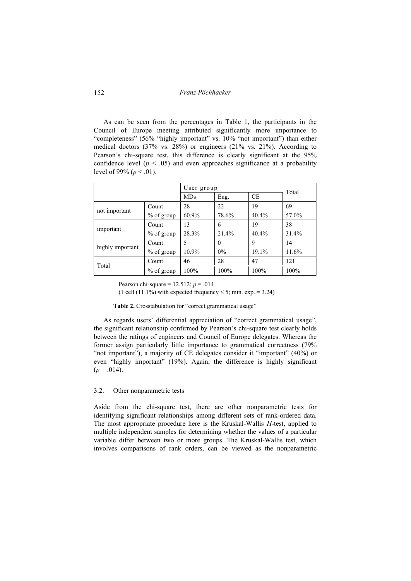As can be seen from the percentages in Table 1, the participants in the Council of Europe meeting attributed significantly more importance to "completeness" (56% "highly important" vs. 10% "not important") than either medical doctors (37% vs. 28%) or engineers (21% vs. 21%). According to Pearson's chi-square test, this difference is clearly significant at the 95% confidence level ( $p < .05$ ) and even approaches significance at a probability level of 99% ( $p < .01$ ).

|                  |               | User group | Total    |           |       |
|------------------|---------------|------------|----------|-----------|-------|
|                  |               | <b>MDs</b> | Eng.     | <b>CE</b> |       |
| not important    | Count         | 28         | 22       | 19        | 69    |
|                  | $\%$ of group | $60.9\%$   | 78.6%    | 40.4%     | 57.0% |
| important        | Count         | 13         | 6        | 19        | 38    |
|                  | $\%$ of group | 28.3%      | 21.4%    | 40.4%     | 31.4% |
| highly important | Count         | 5          | $\theta$ | 9         | 14    |
|                  | $\%$ of group | $10.9\%$   | $0\%$    | 19.1%     | 11.6% |
| Total            | Count         | 46         | 28       | 47        | 121   |
|                  | $%$ of group  | 100%       | 100%     | 100%      | 100%  |

Pearson chi-square = 12.512; *p* = .014

(1 cell (11.1%) with expected frequency  $\leq$  5; min. exp. = 3.24)

**Table 2.** Crosstabulation for "correct grammatical usage"

As regards users' differential appreciation of "correct grammatical usage", the significant relationship confirmed by Pearson's chi-square test clearly holds between the ratings of engineers and Council of Europe delegates. Whereas the former assign particularly little importance to grammatical correctness (79% "not important"), a majority of CE delegates consider it "important" (40%) or even "highly important" (19%). Again, the difference is highly significant  $(p = .014)$ .

### 3.2. Other nonparametric tests

Aside from the chi-square test, there are other nonparametric tests for identifying significant relationships among different sets of rank-ordered data. The most appropriate procedure here is the Kruskal-Wallis *H*-test, applied to multiple independent samples for determining whether the values of a particular variable differ between two or more groups. The Kruskal-Wallis test, which involves comparisons of rank orders, can be viewed as the nonparametric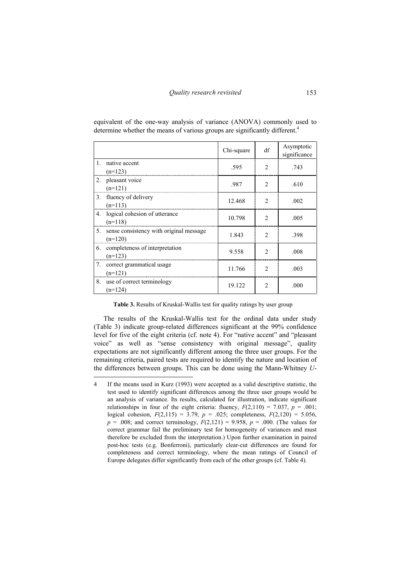|              |                                                      | Chi-square | df             | Asymptotic<br>significance |
|--------------|------------------------------------------------------|------------|----------------|----------------------------|
| $\mathbf{1}$ | native accent<br>$(n=123)$                           | .595       | $\mathcal{D}$  | .743                       |
| 2.           | pleasant voice<br>$(n=121)$                          | .987       | $\mathcal{D}$  | .610                       |
|              | 3. fluency of delivery<br>$(n=113)$                  | 12.468     | $\mathfrak{D}$ | .002                       |
|              | 4. logical cohesion of utterance<br>$(n=118)$        | 10.798     |                | .005                       |
| 5.           | sense consistency with original message<br>$(n=120)$ | 1.843      | $\mathcal{D}$  | .398                       |
| 6.           | completeness of interpretation<br>$(n=123)$          | 9.558      | 2              | .008                       |
| 7.           | correct grammatical usage<br>$(n=121)$               | 11.766     | っ              | .003                       |
| 8.           | use of correct terminology<br>$(n=124)$              | 19 122     |                | -000                       |

equivalent of the one-way analysis of variance (ANOVA) commonly used to determine whether the means of various groups are significantly different.<sup>4</sup>

**Table 3.** Results of Kruskal-Wallis test for quality ratings by user group

The results of the Kruskal-Wallis test for the ordinal data under study (Table 3) indicate group-related differences significant at the 99% confidence level for five of the eight criteria (cf. note 4). For "native accent" and "pleasant voice" as well as "sense consistency with original message", quality expectations are not significantly different among the three user groups. For the remaining criteria, paired tests are required to identify the nature and location of the differences between groups. This can be done using the Mann-Whitney *U*-

<sup>4</sup> If the means used in Kurz (1993) were accepted as a valid descriptive statistic, the test used to identify significant differences among the three user groups would be an analysis of variance. Its results, calculated for illustration, indicate significant relationships in four of the eight criteria: fluency,  $F(2,110) = 7.037$ ,  $p = .001$ ; logical cohesion,  $F(2,115) = 3.79$ ,  $p = .025$ ; completeness,  $F(2,120) = 5.056$ ,  $p = .008$ ; and correct terminology,  $F(2,121) = 9.958$ ,  $p = .000$ . (The values for correct grammar fail the preliminary test for homogeneity of variances and must therefore be excluded from the interpretation.) Upon further examination in paired post-hoc tests (e.g. Bonferroni), particularly clear-cut differences are found for completeness and correct terminology, where the mean ratings of Council of Europe delegates differ significantly from each of the other groups (cf. Table 4).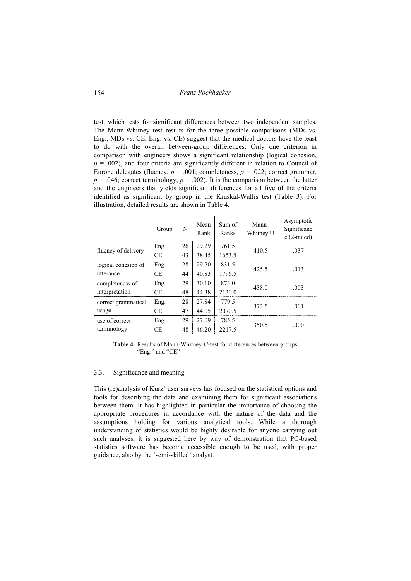test, which tests for significant differences between two independent samples. The Mann-Whitney test results for the three possible comparisons (MDs vs. Eng., MDs vs. CE, Eng. vs. CE) suggest that the medical doctors have the least to do with the overall between-group differences: Only one criterion in comparison with engineers shows a significant relationship (logical cohesion,  $p = .002$ ), and four criteria are significantly different in relation to Council of Europe delegates (fluency,  $p = .001$ ; completeness,  $p = .022$ ; correct grammar,  $p = .046$ ; correct terminology,  $p = .002$ ). It is the comparison between the latter and the engineers that yields significant differences for all five of the criteria identified as significant by group in the Kruskal-Wallis test (Table 3). For illustration, detailed results are shown in Table 4.

|                     | Group | N  | Mean<br>Rank | Sum of<br>Ranks | Mann-<br>Whitney U | Asymptotic<br>Significanc<br>$e(2-tailed)$ |
|---------------------|-------|----|--------------|-----------------|--------------------|--------------------------------------------|
| fluency of delivery | Eng.  | 26 | 29.29        | 761.5           | 410.5              | .037                                       |
|                     | CE    | 43 | 38.45        | 1653.5          |                    |                                            |
| logical cohesion of | Eng.  | 28 | 29.70        | 831.5           | 425.5              | .013                                       |
| utterance           | CE    | 44 | 40.83        | 1796.5          |                    |                                            |
| completeness of     | Eng.  | 29 | 30.10        | 873.0           | 438.0              | .003                                       |
| interpretation      | CE    | 48 | 44.38        | 2130.0          |                    |                                            |
| correct grammatical | Eng.  | 28 | 27.84        | 779.5           | 373.5              | .001                                       |
| usage               | CE    | 47 | 44.05        | 2070.5          |                    |                                            |
| use of correct      | Eng.  | 29 | 27.09        | 785.5           | 350.5              | .000                                       |
| terminology         | СE    | 48 | 46.20        | 2217.5          |                    |                                            |

**Table 4.** Results of Mann-Whitney *U*-test for differences between groups "Eng." and "CE"

#### 3.3. Significance and meaning

This (re)analysis of Kurz' user surveys has focused on the statistical options and tools for describing the data and examining them for significant associations between them. It has highlighted in particular the importance of choosing the appropriate procedures in accordance with the nature of the data and the assumptions holding for various analytical tools. While a thorough understanding of statistics would be highly desirable for anyone carrying out such analyses, it is suggested here by way of demonstration that PC-based statistics software has become accessible enough to be used, with proper guidance, also by the 'semi-skilled' analyst.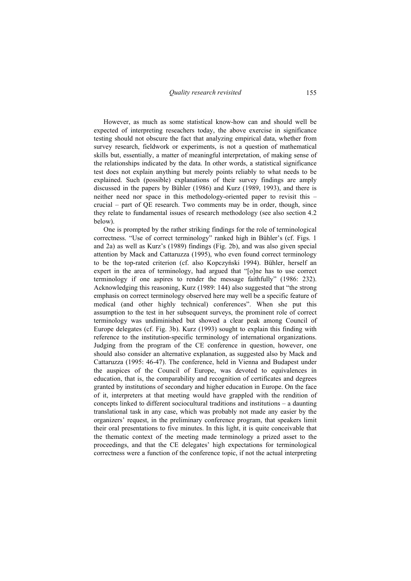However, as much as some statistical know-how can and should well be expected of interpreting reseachers today, the above exercise in significance testing should not obscure the fact that analyzing empirical data, whether from survey research, fieldwork or experiments, is not a question of mathematical skills but, essentially, a matter of meaningful interpretation, of making sense of the relationships indicated by the data. In other words, a statistical significance test does not explain anything but merely points reliably to what needs to be explained. Such (possible) explanations of their survey findings are amply discussed in the papers by Bühler (1986) and Kurz (1989, 1993), and there is neither need nor space in this methodology-oriented paper to revisit this – crucial – part of QE research. Two comments may be in order, though, since they relate to fundamental issues of research methodology (see also section 4.2 below).

One is prompted by the rather striking findings for the role of terminological correctness. "Use of correct terminology" ranked high in Bühler's (cf. Figs. 1 and 2a) as well as Kurz's (1989) findings (Fig. 2b), and was also given special attention by Mack and Cattaruzza (1995), who even found correct terminology to be the top-rated criterion (cf. also Kopczyński 1994). Bühler, herself an expert in the area of terminology, had argued that "[o]ne has to use correct terminology if one aspires to render the message faithfully" (1986: 232). Acknowledging this reasoning, Kurz (1989: 144) also suggested that "the strong emphasis on correct terminology observed here may well be a specific feature of medical (and other highly technical) conferences". When she put this assumption to the test in her subsequent surveys, the prominent role of correct terminology was undiminished but showed a clear peak among Council of Europe delegates (cf. Fig. 3b). Kurz (1993) sought to explain this finding with reference to the institution-specific terminology of international organizations. Judging from the program of the CE conference in question, however, one should also consider an alternative explanation, as suggested also by Mack and Cattaruzza (1995: 46-47). The conference, held in Vienna and Budapest under the auspices of the Council of Europe, was devoted to equivalences in education, that is, the comparability and recognition of certificates and degrees granted by institutions of secondary and higher education in Europe. On the face of it, interpreters at that meeting would have grappled with the rendition of concepts linked to different sociocultural traditions and institutions – a daunting translational task in any case, which was probably not made any easier by the organizers' request, in the preliminary conference program, that speakers limit their oral presentations to five minutes. In this light, it is quite conceivable that the thematic context of the meeting made terminology a prized asset to the proceedings, and that the CE delegates' high expectations for terminological correctness were a function of the conference topic, if not the actual interpreting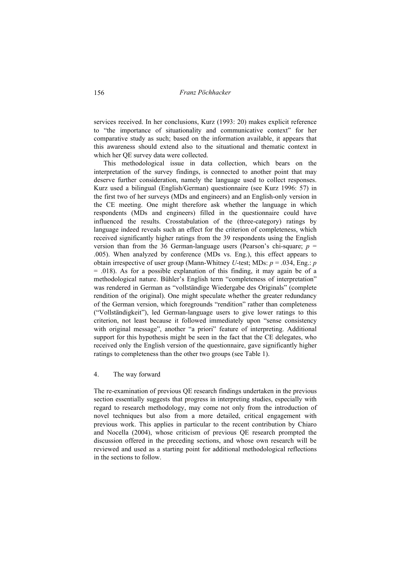services received. In her conclusions, Kurz (1993: 20) makes explicit reference to "the importance of situationality and communicative context" for her comparative study as such; based on the information available, it appears that this awareness should extend also to the situational and thematic context in which her QE survey data were collected.

This methodological issue in data collection, which bears on the interpretation of the survey findings, is connected to another point that may deserve further consideration, namely the language used to collect responses. Kurz used a bilingual (English/German) questionnaire (see Kurz 1996: 57) in the first two of her surveys (MDs and engineers) and an English-only version in the CE meeting. One might therefore ask whether the language in which respondents (MDs and engineers) filled in the questionnaire could have influenced the results. Crosstabulation of the (three-category) ratings by language indeed reveals such an effect for the criterion of completeness, which received significantly higher ratings from the 39 respondents using the English version than from the 36 German-language users (Pearson's chi-square;  $p =$ .005). When analyzed by conference (MDs vs. Eng.), this effect appears to obtain irrespective of user group (Mann-Whitney *U*-test; MDs: *p* = .034, Eng.: *p*  $=$  .018). As for a possible explanation of this finding, it may again be of a methodological nature. Bühler's English term "completeness of interpretation" was rendered in German as "vollständige Wiedergabe des Originals" (complete rendition of the original). One might speculate whether the greater redundancy of the German version, which foregrounds "rendition" rather than completeness ("Vollständigkeit"), led German-language users to give lower ratings to this criterion, not least because it followed immediately upon "sense consistency with original message", another "a priori" feature of interpreting. Additional support for this hypothesis might be seen in the fact that the CE delegates, who received only the English version of the questionnaire, gave significantly higher ratings to completeness than the other two groups (see Table 1).

# 4. The way forward

The re-examination of previous QE research findings undertaken in the previous section essentially suggests that progress in interpreting studies, especially with regard to research methodology, may come not only from the introduction of novel techniques but also from a more detailed, critical engagement with previous work. This applies in particular to the recent contribution by Chiaro and Nocella (2004), whose criticism of previous QE research prompted the discussion offered in the preceding sections, and whose own research will be reviewed and used as a starting point for additional methodological reflections in the sections to follow.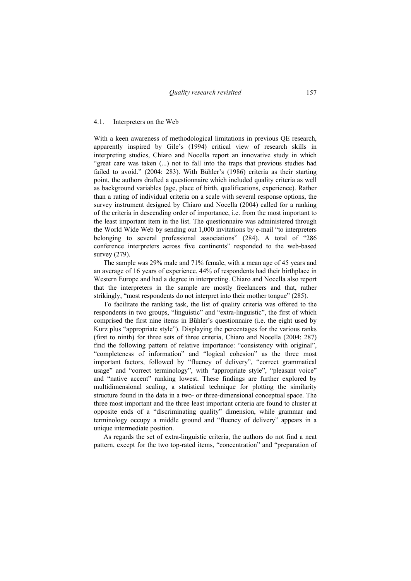#### 4.1. Interpreters on the Web

With a keen awareness of methodological limitations in previous QE research, apparently inspired by Gile's (1994) critical view of research skills in interpreting studies, Chiaro and Nocella report an innovative study in which "great care was taken (...) not to fall into the traps that previous studies had failed to avoid." (2004: 283). With Bühler's (1986) criteria as their starting point, the authors drafted a questionnaire which included quality criteria as well as background variables (age, place of birth, qualifications, experience). Rather than a rating of individual criteria on a scale with several response options, the survey instrument designed by Chiaro and Nocella (2004) called for a ranking of the criteria in descending order of importance, i.e. from the most important to the least important item in the list. The questionnaire was administered through the World Wide Web by sending out 1,000 invitations by e-mail "to interpreters belonging to several professional associations" (284). A total of "286 conference interpreters across five continents" responded to the web-based survey (279).

The sample was 29% male and 71% female, with a mean age of 45 years and an average of 16 years of experience. 44% of respondents had their birthplace in Western Europe and had a degree in interpreting. Chiaro and Nocella also report that the interpreters in the sample are mostly freelancers and that, rather strikingly, "most respondents do not interpret into their mother tongue" (285).

To facilitate the ranking task, the list of quality criteria was offered to the respondents in two groups, "linguistic" and "extra-linguistic", the first of which comprised the first nine items in Bühler's questionnaire (i.e. the eight used by Kurz plus "appropriate style"). Displaying the percentages for the various ranks (first to ninth) for three sets of three criteria, Chiaro and Nocella (2004: 287) find the following pattern of relative importance: "consistency with original", "completeness of information" and "logical cohesion" as the three most important factors, followed by "fluency of delivery", "correct grammatical usage" and "correct terminology", with "appropriate style", "pleasant voice" and "native accent" ranking lowest. These findings are further explored by multidimensional scaling, a statistical technique for plotting the similarity structure found in the data in a two- or three-dimensional conceptual space. The three most important and the three least important criteria are found to cluster at opposite ends of a "discriminating quality" dimension, while grammar and terminology occupy a middle ground and "fluency of delivery" appears in a unique intermediate position.

As regards the set of extra-linguistic criteria, the authors do not find a neat pattern, except for the two top-rated items, "concentration" and "preparation of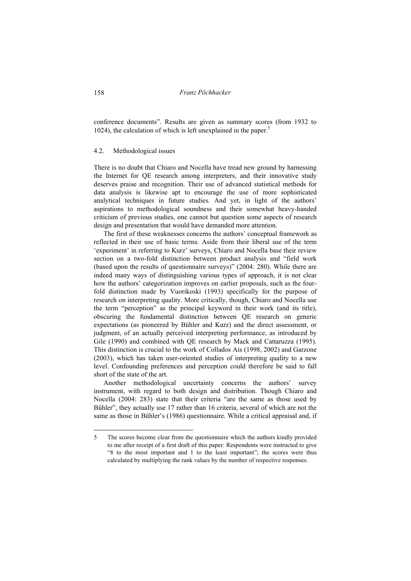conference documents". Results are given as summary scores (from 1932 to 1024), the calculation of which is left unexplained in the paper.<sup>5</sup>

### 4.2. Methodological issues

There is no doubt that Chiaro and Nocella have tread new ground by harnessing the Internet for QE research among interpreters, and their innovative study deserves praise and recognition. Their use of advanced statistical methods for data analysis is likewise apt to encourage the use of more sophisticated analytical techniques in future studies. And yet, in light of the authors' aspirations to methodological soundness and their somewhat heavy-handed criticism of previous studies, one cannot but question some aspects of research design and presentation that would have demanded more attention.

The first of these weaknesses concerns the authors' conceptual framework as reflected in their use of basic terms. Aside from their liberal use of the term 'experiment' in referring to Kurz' surveys, Chiaro and Nocella base their review section on a two-fold distinction between product analysis and "field work (based upon the results of questionnaire surveys)" (2004: 280). While there are indeed many ways of distinguishing various types of approach, it is not clear how the authors' categorization improves on earlier proposals, such as the fourfold distinction made by Vuorikoski (1993) specifically for the purpose of research on interpreting quality. More critically, though, Chiaro and Nocella use the term "perception" as the principal keyword in their work (and its title), obscuring the fundamental distinction between QE research on generic expectations (as pioneered by Bühler and Kurz) and the direct assessment, or judgment, of an actually perceived interpreting performance, as introduced by Gile (1990) and combined with QE research by Mack and Cattaruzza (1995). This distinction is crucial to the work of Collados Aís (1998, 2002) and Garzone (2003), which has taken user-oriented studies of interpreting quality to a new level. Confounding preferences and perception could therefore be said to fall short of the state of the art.

Another methodological uncertainty concerns the authors' survey instrument, with regard to both design and distribution. Though Chiaro and Nocella (2004: 283) state that their criteria "are the same as those used by Bühler", they actually use 17 rather than 16 criteria, several of which are not the same as those in Bühler's (1986) questionnaire. While a critical appraisal and, if

 $\overline{a}$ 

<sup>5</sup> The scores become clear from the questionnaire which the authors kindly provided to me after receipt of a first draft of this paper: Respondents were instructed to give "8 to the most important and 1 to the least important"; the scores were thus calculated by multiplying the rank values by the number of respective responses.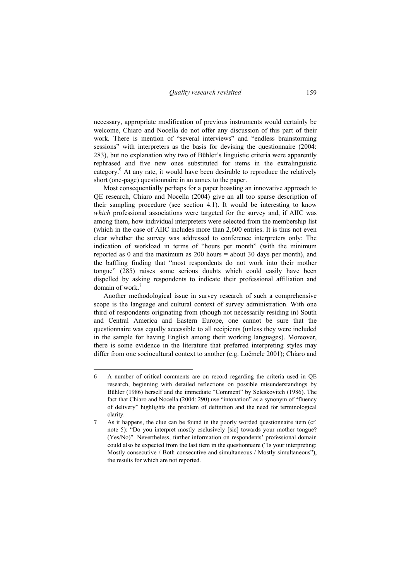necessary, appropriate modification of previous instruments would certainly be welcome, Chiaro and Nocella do not offer any discussion of this part of their work. There is mention of "several interviews" and "endless brainstorming sessions" with interpreters as the basis for devising the questionnaire (2004: 283), but no explanation why two of Bühler's linguistic criteria were apparently rephrased and five new ones substituted for items in the extralinguistic category.<sup>6</sup> At any rate, it would have been desirable to reproduce the relatively short (one-page) questionnaire in an annex to the paper.

Most consequentially perhaps for a paper boasting an innovative approach to QE research, Chiaro and Nocella (2004) give an all too sparse description of their sampling procedure (see section 4.1). It would be interesting to know *which* professional associations were targeted for the survey and, if AIIC was among them, how individual interpreters were selected from the membership list (which in the case of AIIC includes more than 2,600 entries. It is thus not even clear whether the survey was addressed to conference interpreters only: The indication of workload in terms of "hours per month" (with the minimum reported as 0 and the maximum as  $200$  hours = about 30 days per month), and the baffling finding that "most respondents do not work into their mother tongue" (285) raises some serious doubts which could easily have been dispelled by asking respondents to indicate their professional affiliation and domain of work.<sup>7</sup>

Another methodological issue in survey research of such a comprehensive scope is the language and cultural context of survey administration. With one third of respondents originating from (though not necessarily residing in) South and Central America and Eastern Europe, one cannot be sure that the questionnaire was equally accessible to all recipients (unless they were included in the sample for having English among their working languages). Moreover, there is some evidence in the literature that preferred interpreting styles may differ from one sociocultural context to another (e.g. Ločmele 2001); Chiaro and

 $\overline{a}$ 

<sup>6</sup> A number of critical comments are on record regarding the criteria used in QE research, beginning with detailed reflections on possible misunderstandings by Bühler (1986) herself and the immediate "Comment" by Seleskovitch (1986). The fact that Chiaro and Nocella (2004: 290) use "intonation" as a synonym of "fluency of delivery" highlights the problem of definition and the need for terminological clarity.

<sup>7</sup> As it happens, the clue can be found in the poorly worded questionnaire item (cf. note 5): "Do you interpret mostly esclusively [sic] towards your mother tongue? (Yes/No)". Nevertheless, further information on respondents' professional domain could also be expected from the last item in the questionnaire ("Is your interpreting: Mostly consecutive / Both consecutive and simultaneous / Mostly simultaneous"), the results for which are not reported.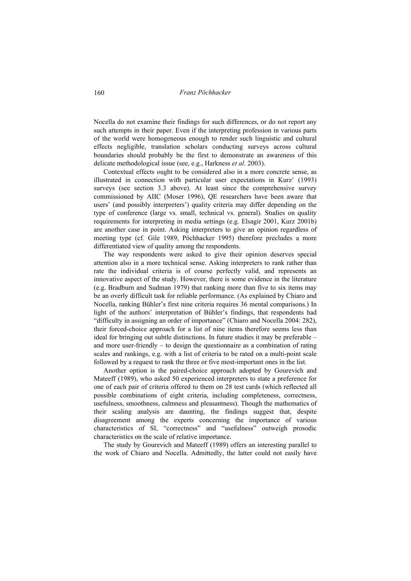Nocella do not examine their findings for such differences, or do not report any such attempts in their paper. Even if the interpreting profession in various parts of the world were homogeneous enough to render such linguistic and cultural effects negligible, translation scholars conducting surveys across cultural boundaries should probably be the first to demonstrate an awareness of this delicate methodological issue (see, e.g., Harkness *et al.* 2003).

Contextual effects ought to be considered also in a more concrete sense, as illustrated in connection with particular user expectations in Kurz' (1993) surveys (see section 3.3 above). At least since the comprehensive survey commissioned by AIIC (Moser 1996), QE researchers have been aware that users' (and possibly interpreters') quality criteria may differ depending on the type of conference (large vs. small, technical vs. general). Studies on quality requirements for interpreting in media settings (e.g. Elsagir 2001, Kurz 2001b) are another case in point. Asking interpreters to give an opinion regardless of meeting type (cf. Gile 1989, Pöchhacker 1995) therefore precludes a more differentiated view of quality among the respondents.

The way respondents were asked to give their opinion deserves special attention also in a more technical sense. Asking interpreters to rank rather than rate the individual criteria is of course perfectly valid, and represents an innovative aspect of the study. However, there is some evidence in the literature (e.g. Bradburn and Sudman 1979) that ranking more than five to six items may be an overly difficult task for reliable performance. (As explained by Chiaro and Nocella, ranking Bühler's first nine criteria requires 36 mental comparisons.) In light of the authors' interpretation of Bühler's findings, that respondents had "difficulty in assigning an order of importance" (Chiaro and Nocella 2004: 282), their forced-choice approach for a list of nine items therefore seems less than ideal for bringing out subtle distinctions. In future studies it may be preferable – and more user-friendly – to design the questionnaire as a combination of rating scales and rankings, e.g. with a list of criteria to be rated on a multi-point scale followed by a request to rank the three or five most-important ones in the list.

Another option is the paired-choice approach adopted by Gourevich and Mateeff (1989), who asked 50 experienced interpreters to state a preference for one of each pair of criteria offered to them on 28 test cards (which reflected all possible combinations of eight criteria, including completeness, correctness, usefulness, smoothness, calmness and pleasantness). Though the mathematics of their scaling analysis are daunting, the findings suggest that, despite disagreement among the experts concerning the importance of various characteristics of SI, "correctness" and "usefulness" outweigh prosodic characteristics on the scale of relative importance.

The study by Gourevich and Mateeff (1989) offers an interesting parallel to the work of Chiaro and Nocella. Admittedly, the latter could not easily have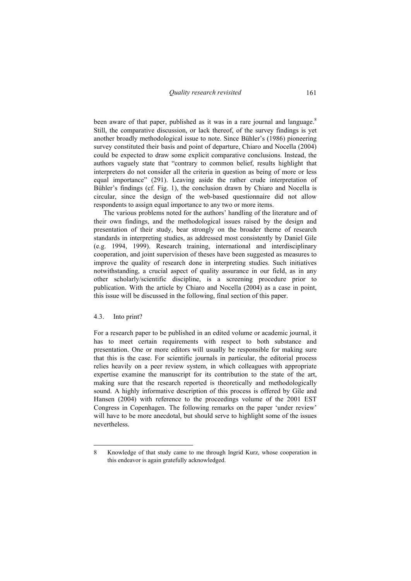been aware of that paper, published as it was in a rare journal and language.<sup>8</sup> Still, the comparative discussion, or lack thereof, of the survey findings is yet another broadly methodological issue to note. Since Bühler's (1986) pioneering survey constituted their basis and point of departure, Chiaro and Nocella (2004) could be expected to draw some explicit comparative conclusions. Instead, the authors vaguely state that "contrary to common belief, results highlight that interpreters do not consider all the criteria in question as being of more or less equal importance" (291). Leaving aside the rather crude interpretation of Bühler's findings (cf. Fig. 1), the conclusion drawn by Chiaro and Nocella is circular, since the design of the web-based questionnaire did not allow respondents to assign equal importance to any two or more items.

The various problems noted for the authors' handling of the literature and of their own findings, and the methodological issues raised by the design and presentation of their study, bear strongly on the broader theme of research standards in interpreting studies, as addressed most consistently by Daniel Gile (e.g. 1994, 1999). Research training, international and interdisciplinary cooperation, and joint supervision of theses have been suggested as measures to improve the quality of research done in interpreting studies. Such initiatives notwithstanding, a crucial aspect of quality assurance in our field, as in any other scholarly/scientific discipline, is a screening procedure prior to publication. With the article by Chiaro and Nocella (2004) as a case in point, this issue will be discussed in the following, final section of this paper.

#### 4.3. Into print?

For a research paper to be published in an edited volume or academic journal, it has to meet certain requirements with respect to both substance and presentation. One or more editors will usually be responsible for making sure that this is the case. For scientific journals in particular, the editorial process relies heavily on a peer review system, in which colleagues with appropriate expertise examine the manuscript for its contribution to the state of the art, making sure that the research reported is theoretically and methodologically sound. A highly informative description of this process is offered by Gile and Hansen (2004) with reference to the proceedings volume of the 2001 EST Congress in Copenhagen. The following remarks on the paper 'under review' will have to be more anecdotal, but should serve to highlight some of the issues nevertheless.

<sup>8</sup> Knowledge of that study came to me through Ingrid Kurz, whose cooperation in this endeavor is again gratefully acknowledged.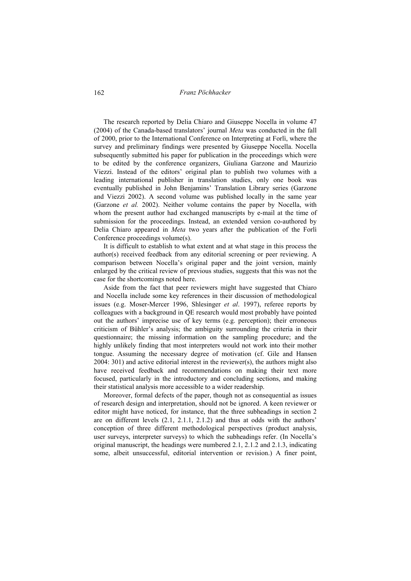The research reported by Delia Chiaro and Giuseppe Nocella in volume 47 (2004) of the Canada-based translators' journal *Meta* was conducted in the fall of 2000, prior to the International Conference on Interpreting at Forlì, where the survey and preliminary findings were presented by Giuseppe Nocella. Nocella subsequently submitted his paper for publication in the proceedings which were to be edited by the conference organizers, Giuliana Garzone and Maurizio Viezzi. Instead of the editors' original plan to publish two volumes with a leading international publisher in translation studies, only one book was eventually published in John Benjamins' Translation Library series (Garzone and Viezzi 2002). A second volume was published locally in the same year (Garzone *et al.* 2002). Neither volume contains the paper by Nocella, with whom the present author had exchanged manuscripts by e-mail at the time of submission for the proceedings. Instead, an extended version co-authored by Delia Chiaro appeared in *Meta* two years after the publication of the Forlì Conference proceedings volume(s).

It is difficult to establish to what extent and at what stage in this process the author(s) received feedback from any editorial screening or peer reviewing. A comparison between Nocella's original paper and the joint version, mainly enlarged by the critical review of previous studies, suggests that this was not the case for the shortcomings noted here.

Aside from the fact that peer reviewers might have suggested that Chiaro and Nocella include some key references in their discussion of methodological issues (e.g. Moser-Mercer 1996, Shlesinger *et al*. 1997), referee reports by colleagues with a background in QE research would most probably have pointed out the authors' imprecise use of key terms (e.g. perception); their erroneous criticism of Bühler's analysis; the ambiguity surrounding the criteria in their questionnaire; the missing information on the sampling procedure; and the highly unlikely finding that most interpreters would not work into their mother tongue. Assuming the necessary degree of motivation (cf. Gile and Hansen 2004: 301) and active editorial interest in the reviewer(s), the authors might also have received feedback and recommendations on making their text more focused, particularly in the introductory and concluding sections, and making their statistical analysis more accessible to a wider readership.

Moreover, formal defects of the paper, though not as consequential as issues of research design and interpretation, should not be ignored. A keen reviewer or editor might have noticed, for instance, that the three subheadings in section 2 are on different levels  $(2.1, 2.1.1, 2.1.2)$  and thus at odds with the authors' conception of three different methodological perspectives (product analysis, user surveys, interpreter surveys) to which the subheadings refer. (In Nocella's original manuscript, the headings were numbered 2.1, 2.1.2 and 2.1.3, indicating some, albeit unsuccessful, editorial intervention or revision.) A finer point,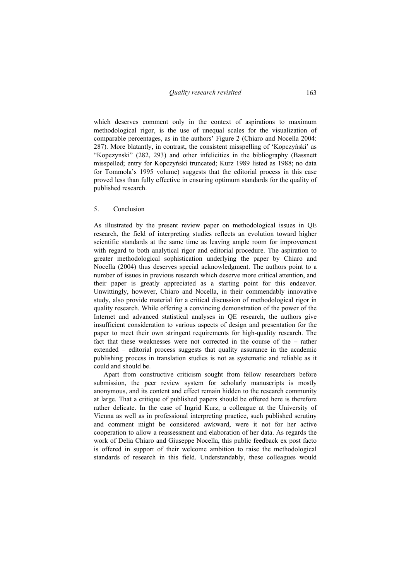which deserves comment only in the context of aspirations to maximum methodological rigor, is the use of unequal scales for the visualization of comparable percentages, as in the authors' Figure 2 (Chiaro and Nocella 2004: 287). More blatantly, in contrast, the consistent misspelling of 'Kopczyński' as "Kopezynski" (282, 293) and other infelicities in the bibliography (Bassnett misspelled; entry for Kopczyński truncated; Kurz 1989 listed as 1988; no data for Tommola's 1995 volume) suggests that the editorial process in this case proved less than fully effective in ensuring optimum standards for the quality of published research.

## 5. Conclusion

As illustrated by the present review paper on methodological issues in QE research, the field of interpreting studies reflects an evolution toward higher scientific standards at the same time as leaving ample room for improvement with regard to both analytical rigor and editorial procedure. The aspiration to greater methodological sophistication underlying the paper by Chiaro and Nocella (2004) thus deserves special acknowledgment. The authors point to a number of issues in previous research which deserve more critical attention, and their paper is greatly appreciated as a starting point for this endeavor. Unwittingly, however, Chiaro and Nocella, in their commendably innovative study, also provide material for a critical discussion of methodological rigor in quality research. While offering a convincing demonstration of the power of the Internet and advanced statistical analyses in QE research, the authors give insufficient consideration to various aspects of design and presentation for the paper to meet their own stringent requirements for high-quality research. The fact that these weaknesses were not corrected in the course of the – rather extended – editorial process suggests that quality assurance in the academic publishing process in translation studies is not as systematic and reliable as it could and should be.

Apart from constructive criticism sought from fellow researchers before submission, the peer review system for scholarly manuscripts is mostly anonymous, and its content and effect remain hidden to the research community at large. That a critique of published papers should be offered here is therefore rather delicate. In the case of Ingrid Kurz, a colleague at the University of Vienna as well as in professional interpreting practice, such published scrutiny and comment might be considered awkward, were it not for her active cooperation to allow a reassessment and elaboration of her data. As regards the work of Delia Chiaro and Giuseppe Nocella, this public feedback ex post facto is offered in support of their welcome ambition to raise the methodological standards of research in this field. Understandably, these colleagues would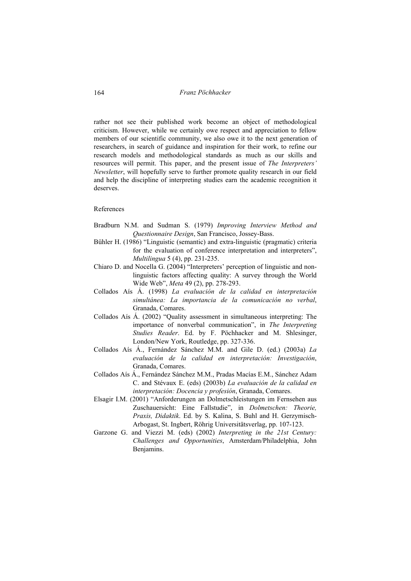rather not see their published work become an object of methodological criticism. However, while we certainly owe respect and appreciation to fellow members of our scientific community, we also owe it to the next generation of researchers, in search of guidance and inspiration for their work, to refine our research models and methodological standards as much as our skills and resources will permit. This paper, and the present issue of *The Interpreters' Newsletter*, will hopefully serve to further promote quality research in our field and help the discipline of interpreting studies earn the academic recognition it deserves.

### References

- Bradburn N.M. and Sudman S. (1979) *Improving Interview Method and Questionnaire Design*, San Francisco, Jossey-Bass.
- Bühler H. (1986) "Linguistic (semantic) and extra-linguistic (pragmatic) criteria for the evaluation of conference interpretation and interpreters", *Multilingua* 5 (4), pp. 231-235.
- Chiaro D. and Nocella G. (2004) "Interpreters' perception of linguistic and nonlinguistic factors affecting quality: A survey through the World Wide Web", *Meta* 49 (2), pp. 278-293.
- Collados Aís Á. (1998) *La evaluación de la calidad en interpretación simultánea: La importancia de la comunicación no verbal*, Granada, Comares.
- Collados Aís Á. (2002) "Quality assessment in simultaneous interpreting: The importance of nonverbal communication", in *The Interpreting Studies Reader*. Ed. by F. Pöchhacker and M. Shlesinger, London/New York, Routledge, pp. 327-336.
- Collados Aís Á., Fernández Sánchez M.M. and Gile D. (ed.) (2003a) *La evaluación de la calidad en interpretación: Investigación*, Granada, Comares.
- Collados Aís Á., Fernández Sánchez M.M., Pradas Macías E.M., Sánchez Adam C. and Stévaux E. (eds) (2003b) *La evaluación de la calidad en interpretación: Docencia y profesión*, Granada, Comares.
- Elsagir I.M. (2001) "Anforderungen an Dolmetschleistungen im Fernsehen aus Zuschauersicht: Eine Fallstudie", in *Dolmetschen: Theorie, Praxis, Didaktik*. Ed. by S. Kalina, S. Buhl and H. Gerzymisch-Arbogast, St. Ingbert, Röhrig Universitätsverlag, pp. 107-123.
- Garzone G. and Viezzi M. (eds) (2002) *Interpreting in the 21st Century: Challenges and Opportunities*, Amsterdam/Philadelphia, John Benjamins.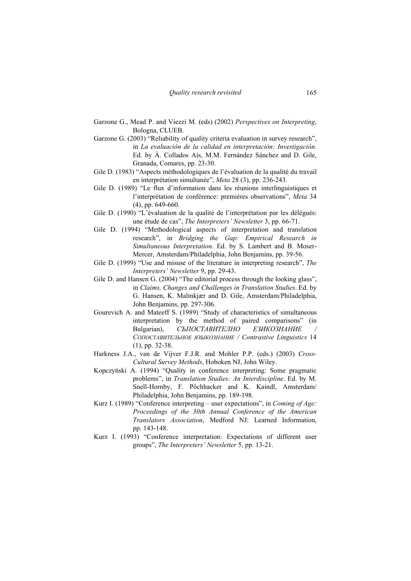- Garzone G., Mead P. and Viezzi M. (eds) (2002) *Perspectives on Interpreting*, Bologna, CLUEB.
- Garzone G. (2003) "Reliability of quality criteria evaluation in survey research", in *La evaluación de la calidad en interpretación: Investigación*. Ed. by Á. Collados Aís, M.M. Fernández Sánchez and D. Gile, Granada, Comares, pp. 23-30.
- Gile D. (1983) "Aspects méthodologiques de l'évaluation de la qualité du travail en interprétation simultanée", *Meta* 28 (3), pp. 236-243.
- Gile D. (1989) "Le flux d'information dans les réunions interlinguistiques et l'interprétation de conférence: premières observations", *Meta* 34 (4), pp. 649-660.
- Gile D. (1990) "L'évaluation de la qualité de l'interprétation par les délégués: une étude de cas", *The Interpreters' Newsletter* 3, pp. 66-71.
- Gile D. (1994) "Methodological aspects of interpretation and translation research", in *Bridging the Gap: Empirical Research in Simultaneous Interpretation*. Ed. by S. Lambert and B. Moser-Mercer, Amsterdam/Philadelphia, John Benjamins, pp. 39-56.
- Gile D. (1999) "Use and misuse of the literature in interpreting research", *The Interpreters' Newsletter* 9, pp. 29-43.
- Gile D. and Hansen G. (2004) "The editorial process through the looking glass", in *Claims, Changes and Challenges in Translation Studies*. Ed. by G. Hansen, K. Malmkjær and D. Gile, Amsterdam/Philadelphia, John Benjamins, pp. 297-306.
- Gourevich A. and Mateeff S. (1989) "Study of characteristics of simultaneous interpretation by the method of paired comparisons" (in Bulgarian), *СЪПОСТАВИТЕЛНО ЕЗИКОЗНАНИЕ СОПОСТАВИТЕЛЬНОЕ ЯЗЫКОЗНАНИЕ / Contrastive Linguistics* 14 (1), pp. 32-38.
- Harkness J.A., van de Vijver F.J.R. and Mohler P.P. (eds.) (2003) *Cross-Cultural Survey Methods*, Hoboken NJ, John Wiley.
- Kopczyński A. (1994) "Quality in conference interpreting: Some pragmatic problems", in *Translation Studies: An Interdiscipline*. Ed. by M. Snell-Hornby, F. Pöchhacker and K. Kaindl, Amsterdam/ Philadelphia, John Benjamins, pp. 189-198.
- Kurz I. (1989) "Conference interpreting user expectations", in *Coming of Age: Proceedings of the 30th Annual Conference of the American Translators Association*, Medford NJ: Learned Information, pp. 143-148.
- Kurz I. (1993) "Conference interpretation: Expectations of different user groups", *The Interpreters' Newsletter* 5, pp. 13-21.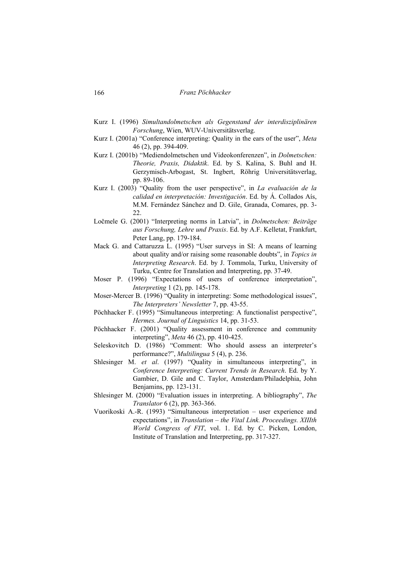- Kurz I. (1996) *Simultandolmetschen als Gegenstand der interdisziplinären Forschung*, Wien, WUV-Universitätsverlag.
- Kurz I. (2001a) "Conference interpreting: Quality in the ears of the user", *Meta* 46 (2), pp. 394-409.
- Kurz I. (2001b) "Mediendolmetschen und Videokonferenzen", in *Dolmetschen: Theorie, Praxis, Didaktik*. Ed. by S. Kalina, S. Buhl and H. Gerzymisch-Arbogast, St. Ingbert, Röhrig Universitätsverlag, pp. 89-106.
- Kurz I. (2003) "Quality from the user perspective", in *La evaluación de la calidad en interpretación: Investigación*. Ed. by Á. Collados Aís, M.M. Fernández Sánchez and D. Gile, Granada, Comares, pp. 3- 22.
- Ločmele G. (2001) "Interpreting norms in Latvia", in *Dolmetschen: Beiträge aus Forschung, Lehre und Praxis*. Ed. by A.F. Kelletat, Frankfurt, Peter Lang, pp. 179-184.
- Mack G. and Cattaruzza L. (1995) "User surveys in SI: A means of learning about quality and/or raising some reasonable doubts", in *Topics in Interpreting Research*. Ed. by J. Tommola, Turku, University of Turku, Centre for Translation and Interpreting, pp. 37-49.
- Moser P. (1996) "Expectations of users of conference interpretation", *Interpreting* 1 (2), pp. 145-178.
- Moser-Mercer B. (1996) "Quality in interpreting: Some methodological issues", *The Interpreters' Newsletter* 7, pp. 43-55.
- Pöchhacker F. (1995) "Simultaneous interpreting: A functionalist perspective", *Hermes. Journal of Linguistics* 14, pp. 31-53.
- Pöchhacker F. (2001) "Quality assessment in conference and community interpreting", *Meta* 46 (2), pp. 410-425.
- Seleskovitch D. (1986) "Comment: Who should assess an interpreter's performance?", *Multilingua* 5 (4), p. 236.
- Shlesinger M. *et al*. (1997) "Quality in simultaneous interpreting", in *Conference Interpreting: Current Trends in Research*. Ed. by Y. Gambier, D. Gile and C. Taylor, Amsterdam/Philadelphia, John Benjamins, pp. 123-131.
- Shlesinger M. (2000) "Evaluation issues in interpreting. A bibliography", *The Translator* 6 (2), pp. 363-366.
- Vuorikoski A.-R. (1993) "Simultaneous interpretation user experience and expectations", in *Translation – the Vital Link. Proceedings. XIIIth World Congress of FIT*, vol. 1. Ed. by C. Picken, London, Institute of Translation and Interpreting, pp. 317-327.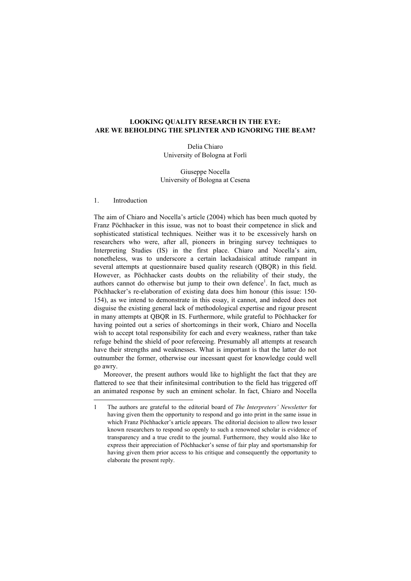# **LOOKING QUALITY RESEARCH IN THE EYE: ARE WE BEHOLDING THE SPLINTER AND IGNORING THE BEAM?**

Delia Chiaro University of Bologna at Forlì

Giuseppe Nocella University of Bologna at Cesena

# 1. Introduction

The aim of Chiaro and Nocella's article (2004) which has been much quoted by Franz Pöchhacker in this issue, was not to boast their competence in slick and sophisticated statistical techniques. Neither was it to be excessively harsh on researchers who were, after all, pioneers in bringing survey techniques to Interpreting Studies (IS) in the first place. Chiaro and Nocella's aim, nonetheless, was to underscore a certain lackadaisical attitude rampant in several attempts at questionnaire based quality research (QBQR) in this field. However, as Pöchhacker casts doubts on the reliability of their study, the authors cannot do otherwise but jump to their own defence<sup>1</sup>. In fact, much as Pöchhacker's re-elaboration of existing data does him honour (this issue: 150- 154), as we intend to demonstrate in this essay, it cannot, and indeed does not disguise the existing general lack of methodological expertise and rigour present in many attempts at QBQR in IS. Furthermore, while grateful to Pöchhacker for having pointed out a series of shortcomings in their work, Chiaro and Nocella wish to accept total responsibility for each and every weakness, rather than take refuge behind the shield of poor refereeing. Presumably all attempts at research have their strengths and weaknesses. What is important is that the latter do not outnumber the former, otherwise our incessant quest for knowledge could well go awry.

Moreover, the present authors would like to highlight the fact that they are flattered to see that their infinitesimal contribution to the field has triggered off an animated response by such an eminent scholar. In fact, Chiaro and Nocella

<sup>1</sup> The authors are grateful to the editorial board of *The Interpreters' Newsletter* for having given them the opportunity to respond and go into print in the same issue in which Franz Pöchhacker's article appears. The editorial decision to allow two lesser known researchers to respond so openly to such a renowned scholar is evidence of transparency and a true credit to the journal. Furthermore, they would also like to express their appreciation of Pöchhacker's sense of fair play and sportsmanship for having given them prior access to his critique and consequently the opportunity to elaborate the present reply.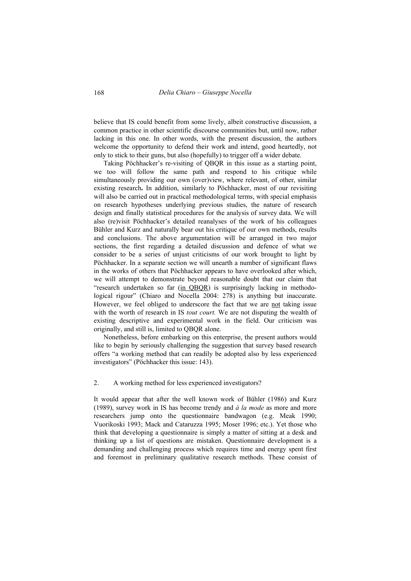believe that IS could benefit from some lively, albeit constructive discussion, a common practice in other scientific discourse communities but, until now, rather lacking in this one. In other words, with the present discussion, the authors welcome the opportunity to defend their work and intend, good heartedly, not only to stick to their guns, but also (hopefully) to trigger off a wider debate.

Taking Pöchhacker's re-visiting of QBQR in this issue as a starting point, we too will follow the same path and respond to his critique while simultaneously providing our own (over)view, where relevant, of other, similar existing research**.** In addition, similarly to Pöchhacker, most of our revisiting will also be carried out in practical methodological terms, with special emphasis on research hypotheses underlying previous studies, the nature of research design and finally statistical procedures for the analysis of survey data. We will also (re)visit Pöchhacker's detailed reanalyses of the work of his colleagues Bühler and Kurz and naturally bear out his critique of our own methods, results and conclusions. The above argumentation will be arranged in two major sections, the first regarding a detailed discussion and defence of what we consider to be a series of unjust criticisms of our work brought to light by Pöchhacker. In a separate section we will unearth a number of significant flaws in the works of others that Pöchhacker appears to have overlooked after which, we will attempt to demonstrate beyond reasonable doubt that our claim that "research undertaken so far (in QBQR) is surprisingly lacking in methodological rigour" (Chiaro and Nocella 2004: 278) is anything but inaccurate. However, we feel obliged to underscore the fact that we are not taking issue with the worth of research in IS *tout court.* We are not disputing the wealth of existing descriptive and experimental work in the field. Our criticism was originally, and still is, limited to QBQR alone.

Nonetheless, before embarking on this enterprise, the present authors would like to begin by seriously challenging the suggestion that survey based research offers "a working method that can readily be adopted also by less experienced investigators" (Pöchhacker this issue: 143).

## 2. A working method for less experienced investigators?

It would appear that after the well known work of Bühler (1986) and Kurz (1989), survey work in IS has become trendy and *à la mode* as more and more researchers jump onto the questionnaire bandwagon (e.g. Meak 1990; Vuorikoski 1993; Mack and Cataruzza 1995; Moser 1996; etc.). Yet those who think that developing a questionnaire is simply a matter of sitting at a desk and thinking up a list of questions are mistaken. Questionnaire development is a demanding and challenging process which requires time and energy spent first and foremost in preliminary qualitative research methods. These consist of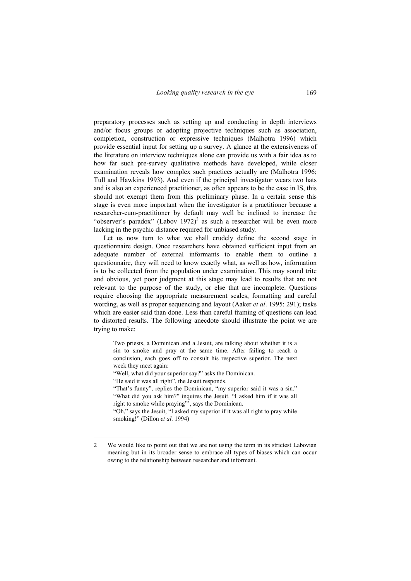preparatory processes such as setting up and conducting in depth interviews and/or focus groups or adopting projective techniques such as association, completion, construction or expressive techniques (Malhotra 1996) which provide essential input for setting up a survey. A glance at the extensiveness of the literature on interview techniques alone can provide us with a fair idea as to how far such pre-survey qualitative methods have developed, while closer examination reveals how complex such practices actually are (Malhotra 1996; Tull and Hawkins 1993). And even if the principal investigator wears two hats and is also an experienced practitioner, as often appears to be the case in IS, this should not exempt them from this preliminary phase. In a certain sense this stage is even more important when the investigator is a practitioner because a researcher-cum-practitioner by default may well be inclined to increase the "observer's paradox" (Labov 1972)<sup>2</sup> as such a researcher will be even more lacking in the psychic distance required for unbiased study.

Let us now turn to what we shall crudely define the second stage in questionnaire design. Once researchers have obtained sufficient input from an adequate number of external informants to enable them to outline a questionnaire, they will need to know exactly what, as well as how, information is to be collected from the population under examination. This may sound trite and obvious, yet poor judgment at this stage may lead to results that are not relevant to the purpose of the study, or else that are incomplete. Questions require choosing the appropriate measurement scales, formatting and careful wording, as well as proper sequencing and layout (Aaker *et al*. 1995: 291); tasks which are easier said than done. Less than careful framing of questions can lead to distorted results. The following anecdote should illustrate the point we are trying to make:

Two priests, a Dominican and a Jesuit, are talking about whether it is a sin to smoke and pray at the same time. After failing to reach a conclusion, each goes off to consult his respective superior. The next week they meet again:

"Well, what did your superior say?" asks the Dominican.

"He said it was all right", the Jesuit responds.

 $\overline{a}$ 

"That's funny", replies the Dominican, "my superior said it was a sin." "What did you ask him?" inquires the Jesuit. "I asked him if it was all right to smoke while praying"', says the Dominican.

"Oh," says the Jesuit, "I asked my superior if it was all right to pray while smoking!" (Dillon *et al*. 1994)

<sup>2</sup> We would like to point out that we are not using the term in its strictest Labovian meaning but in its broader sense to embrace all types of biases which can occur owing to the relationship between researcher and informant.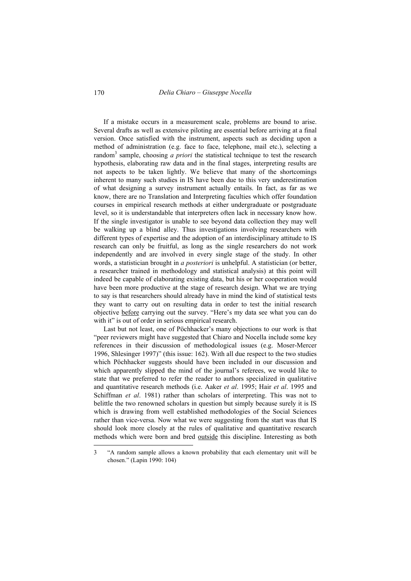If a mistake occurs in a measurement scale, problems are bound to arise. Several drafts as well as extensive piloting are essential before arriving at a final version. Once satisfied with the instrument, aspects such as deciding upon a method of administration (e.g. face to face, telephone, mail etc.), selecting a random<sup>3</sup> sample, choosing *a priori* the statistical technique to test the research hypothesis, elaborating raw data and in the final stages, interpreting results are not aspects to be taken lightly. We believe that many of the shortcomings inherent to many such studies in IS have been due to this very underestimation of what designing a survey instrument actually entails. In fact, as far as we know, there are no Translation and Interpreting faculties which offer foundation courses in empirical research methods at either undergraduate or postgraduate level, so it is understandable that interpreters often lack in necessary know how. If the single investigator is unable to see beyond data collection they may well be walking up a blind alley. Thus investigations involving researchers with different types of expertise and the adoption of an interdisciplinary attitude to IS research can only be fruitful, as long as the single researchers do not work independently and are involved in every single stage of the study. In other words, a statistician brought in *a posteriori* is unhelpful. A statistician (or better, a researcher trained in methodology and statistical analysis) at this point will indeed be capable of elaborating existing data, but his or her cooperation would have been more productive at the stage of research design. What we are trying to say is that researchers should already have in mind the kind of statistical tests they want to carry out on resulting data in order to test the initial research objective before carrying out the survey. "Here's my data see what you can do with it" is out of order in serious empirical research.

Last but not least, one of Pöchhacker's many objections to our work is that "peer reviewers might have suggested that Chiaro and Nocella include some key references in their discussion of methodological issues (e.g. Moser-Mercer 1996, Shlesinger 1997)" (this issue: 162). With all due respect to the two studies which Pöchhacker suggests should have been included in our discussion and which apparently slipped the mind of the journal's referees, we would like to state that we preferred to refer the reader to authors specialized in qualitative and quantitative research methods (i.e. Aaker *et al*. 1995; Hair *et al*. 1995 and Schiffman *et al*. 1981) rather than scholars of interpreting. This was not to belittle the two renowned scholars in question but simply because surely it is IS which is drawing from well established methodologies of the Social Sciences rather than vice-versa. Now what we were suggesting from the start was that IS should look more closely at the rules of qualitative and quantitative research methods which were born and bred outside this discipline. Interesting as both

<sup>3 &</sup>quot;A random sample allows a known probability that each elementary unit will be chosen." (Lapin 1990: 104)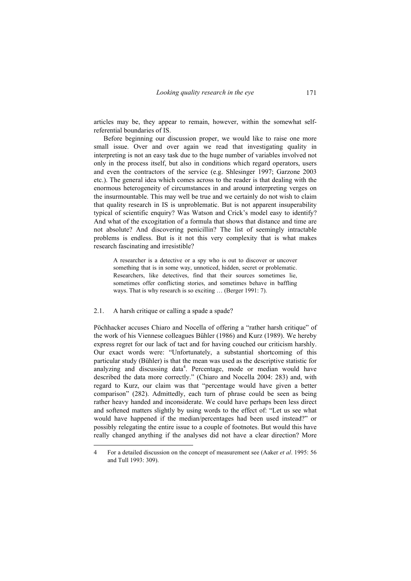articles may be, they appear to remain, however, within the somewhat selfreferential boundaries of IS.

Before beginning our discussion proper, we would like to raise one more small issue. Over and over again we read that investigating quality in interpreting is not an easy task due to the huge number of variables involved not only in the process itself, but also in conditions which regard operators, users and even the contractors of the service (e.g. Shlesinger 1997; Garzone 2003 etc.). The general idea which comes across to the reader is that dealing with the enormous heterogeneity of circumstances in and around interpreting verges on the insurmountable. This may well be true and we certainly do not wish to claim that quality research in IS is unproblematic. But is not apparent insuperability typical of scientific enquiry? Was Watson and Crick's model easy to identify? And what of the excogitation of a formula that shows that distance and time are not absolute? And discovering penicillin? The list of seemingly intractable problems is endless. But is it not this very complexity that is what makes research fascinating and irresistible?

A researcher is a detective or a spy who is out to discover or uncover something that is in some way, unnoticed, hidden, secret or problematic. Researchers, like detectives, find that their sources sometimes lie, sometimes offer conflicting stories, and sometimes behave in baffling ways. That is why research is so exciting … (Berger 1991: 7).

#### 2.1. A harsh critique or calling a spade a spade?

Pöchhacker accuses Chiaro and Nocella of offering a "rather harsh critique" of the work of his Viennese colleagues Bühler (1986) and Kurz (1989). We hereby express regret for our lack of tact and for having couched our criticism harshly. Our exact words were: "Unfortunately, a substantial shortcoming of this particular study (Bühler) is that the mean was used as the descriptive statistic for analyzing and discussing data<sup>4</sup>. Percentage, mode or median would have described the data more correctly." (Chiaro and Nocella 2004: 283) and, with regard to Kurz, our claim was that "percentage would have given a better comparison" (282). Admittedly, each turn of phrase could be seen as being rather heavy handed and inconsiderate. We could have perhaps been less direct and softened matters slightly by using words to the effect of: "Let us see what would have happened if the median/percentages had been used instead?" or possibly relegating the entire issue to a couple of footnotes. But would this have really changed anything if the analyses did not have a clear direction? More

<sup>4</sup> For a detailed discussion on the concept of measurement see (Aaker *et al*. 1995: 56 and Tull 1993: 309).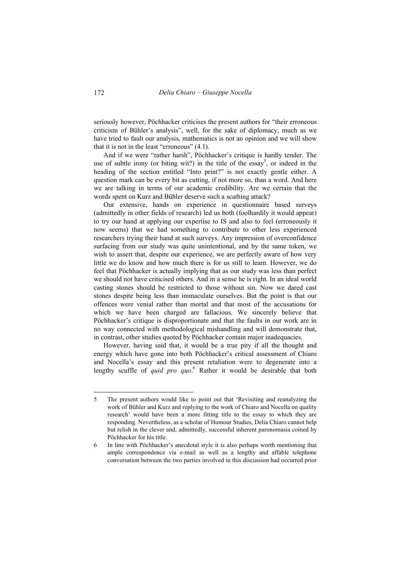seriously however, Pöchhacker criticises the present authors for "their erroneous criticism of Bühler's analysis", well, for the sake of diplomacy, much as we have tried to fault our analysis, mathematics is not an opinion and we will show that it is not in the least "erroneous" (4.1).

And if we were "rather harsh", Pöchhacker's critique is hardly tender. The use of subtle irony (or biting wit?) in the title of the essay<sup>5</sup>, or indeed in the heading of the section entitled "Into print?" is not exactly gentle either. A question mark can be every bit as cutting, if not more so, than a word. And here we are talking in terms of our academic credibility. Are we certain that the words spent on Kurz and Bühler deserve such a scathing attack?

Our extensive, hands on experience in questionnaire based surveys (admittedly in other fields of research) led us both (foolhardily it would appear) to try our hand at applying our expertise to IS and also to feel (erroneously it now seems) that we had something to contribute to other less experienced researchers trying their hand at such surveys. Any impression of overconfidence surfacing from our study was quite unintentional, and by the same token, we wish to assert that, despite our experience, we are perfectly aware of how very little we do know and how much there is for us still to learn. However, we do feel that Pöchhacker is actually implying that as our study was less than perfect we should not have criticised others. And in a sense he is right. In an ideal world casting stones should be restricted to those without sin. Now we dared cast stones despite being less than immaculate ourselves. But the point is that our offences were venial rather than mortal and that most of the accusations for which we have been charged are fallacious. We sincerely believe that Pöchhacker's critique is disproportionate and that the faults in our work are in no way connected with methodological mishandling and will demonstrate that, in contrast, other studies quoted by Pöchhacker contain major inadequacies.

However, having said that, it would be a true pity if all the thought and energy which have gone into both Pöchhacker's critical assessment of Chiaro and Nocella's essay and this present retaliation were to degenerate into a lengthy scuffle of *quid pro quo.*<sup>6</sup> Rather it would be desirable that both

 $\overline{a}$ 

<sup>5</sup> The present authors would like to point out that 'Revisiting and reanalyzing the work of Bühler and Kurz and replying to the work of Chiaro and Nocella on quality research' would have been a more fitting title to the essay to which they are responding. Nevertheless, as a scholar of Humour Studies, Delia Chiaro cannot help but relish in the clever and, admittedly, successful inherent paronomasia coined by Pöchhacker for his title.

<sup>6</sup> In line with Pöchhacker's anecdotal style it is also perhaps worth mentioning that ample correspondence via e-mail as well as a lengthy and affable telephone conversation between the two parties involved in this discussion had occurred prior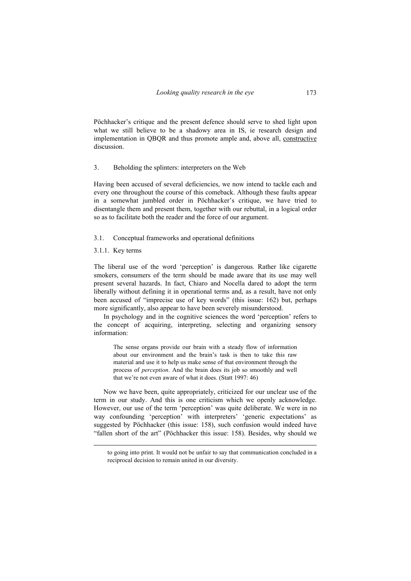Pöchhacker's critique and the present defence should serve to shed light upon what we still believe to be a shadowy area in IS, ie research design and implementation in QBQR and thus promote ample and, above all, constructive discussion.

## 3. Beholding the splinters: interpreters on the Web

Having been accused of several deficiencies, we now intend to tackle each and every one throughout the course of this comeback. Although these faults appear in a somewhat jumbled order in Pöchhacker's critique, we have tried to disentangle them and present them, together with our rebuttal, in a logical order so as to facilitate both the reader and the force of our argument.

### 3.1. Conceptual frameworks and operational definitions

3.1.1. Key terms

The liberal use of the word 'perception' is dangerous. Rather like cigarette smokers, consumers of the term should be made aware that its use may well present several hazards. In fact, Chiaro and Nocella dared to adopt the term liberally without defining it in operational terms and, as a result, have not only been accused of "imprecise use of key words" (this issue: 162) but, perhaps more significantly, also appear to have been severely misunderstood.

In psychology and in the cognitive sciences the word 'perception' refers to the concept of acquiring, interpreting, selecting and organizing sensory information:

The sense organs provide our brain with a steady flow of information about our environment and the brain's task is then to take this raw material and use it to help us make sense of that environment through the process of *perception*. And the brain does its job so smoothly and well that we're not even aware of what it does. (Statt 1997: 46)

Now we have been, quite appropriately, criticized for our unclear use of the term in our study. And this is one criticism which we openly acknowledge. However, our use of the term 'perception' was quite deliberate. We were in no way confounding 'perception' with interpreters' 'generic expectations' as suggested by Pöchhacker (this issue: 158), such confusion would indeed have "fallen short of the art" (Pöchhacker this issue: 158). Besides, why should we

to going into print. It would not be unfair to say that communication concluded in a reciprocal decision to remain united in our diversity.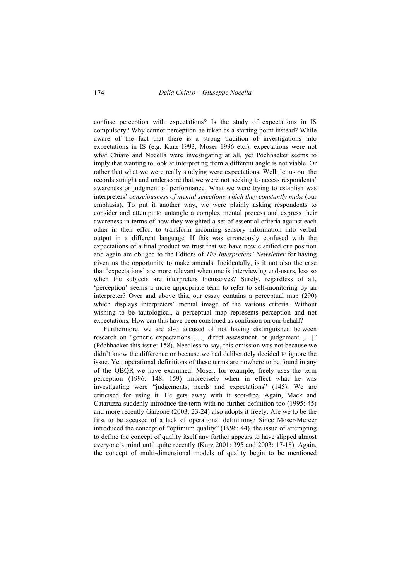confuse perception with expectations? Is the study of expectations in IS compulsory? Why cannot perception be taken as a starting point instead? While aware of the fact that there is a strong tradition of investigations into expectations in IS (e.g. Kurz 1993, Moser 1996 etc.), expectations were not what Chiaro and Nocella were investigating at all, yet Pöchhacker seems to imply that wanting to look at interpreting from a different angle is not viable. Or rather that what we were really studying were expectations. Well, let us put the records straight and underscore that we were not seeking to access respondents' awareness or judgment of performance. What we were trying to establish was interpreters' *consciousness of mental selections which they constantly make* (our emphasis). To put it another way, we were plainly asking respondents to consider and attempt to untangle a complex mental process and express their awareness in terms of how they weighted a set of essential criteria against each other in their effort to transform incoming sensory information into verbal output in a different language. If this was erroneously confused with the expectations of a final product we trust that we have now clarified our position and again are obliged to the Editors of *The Interpreters' Newsletter* for having given us the opportunity to make amends. Incidentally, is it not also the case that 'expectations' are more relevant when one is interviewing end-users, less so when the subjects are interpreters themselves? Surely, regardless of all, 'perception' seems a more appropriate term to refer to self-monitoring by an interpreter? Over and above this, our essay contains a perceptual map (290) which displays interpreters' mental image of the various criteria. Without wishing to be tautological, a perceptual map represents perception and not expectations. How can this have been construed as confusion on our behalf?

Furthermore, we are also accused of not having distinguished between research on "generic expectations […] direct assessment, or judgement […]" (Pöchhacker this issue: 158). Needless to say, this omission was not because we didn't know the difference or because we had deliberately decided to ignore the issue. Yet, operational definitions of these terms are nowhere to be found in any of the QBQR we have examined. Moser, for example, freely uses the term perception (1996: 148, 159) imprecisely when in effect what he was investigating were "judgements, needs and expectations" (145). We are criticised for using it. He gets away with it scot-free. Again, Mack and Cataruzza suddenly introduce the term with no further definition too (1995: 45) and more recently Garzone (2003: 23-24) also adopts it freely. Are we to be the first to be accused of a lack of operational definitions? Since Moser-Mercer introduced the concept of "optimum quality" (1996: 44), the issue of attempting to define the concept of quality itself any further appears to have slipped almost everyone's mind until quite recently (Kurz 2001: 395 and 2003: 17-18). Again, the concept of multi-dimensional models of quality begin to be mentioned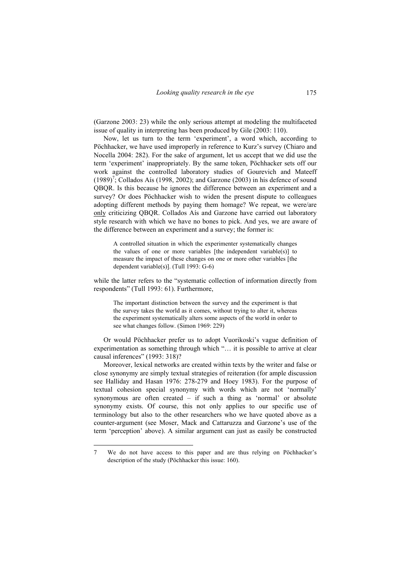(Garzone 2003: 23) while the only serious attempt at modeling the multifaceted issue of quality in interpreting has been produced by Gile (2003: 110).

Now, let us turn to the term 'experiment', a word which, according to Pöchhacker, we have used improperly in reference to Kurz's survey (Chiaro and Nocella 2004: 282). For the sake of argument, let us accept that we did use the term 'experiment' inappropriately. By the same token, Pöchhacker sets off our work against the controlled laboratory studies of Gourevich and Mateeff  $(1989)^7$ ; Collados Aís (1998, 2002); and Garzone (2003) in his defence of sound QBQR. Is this because he ignores the difference between an experiment and a survey? Or does Pöchhacker wish to widen the present dispute to colleagues adopting different methods by paying them homage? We repeat, we were/are only criticizing QBQR. Collados Aís and Garzone have carried out laboratory style research with which we have no bones to pick. And yes, we are aware of the difference between an experiment and a survey; the former is:

A controlled situation in which the experimenter systematically changes the values of one or more variables [the independent variable(s)] to measure the impact of these changes on one or more other variables [the dependent variable(s)]. (Tull 1993: G-6)

while the latter refers to the "systematic collection of information directly from respondents" (Tull 1993: 61). Furthermore,

The important distinction between the survey and the experiment is that the survey takes the world as it comes, without trying to alter it, whereas the experiment systematically alters some aspects of the world in order to see what changes follow. (Simon 1969: 229)

Or would Pöchhacker prefer us to adopt Vuorikoski's vague definition of experimentation as something through which "… it is possible to arrive at clear causal inferences" (1993: 318)?

Moreover, lexical networks are created within texts by the writer and false or close synonymy are simply textual strategies of reiteration (for ample discussion see Halliday and Hasan 1976: 278-279 and Hoey 1983). For the purpose of textual cohesion special synonymy with words which are not 'normally' synonymous are often created – if such a thing as 'normal' or absolute synonymy exists. Of course, this not only applies to our specific use of terminology but also to the other researchers who we have quoted above as a counter-argument (see Moser, Mack and Cattaruzza and Garzone's use of the term 'perception' above). A similar argument can just as easily be constructed

<sup>7</sup> We do not have access to this paper and are thus relying on Pöchhacker's description of the study (Pöchhacker this issue: 160).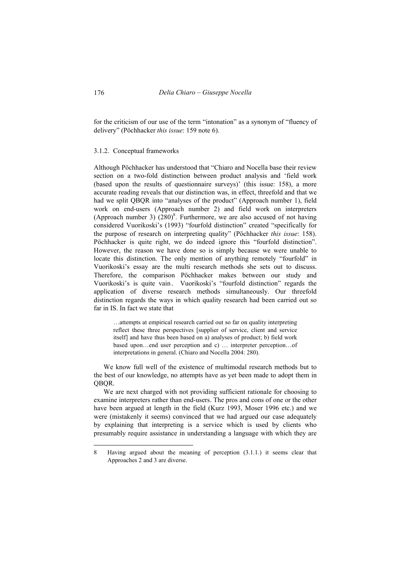for the criticism of our use of the term "intonation" as a synonym of "fluency of delivery" (Pöchhacker *this issue*: 159 note 6).

### 3.1.2. Conceptual frameworks

Although Pöchhacker has understood that "Chiaro and Nocella base their review section on a two-fold distinction between product analysis and 'field work (based upon the results of questionnaire surveys)' (this issue: 158), a more accurate reading reveals that our distinction was, in effect, threefold and that we had we split OBOR into "analyses of the product" (Approach number 1), field work on end-users (Approach number 2) and field work on interpreters (Approach number 3)  $(280)^8$ . Furthermore, we are also accused of not having considered Vuorikoski's (1993) "fourfold distinction" created "specifically for the purpose of research on interpreting quality" (Pöchhacker *this issue*: 158). Pöchhacker is quite right, we do indeed ignore this "fourfold distinction". However, the reason we have done so is simply because we were unable to locate this distinction. The only mention of anything remotely "fourfold" in Vuorikoski's essay are the multi research methods she sets out to discuss. Therefore, the comparison Pöchhacker makes between our study and Vuorikoski's is quite vain. Vuorikoski's "fourfold distinction" regards the application of diverse research methods simultaneously. Our threefold distinction regards the ways in which quality research had been carried out so far in IS. In fact we state that

…attempts at empirical research carried out so far on quality interpreting reflect these three perspectives [supplier of service, client and service itself] and have thus been based on a) analyses of product; b) field work based upon…end user perception and c) … interpreter perception…of interpretations in general. (Chiaro and Nocella 2004: 280).

We know full well of the existence of multimodal research methods but to the best of our knowledge, no attempts have as yet been made to adopt them in QBQR.

We are next charged with not providing sufficient rationale for choosing to examine interpreters rather than end-users. The pros and cons of one or the other have been argued at length in the field (Kurz 1993, Moser 1996 etc.) and we were (mistakenly it seems) convinced that we had argued our case adequately by explaining that interpreting is a service which is used by clients who presumably require assistance in understanding a language with which they are

<sup>8</sup> Having argued about the meaning of perception (3.1.1.) it seems clear that Approaches 2 and 3 are diverse.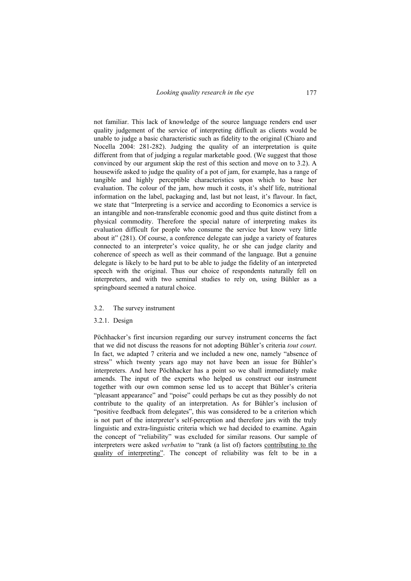not familiar. This lack of knowledge of the source language renders end user quality judgement of the service of interpreting difficult as clients would be unable to judge a basic characteristic such as fidelity to the original (Chiaro and Nocella 2004: 281-282). Judging the quality of an interpretation is quite different from that of judging a regular marketable good. (We suggest that those convinced by our argument skip the rest of this section and move on to 3.2). A housewife asked to judge the quality of a pot of jam, for example, has a range of tangible and highly perceptible characteristics upon which to base her evaluation. The colour of the jam, how much it costs, it's shelf life, nutritional information on the label, packaging and, last but not least, it's flavour. In fact, we state that "Interpreting is a service and according to Economics a service is an intangible and non-transferable economic good and thus quite distinct from a physical commodity. Therefore the special nature of interpreting makes its evaluation difficult for people who consume the service but know very little about it" (281). Of course, a conference delegate can judge a variety of features connected to an interpreter's voice quality, he or she can judge clarity and coherence of speech as well as their command of the language. But a genuine delegate is likely to be hard put to be able to judge the fidelity of an interpreted speech with the original. Thus our choice of respondents naturally fell on interpreters, and with two seminal studies to rely on, using Bühler as a springboard seemed a natural choice.

# 3.2. The survey instrument

# 3.2.1. Design

Pöchhacker's first incursion regarding our survey instrument concerns the fact that we did not discuss the reasons for not adopting Bühler's criteria *tout court*. In fact, we adapted 7 criteria and we included a new one, namely "absence of stress" which twenty years ago may not have been an issue for Bühler's interpreters. And here Pöchhacker has a point so we shall immediately make amends. The input of the experts who helped us construct our instrument together with our own common sense led us to accept that Bühler's criteria "pleasant appearance" and "poise" could perhaps be cut as they possibly do not contribute to the quality of an interpretation. As for Bühler's inclusion of "positive feedback from delegates", this was considered to be a criterion which is not part of the interpreter's self-perception and therefore jars with the truly linguistic and extra-linguistic criteria which we had decided to examine. Again the concept of "reliability" was excluded for similar reasons. Our sample of interpreters were asked *verbatim* to "rank (a list of) factors contributing to the quality of interpreting". The concept of reliability was felt to be in a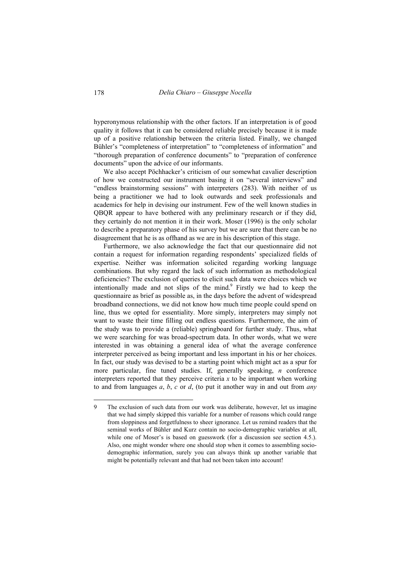hyperonymous relationship with the other factors. If an interpretation is of good quality it follows that it can be considered reliable precisely because it is made up of a positive relationship between the criteria listed. Finally, we changed Bühler's "completeness of interpretation" to "completeness of information" and "thorough preparation of conference documents" to "preparation of conference documents" upon the advice of our informants.

We also accept Pöchhacker's criticism of our somewhat cavalier description of how we constructed our instrument basing it on "several interviews" and "endless brainstorming sessions" with interpreters (283). With neither of us being a practitioner we had to look outwards and seek professionals and academics for help in devising our instrument. Few of the well known studies in QBQR appear to have bothered with any preliminary research or if they did, they certainly do not mention it in their work. Moser (1996) is the only scholar to describe a preparatory phase of his survey but we are sure that there can be no disagreement that he is as offhand as we are in his description of this stage.

Furthermore, we also acknowledge the fact that our questionnaire did not contain a request for information regarding respondents' specialized fields of expertise. Neither was information solicited regarding working language combinations. But why regard the lack of such information as methodological deficiencies? The exclusion of queries to elicit such data were choices which we intentionally made and not slips of the mind.<sup>9</sup> Firstly we had to keep the questionnaire as brief as possible as, in the days before the advent of widespread broadband connections, we did not know how much time people could spend on line, thus we opted for essentiality. More simply, interpreters may simply not want to waste their time filling out endless questions. Furthermore, the aim of the study was to provide a (reliable) springboard for further study. Thus, what we were searching for was broad-spectrum data. In other words, what we were interested in was obtaining a general idea of what the average conference interpreter perceived as being important and less important in his or her choices. In fact, our study was devised to be a starting point which might act as a spur for more particular, fine tuned studies. If, generally speaking, *n* conference interpreters reported that they perceive criteria  $x$  to be important when working to and from languages *a*, *b*, *c* or *d*, (to put it another way in and out from *any* 

<sup>9</sup> The exclusion of such data from our work was deliberate, however, let us imagine that we had simply skipped this variable for a number of reasons which could range from sloppiness and forgetfulness to sheer ignorance. Let us remind readers that the seminal works of Bühler and Kurz contain no socio-demographic variables at all, while one of Moser's is based on guesswork (for a discussion see section 4.5.). Also, one might wonder where one should stop when it comes to assembling sociodemographic information, surely you can always think up another variable that might be potentially relevant and that had not been taken into account!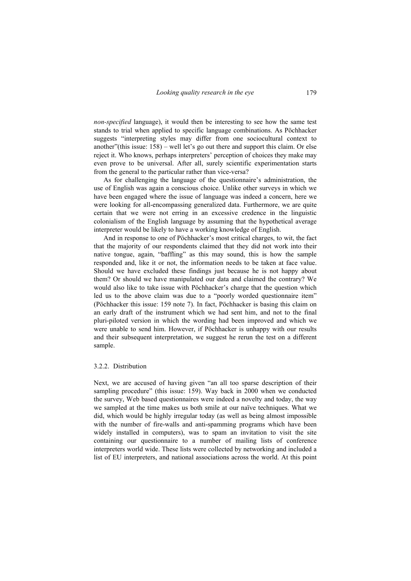*non-specified* language), it would then be interesting to see how the same test stands to trial when applied to specific language combinations. As Pöchhacker suggests "interpreting styles may differ from one sociocultural context to another"(this issue: 158) – well let's go out there and support this claim. Or else reject it. Who knows, perhaps interpreters' perception of choices they make may even prove to be universal. After all, surely scientific experimentation starts from the general to the particular rather than vice-versa?

As for challenging the language of the questionnaire's administration, the use of English was again a conscious choice. Unlike other surveys in which we have been engaged where the issue of language was indeed a concern, here we were looking for all-encompassing generalized data. Furthermore, we are quite certain that we were not erring in an excessive credence in the linguistic colonialism of the English language by assuming that the hypothetical average interpreter would be likely to have a working knowledge of English.

And in response to one of Pöchhacker's most critical charges, to wit, the fact that the majority of our respondents claimed that they did not work into their native tongue, again, "baffling" as this may sound, this is how the sample responded and, like it or not, the information needs to be taken at face value. Should we have excluded these findings just because he is not happy about them? Or should we have manipulated our data and claimed the contrary? We would also like to take issue with Pöchhacker's charge that the question which led us to the above claim was due to a "poorly worded questionnaire item" (Pöchhacker this issue: 159 note 7). In fact, Pöchhacker is basing this claim on an early draft of the instrument which we had sent him, and not to the final pluri-piloted version in which the wording had been improved and which we were unable to send him. However, if Pöchhacker is unhappy with our results and their subsequent interpretation, we suggest he rerun the test on a different sample.

# 3.2.2. Distribution

Next, we are accused of having given "an all too sparse description of their sampling procedure" (this issue: 159). Way back in 2000 when we conducted the survey, Web based questionnaires were indeed a novelty and today, the way we sampled at the time makes us both smile at our naïve techniques. What we did, which would be highly irregular today (as well as being almost impossible with the number of fire-walls and anti-spamming programs which have been widely installed in computers), was to spam an invitation to visit the site containing our questionnaire to a number of mailing lists of conference interpreters world wide. These lists were collected by networking and included a list of EU interpreters, and national associations across the world. At this point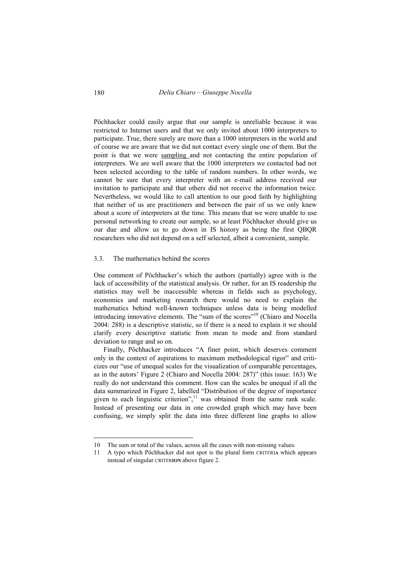Pöchhacker could easily argue that our sample is unreliable because it was restricted to Internet users and that we only invited about 1000 interpreters to participate. True, there surely are more than a 1000 interpreters in the world and of course we are aware that we did not contact every single one of them. But the point is that we were sampling and not contacting the entire population of interpreters. We are well aware that the 1000 interpreters we contacted had not been selected according to the table of random numbers. In other words, we cannot be sure that every interpreter with an e-mail address received our invitation to participate and that others did not receive the information twice. Nevertheless, we would like to call attention to our good faith by highlighting that neither of us are practitioners and between the pair of us we only knew about a score of interpreters at the time. This means that we were unable to use personal networking to create our sample, so at least Pöchhacker should give us our due and allow us to go down in IS history as being the first QBQR researchers who did not depend on a self selected, albeit a convenient, sample.

## 3.3. The mathematics behind the scores

One comment of Pöchhacker's which the authors (partially) agree with is the lack of accessibility of the statistical analysis. Or rather, for an IS readership the statistics may well be inaccessible whereas in fields such as psychology, economics and marketing research there would no need to explain the mathematics behind well-known techniques unless data is being modelled introducing innovative elements. The "sum of the scores"<sup>10</sup> (Chiaro and Nocella 2004: 288) is a descriptive statistic, so if there is a need to explain it we should clarify every descriptive statistic from mean to mode and from standard deviation to range and so on.

Finally, Pöchhacker introduces "A finer point, which deserves comment only in the context of aspirations to maximum methodological rigor" and criticizes our "use of unequal scales for the visualization of comparable percentages, as in the autors' Figure 2 (Chiaro and Nocella 2004: 287)" (this issue: 163) We really do not understand this comment. How can the scales be unequal if all the data summarized in Figure 2, labelled "Distribution of the degree of importance given to each linguistic criterion", $\frac{11}{11}$  was obtained from the same rank scale. Instead of presenting our data in one crowded graph which may have been confusing, we simply split the data into three different line graphs to allow

<sup>10</sup> The sum or total of the values, across all the cases with non-missing values.

<sup>11</sup> A typo which Pöchhacker did not spot is the plural form CRITERI**A** which appears instead of singular CRITER**ION** above figure 2.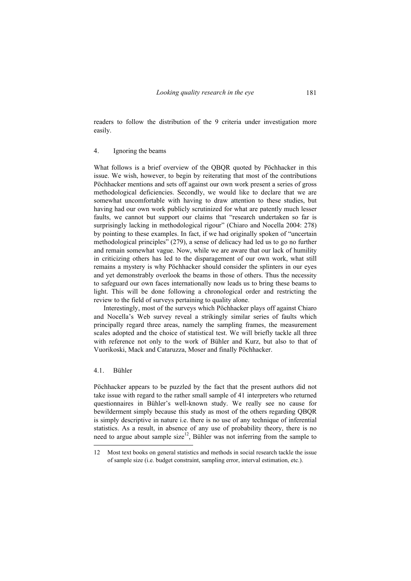readers to follow the distribution of the 9 criteria under investigation more easily.

### 4. Ignoring the beams

What follows is a brief overview of the QBQR quoted by Pöchhacker in this issue. We wish, however, to begin by reiterating that most of the contributions Pöchhacker mentions and sets off against our own work present a series of gross methodological deficiencies. Secondly, we would like to declare that we are somewhat uncomfortable with having to draw attention to these studies, but having had our own work publicly scrutinized for what are patently much lesser faults, we cannot but support our claims that "research undertaken so far is surprisingly lacking in methodological rigour" (Chiaro and Nocella 2004: 278) by pointing to these examples. In fact, if we had originally spoken of "uncertain methodological principles" (279), a sense of delicacy had led us to go no further and remain somewhat vague. Now, while we are aware that our lack of humility in criticizing others has led to the disparagement of our own work, what still remains a mystery is why Pöchhacker should consider the splinters in our eyes and yet demonstrably overlook the beams in those of others. Thus the necessity to safeguard our own faces internationally now leads us to bring these beams to light. This will be done following a chronological order and restricting the review to the field of surveys pertaining to quality alone.

Interestingly, most of the surveys which Pöchhacker plays off against Chiaro and Nocella's Web survey reveal a strikingly similar series of faults which principally regard three areas, namely the sampling frames, the measurement scales adopted and the choice of statistical test. We will briefly tackle all three with reference not only to the work of Bühler and Kurz, but also to that of Vuorikoski, Mack and Cataruzza, Moser and finally Pöchhacker.

### 4.1. Bühler

Pöchhacker appears to be puzzled by the fact that the present authors did not take issue with regard to the rather small sample of 41 interpreters who returned questionnaires in Bühler's well-known study. We really see no cause for bewilderment simply because this study as most of the others regarding QBQR is simply descriptive in nature i.e. there is no use of any technique of inferential statistics. As a result, in absence of any use of probability theory, there is no need to argue about sample size<sup>12</sup>, Bühler was not inferring from the sample to

<sup>12</sup> Most text books on general statistics and methods in social research tackle the issue of sample size (i.e. budget constraint, sampling error, interval estimation, etc.).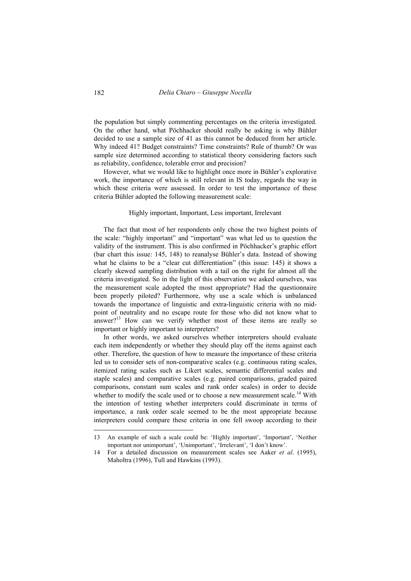the population but simply commenting percentages on the criteria investigated. On the other hand, what Pöchhacker should really be asking is why Bühler decided to use a sample size of 41 as this cannot be deduced from her article. Why indeed 41? Budget constraints? Time constraints? Rule of thumb? Or was sample size determined according to statistical theory considering factors such as reliability, confidence, tolerable error and precision?

However, what we would like to highlight once more in Bühler's explorative work, the importance of which is still relevant in IS today, regards the way in which these criteria were assessed. In order to test the importance of these criteria Bühler adopted the following measurement scale:

### Highly important, Important, Less important, Irrelevant

The fact that most of her respondents only chose the two highest points of the scale: "highly important" and "important" was what led us to question the validity of the instrument. This is also confirmed in Pöchhacker's graphic effort (bar chart this issue: 145, 148) to reanalyse Bühler's data. Instead of showing what he claims to be a "clear cut differentiation" (this issue: 145) it shows a clearly skewed sampling distribution with a tail on the right for almost all the criteria investigated. So in the light of this observation we asked ourselves, was the measurement scale adopted the most appropriate? Had the questionnaire been properly piloted? Furthermore, why use a scale which is unbalanced towards the importance of linguistic and extra-linguistic criteria with no midpoint of neutrality and no escape route for those who did not know what to  $answer?$ <sup>13</sup> How can we verify whether most of these items are really so important or highly important to interpreters?

In other words, we asked ourselves whether interpreters should evaluate each item independently or whether they should play off the items against each other. Therefore, the question of how to measure the importance of these criteria led us to consider sets of non-comparative scales (e.g. continuous rating scales, itemized rating scales such as Likert scales, semantic differential scales and staple scales) and comparative scales (e.g. paired comparisons, graded paired comparisons, constant sum scales and rank order scales) in order to decide whether to modify the scale used or to choose a new measurement scale.<sup>14</sup> With the intention of testing whether interpreters could discriminate in terms of importance, a rank order scale seemed to be the most appropriate because interpreters could compare these criteria in one fell swoop according to their

<sup>13</sup> An example of such a scale could be: 'Highly important', 'Important', 'Neither important nor unimportant', 'Unimportant', 'Irrelevant', 'I don't know'.

<sup>14</sup> For a detailed discussion on measurement scales see Aaker *et al*. (1995), Maholtra (1996), Tull and Hawkins (1993).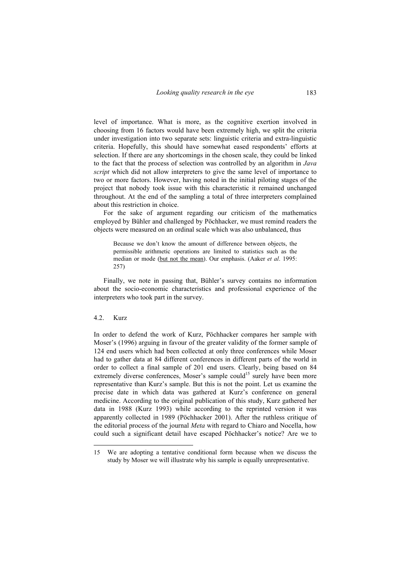level of importance. What is more, as the cognitive exertion involved in choosing from 16 factors would have been extremely high, we split the criteria under investigation into two separate sets: linguistic criteria and extra-linguistic criteria. Hopefully, this should have somewhat eased respondents' efforts at selection. If there are any shortcomings in the chosen scale, they could be linked to the fact that the process of selection was controlled by an algorithm in *Java script* which did not allow interpreters to give the same level of importance to two or more factors. However, having noted in the initial piloting stages of the project that nobody took issue with this characteristic it remained unchanged throughout. At the end of the sampling a total of three interpreters complained about this restriction in choice.

For the sake of argument regarding our criticism of the mathematics employed by Bühler and challenged by Pöchhacker, we must remind readers the objects were measured on an ordinal scale which was also unbalanced, thus

Because we don't know the amount of difference between objects, the permissible arithmetic operations are limited to statistics such as the median or mode (but not the mean). Our emphasis. (Aaker *et al*. 1995: 257)

Finally, we note in passing that, Bühler's survey contains no information about the socio-economic characteristics and professional experience of the interpreters who took part in the survey.

### 4.2. Kurz

In order to defend the work of Kurz, Pöchhacker compares her sample with Moser's (1996) arguing in favour of the greater validity of the former sample of 124 end users which had been collected at only three conferences while Moser had to gather data at 84 different conferences in different parts of the world in order to collect a final sample of 201 end users. Clearly, being based on 84 extremely diverse conferences, Moser's sample could<sup>15</sup> surely have been more representative than Kurz's sample. But this is not the point. Let us examine the precise date in which data was gathered at Kurz's conference on general medicine. According to the original publication of this study, Kurz gathered her data in 1988 (Kurz 1993) while according to the reprinted version it was apparently collected in 1989 (Pöchhacker 2001). After the ruthless critique of the editorial process of the journal *Meta* with regard to Chiaro and Nocella, how could such a significant detail have escaped Pöchhacker's notice? Are we to

<sup>15</sup> We are adopting a tentative conditional form because when we discuss the study by Moser we will illustrate why his sample is equally unrepresentative.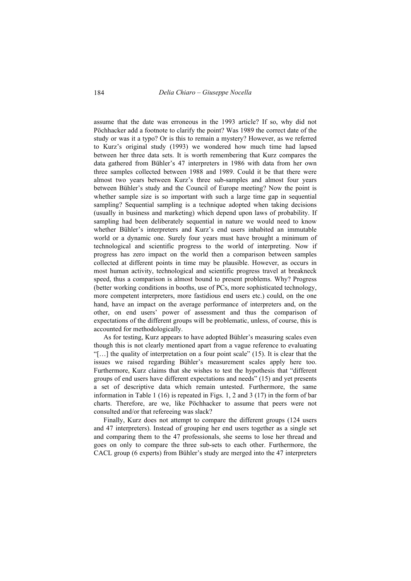assume that the date was erroneous in the 1993 article? If so, why did not Pöchhacker add a footnote to clarify the point? Was 1989 the correct date of the study or was it a typo? Or is this to remain a mystery? However, as we referred to Kurz's original study (1993) we wondered how much time had lapsed between her three data sets. It is worth remembering that Kurz compares the data gathered from Bühler's 47 interpreters in 1986 with data from her own three samples collected between 1988 and 1989. Could it be that there were almost two years between Kurz's three sub-samples and almost four years between Bühler's study and the Council of Europe meeting? Now the point is whether sample size is so important with such a large time gap in sequential sampling? Sequential sampling is a technique adopted when taking decisions (usually in business and marketing) which depend upon laws of probability. If sampling had been deliberately sequential in nature we would need to know whether Bühler's interpreters and Kurz's end users inhabited an immutable world or a dynamic one. Surely four years must have brought a minimum of technological and scientific progress to the world of interpreting. Now if progress has zero impact on the world then a comparison between samples collected at different points in time may be plausible. However, as occurs in most human activity, technological and scientific progress travel at breakneck speed, thus a comparison is almost bound to present problems. Why? Progress (better working conditions in booths, use of PCs, more sophisticated technology, more competent interpreters, more fastidious end users etc.) could, on the one hand, have an impact on the average performance of interpreters and, on the other, on end users' power of assessment and thus the comparison of expectations of the different groups will be problematic, unless, of course, this is accounted for methodologically.

As for testing, Kurz appears to have adopted Bühler's measuring scales even though this is not clearly mentioned apart from a vague reference to evaluating "[…] the quality of interpretation on a four point scale" (15). It is clear that the issues we raised regarding Bühler's measurement scales apply here too. Furthermore, Kurz claims that she wishes to test the hypothesis that "different groups of end users have different expectations and needs" (15) and yet presents a set of descriptive data which remain untested. Furthermore, the same information in Table 1 (16) is repeated in Figs. 1, 2 and 3 (17) in the form of bar charts. Therefore, are we, like Pöchhacker to assume that peers were not consulted and/or that refereeing was slack?

Finally, Kurz does not attempt to compare the different groups (124 users and 47 interpreters). Instead of grouping her end users together as a single set and comparing them to the 47 professionals, she seems to lose her thread and goes on only to compare the three sub-sets to each other. Furthermore, the CACL group (6 experts) from Bühler's study are merged into the 47 interpreters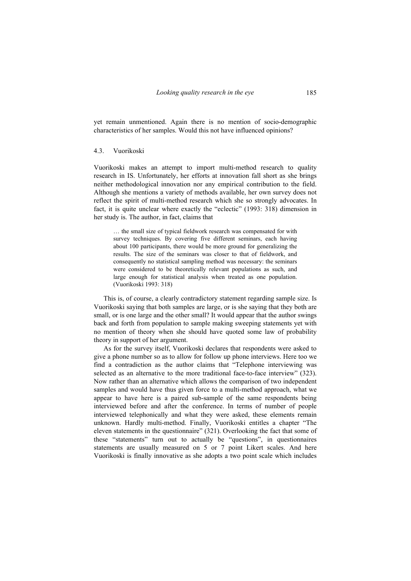yet remain unmentioned. Again there is no mention of socio-demographic characteristics of her samples. Would this not have influenced opinions?

#### 4.3. Vuorikoski

Vuorikoski makes an attempt to import multi-method research to quality research in IS. Unfortunately, her efforts at innovation fall short as she brings neither methodological innovation nor any empirical contribution to the field. Although she mentions a variety of methods available, her own survey does not reflect the spirit of multi-method research which she so strongly advocates. In fact, it is quite unclear where exactly the "eclectic" (1993: 318) dimension in her study is. The author, in fact, claims that

… the small size of typical fieldwork research was compensated for with survey techniques. By covering five different seminars, each having about 100 participants, there would be more ground for generalizing the results. The size of the seminars was closer to that of fieldwork, and consequently no statistical sampling method was necessary: the seminars were considered to be theoretically relevant populations as such, and large enough for statistical analysis when treated as one population. (Vuorikoski 1993: 318)

This is, of course, a clearly contradictory statement regarding sample size. Is Vuorikoski saying that both samples are large, or is she saying that they both are small, or is one large and the other small? It would appear that the author swings back and forth from population to sample making sweeping statements yet with no mention of theory when she should have quoted some law of probability theory in support of her argument.

As for the survey itself, Vuorikoski declares that respondents were asked to give a phone number so as to allow for follow up phone interviews. Here too we find a contradiction as the author claims that "Telephone interviewing was selected as an alternative to the more traditional face-to-face interview" (323). Now rather than an alternative which allows the comparison of two independent samples and would have thus given force to a multi-method approach, what we appear to have here is a paired sub-sample of the same respondents being interviewed before and after the conference. In terms of number of people interviewed telephonically and what they were asked, these elements remain unknown. Hardly multi-method. Finally, Vuorikoski entitles a chapter "The eleven statements in the questionnaire" (321). Overlooking the fact that some of these "statements" turn out to actually be "questions", in questionnaires statements are usually measured on 5 or 7 point Likert scales. And here Vuorikoski is finally innovative as she adopts a two point scale which includes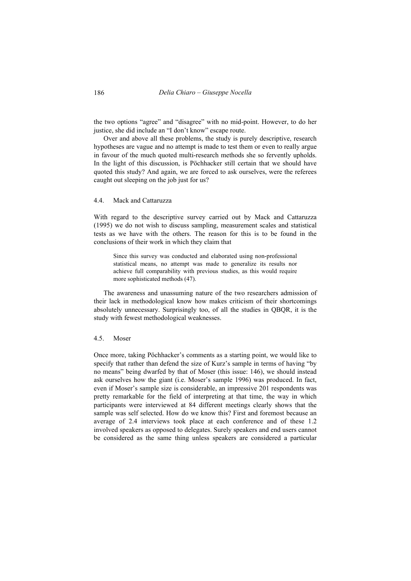the two options "agree" and "disagree" with no mid-point. However, to do her justice, she did include an "I don't know" escape route.

Over and above all these problems, the study is purely descriptive, research hypotheses are vague and no attempt is made to test them or even to really argue in favour of the much quoted multi-research methods she so fervently upholds. In the light of this discussion, is Pöchhacker still certain that we should have quoted this study? And again, we are forced to ask ourselves, were the referees caught out sleeping on the job just for us?

## 4.4. Mack and Cattaruzza

With regard to the descriptive survey carried out by Mack and Cattaruzza (1995) we do not wish to discuss sampling, measurement scales and statistical tests as we have with the others. The reason for this is to be found in the conclusions of their work in which they claim that

Since this survey was conducted and elaborated using non-professional statistical means, no attempt was made to generalize its results nor achieve full comparability with previous studies, as this would require more sophisticated methods (47).

The awareness and unassuming nature of the two researchers admission of their lack in methodological know how makes criticism of their shortcomings absolutely unnecessary. Surprisingly too, of all the studies in QBQR, it is the study with fewest methodological weaknesses.

### 4.5. Moser

Once more, taking Pöchhacker's comments as a starting point, we would like to specify that rather than defend the size of Kurz's sample in terms of having "by no means" being dwarfed by that of Moser (this issue: 146), we should instead ask ourselves how the giant (i.e. Moser's sample 1996) was produced. In fact, even if Moser's sample size is considerable, an impressive 201 respondents was pretty remarkable for the field of interpreting at that time, the way in which participants were interviewed at 84 different meetings clearly shows that the sample was self selected. How do we know this? First and foremost because an average of 2.4 interviews took place at each conference and of these 1.2 involved speakers as opposed to delegates. Surely speakers and end users cannot be considered as the same thing unless speakers are considered a particular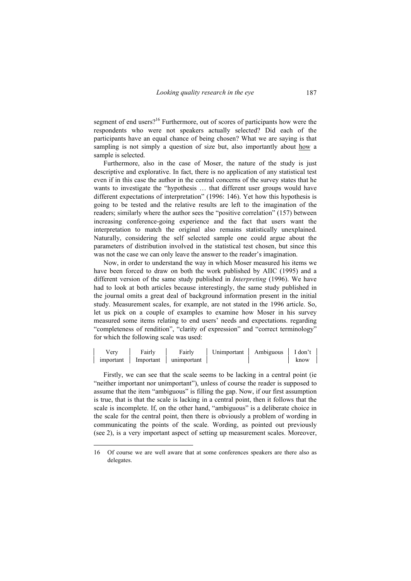segment of end users?<sup>16</sup> Furthermore, out of scores of participants how were the respondents who were not speakers actually selected? Did each of the participants have an equal chance of being chosen? What we are saying is that sampling is not simply a question of size but, also importantly about how a sample is selected.

Furthermore, also in the case of Moser, the nature of the study is just descriptive and explorative. In fact, there is no application of any statistical test even if in this case the author in the central concerns of the survey states that he wants to investigate the "hypothesis … that different user groups would have different expectations of interpretation" (1996: 146). Yet how this hypothesis is going to be tested and the relative results are left to the imagination of the readers; similarly where the author sees the "positive correlation" (157) between increasing conference-going experience and the fact that users want the interpretation to match the original also remains statistically unexplained. Naturally, considering the self selected sample one could argue about the parameters of distribution involved in the statistical test chosen, but since this was not the case we can only leave the answer to the reader's imagination.

Now, in order to understand the way in which Moser measured his items we have been forced to draw on both the work published by AIIC (1995) and a different version of the same study published in *Interpreting* (1996). We have had to look at both articles because interestingly, the same study published in the journal omits a great deal of background information present in the initial study. Measurement scales, for example, are not stated in the 1996 article. So, let us pick on a couple of examples to examine how Moser in his survey measured some items relating to end users' needs and expectations. regarding "completeness of rendition", "clarity of expression" and "correct terminology" for which the following scale was used:

| very      | Fairly    | Fairly      | Unimportant | Ambiguous | I don't |
|-----------|-----------|-------------|-------------|-----------|---------|
| important | Important | unimportant |             |           | know    |

Firstly, we can see that the scale seems to be lacking in a central point (ie "neither important nor unimportant"), unless of course the reader is supposed to assume that the item "ambiguous" is filling the gap. Now, if our first assumption is true, that is that the scale is lacking in a central point, then it follows that the scale is incomplete. If, on the other hand, "ambiguous" is a deliberate choice in the scale for the central point, then there is obviously a problem of wording in communicating the points of the scale. Wording, as pointed out previously (see 2), is a very important aspect of setting up measurement scales. Moreover,

<sup>16</sup> Of course we are well aware that at some conferences speakers are there also as delegates.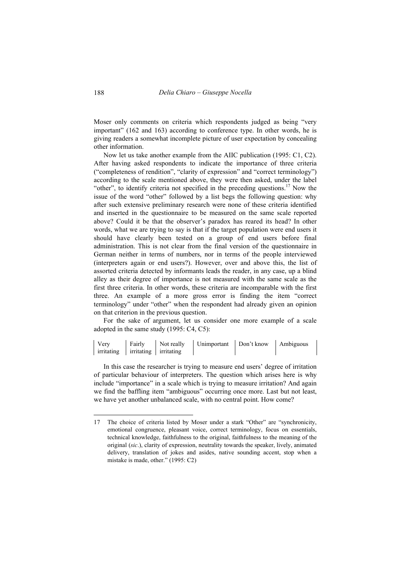Moser only comments on criteria which respondents judged as being "very important" (162 and 163) according to conference type. In other words, he is giving readers a somewhat incomplete picture of user expectation by concealing other information.

Now let us take another example from the AIIC publication (1995: C1, C2). After having asked respondents to indicate the importance of three criteria ("completeness of rendition", "clarity of expression" and "correct terminology") according to the scale mentioned above, they were then asked, under the label "other", to identify criteria not specified in the preceding questions.<sup>17</sup> Now the issue of the word "other" followed by a list begs the following question: why after such extensive preliminary research were none of these criteria identified and inserted in the questionnaire to be measured on the same scale reported above? Could it be that the observer's paradox has reared its head? In other words, what we are trying to say is that if the target population were end users it should have clearly been tested on a group of end users before final administration. This is not clear from the final version of the questionnaire in German neither in terms of numbers, nor in terms of the people interviewed (interpreters again or end users?). However, over and above this, the list of assorted criteria detected by informants leads the reader, in any case, up a blind alley as their degree of importance is not measured with the same scale as the first three criteria. In other words, these criteria are incomparable with the first three. An example of a more gross error is finding the item "correct terminology" under "other" when the respondent had already given an opinion on that criterion in the previous question.

For the sake of argument, let us consider one more example of a scale adopted in the same study (1995: C4, C5):

| Very                             | l Fairly | Not really Unimportant Don't know Ambiguous |  |
|----------------------------------|----------|---------------------------------------------|--|
| irritating irritating irritating |          |                                             |  |

In this case the researcher is trying to measure end users' degree of irritation of particular behaviour of interpreters. The question which arises here is why include "importance" in a scale which is trying to measure irritation? And again we find the baffling item "ambiguous" occurring once more. Last but not least, we have yet another unbalanced scale, with no central point. How come?

<sup>17</sup> The choice of criteria listed by Moser under a stark "Other" are "synchronicity, emotional congruence, pleasant voice, correct terminology, focus on essentials, technical knowledge, faithfulness to the original, faithfulness to the meaning of the original (*sic*.), clarity of expression, neutrality towards the speaker, lively, animated delivery, translation of jokes and asides, native sounding accent, stop when a mistake is made, other." (1995: C2)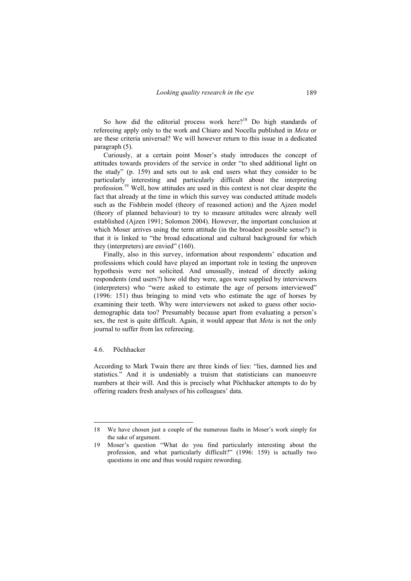So how did the editorial process work here?<sup>18</sup> Do high standards of refereeing apply only to the work and Chiaro and Nocella published in *Meta* or are these criteria universal? We will however return to this issue in a dedicated paragraph (5).

Curiously, at a certain point Moser's study introduces the concept of attitudes towards providers of the service in order "to shed additional light on the study" (p. 159) and sets out to ask end users what they consider to be particularly interesting and particularly difficult about the interpreting profession.19 Well, how attitudes are used in this context is not clear despite the fact that already at the time in which this survey was conducted attitude models such as the Fishbein model (theory of reasoned action) and the Ajzen model (theory of planned behaviour) to try to measure attitudes were already well established (Ajzen 1991; Solomon 2004). However, the important conclusion at which Moser arrives using the term attitude (in the broadest possible sense?) is that it is linked to "the broad educational and cultural background for which they (interpreters) are envied" (160).

Finally, also in this survey, information about respondents' education and professions which could have played an important role in testing the unproven hypothesis were not solicited. And unusually, instead of directly asking respondents (end users?) how old they were, ages were supplied by interviewers (interpreters) who "were asked to estimate the age of persons interviewed" (1996: 151) thus bringing to mind vets who estimate the age of horses by examining their teeth. Why were interviewers not asked to guess other sociodemographic data too? Presumably because apart from evaluating a person's sex, the rest is quite difficult. Again, it would appear that *Meta* is not the only journal to suffer from lax refereeing.

#### 4.6. Pöchhacker

According to Mark Twain there are three kinds of lies: "lies, damned lies and statistics." And it is undeniably a truism that statisticians can manoeuvre numbers at their will. And this is precisely what Pöchhacker attempts to do by offering readers fresh analyses of his colleagues' data.

<sup>18</sup> We have chosen just a couple of the numerous faults in Moser's work simply for the sake of argument.

<sup>19</sup> Moser's question "What do you find particularly interesting about the profession, and what particularly difficult?" (1996: 159) is actually two questions in one and thus would require rewording.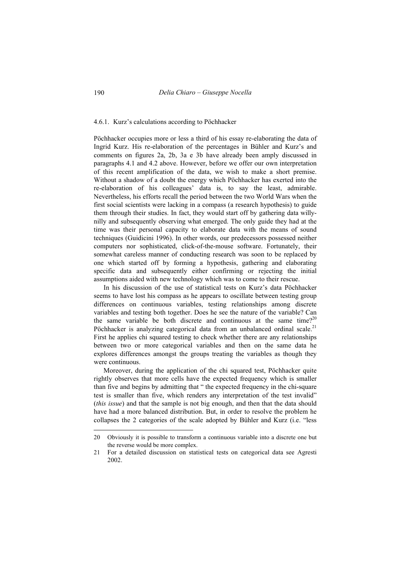#### 4.6.1. Kurz's calculations according to Pöchhacker

Pöchhacker occupies more or less a third of his essay re-elaborating the data of Ingrid Kurz. His re-elaboration of the percentages in Bühler and Kurz's and comments on figures 2a, 2b, 3a e 3b have already been amply discussed in paragraphs 4.1 and 4.2 above. However, before we offer our own interpretation of this recent amplification of the data, we wish to make a short premise. Without a shadow of a doubt the energy which Pöchhacker has exerted into the re-elaboration of his colleagues' data is, to say the least, admirable. Nevertheless, his efforts recall the period between the two World Wars when the first social scientists were lacking in a compass (a research hypothesis) to guide them through their studies. In fact, they would start off by gathering data willynilly and subsequently observing what emerged. The only guide they had at the time was their personal capacity to elaborate data with the means of sound techniques (Guidicini 1996). In other words, our predecessors possessed neither computers nor sophisticated, click-of-the-mouse software. Fortunately, their somewhat careless manner of conducting research was soon to be replaced by one which started off by forming a hypothesis, gathering and elaborating specific data and subsequently either confirming or rejecting the initial assumptions aided with new technology which was to come to their rescue.

In his discussion of the use of statistical tests on Kurz's data Pöchhacker seems to have lost his compass as he appears to oscillate between testing group differences on continuous variables, testing relationships among discrete variables and testing both together. Does he see the nature of the variable? Can the same variable be both discrete and continuous at the same time? $2^{20}$ Pöchhacker is analyzing categorical data from an unbalanced ordinal scale.<sup>21</sup> First he applies chi squared testing to check whether there are any relationships between two or more categorical variables and then on the same data he explores differences amongst the groups treating the variables as though they were continuous.

Moreover, during the application of the chi squared test, Pöchhacker quite rightly observes that more cells have the expected frequency which is smaller than five and begins by admitting that " the expected frequency in the chi-square test is smaller than five, which renders any interpretation of the test invalid" (*this issue*) and that the sample is not big enough, and then that the data should have had a more balanced distribution. But, in order to resolve the problem he collapses the 2 categories of the scale adopted by Bühler and Kurz (i.e. "less

<sup>20</sup> Obviously it is possible to transform a continuous variable into a discrete one but the reverse would be more complex.

<sup>21</sup> For a detailed discussion on statistical tests on categorical data see Agresti 2002.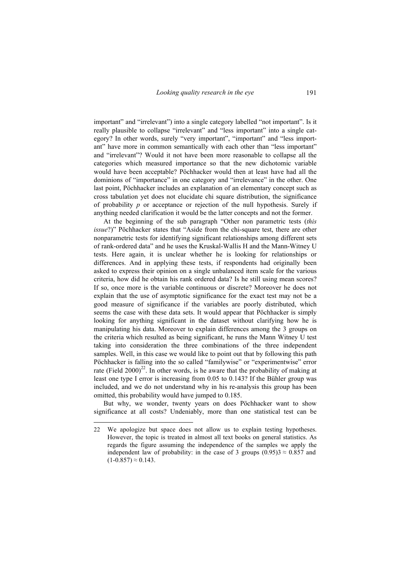important" and "irrelevant") into a single category labelled "not important". Is it really plausible to collapse "irrelevant" and "less important" into a single category? In other words, surely "very important", "important" and "less important" have more in common semantically with each other than "less important" and "irrelevant"? Would it not have been more reasonable to collapse all the categories which measured importance so that the new dichotomic variable would have been acceptable? Pöchhacker would then at least have had all the dominions of "importance" in one category and "irrelevance" in the other. One last point, Pöchhacker includes an explanation of an elementary concept such as cross tabulation yet does not elucidate chi square distribution, the significance of probability *p* or acceptance or rejection of the null hypothesis. Surely if anything needed clarification it would be the latter concepts and not the former.

At the beginning of the sub paragraph "Other non parametric tests (*this issue*?)" Pöchhacker states that "Aside from the chi-square test, there are other nonparametric tests for identifying significant relationships among different sets of rank-ordered data" and he uses the Kruskal-Wallis H and the Mann-Witney U tests. Here again, it is unclear whether he is looking for relationships or differences. And in applying these tests, if respondents had originally been asked to express their opinion on a single unbalanced item scale for the various criteria, how did he obtain his rank ordered data? Is he still using mean scores? If so, once more is the variable continuous or discrete? Moreover he does not explain that the use of asymptotic significance for the exact test may not be a good measure of significance if the variables are poorly distributed, which seems the case with these data sets. It would appear that Pöchhacker is simply looking for anything significant in the dataset without clarifying how he is manipulating his data. Moreover to explain differences among the 3 groups on the criteria which resulted as being significant, he runs the Mann Witney U test taking into consideration the three combinations of the three independent samples. Well, in this case we would like to point out that by following this path Pöchhacker is falling into the so called "familywise" or "experimentwise" error rate (Field  $2000^2$ <sup>2</sup>. In other words, is he aware that the probability of making at least one type I error is increasing from 0.05 to 0.143? If the Bühler group was included, and we do not understand why in his re-analysis this group has been omitted, this probability would have jumped to 0.185.

But why, we wonder, twenty years on does Pöchhacker want to show significance at all costs? Undeniably, more than one statistical test can be

<sup>22</sup> We apologize but space does not allow us to explain testing hypotheses. However, the topic is treated in almost all text books on general statistics. As regards the figure assuming the independence of the samples we apply the independent law of probability: in the case of 3 groups  $(0.95)3 \approx 0.857$  and  $(1-0.857) \approx 0.143$ .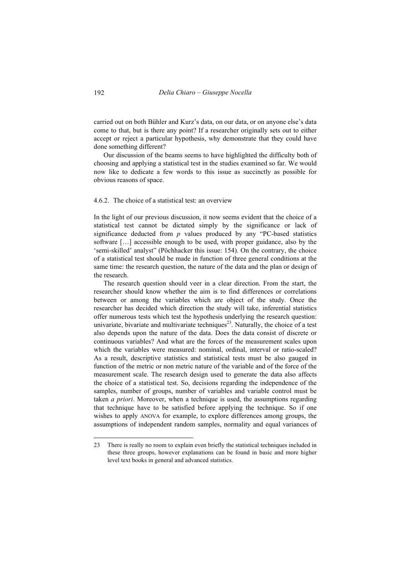carried out on both Bühler and Kurz's data, on our data, or on anyone else's data come to that, but is there any point? If a researcher originally sets out to either accept or reject a particular hypothesis, why demonstrate that they could have done something different?

Our discussion of the beams seems to have highlighted the difficulty both of choosing and applying a statistical test in the studies examined so far. We would now like to dedicate a few words to this issue as succinctly as possible for obvious reasons of space.

### 4.6.2. The choice of a statistical test: an overview

In the light of our previous discussion, it now seems evident that the choice of a statistical test cannot be dictated simply by the significance or lack of significance deducted from *p* values produced by any "PC-based statistics software […] accessible enough to be used, with proper guidance, also by the 'semi-skilled' analyst" (Pöchhacker this issue: 154). On the contrary, the choice of a statistical test should be made in function of three general conditions at the same time: the research question, the nature of the data and the plan or design of the research.

The research question should veer in a clear direction. From the start, the researcher should know whether the aim is to find differences or correlations between or among the variables which are object of the study. Once the researcher has decided which direction the study will take, inferential statistics offer numerous tests which test the hypothesis underlying the research question: univariate, bivariate and multivariate techniques<sup>23</sup>. Naturally, the choice of a test also depends upon the nature of the data. Does the data consist of discrete or continuous variables? And what are the forces of the measurement scales upon which the variables were measured: nominal, ordinal, interval or ratio-scaled? As a result, descriptive statistics and statistical tests must be also gauged in function of the metric or non metric nature of the variable and of the force of the measurement scale. The research design used to generate the data also affects the choice of a statistical test. So, decisions regarding the independence of the samples, number of groups, number of variables and variable control must be taken *a priori*. Moreover, when a technique is used, the assumptions regarding that technique have to be satisfied before applying the technique. So if one wishes to apply ANOVA for example, to explore differences among groups, the assumptions of independent random samples, normality and equal variances of

<sup>23</sup> There is really no room to explain even briefly the statistical techniques included in these three groups, however explanations can be found in basic and more higher level text books in general and advanced statistics.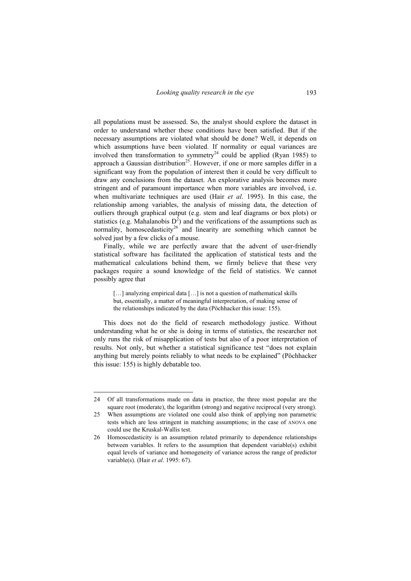all populations must be assessed. So, the analyst should explore the dataset in order to understand whether these conditions have been satisfied. But if the necessary assumptions are violated what should be done? Well, it depends on which assumptions have been violated. If normality or equal variances are involved then transformation to symmetry<sup>24</sup> could be applied (Ryan 1985) to approach a Gaussian distribution<sup>25</sup>. However, if one or more samples differ in a significant way from the population of interest then it could be very difficult to draw any conclusions from the dataset. An explorative analysis becomes more stringent and of paramount importance when more variables are involved, i.e. when multivariate techniques are used (Hair *et al*. 1995). In this case, the relationship among variables, the analysis of missing data, the detection of outliers through graphical output (e.g. stem and leaf diagrams or box plots) or statistics (e.g. Mahalanobis  $D^2$ ) and the verifications of the assumptions such as normality, homoscedasticity<sup>26</sup> and linearity are something which cannot be solved just by a few clicks of a mouse.

Finally, while we are perfectly aware that the advent of user-friendly statistical software has facilitated the application of statistical tests and the mathematical calculations behind them, we firmly believe that these very packages require a sound knowledge of the field of statistics. We cannot possibly agree that

[...] analyzing empirical data [...] is not a question of mathematical skills but, essentially, a matter of meaningful interpretation, of making sense of the relationships indicated by the data (Pöchhacker this issue: 155).

This does not do the field of research methodology justice. Without understanding what he or she is doing in terms of statistics, the researcher not only runs the risk of misapplication of tests but also of a poor interpretation of results. Not only, but whether a statistical significance test "does not explain anything but merely points reliably to what needs to be explained" (Pöchhacker this issue: 155) is highly debatable too.

<sup>24</sup> Of all transformations made on data in practice, the three most popular are the square root (moderate), the logarithm (strong) and negative reciprocal (very strong).

<sup>25</sup> When assumptions are violated one could also think of applying non parametric tests which are less stringent in matching assumptions; in the case of ANOVA one could use the Kruskal-Wallis test.

<sup>26</sup> Homoscedasticity is an assumption related primarily to dependence relationships between variables. It refers to the assumption that dependent variable(s) exhibit equal levels of variance and homogeneity of variance across the range of predictor variable(s). (Hair *et al*. 1995: 67).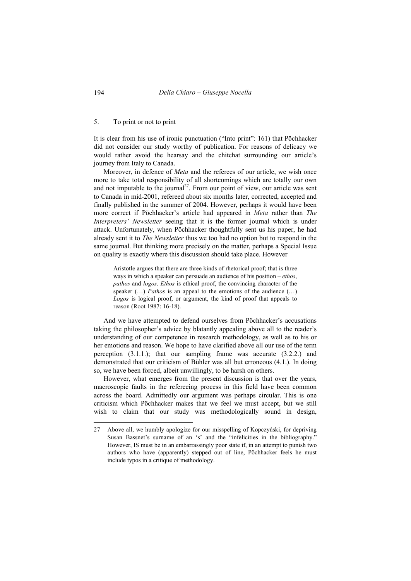#### 5. To print or not to print

It is clear from his use of ironic punctuation ("Into print": 161) that Pöchhacker did not consider our study worthy of publication. For reasons of delicacy we would rather avoid the hearsay and the chitchat surrounding our article's journey from Italy to Canada.

Moreover, in defence of *Meta* and the referees of our article, we wish once more to take total responsibility of all shortcomings which are totally our own and not imputable to the journal<sup>27</sup>. From our point of view, our article was sent to Canada in mid-2001, refereed about six months later, corrected, accepted and finally published in the summer of 2004. However, perhaps it would have been more correct if Pöchhacker's article had appeared in *Meta* rather than *The Interpreters' Newsletter* seeing that it is the former journal which is under attack. Unfortunately, when Pöchhacker thoughtfully sent us his paper, he had already sent it to *The Newsletter* thus we too had no option but to respond in the same journal. But thinking more precisely on the matter, perhaps a Special Issue on quality is exactly where this discussion should take place. However

Aristotle argues that there are three kinds of rhetorical proof; that is three ways in which a speaker can persuade an audience of his position – *ethos*, *pathos* and *logos*. *Ethos* is ethical proof, the convincing character of the speaker (…) *Pathos* is an appeal to the emotions of the audience (…) *Logos* is logical proof, or argument, the kind of proof that appeals to reason (Root 1987: 16-18).

And we have attempted to defend ourselves from Pöchhacker's accusations taking the philosopher's advice by blatantly appealing above all to the reader's understanding of our competence in research methodology, as well as to his or her emotions and reason. We hope to have clarified above all our use of the term perception  $(3.1.1.)$ ; that our sampling frame was accurate  $(3.2.2.)$  and demonstrated that our criticism of Bühler was all but erroneous (4.1.). In doing so, we have been forced, albeit unwillingly, to be harsh on others.

However, what emerges from the present discussion is that over the years, macroscopic faults in the refereeing process in this field have been common across the board. Admittedly our argument was perhaps circular. This is one criticism which Pöchhacker makes that we feel we must accept, but we still wish to claim that our study was methodologically sound in design,

<sup>27</sup> Above all, we humbly apologize for our misspelling of Kopczyński, for depriving Susan Bassnet's surname of an 's' and the "infelicities in the bibliography." However, IS must be in an embarrassingly poor state if, in an attempt to punish two authors who have (apparently) stepped out of line, Pöchhacker feels he must include typos in a critique of methodology.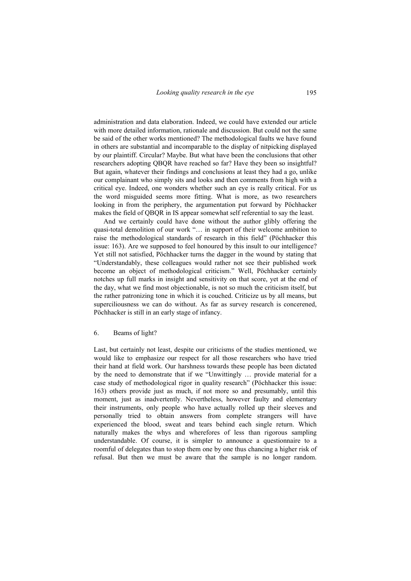administration and data elaboration. Indeed, we could have extended our article with more detailed information, rationale and discussion. But could not the same be said of the other works mentioned? The methodological faults we have found in others are substantial and incomparable to the display of nitpicking displayed by our plaintiff. Circular? Maybe. But what have been the conclusions that other researchers adopting QBQR have reached so far? Have they been so insightful? But again, whatever their findings and conclusions at least they had a go, unlike our complainant who simply sits and looks and then comments from high with a critical eye. Indeed, one wonders whether such an eye is really critical. For us the word misguided seems more fitting. What is more, as two researchers looking in from the periphery, the argumentation put forward by Pöchhacker makes the field of QBQR in IS appear somewhat self referential to say the least.

And we certainly could have done without the author glibly offering the quasi-total demolition of our work "… in support of their welcome ambition to raise the methodological standards of research in this field" (Pöchhacker this issue: 163). Are we supposed to feel honoured by this insult to our intelligence? Yet still not satisfied, Pöchhacker turns the dagger in the wound by stating that "Understandably, these colleagues would rather not see their published work become an object of methodological criticism." Well, Pöchhacker certainly notches up full marks in insight and sensitivity on that score, yet at the end of the day, what we find most objectionable, is not so much the criticism itself, but the rather patronizing tone in which it is couched. Criticize us by all means, but superciliousness we can do without. As far as survey research is concerened, Pöchhacker is still in an early stage of infancy.

### 6. Beams of light?

Last, but certainly not least, despite our criticisms of the studies mentioned, we would like to emphasize our respect for all those researchers who have tried their hand at field work. Our harshness towards these people has been dictated by the need to demonstrate that if we "Unwittingly … provide material for a case study of methodological rigor in quality research" (Pöchhacker this issue: 163) others provide just as much, if not more so and presumably, until this moment, just as inadvertently. Nevertheless, however faulty and elementary their instruments, only people who have actually rolled up their sleeves and personally tried to obtain answers from complete strangers will have experienced the blood, sweat and tears behind each single return. Which naturally makes the whys and wherefores of less than rigorous sampling understandable. Of course, it is simpler to announce a questionnaire to a roomful of delegates than to stop them one by one thus chancing a higher risk of refusal. But then we must be aware that the sample is no longer random.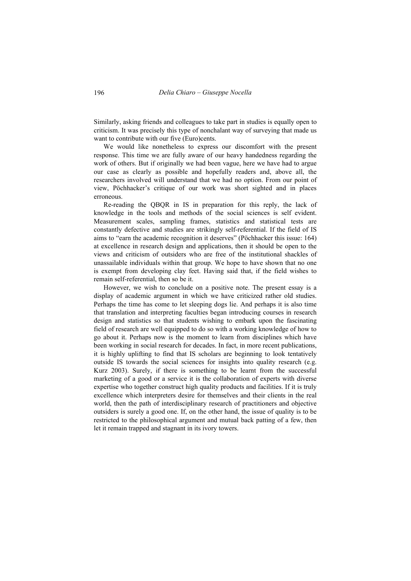Similarly, asking friends and colleagues to take part in studies is equally open to criticism. It was precisely this type of nonchalant way of surveying that made us want to contribute with our five (Euro)cents.

We would like nonetheless to express our discomfort with the present response. This time we are fully aware of our heavy handedness regarding the work of others. But if originally we had been vague, here we have had to argue our case as clearly as possible and hopefully readers and, above all, the researchers involved will understand that we had no option. From our point of view, Pöchhacker's critique of our work was short sighted and in places erroneous.

Re-reading the QBQR in IS in preparation for this reply, the lack of knowledge in the tools and methods of the social sciences is self evident. Measurement scales, sampling frames, statistics and statistical tests are constantly defective and studies are strikingly self-referential. If the field of IS aims to "earn the academic recognition it deserves" (Pöchhacker this issue: 164) at excellence in research design and applications, then it should be open to the views and criticism of outsiders who are free of the institutional shackles of unassailable individuals within that group. We hope to have shown that no one is exempt from developing clay feet. Having said that, if the field wishes to remain self-referential, then so be it.

However, we wish to conclude on a positive note. The present essay is a display of academic argument in which we have criticized rather old studies. Perhaps the time has come to let sleeping dogs lie. And perhaps it is also time that translation and interpreting faculties began introducing courses in research design and statistics so that students wishing to embark upon the fascinating field of research are well equipped to do so with a working knowledge of how to go about it. Perhaps now is the moment to learn from disciplines which have been working in social research for decades. In fact, in more recent publications, it is highly uplifting to find that IS scholars are beginning to look tentatively outside IS towards the social sciences for insights into quality research (e.g. Kurz 2003). Surely, if there is something to be learnt from the successful marketing of a good or a service it is the collaboration of experts with diverse expertise who together construct high quality products and facilities. If it is truly excellence which interpreters desire for themselves and their clients in the real world, then the path of interdisciplinary research of practitioners and objective outsiders is surely a good one. If, on the other hand, the issue of quality is to be restricted to the philosophical argument and mutual back patting of a few, then let it remain trapped and stagnant in its ivory towers.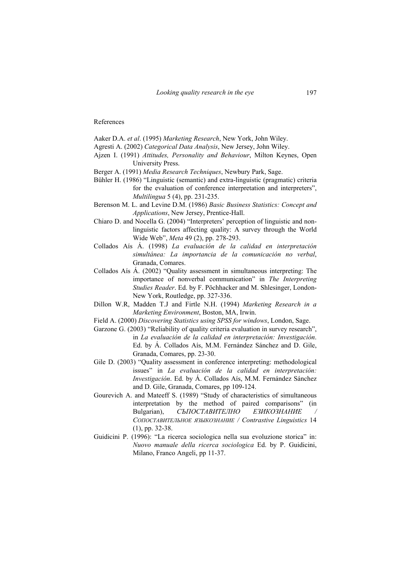#### References

Aaker D.A. *et al*. (1995) *Marketing Research*, New York, John Wiley.

- Agresti A. (2002) *Categorical Data Analysis*, New Jersey, John Wiley.
- Ajzen I. (1991) *Attitudes, Personality and Behaviour*, Milton Keynes, Open University Press.
- Berger A. (1991) *Media Research Techniques*, Newbury Park, Sage.
- Bühler H. (1986) "Linguistic (semantic) and extra-linguistic (pragmatic) criteria for the evaluation of conference interpretation and interpreters", *Multilingua* 5 (4), pp. 231-235.
- Berenson M. L. and Levine D.M. (1986) *Basic Business Statistics: Concept and Applications*, New Jersey, Prentice-Hall.
- Chiaro D. and Nocella G. (2004) "Interpreters' perception of linguistic and nonlinguistic factors affecting quality: A survey through the World Wide Web", *Meta* 49 (2), pp. 278-293.
- Collados Aís Á. (1998) *La evaluación de la calidad en interpretación simultánea: La importancia de la comunicación no verbal*, Granada, Comares.
- Collados Aís Á. (2002) "Quality assessment in simultaneous interpreting: The importance of nonverbal communication" in *The Interpreting Studies Reader*. Ed. by F. Pöchhacker and M. Shlesinger, London-New York, Routledge, pp. 327-336.
- Dillon W.R, Madden T.J and Firtle N.H. (1994) *Marketing Research in a Marketing Environment*, Boston, MA, Irwin.
- Field A. (2000) *Discovering Statistics using SPSS for windows*, London, Sage.
- Garzone G. (2003) "Reliability of quality criteria evaluation in survey research", in *La evaluación de la calidad en interpretación: Investigación*. Ed. by Á. Collados Aís, M.M. Fernández Sánchez and D. Gile, Granada, Comares, pp. 23-30.
- Gile D. (2003) "Quality assessment in conference interpreting: methodological issues" in *La evaluación de la calidad en interpretación: Investigación*. Ed. by Á. Collados Aís, M.M. Fernández Sánchez and D. Gile, Granada, Comares, pp 109-124.
- Gourevich A. and Mateeff S. (1989) "Study of characteristics of simultaneous interpretation by the method of paired comparisons" (in Bulgarian), *СЪПОСТАВИТЕЛНО ЕЗИКОЗНАНИЕ СОПОСТАВИТЕЛЬНОЕ ЯЗЫКОЗНАНИЕ / Contrastive Linguistics* 14 (1), pp. 32-38.
- Guidicini P. (1996): "La ricerca sociologica nella sua evoluzione storica" in: *Nuovo manuale della ricerca sociologica* Ed. by P. Guidicini, Milano, Franco Angeli, pp 11-37.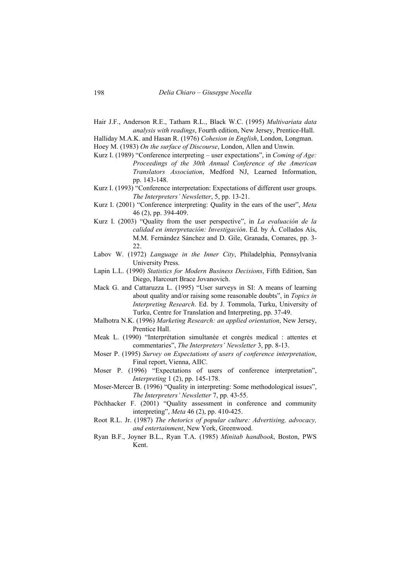Hair J.F., Anderson R.E., Tatham R.L., Black W.C. (1995) *Multivariata data analysis with readings*, Fourth edition, New Jersey, Prentice-Hall.

Halliday M.A.K. and Hasan R. (1976) *Cohesion in English*, London, Longman.

Hoey M. (1983) *On the surface of Discourse*, London, Allen and Unwin.

- Kurz I. (1989) "Conference interpreting user expectations", in *Coming of Age: Proceedings of the 30th Annual Conference of the American Translators Association*, Medford NJ, Learned Information, pp. 143-148.
- Kurz I. (1993) "Conference interpretation: Expectations of different user groups. *The Interpreters' Newsletter*, 5, pp. 13-21.
- Kurz I. (2001) "Conference interpreting: Quality in the ears of the user", *Meta* 46 (2), pp. 394-409.
- Kurz I. (2003) "Quality from the user perspective", in *La evaluación de la calidad en interpretación: Investigación*. Ed. by Á. Collados Aís, M.M. Fernández Sánchez and D. Gile, Granada, Comares, pp. 3- 22.
- Labov W. (1972) *Language in the Inner City*, Philadelphia, Pennsylvania University Press.
- Lapin L.L. (1990) *Statistics for Modern Business Decisions*, Fifth Edition, San Diego, Harcourt Brace Jovanovich.
- Mack G. and Cattaruzza L. (1995) "User surveys in SI: A means of learning about quality and/or raising some reasonable doubts", in *Topics in Interpreting Research*. Ed. by J. Tommola, Turku, University of Turku, Centre for Translation and Interpreting, pp. 37-49.
- Malhotra N.K. (1996) *Marketing Research: an applied orientation*, New Jersey, Prentice Hall.
- Meak L. (1990) "Interprétation simultanée et congrès medical : attentes et commentaries", *The Interpreters' Newsletter* 3, pp. 8-13.
- Moser P. (1995) *Survey on Expectations of users of conference interpretation*, Final report, Vienna, AIIC.
- Moser P. (1996) "Expectations of users of conference interpretation", *Interpreting* 1 (2), pp. 145-178.
- Moser-Mercer B. (1996) "Quality in interpreting: Some methodological issues", *The Interpreters' Newsletter* 7, pp. 43-55.
- Pöchhacker F. (2001) "Quality assessment in conference and community interpreting", *Meta* 46 (2), pp. 410-425.
- Root R.L. Jr. (1987) *The rhetorics of popular culture: Advertising, advocacy, and entertainment*, New York, Greenwood.
- Ryan B.F., Joyner B.L., Ryan T.A. (1985) *Minitab handbook*, Boston, PWS Kent.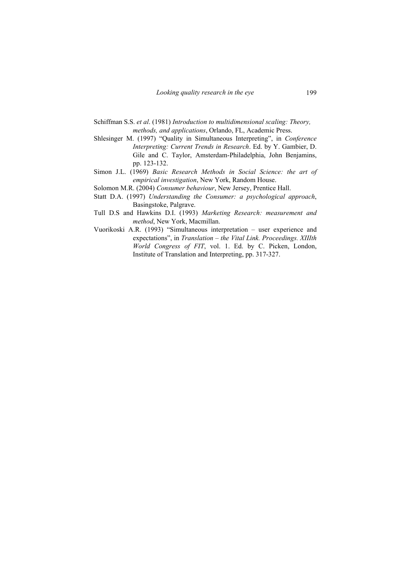- Schiffman S.S. *et al*. (1981) *Introduction to multidimensional scaling: Theory, methods, and applications*, Orlando, FL, Academic Press.
- Shlesinger M. (1997) "Quality in Simultaneous Interpreting", in *Conference Interpreting: Current Trends in Research*. Ed. by Y. Gambier, D. Gile and C. Taylor, Amsterdam-Philadelphia, John Benjamins, pp. 123-132.
- Simon J.L. (1969) *Basic Research Methods in Social Science: the art of empirical investigation*, New York, Random House.
- Solomon M.R. (2004) *Consumer behaviour*, New Jersey, Prentice Hall.
- Statt D.A. (1997) *Understanding the Consumer: a psychological approach*, Basingstoke, Palgrave.
- Tull D.S and Hawkins D.I. (1993) *Marketing Research: measurement and method*, New York, Macmillan.
- Vuorikoski A.R. (1993) "Simultaneous interpretation user experience and expectations", in *Translation – the Vital Link. Proceedings. XIIIth World Congress of FIT*, vol. 1. Ed. by C. Picken, London, Institute of Translation and Interpreting, pp. 317-327.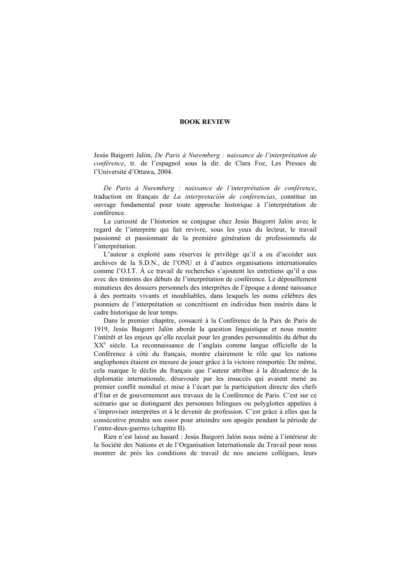### **BOOK REVIEW**

Jesús Baigorri Jalón, *De Paris à Nuremberg : naissance de l'interprétation de conférence*, tr. de l'espagnol sous la dir. de Clara Foz, Les Presses de l'Université d'Ottawa, 2004.

*De Paris à Nuremberg : naissance de l'interprétation de conférence*, traduction en français de *La interpretación de conferencias*, constitue un ouvrage fondamental pour toute approche historique à l'interprétation de conférence.

La curiosité de l'historien se conjugue chez Jesús Baigorri Jalón avec le regard de l'interprète qui fait revivre, sous les yeux du lecteur, le travail passionné et passionnant de la première génération de professionnels de l'interprétation.

L'auteur a exploité sans réserves le privilège qu'il a eu d'accéder aux archives de la S.D.N., de l'ONU et à d'autres organisations internationales comme l'O.I.T. À ce travail de recherches s'ajoutent les entretiens qu'il a eus avec des témoins des débuts de l'interprétation de conférence. Le dépouillement minutieux des dossiers personnels des interprètes de l'époque a donné naissance à des portraits vivants et inoubliables, dans lesquels les noms célèbres des pionniers de l'interprétation se concrétisent en individus bien insérés dans le cadre historique de leur temps.

Dans le premier chapitre, consacré à la Conférence de la Paix de Paris de 1919, Jesús Baigorri Jalón aborde la question linguistique et nous montre l'intérêt et les enjeux qu'elle recelait pour les grandes personnalités du début du XX<sup>e</sup> siècle. La reconnaissance de l'anglais comme langue officielle de la Conférence à côté du français, montre clairement le rôle que les nations anglophones étaient en mesure de jouer grâce à la victoire remportée. De même, cela marque le déclin du français que l'auteur attribue à la décadence de la diplomatie internationale, désavouée par les insuccès qui avaient mené au premier conflit mondial et mise à l'écart par la participation directe des chefs d'État et de gouvernement aux travaux de la Conférence de Paris. C'est sur ce scénario que se distinguent des personnes bilingues ou polyglottes appelées à s'improviser interprètes et à le devenir de profession. C'est grâce à elles que la consécutive prendra son essor pour atteindre son apogée pendant la période de l'entre-deux-guerres (chapitre II).

Rien n'est laissé au hasard : Jesús Baigorri Jalón nous mène à l'intérieur de la Société des Nations et de l'Organisation Internationale du Travail pour nous montrer de près les conditions de travail de nos anciens collègues, leurs